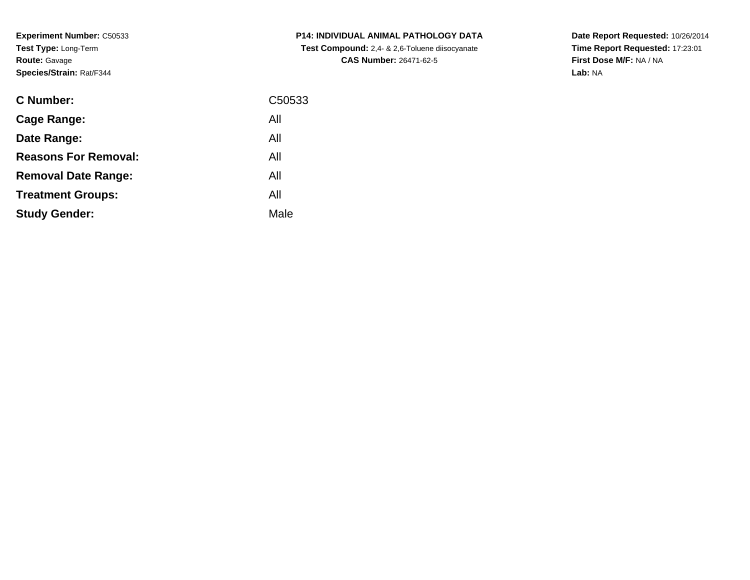**Experiment Number:** C50533**Test Type:** Long-Term**Route:** Gavage**Species/Strain:** Rat/F344

| <b>C Number:</b>            | C50533 |
|-----------------------------|--------|
| <b>Cage Range:</b>          | All    |
| Date Range:                 | All    |
| <b>Reasons For Removal:</b> | All    |
| <b>Removal Date Range:</b>  | All    |
| <b>Treatment Groups:</b>    | All    |
| <b>Study Gender:</b>        | Male   |
|                             |        |

**P14: INDIVIDUAL ANIMAL PATHOLOGY DATA Test Compound:** 2,4- & 2,6-Toluene diisocyanate**CAS Number:** 26471-62-5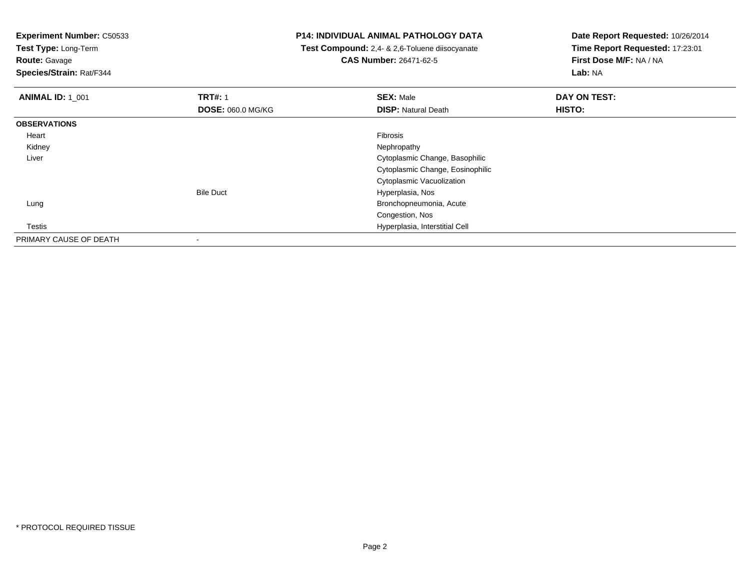**Test Type:** Long-Term

**Route:** Gavage

**Species/Strain:** Rat/F344

## **P14: INDIVIDUAL ANIMAL PATHOLOGY DATA**

 **Test Compound:** 2,4- & 2,6-Toluene diisocyanate**CAS Number:** 26471-62-5

| <b>ANIMAL ID: 1 001</b> | <b>TRT#: 1</b>           | <b>SEX: Male</b>                 | DAY ON TEST: |  |
|-------------------------|--------------------------|----------------------------------|--------------|--|
|                         | <b>DOSE: 060.0 MG/KG</b> | <b>DISP: Natural Death</b>       | HISTO:       |  |
| <b>OBSERVATIONS</b>     |                          |                                  |              |  |
| Heart                   |                          | Fibrosis                         |              |  |
| Kidney                  |                          | Nephropathy                      |              |  |
| Liver                   |                          | Cytoplasmic Change, Basophilic   |              |  |
|                         |                          | Cytoplasmic Change, Eosinophilic |              |  |
|                         |                          | Cytoplasmic Vacuolization        |              |  |
|                         | <b>Bile Duct</b>         | Hyperplasia, Nos                 |              |  |
| Lung                    |                          | Bronchopneumonia, Acute          |              |  |
|                         |                          | Congestion, Nos                  |              |  |
| Testis                  |                          | Hyperplasia, Interstitial Cell   |              |  |
| PRIMARY CAUSE OF DEATH  | $\overline{\phantom{a}}$ |                                  |              |  |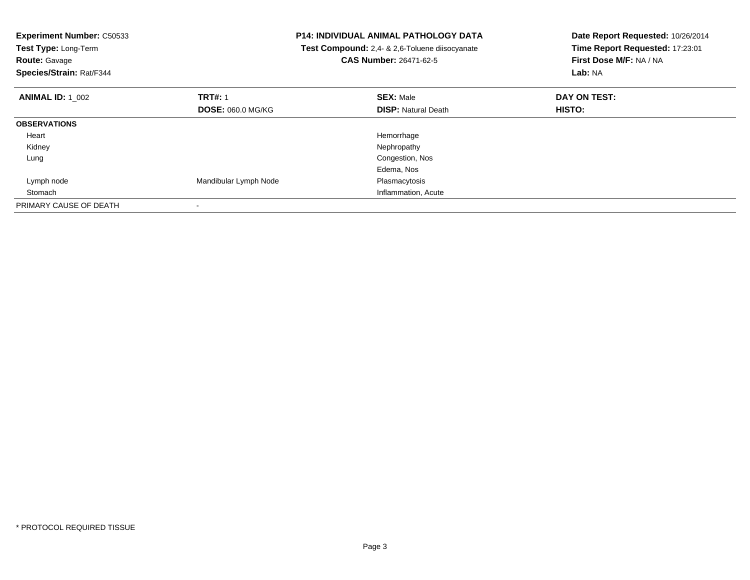| <b>Experiment Number: C50533</b><br><b>P14: INDIVIDUAL ANIMAL PATHOLOGY DATA</b><br>Test Compound: 2,4- & 2,6-Toluene diisocyanate<br>Test Type: Long-Term<br>CAS Number: 26471-62-5<br><b>Route: Gavage</b><br>Species/Strain: Rat/F344 |                          | Date Report Requested: 10/26/2014<br>Time Report Requested: 17:23:01<br>First Dose M/F: NA / NA<br>Lab: NA |              |
|------------------------------------------------------------------------------------------------------------------------------------------------------------------------------------------------------------------------------------------|--------------------------|------------------------------------------------------------------------------------------------------------|--------------|
| <b>ANIMAL ID: 1 002</b>                                                                                                                                                                                                                  | <b>TRT#: 1</b>           | <b>SEX: Male</b>                                                                                           | DAY ON TEST: |
|                                                                                                                                                                                                                                          | <b>DOSE: 060.0 MG/KG</b> | <b>DISP: Natural Death</b>                                                                                 | HISTO:       |
| <b>OBSERVATIONS</b>                                                                                                                                                                                                                      |                          |                                                                                                            |              |
| Heart                                                                                                                                                                                                                                    |                          | Hemorrhage                                                                                                 |              |
| Kidney                                                                                                                                                                                                                                   |                          | Nephropathy                                                                                                |              |
| Lung                                                                                                                                                                                                                                     |                          | Congestion, Nos                                                                                            |              |
|                                                                                                                                                                                                                                          |                          | Edema, Nos                                                                                                 |              |
| Lymph node                                                                                                                                                                                                                               | Mandibular Lymph Node    | Plasmacytosis                                                                                              |              |
| Stomach                                                                                                                                                                                                                                  |                          | Inflammation, Acute                                                                                        |              |
| PRIMARY CAUSE OF DEATH                                                                                                                                                                                                                   |                          |                                                                                                            |              |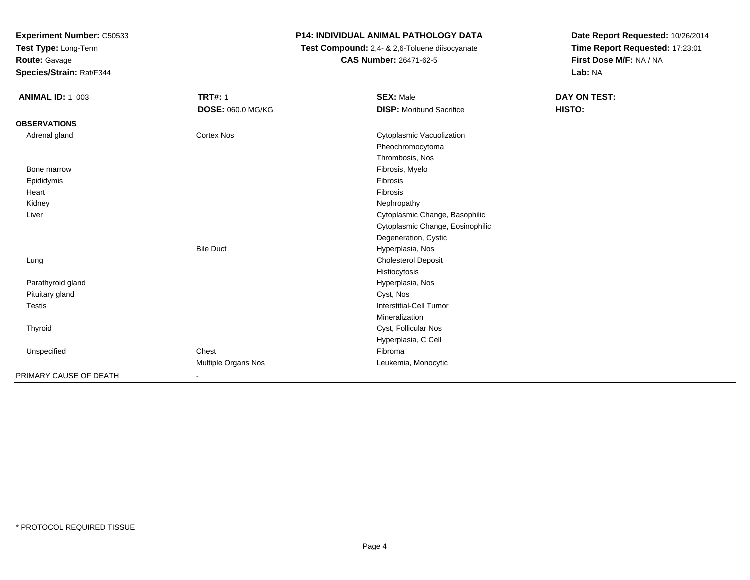**Test Type:** Long-Term

## **Route:** Gavage

**Species/Strain:** Rat/F344

## **P14: INDIVIDUAL ANIMAL PATHOLOGY DATA**

 **Test Compound:** 2,4- & 2,6-Toluene diisocyanate**CAS Number:** 26471-62-5

| <b>ANIMAL ID: 1_003</b> | <b>TRT#: 1</b>           | <b>SEX: Male</b>                 | DAY ON TEST: |  |
|-------------------------|--------------------------|----------------------------------|--------------|--|
|                         | <b>DOSE: 060.0 MG/KG</b> | <b>DISP:</b> Moribund Sacrifice  | HISTO:       |  |
| <b>OBSERVATIONS</b>     |                          |                                  |              |  |
| Adrenal gland           | <b>Cortex Nos</b>        | Cytoplasmic Vacuolization        |              |  |
|                         |                          | Pheochromocytoma                 |              |  |
|                         |                          | Thrombosis, Nos                  |              |  |
| Bone marrow             |                          | Fibrosis, Myelo                  |              |  |
| Epididymis              |                          | Fibrosis                         |              |  |
| Heart                   |                          | Fibrosis                         |              |  |
| Kidney                  |                          | Nephropathy                      |              |  |
| Liver                   |                          | Cytoplasmic Change, Basophilic   |              |  |
|                         |                          | Cytoplasmic Change, Eosinophilic |              |  |
|                         |                          | Degeneration, Cystic             |              |  |
|                         | <b>Bile Duct</b>         | Hyperplasia, Nos                 |              |  |
| Lung                    |                          | Cholesterol Deposit              |              |  |
|                         |                          | Histiocytosis                    |              |  |
| Parathyroid gland       |                          | Hyperplasia, Nos                 |              |  |
| Pituitary gland         |                          | Cyst, Nos                        |              |  |
| <b>Testis</b>           |                          | Interstitial-Cell Tumor          |              |  |
|                         |                          | Mineralization                   |              |  |
| Thyroid                 |                          | Cyst, Follicular Nos             |              |  |
|                         |                          | Hyperplasia, C Cell              |              |  |
| Unspecified             | Chest                    | Fibroma                          |              |  |
|                         | Multiple Organs Nos      | Leukemia, Monocytic              |              |  |
| PRIMARY CAUSE OF DEATH  |                          |                                  |              |  |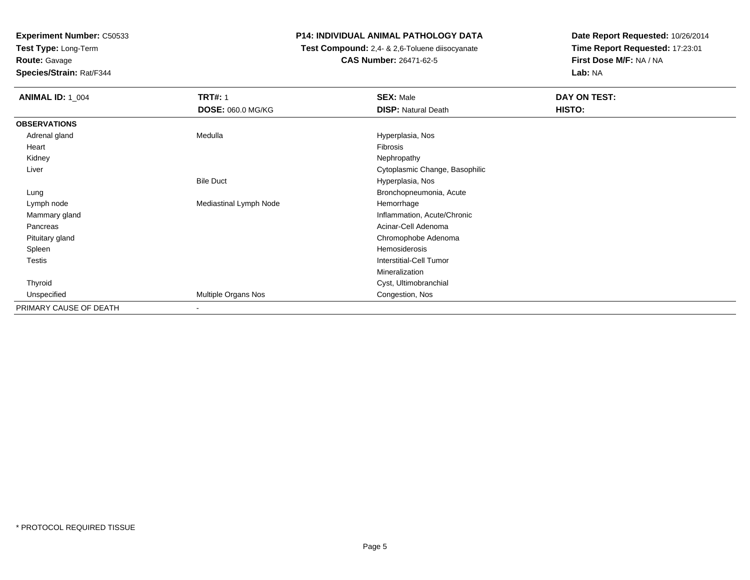**Test Type:** Long-Term

**Route:** Gavage

**Species/Strain:** Rat/F344

## **P14: INDIVIDUAL ANIMAL PATHOLOGY DATA**

 **Test Compound:** 2,4- & 2,6-Toluene diisocyanate**CAS Number:** 26471-62-5

| <b>ANIMAL ID: 1_004</b> | <b>TRT#: 1</b>           | <b>SEX: Male</b>               | DAY ON TEST: |
|-------------------------|--------------------------|--------------------------------|--------------|
|                         | <b>DOSE: 060.0 MG/KG</b> | <b>DISP: Natural Death</b>     | HISTO:       |
| <b>OBSERVATIONS</b>     |                          |                                |              |
| Adrenal gland           | Medulla                  | Hyperplasia, Nos               |              |
| Heart                   |                          | Fibrosis                       |              |
| Kidney                  |                          | Nephropathy                    |              |
| Liver                   |                          | Cytoplasmic Change, Basophilic |              |
|                         | <b>Bile Duct</b>         | Hyperplasia, Nos               |              |
| Lung                    |                          | Bronchopneumonia, Acute        |              |
| Lymph node              | Mediastinal Lymph Node   | Hemorrhage                     |              |
| Mammary gland           |                          | Inflammation, Acute/Chronic    |              |
| Pancreas                |                          | Acinar-Cell Adenoma            |              |
| Pituitary gland         |                          | Chromophobe Adenoma            |              |
| Spleen                  |                          | Hemosiderosis                  |              |
| Testis                  |                          | <b>Interstitial-Cell Tumor</b> |              |
|                         |                          | Mineralization                 |              |
| Thyroid                 |                          | Cyst, Ultimobranchial          |              |
| Unspecified             | Multiple Organs Nos      | Congestion, Nos                |              |
| PRIMARY CAUSE OF DEATH  | $\overline{\phantom{a}}$ |                                |              |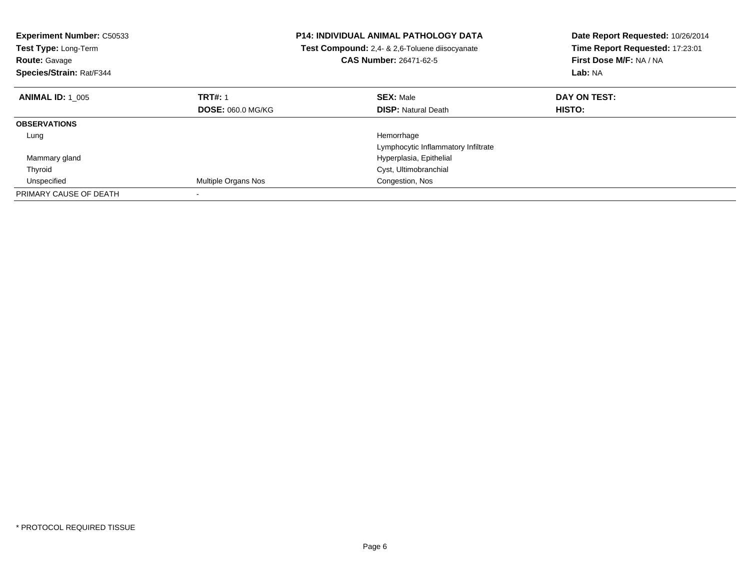| <b>Experiment Number: C50533</b><br>Test Type: Long-Term<br><b>Route: Gavage</b><br>Species/Strain: Rat/F344 | <b>P14: INDIVIDUAL ANIMAL PATHOLOGY DATA</b><br>Test Compound: 2,4- & 2,6-Toluene diisocyanate<br><b>CAS Number: 26471-62-5</b> |                                     | Date Report Requested: 10/26/2014<br>Time Report Requested: 17:23:01<br>First Dose M/F: NA / NA<br>Lab: NA |
|--------------------------------------------------------------------------------------------------------------|---------------------------------------------------------------------------------------------------------------------------------|-------------------------------------|------------------------------------------------------------------------------------------------------------|
| <b>ANIMAL ID: 1_005</b>                                                                                      | <b>TRT#: 1</b>                                                                                                                  | <b>SEX: Male</b>                    | DAY ON TEST:                                                                                               |
|                                                                                                              | <b>DOSE: 060.0 MG/KG</b>                                                                                                        | <b>DISP:</b> Natural Death          | <b>HISTO:</b>                                                                                              |
| <b>OBSERVATIONS</b>                                                                                          |                                                                                                                                 |                                     |                                                                                                            |
| Lung                                                                                                         |                                                                                                                                 | Hemorrhage                          |                                                                                                            |
|                                                                                                              |                                                                                                                                 | Lymphocytic Inflammatory Infiltrate |                                                                                                            |
| Mammary gland                                                                                                |                                                                                                                                 | Hyperplasia, Epithelial             |                                                                                                            |
| Thyroid                                                                                                      |                                                                                                                                 | Cyst, Ultimobranchial               |                                                                                                            |
| Unspecified                                                                                                  | Multiple Organs Nos                                                                                                             | Congestion, Nos                     |                                                                                                            |
| PRIMARY CAUSE OF DEATH                                                                                       |                                                                                                                                 |                                     |                                                                                                            |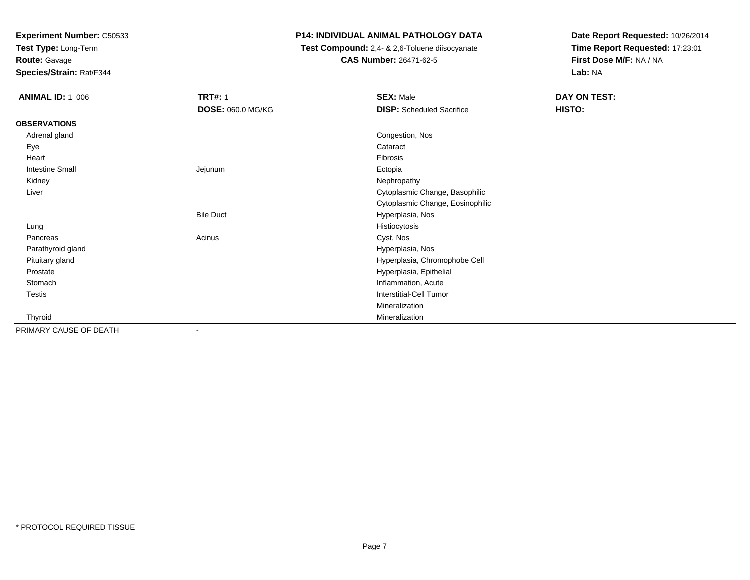**Test Type:** Long-Term

**Route:** Gavage

**Species/Strain:** Rat/F344

## **P14: INDIVIDUAL ANIMAL PATHOLOGY DATA**

 **Test Compound:** 2,4- & 2,6-Toluene diisocyanate**CAS Number:** 26471-62-5

| <b>ANIMAL ID: 1_006</b> | <b>TRT#: 1</b>    | <b>SEX: Male</b>                 | DAY ON TEST: |
|-------------------------|-------------------|----------------------------------|--------------|
|                         | DOSE: 060.0 MG/KG | <b>DISP:</b> Scheduled Sacrifice | HISTO:       |
| <b>OBSERVATIONS</b>     |                   |                                  |              |
| Adrenal gland           |                   | Congestion, Nos                  |              |
| Eye                     |                   | Cataract                         |              |
| Heart                   |                   | Fibrosis                         |              |
| <b>Intestine Small</b>  | Jejunum           | Ectopia                          |              |
| Kidney                  |                   | Nephropathy                      |              |
| Liver                   |                   | Cytoplasmic Change, Basophilic   |              |
|                         |                   | Cytoplasmic Change, Eosinophilic |              |
|                         | <b>Bile Duct</b>  | Hyperplasia, Nos                 |              |
| Lung                    |                   | Histiocytosis                    |              |
| Pancreas                | Acinus            | Cyst, Nos                        |              |
| Parathyroid gland       |                   | Hyperplasia, Nos                 |              |
| Pituitary gland         |                   | Hyperplasia, Chromophobe Cell    |              |
| Prostate                |                   | Hyperplasia, Epithelial          |              |
| Stomach                 |                   | Inflammation, Acute              |              |
| Testis                  |                   | Interstitial-Cell Tumor          |              |
|                         |                   | Mineralization                   |              |
| Thyroid                 |                   | Mineralization                   |              |
| PRIMARY CAUSE OF DEATH  | $\blacksquare$    |                                  |              |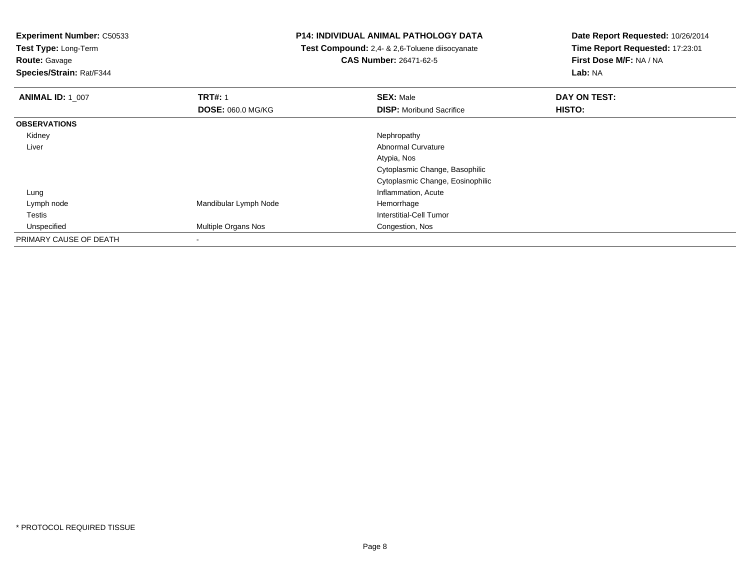**Test Type:** Long-Term

**Route:** Gavage

**Species/Strain:** Rat/F344

## **P14: INDIVIDUAL ANIMAL PATHOLOGY DATA**

 **Test Compound:** 2,4- & 2,6-Toluene diisocyanate**CAS Number:** 26471-62-5

| <b>ANIMAL ID: 1 007</b> | <b>TRT#: 1</b>             | <b>SEX: Male</b>                 | DAY ON TEST: |  |
|-------------------------|----------------------------|----------------------------------|--------------|--|
|                         | <b>DOSE: 060.0 MG/KG</b>   | <b>DISP:</b> Moribund Sacrifice  | HISTO:       |  |
| <b>OBSERVATIONS</b>     |                            |                                  |              |  |
| Kidney                  |                            | Nephropathy                      |              |  |
| Liver                   |                            | <b>Abnormal Curvature</b>        |              |  |
|                         |                            | Atypia, Nos                      |              |  |
|                         |                            | Cytoplasmic Change, Basophilic   |              |  |
|                         |                            | Cytoplasmic Change, Eosinophilic |              |  |
| Lung                    |                            | Inflammation, Acute              |              |  |
| Lymph node              | Mandibular Lymph Node      | Hemorrhage                       |              |  |
| Testis                  |                            | Interstitial-Cell Tumor          |              |  |
| Unspecified             | <b>Multiple Organs Nos</b> | Congestion, Nos                  |              |  |
| PRIMARY CAUSE OF DEATH  |                            |                                  |              |  |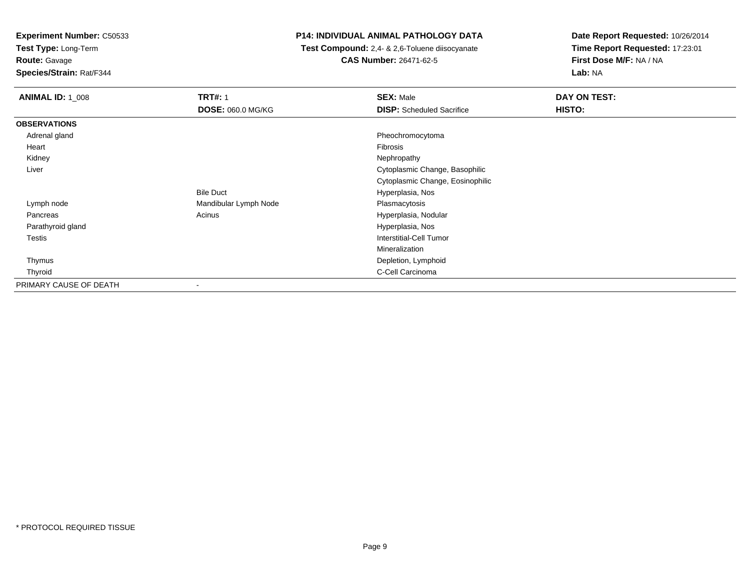**Test Type:** Long-Term

**Route:** Gavage

**Species/Strain:** Rat/F344

## **P14: INDIVIDUAL ANIMAL PATHOLOGY DATA**

 **Test Compound:** 2,4- & 2,6-Toluene diisocyanate**CAS Number:** 26471-62-5

| <b>ANIMAL ID: 1_008</b> | <b>TRT#: 1</b>           | <b>SEX: Male</b>                 | DAY ON TEST: |
|-------------------------|--------------------------|----------------------------------|--------------|
|                         | <b>DOSE: 060.0 MG/KG</b> | <b>DISP:</b> Scheduled Sacrifice | HISTO:       |
| <b>OBSERVATIONS</b>     |                          |                                  |              |
| Adrenal gland           |                          | Pheochromocytoma                 |              |
| Heart                   |                          | <b>Fibrosis</b>                  |              |
| Kidney                  |                          | Nephropathy                      |              |
| Liver                   |                          | Cytoplasmic Change, Basophilic   |              |
|                         |                          | Cytoplasmic Change, Eosinophilic |              |
|                         | <b>Bile Duct</b>         | Hyperplasia, Nos                 |              |
| Lymph node              | Mandibular Lymph Node    | Plasmacytosis                    |              |
| Pancreas                | Acinus                   | Hyperplasia, Nodular             |              |
| Parathyroid gland       |                          | Hyperplasia, Nos                 |              |
| <b>Testis</b>           |                          | Interstitial-Cell Tumor          |              |
|                         |                          | Mineralization                   |              |
| Thymus                  |                          | Depletion, Lymphoid              |              |
| Thyroid                 |                          | C-Cell Carcinoma                 |              |
| PRIMARY CAUSE OF DEATH  |                          |                                  |              |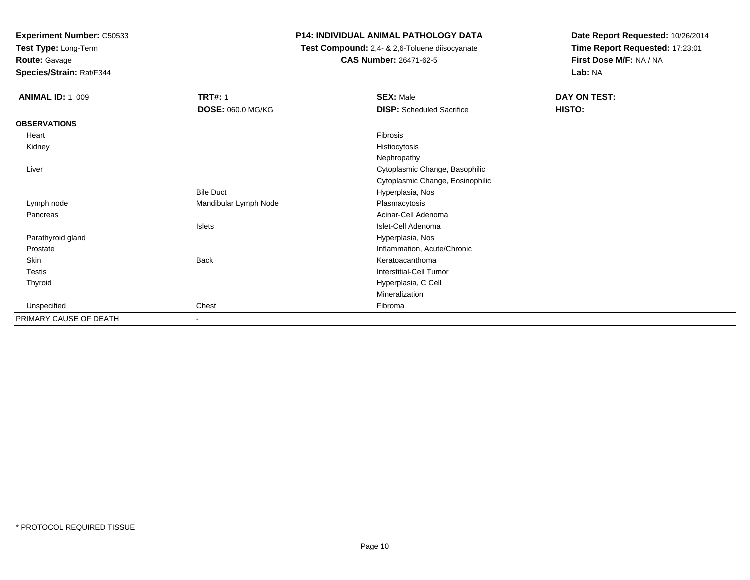**Test Type:** Long-Term

**Route:** Gavage

**Species/Strain:** Rat/F344

## **P14: INDIVIDUAL ANIMAL PATHOLOGY DATA**

 **Test Compound:** 2,4- & 2,6-Toluene diisocyanate**CAS Number:** 26471-62-5

| <b>ANIMAL ID: 1_009</b> | <b>TRT#: 1</b>        | <b>SEX: Male</b>                 | DAY ON TEST: |
|-------------------------|-----------------------|----------------------------------|--------------|
|                         | DOSE: 060.0 MG/KG     | <b>DISP:</b> Scheduled Sacrifice | HISTO:       |
| <b>OBSERVATIONS</b>     |                       |                                  |              |
| Heart                   |                       | Fibrosis                         |              |
| Kidney                  |                       | Histiocytosis                    |              |
|                         |                       | Nephropathy                      |              |
| Liver                   |                       | Cytoplasmic Change, Basophilic   |              |
|                         |                       | Cytoplasmic Change, Eosinophilic |              |
|                         | <b>Bile Duct</b>      | Hyperplasia, Nos                 |              |
| Lymph node              | Mandibular Lymph Node | Plasmacytosis                    |              |
| Pancreas                |                       | Acinar-Cell Adenoma              |              |
|                         | Islets                | Islet-Cell Adenoma               |              |
| Parathyroid gland       |                       | Hyperplasia, Nos                 |              |
| Prostate                |                       | Inflammation, Acute/Chronic      |              |
| Skin                    | <b>Back</b>           | Keratoacanthoma                  |              |
| Testis                  |                       | <b>Interstitial-Cell Tumor</b>   |              |
| Thyroid                 |                       | Hyperplasia, C Cell              |              |
|                         |                       | Mineralization                   |              |
| Unspecified             | Chest                 | Fibroma                          |              |
| PRIMARY CAUSE OF DEATH  | ٠                     |                                  |              |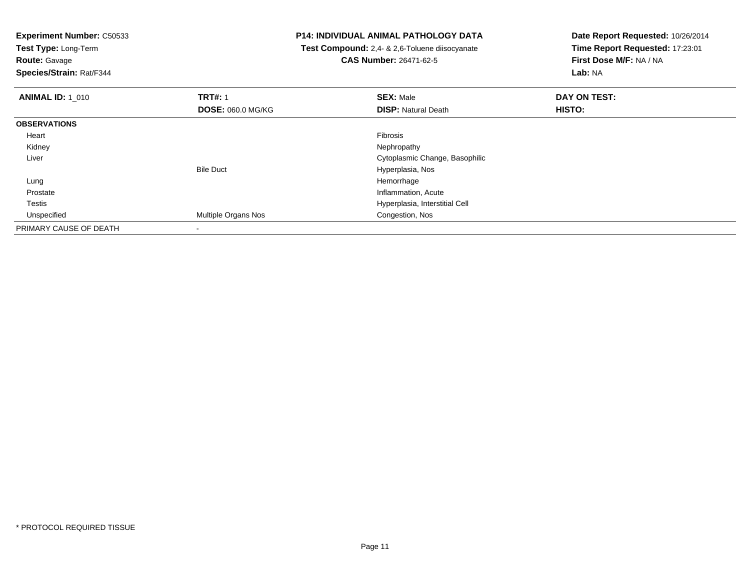**Test Type:** Long-Term

# **Route:** Gavage

**Species/Strain:** Rat/F344

## **P14: INDIVIDUAL ANIMAL PATHOLOGY DATA**

 **Test Compound:** 2,4- & 2,6-Toluene diisocyanate**CAS Number:** 26471-62-5

| <b>ANIMAL ID: 1 010</b> | <b>TRT#: 1</b>           | <b>SEX: Male</b>               | DAY ON TEST:  |  |
|-------------------------|--------------------------|--------------------------------|---------------|--|
|                         | <b>DOSE: 060.0 MG/KG</b> | <b>DISP: Natural Death</b>     | <b>HISTO:</b> |  |
| <b>OBSERVATIONS</b>     |                          |                                |               |  |
| Heart                   |                          | <b>Fibrosis</b>                |               |  |
| Kidney                  |                          | Nephropathy                    |               |  |
| Liver                   |                          | Cytoplasmic Change, Basophilic |               |  |
|                         | <b>Bile Duct</b>         | Hyperplasia, Nos               |               |  |
| Lung                    |                          | Hemorrhage                     |               |  |
| Prostate                |                          | Inflammation, Acute            |               |  |
| Testis                  |                          | Hyperplasia, Interstitial Cell |               |  |
| Unspecified             | Multiple Organs Nos      | Congestion, Nos                |               |  |
| PRIMARY CAUSE OF DEATH  |                          |                                |               |  |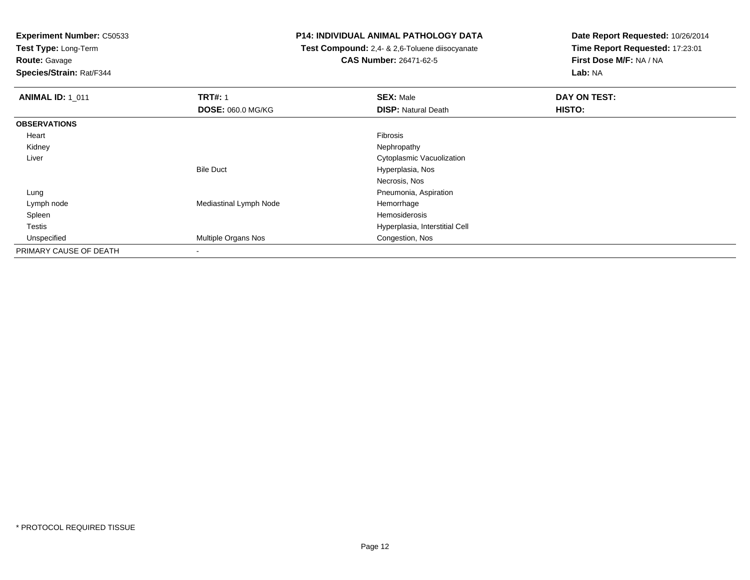**Test Type:** Long-Term

**Route:** Gavage

**Species/Strain:** Rat/F344

## **P14: INDIVIDUAL ANIMAL PATHOLOGY DATA**

 **Test Compound:** 2,4- & 2,6-Toluene diisocyanate**CAS Number:** 26471-62-5

| <b>ANIMAL ID: 1 011</b> | <b>TRT#: 1</b>           | <b>SEX: Male</b>               | DAY ON TEST: |  |
|-------------------------|--------------------------|--------------------------------|--------------|--|
|                         | <b>DOSE: 060.0 MG/KG</b> | <b>DISP: Natural Death</b>     | HISTO:       |  |
| <b>OBSERVATIONS</b>     |                          |                                |              |  |
| Heart                   |                          | Fibrosis                       |              |  |
| Kidney                  |                          | Nephropathy                    |              |  |
| Liver                   |                          | Cytoplasmic Vacuolization      |              |  |
|                         | <b>Bile Duct</b>         | Hyperplasia, Nos               |              |  |
|                         |                          | Necrosis, Nos                  |              |  |
| Lung                    |                          | Pneumonia, Aspiration          |              |  |
| Lymph node              | Mediastinal Lymph Node   | Hemorrhage                     |              |  |
| Spleen                  |                          | Hemosiderosis                  |              |  |
| <b>Testis</b>           |                          | Hyperplasia, Interstitial Cell |              |  |
| Unspecified             | Multiple Organs Nos      | Congestion, Nos                |              |  |
| PRIMARY CAUSE OF DEATH  |                          |                                |              |  |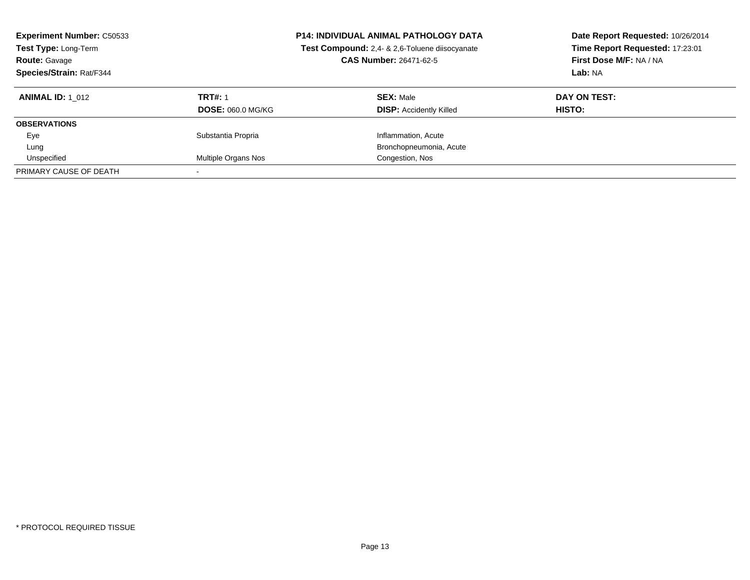| <b>Experiment Number: C50533</b><br>Test Type: Long-Term<br><b>Route: Gavage</b><br>Species/Strain: Rat/F344 | <b>P14: INDIVIDUAL ANIMAL PATHOLOGY DATA</b><br>Test Compound: 2,4- & 2,6-Toluene diisocyanate<br>CAS Number: 26471-62-5 |                                | Date Report Requested: 10/26/2014<br>Time Report Requested: 17:23:01<br>First Dose M/F: NA / NA<br>Lab: NA |
|--------------------------------------------------------------------------------------------------------------|--------------------------------------------------------------------------------------------------------------------------|--------------------------------|------------------------------------------------------------------------------------------------------------|
| <b>ANIMAL ID:</b> 1 012                                                                                      | <b>TRT#: 1</b>                                                                                                           | <b>SEX: Male</b>               | DAY ON TEST:                                                                                               |
|                                                                                                              | <b>DOSE: 060.0 MG/KG</b>                                                                                                 | <b>DISP:</b> Accidently Killed | <b>HISTO:</b>                                                                                              |
| <b>OBSERVATIONS</b>                                                                                          |                                                                                                                          |                                |                                                                                                            |
| Eye                                                                                                          | Substantia Propria                                                                                                       | Inflammation, Acute            |                                                                                                            |
| Lung                                                                                                         |                                                                                                                          | Bronchopneumonia, Acute        |                                                                                                            |
| Unspecified                                                                                                  | Multiple Organs Nos                                                                                                      | Congestion, Nos                |                                                                                                            |
| PRIMARY CAUSE OF DEATH                                                                                       |                                                                                                                          |                                |                                                                                                            |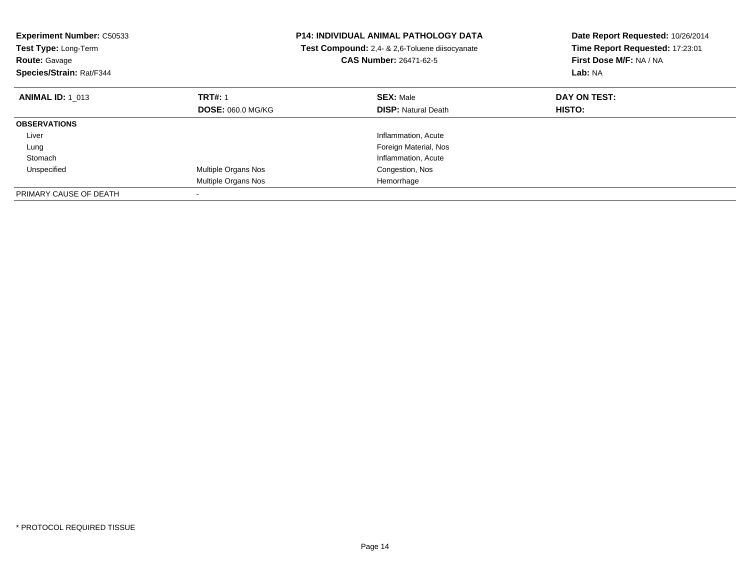| <b>Experiment Number: C50533</b><br>Test Type: Long-Term<br><b>Route: Gavage</b><br>Species/Strain: Rat/F344 |                            | <b>P14: INDIVIDUAL ANIMAL PATHOLOGY DATA</b><br>Test Compound: 2,4- & 2,6-Toluene diisocyanate<br><b>CAS Number: 26471-62-5</b> | Date Report Requested: 10/26/2014<br>Time Report Requested: 17:23:01<br>First Dose M/F: NA / NA<br>Lab: NA |
|--------------------------------------------------------------------------------------------------------------|----------------------------|---------------------------------------------------------------------------------------------------------------------------------|------------------------------------------------------------------------------------------------------------|
| <b>ANIMAL ID: 1 013</b>                                                                                      | <b>TRT#: 1</b>             | <b>SEX: Male</b>                                                                                                                | DAY ON TEST:                                                                                               |
|                                                                                                              | <b>DOSE: 060.0 MG/KG</b>   | <b>DISP: Natural Death</b>                                                                                                      | <b>HISTO:</b>                                                                                              |
| <b>OBSERVATIONS</b>                                                                                          |                            |                                                                                                                                 |                                                                                                            |
| Liver                                                                                                        |                            | Inflammation, Acute                                                                                                             |                                                                                                            |
| Lung                                                                                                         |                            | Foreign Material, Nos                                                                                                           |                                                                                                            |
| Stomach                                                                                                      |                            | Inflammation, Acute                                                                                                             |                                                                                                            |
| Unspecified                                                                                                  | <b>Multiple Organs Nos</b> | Congestion, Nos                                                                                                                 |                                                                                                            |
|                                                                                                              | Multiple Organs Nos        | Hemorrhage                                                                                                                      |                                                                                                            |
| PRIMARY CAUSE OF DEATH                                                                                       |                            |                                                                                                                                 |                                                                                                            |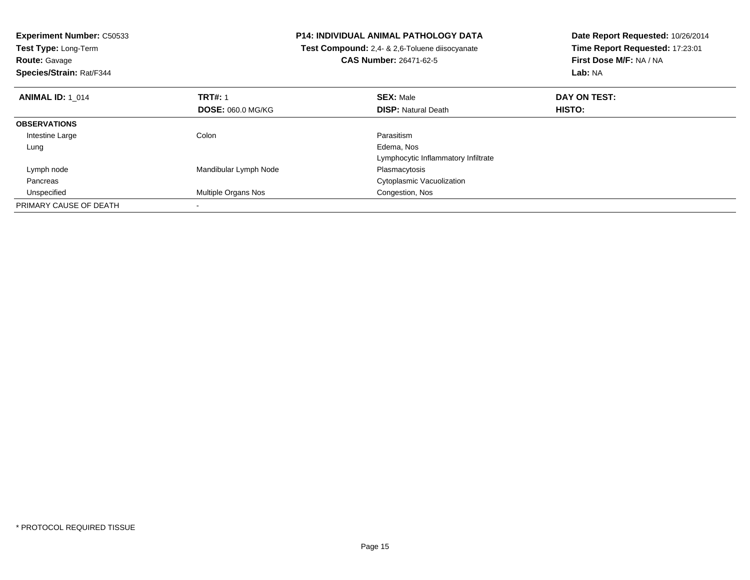| <b>Experiment Number: C50533</b> |                            | <b>P14: INDIVIDUAL ANIMAL PATHOLOGY DATA</b>          | Date Report Requested: 10/26/2014 |
|----------------------------------|----------------------------|-------------------------------------------------------|-----------------------------------|
| Test Type: Long-Term             |                            | <b>Test Compound:</b> 2,4- & 2,6-Toluene diisocyanate | Time Report Requested: 17:23:01   |
| <b>Route: Gavage</b>             |                            | <b>CAS Number: 26471-62-5</b>                         | First Dose M/F: NA / NA           |
| Species/Strain: Rat/F344         |                            |                                                       | Lab: NA                           |
| <b>ANIMAL ID: 1 014</b>          | <b>TRT#: 1</b>             | <b>SEX: Male</b>                                      | DAY ON TEST:                      |
|                                  | <b>DOSE: 060.0 MG/KG</b>   | <b>DISP: Natural Death</b>                            | HISTO:                            |
| <b>OBSERVATIONS</b>              |                            |                                                       |                                   |
| Intestine Large                  | Colon                      | Parasitism                                            |                                   |
| Lung                             |                            | Edema, Nos                                            |                                   |
|                                  |                            | Lymphocytic Inflammatory Infiltrate                   |                                   |
| Lymph node                       | Mandibular Lymph Node      | Plasmacytosis                                         |                                   |
| Pancreas                         |                            | Cytoplasmic Vacuolization                             |                                   |
| Unspecified                      | <b>Multiple Organs Nos</b> | Congestion, Nos                                       |                                   |
| PRIMARY CAUSE OF DEATH           |                            |                                                       |                                   |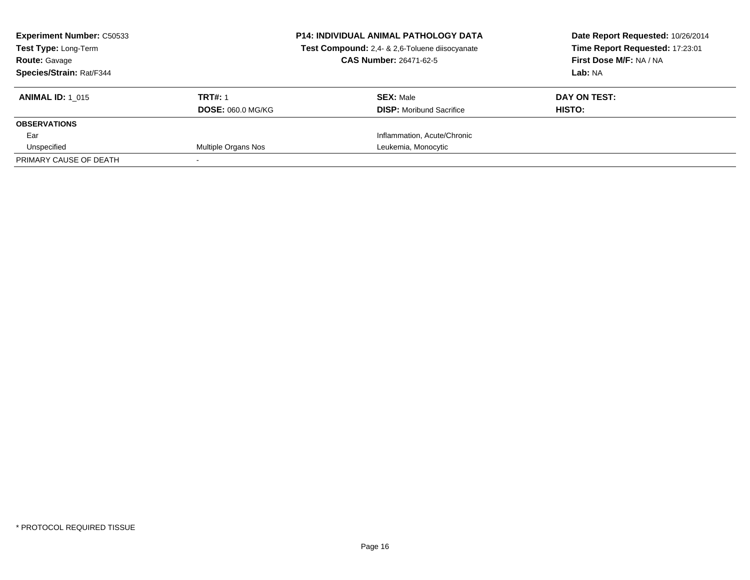| <b>Experiment Number: C50533</b><br><b>Test Type: Long-Term</b><br><b>Route: Gavage</b><br><b>Species/Strain: Rat/F344</b> |                                            | <b>P14: INDIVIDUAL ANIMAL PATHOLOGY DATA</b><br>Test Compound: 2,4- & 2,6-Toluene diisocyanate<br><b>CAS Number: 26471-62-5</b> | Date Report Requested: 10/26/2014<br>Time Report Requested: 17:23:01<br>First Dose M/F: NA / NA<br>Lab: NA |
|----------------------------------------------------------------------------------------------------------------------------|--------------------------------------------|---------------------------------------------------------------------------------------------------------------------------------|------------------------------------------------------------------------------------------------------------|
| <b>ANIMAL ID: 1 015</b>                                                                                                    | <b>TRT#: 1</b><br><b>DOSE: 060.0 MG/KG</b> | <b>SEX: Male</b><br><b>DISP:</b> Moribund Sacrifice                                                                             | DAY ON TEST:<br>HISTO:                                                                                     |
| <b>OBSERVATIONS</b>                                                                                                        |                                            |                                                                                                                                 |                                                                                                            |
| Ear                                                                                                                        |                                            | Inflammation, Acute/Chronic                                                                                                     |                                                                                                            |
| Unspecified                                                                                                                | Multiple Organs Nos                        | Leukemia, Monocytic                                                                                                             |                                                                                                            |
| PRIMARY CAUSE OF DEATH                                                                                                     |                                            |                                                                                                                                 |                                                                                                            |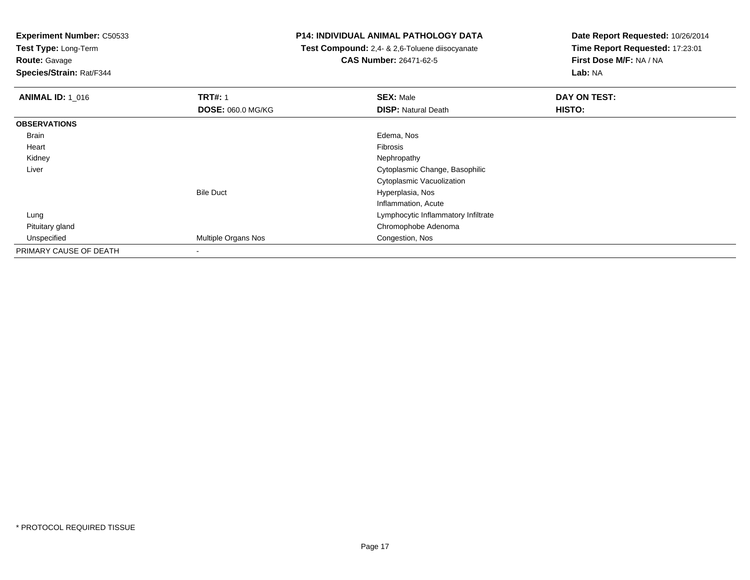**Test Type:** Long-Term

**Route:** Gavage

**Species/Strain:** Rat/F344

## **P14: INDIVIDUAL ANIMAL PATHOLOGY DATA**

 **Test Compound:** 2,4- & 2,6-Toluene diisocyanate**CAS Number:** 26471-62-5

| <b>ANIMAL ID: 1_016</b> | <b>TRT#: 1</b>           | <b>SEX: Male</b>                    | DAY ON TEST: |  |
|-------------------------|--------------------------|-------------------------------------|--------------|--|
|                         | <b>DOSE: 060.0 MG/KG</b> | <b>DISP: Natural Death</b>          | HISTO:       |  |
| <b>OBSERVATIONS</b>     |                          |                                     |              |  |
| <b>Brain</b>            |                          | Edema, Nos                          |              |  |
| Heart                   |                          | Fibrosis                            |              |  |
| Kidney                  |                          | Nephropathy                         |              |  |
| Liver                   |                          | Cytoplasmic Change, Basophilic      |              |  |
|                         |                          | Cytoplasmic Vacuolization           |              |  |
|                         | <b>Bile Duct</b>         | Hyperplasia, Nos                    |              |  |
|                         |                          | Inflammation, Acute                 |              |  |
| Lung                    |                          | Lymphocytic Inflammatory Infiltrate |              |  |
| Pituitary gland         |                          | Chromophobe Adenoma                 |              |  |
| Unspecified             | Multiple Organs Nos      | Congestion, Nos                     |              |  |
| PRIMARY CAUSE OF DEATH  | $\blacksquare$           |                                     |              |  |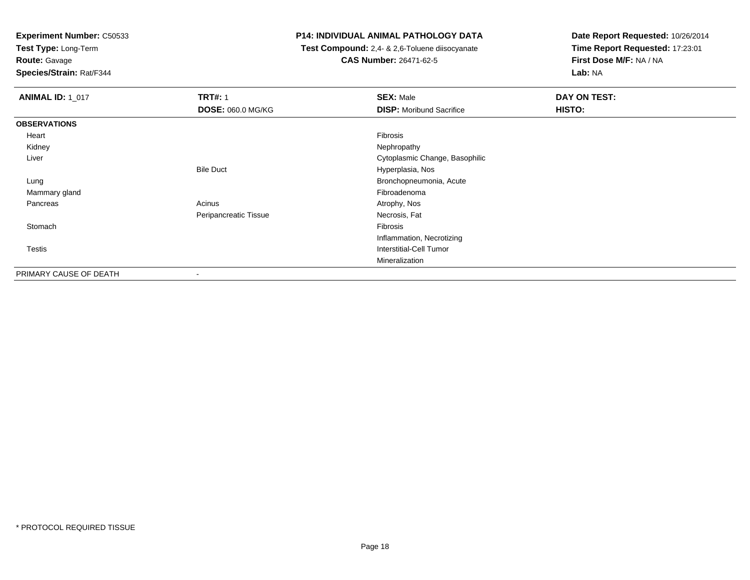**Test Type:** Long-Term

**Route:** Gavage

**Species/Strain:** Rat/F344

## **P14: INDIVIDUAL ANIMAL PATHOLOGY DATA**

 **Test Compound:** 2,4- & 2,6-Toluene diisocyanate**CAS Number:** 26471-62-5

| <b>ANIMAL ID: 1_017</b> | <b>TRT#: 1</b>           | <b>SEX: Male</b>                | DAY ON TEST: |
|-------------------------|--------------------------|---------------------------------|--------------|
|                         | <b>DOSE: 060.0 MG/KG</b> | <b>DISP:</b> Moribund Sacrifice | HISTO:       |
| <b>OBSERVATIONS</b>     |                          |                                 |              |
| Heart                   |                          | Fibrosis                        |              |
| Kidney                  |                          | Nephropathy                     |              |
| Liver                   |                          | Cytoplasmic Change, Basophilic  |              |
|                         | <b>Bile Duct</b>         | Hyperplasia, Nos                |              |
| Lung                    |                          | Bronchopneumonia, Acute         |              |
| Mammary gland           |                          | Fibroadenoma                    |              |
| Pancreas                | Acinus                   | Atrophy, Nos                    |              |
|                         | Peripancreatic Tissue    | Necrosis, Fat                   |              |
| Stomach                 |                          | Fibrosis                        |              |
|                         |                          | Inflammation, Necrotizing       |              |
| <b>Testis</b>           |                          | <b>Interstitial-Cell Tumor</b>  |              |
|                         |                          | Mineralization                  |              |
| PRIMARY CAUSE OF DEATH  | $\,$                     |                                 |              |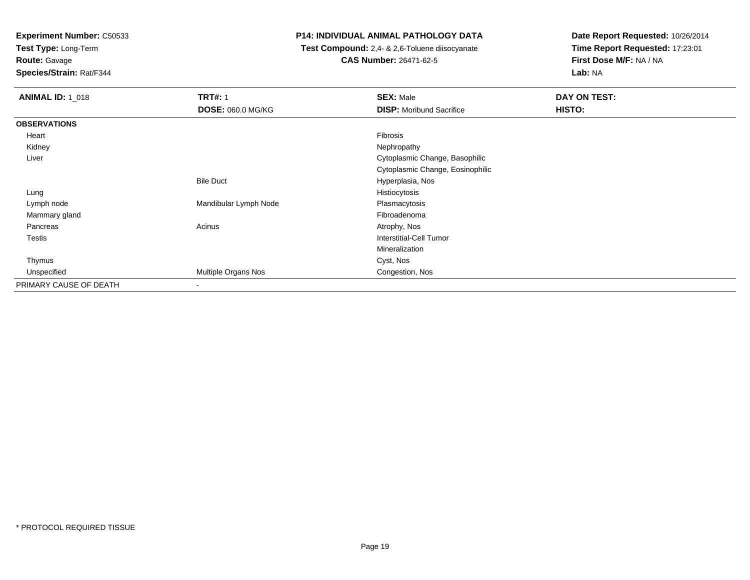**Test Type:** Long-Term

**Route:** Gavage

**Species/Strain:** Rat/F344

## **P14: INDIVIDUAL ANIMAL PATHOLOGY DATA**

 **Test Compound:** 2,4- & 2,6-Toluene diisocyanate**CAS Number:** 26471-62-5

| <b>ANIMAL ID: 1_018</b> | <b>TRT#: 1</b>           | <b>SEX: Male</b>                 | DAY ON TEST: |  |
|-------------------------|--------------------------|----------------------------------|--------------|--|
|                         | <b>DOSE: 060.0 MG/KG</b> | <b>DISP:</b> Moribund Sacrifice  | HISTO:       |  |
| <b>OBSERVATIONS</b>     |                          |                                  |              |  |
| Heart                   |                          | Fibrosis                         |              |  |
| Kidney                  |                          | Nephropathy                      |              |  |
| Liver                   |                          | Cytoplasmic Change, Basophilic   |              |  |
|                         |                          | Cytoplasmic Change, Eosinophilic |              |  |
|                         | <b>Bile Duct</b>         | Hyperplasia, Nos                 |              |  |
| Lung                    |                          | Histiocytosis                    |              |  |
| Lymph node              | Mandibular Lymph Node    | Plasmacytosis                    |              |  |
| Mammary gland           |                          | Fibroadenoma                     |              |  |
| Pancreas                | Acinus                   | Atrophy, Nos                     |              |  |
| <b>Testis</b>           |                          | Interstitial-Cell Tumor          |              |  |
|                         |                          | Mineralization                   |              |  |
| Thymus                  |                          | Cyst, Nos                        |              |  |
| Unspecified             | Multiple Organs Nos      | Congestion, Nos                  |              |  |
| PRIMARY CAUSE OF DEATH  | $\overline{\phantom{a}}$ |                                  |              |  |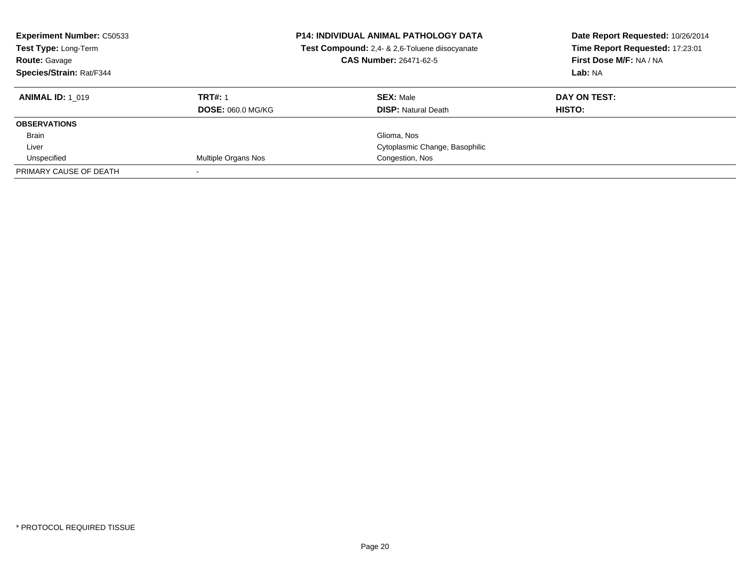| <b>Experiment Number: C50533</b><br>Test Type: Long-Term<br><b>Route: Gavage</b><br>Species/Strain: Rat/F344 | <b>P14: INDIVIDUAL ANIMAL PATHOLOGY DATA</b><br>Test Compound: 2,4- & 2,6-Toluene diisocyanate<br><b>CAS Number: 26471-62-5</b> |                                | Date Report Requested: 10/26/2014<br>Time Report Requested: 17:23:01<br>First Dose M/F: NA / NA<br>Lab: NA |
|--------------------------------------------------------------------------------------------------------------|---------------------------------------------------------------------------------------------------------------------------------|--------------------------------|------------------------------------------------------------------------------------------------------------|
| <b>ANIMAL ID: 1 019</b>                                                                                      | <b>TRT#: 1</b>                                                                                                                  | <b>SEX: Male</b>               | DAY ON TEST:                                                                                               |
|                                                                                                              | <b>DOSE: 060.0 MG/KG</b>                                                                                                        | <b>DISP:</b> Natural Death     | HISTO:                                                                                                     |
| <b>OBSERVATIONS</b>                                                                                          |                                                                                                                                 |                                |                                                                                                            |
| <b>Brain</b>                                                                                                 |                                                                                                                                 | Glioma, Nos                    |                                                                                                            |
| Liver                                                                                                        |                                                                                                                                 | Cytoplasmic Change, Basophilic |                                                                                                            |
| Unspecified                                                                                                  | Multiple Organs Nos                                                                                                             | Congestion, Nos                |                                                                                                            |
| PRIMARY CAUSE OF DEATH                                                                                       |                                                                                                                                 |                                |                                                                                                            |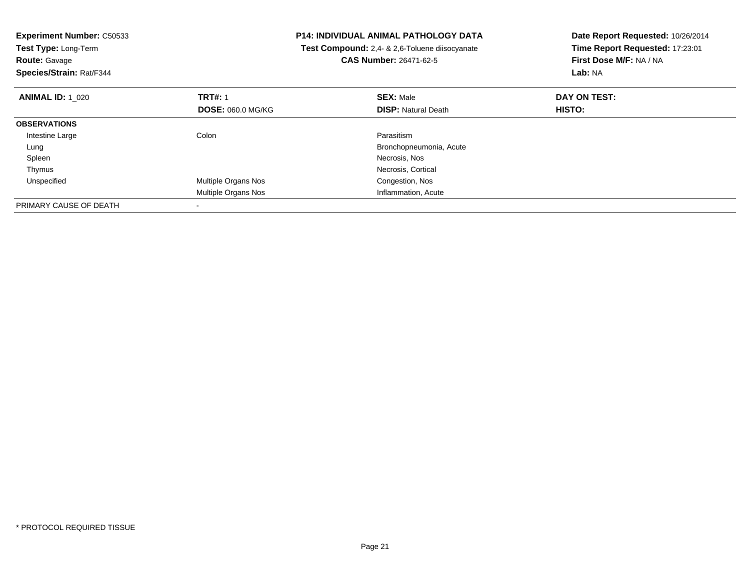| <b>Experiment Number: C50533</b><br>Test Type: Long-Term<br><b>Route: Gavage</b><br>Species/Strain: Rat/F344 |                          | <b>P14: INDIVIDUAL ANIMAL PATHOLOGY DATA</b><br>Test Compound: 2,4- & 2,6-Toluene diisocyanate<br><b>CAS Number: 26471-62-5</b> | Date Report Requested: 10/26/2014<br>Time Report Requested: 17:23:01<br>First Dose M/F: NA / NA<br>Lab: NA |
|--------------------------------------------------------------------------------------------------------------|--------------------------|---------------------------------------------------------------------------------------------------------------------------------|------------------------------------------------------------------------------------------------------------|
| <b>ANIMAL ID: 1 020</b>                                                                                      | <b>TRT#: 1</b>           | <b>SEX: Male</b>                                                                                                                | DAY ON TEST:                                                                                               |
|                                                                                                              | <b>DOSE: 060.0 MG/KG</b> | <b>DISP:</b> Natural Death                                                                                                      | <b>HISTO:</b>                                                                                              |
| <b>OBSERVATIONS</b>                                                                                          |                          |                                                                                                                                 |                                                                                                            |
| Intestine Large                                                                                              | Colon                    | Parasitism                                                                                                                      |                                                                                                            |
| Lung                                                                                                         |                          | Bronchopneumonia, Acute                                                                                                         |                                                                                                            |
| Spleen                                                                                                       |                          | Necrosis, Nos                                                                                                                   |                                                                                                            |
| Thymus                                                                                                       |                          | Necrosis, Cortical                                                                                                              |                                                                                                            |
| Unspecified                                                                                                  | Multiple Organs Nos      | Congestion, Nos                                                                                                                 |                                                                                                            |
|                                                                                                              | Multiple Organs Nos      | Inflammation, Acute                                                                                                             |                                                                                                            |
| PRIMARY CAUSE OF DEATH                                                                                       |                          |                                                                                                                                 |                                                                                                            |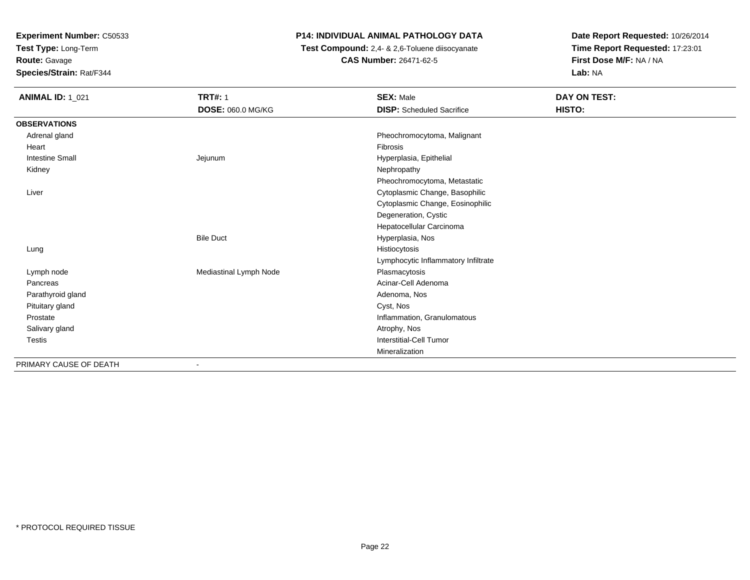**Test Type:** Long-Term

**Route:** Gavage

**Species/Strain:** Rat/F344

## **P14: INDIVIDUAL ANIMAL PATHOLOGY DATA**

 **Test Compound:** 2,4- & 2,6-Toluene diisocyanate**CAS Number:** 26471-62-5

| <b>ANIMAL ID: 1_021</b> | <b>TRT#: 1</b>         | <b>SEX: Male</b>                    | DAY ON TEST: |
|-------------------------|------------------------|-------------------------------------|--------------|
|                         | DOSE: 060.0 MG/KG      | <b>DISP:</b> Scheduled Sacrifice    | HISTO:       |
| <b>OBSERVATIONS</b>     |                        |                                     |              |
| Adrenal gland           |                        | Pheochromocytoma, Malignant         |              |
| Heart                   |                        | Fibrosis                            |              |
| <b>Intestine Small</b>  | Jejunum                | Hyperplasia, Epithelial             |              |
| Kidney                  |                        | Nephropathy                         |              |
|                         |                        | Pheochromocytoma, Metastatic        |              |
| Liver                   |                        | Cytoplasmic Change, Basophilic      |              |
|                         |                        | Cytoplasmic Change, Eosinophilic    |              |
|                         |                        | Degeneration, Cystic                |              |
|                         |                        | Hepatocellular Carcinoma            |              |
|                         | <b>Bile Duct</b>       | Hyperplasia, Nos                    |              |
| Lung                    |                        | Histiocytosis                       |              |
|                         |                        | Lymphocytic Inflammatory Infiltrate |              |
| Lymph node              | Mediastinal Lymph Node | Plasmacytosis                       |              |
| Pancreas                |                        | Acinar-Cell Adenoma                 |              |
| Parathyroid gland       |                        | Adenoma, Nos                        |              |
| Pituitary gland         |                        | Cyst, Nos                           |              |
| Prostate                |                        | Inflammation, Granulomatous         |              |
| Salivary gland          |                        | Atrophy, Nos                        |              |
| <b>Testis</b>           |                        | Interstitial-Cell Tumor             |              |
|                         |                        | Mineralization                      |              |
| PRIMARY CAUSE OF DEATH  | $\blacksquare$         |                                     |              |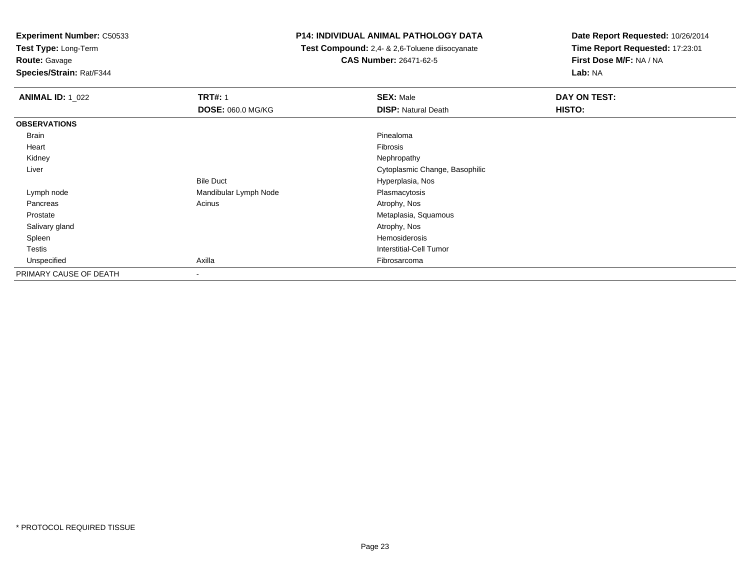**Test Type:** Long-Term

**Route:** Gavage

**Species/Strain:** Rat/F344

## **P14: INDIVIDUAL ANIMAL PATHOLOGY DATA**

 **Test Compound:** 2,4- & 2,6-Toluene diisocyanate**CAS Number:** 26471-62-5

| <b>ANIMAL ID: 1_022</b> | <b>TRT#: 1</b>           | <b>SEX: Male</b>               | DAY ON TEST: |
|-------------------------|--------------------------|--------------------------------|--------------|
|                         | <b>DOSE: 060.0 MG/KG</b> | <b>DISP: Natural Death</b>     | HISTO:       |
| <b>OBSERVATIONS</b>     |                          |                                |              |
| Brain                   |                          | Pinealoma                      |              |
| Heart                   |                          | Fibrosis                       |              |
| Kidney                  |                          | Nephropathy                    |              |
| Liver                   |                          | Cytoplasmic Change, Basophilic |              |
|                         | <b>Bile Duct</b>         | Hyperplasia, Nos               |              |
| Lymph node              | Mandibular Lymph Node    | Plasmacytosis                  |              |
| Pancreas                | Acinus                   | Atrophy, Nos                   |              |
| Prostate                |                          | Metaplasia, Squamous           |              |
| Salivary gland          |                          | Atrophy, Nos                   |              |
| Spleen                  |                          | Hemosiderosis                  |              |
| <b>Testis</b>           |                          | Interstitial-Cell Tumor        |              |
| Unspecified             | Axilla                   | Fibrosarcoma                   |              |
| PRIMARY CAUSE OF DEATH  | $\overline{\phantom{a}}$ |                                |              |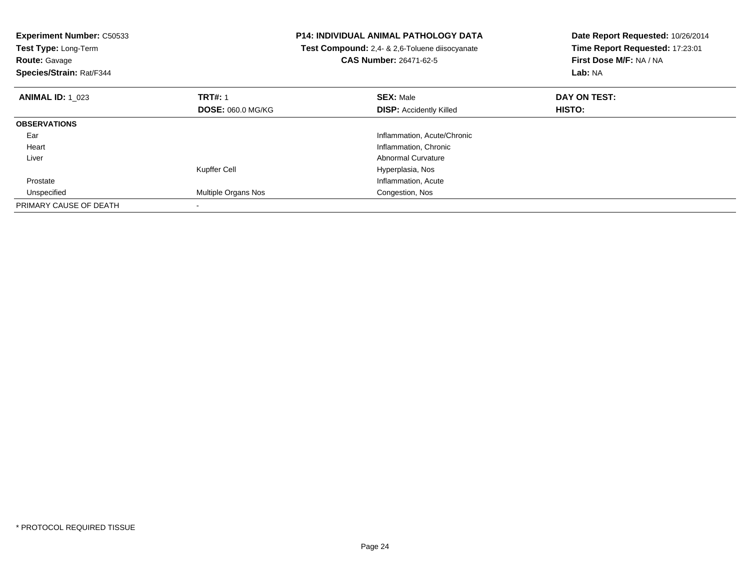| <b>Experiment Number: C50533</b><br>Test Type: Long-Term<br><b>Route: Gavage</b><br>Species/Strain: Rat/F344 |                          | <b>P14: INDIVIDUAL ANIMAL PATHOLOGY DATA</b><br>Test Compound: 2,4- & 2,6-Toluene diisocyanate<br><b>CAS Number: 26471-62-5</b> | Date Report Requested: 10/26/2014<br>Time Report Requested: 17:23:01<br>First Dose M/F: NA / NA<br>Lab: NA |
|--------------------------------------------------------------------------------------------------------------|--------------------------|---------------------------------------------------------------------------------------------------------------------------------|------------------------------------------------------------------------------------------------------------|
| <b>ANIMAL ID: 1 023</b>                                                                                      | <b>TRT#: 1</b>           | <b>SEX: Male</b>                                                                                                                | DAY ON TEST:                                                                                               |
|                                                                                                              | <b>DOSE: 060.0 MG/KG</b> | <b>DISP:</b> Accidently Killed                                                                                                  | <b>HISTO:</b>                                                                                              |
| <b>OBSERVATIONS</b>                                                                                          |                          |                                                                                                                                 |                                                                                                            |
| Ear                                                                                                          |                          | Inflammation, Acute/Chronic                                                                                                     |                                                                                                            |
| Heart                                                                                                        |                          | Inflammation, Chronic                                                                                                           |                                                                                                            |
| Liver                                                                                                        |                          | Abnormal Curvature                                                                                                              |                                                                                                            |
|                                                                                                              | Kupffer Cell             | Hyperplasia, Nos                                                                                                                |                                                                                                            |
| Prostate                                                                                                     |                          | Inflammation, Acute                                                                                                             |                                                                                                            |
| Unspecified                                                                                                  | Multiple Organs Nos      | Congestion, Nos                                                                                                                 |                                                                                                            |
| PRIMARY CAUSE OF DEATH                                                                                       |                          |                                                                                                                                 |                                                                                                            |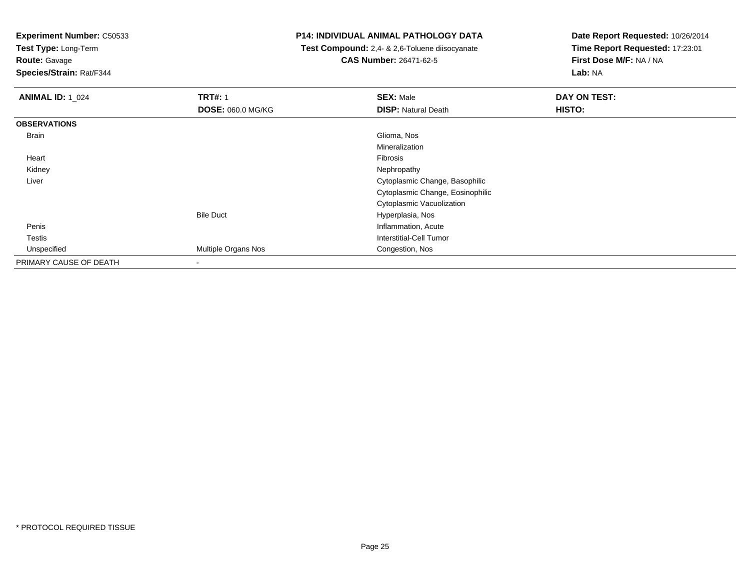**Test Type:** Long-Term

**Route:** Gavage

**Species/Strain:** Rat/F344

## **P14: INDIVIDUAL ANIMAL PATHOLOGY DATA**

 **Test Compound:** 2,4- & 2,6-Toluene diisocyanate**CAS Number:** 26471-62-5

| <b>ANIMAL ID: 1 024</b> | <b>TRT#: 1</b>           | <b>SEX: Male</b>                 | DAY ON TEST: |
|-------------------------|--------------------------|----------------------------------|--------------|
|                         | <b>DOSE: 060.0 MG/KG</b> | <b>DISP: Natural Death</b>       | HISTO:       |
| <b>OBSERVATIONS</b>     |                          |                                  |              |
| Brain                   |                          | Glioma, Nos                      |              |
|                         |                          | Mineralization                   |              |
| Heart                   |                          | Fibrosis                         |              |
| Kidney                  |                          | Nephropathy                      |              |
| Liver                   |                          | Cytoplasmic Change, Basophilic   |              |
|                         |                          | Cytoplasmic Change, Eosinophilic |              |
|                         |                          | Cytoplasmic Vacuolization        |              |
|                         | <b>Bile Duct</b>         | Hyperplasia, Nos                 |              |
| Penis                   |                          | Inflammation, Acute              |              |
| <b>Testis</b>           |                          | Interstitial-Cell Tumor          |              |
| Unspecified             | Multiple Organs Nos      | Congestion, Nos                  |              |
| PRIMARY CAUSE OF DEATH  |                          |                                  |              |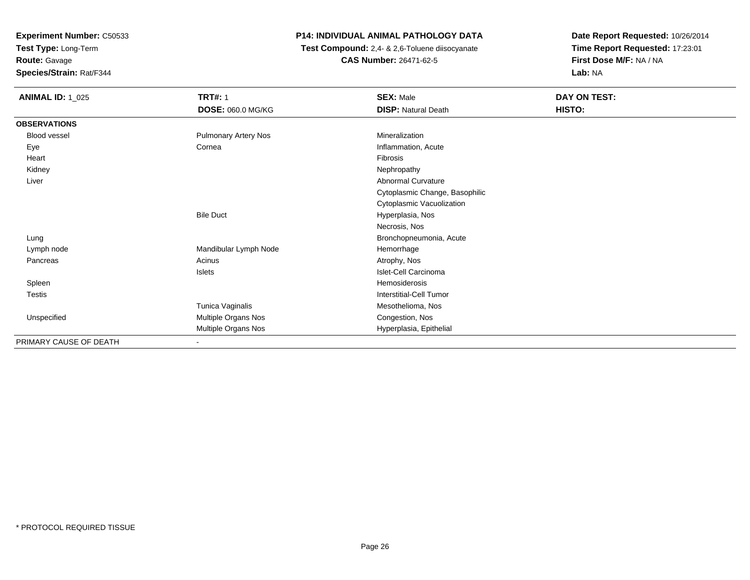**Test Type:** Long-Term

**Route:** Gavage

**Species/Strain:** Rat/F344

## **P14: INDIVIDUAL ANIMAL PATHOLOGY DATA**

 **Test Compound:** 2,4- & 2,6-Toluene diisocyanate**CAS Number:** 26471-62-5

| <b>ANIMAL ID: 1_025</b> | <b>TRT#: 1</b>              | <b>SEX: Male</b>               | DAY ON TEST: |
|-------------------------|-----------------------------|--------------------------------|--------------|
|                         | DOSE: 060.0 MG/KG           | <b>DISP: Natural Death</b>     | HISTO:       |
| <b>OBSERVATIONS</b>     |                             |                                |              |
| Blood vessel            | <b>Pulmonary Artery Nos</b> | Mineralization                 |              |
| Eye                     | Cornea                      | Inflammation, Acute            |              |
| Heart                   |                             | Fibrosis                       |              |
| Kidney                  |                             | Nephropathy                    |              |
| Liver                   |                             | Abnormal Curvature             |              |
|                         |                             | Cytoplasmic Change, Basophilic |              |
|                         |                             | Cytoplasmic Vacuolization      |              |
|                         | <b>Bile Duct</b>            | Hyperplasia, Nos               |              |
|                         |                             | Necrosis, Nos                  |              |
| Lung                    |                             | Bronchopneumonia, Acute        |              |
| Lymph node              | Mandibular Lymph Node       | Hemorrhage                     |              |
| Pancreas                | Acinus                      | Atrophy, Nos                   |              |
|                         | Islets                      | Islet-Cell Carcinoma           |              |
| Spleen                  |                             | Hemosiderosis                  |              |
| Testis                  |                             | Interstitial-Cell Tumor        |              |
|                         | Tunica Vaginalis            | Mesothelioma, Nos              |              |
| Unspecified             | Multiple Organs Nos         | Congestion, Nos                |              |
|                         | Multiple Organs Nos         | Hyperplasia, Epithelial        |              |
| PRIMARY CAUSE OF DEATH  | ۰.                          |                                |              |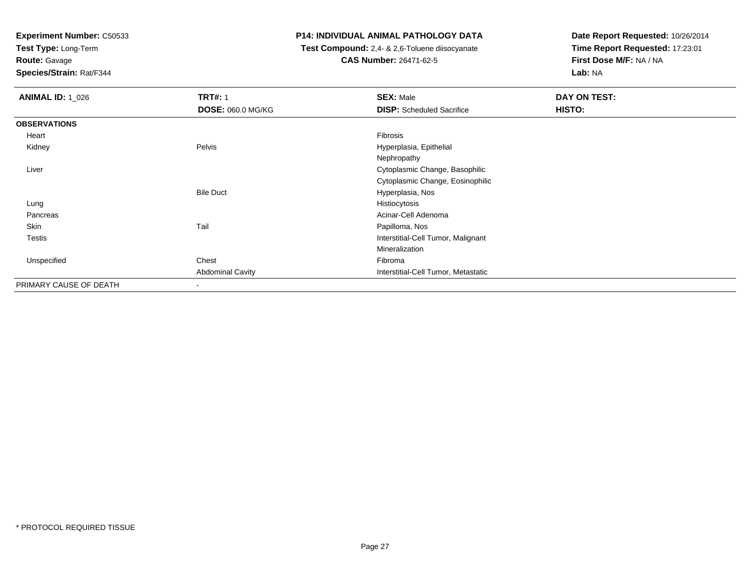**Test Type:** Long-Term

**Route:** Gavage

**Species/Strain:** Rat/F344

## **P14: INDIVIDUAL ANIMAL PATHOLOGY DATA**

 **Test Compound:** 2,4- & 2,6-Toluene diisocyanate**CAS Number:** 26471-62-5

| <b>ANIMAL ID: 1_026</b> | <b>TRT#: 1</b>           | <b>SEX: Male</b>                    | DAY ON TEST: |
|-------------------------|--------------------------|-------------------------------------|--------------|
|                         | <b>DOSE: 060.0 MG/KG</b> | <b>DISP:</b> Scheduled Sacrifice    | HISTO:       |
| <b>OBSERVATIONS</b>     |                          |                                     |              |
| Heart                   |                          | Fibrosis                            |              |
| Kidney                  | Pelvis                   | Hyperplasia, Epithelial             |              |
|                         |                          | Nephropathy                         |              |
| Liver                   |                          | Cytoplasmic Change, Basophilic      |              |
|                         |                          | Cytoplasmic Change, Eosinophilic    |              |
|                         | <b>Bile Duct</b>         | Hyperplasia, Nos                    |              |
| Lung                    |                          | Histiocytosis                       |              |
| Pancreas                |                          | Acinar-Cell Adenoma                 |              |
| Skin                    | Tail                     | Papilloma, Nos                      |              |
| <b>Testis</b>           |                          | Interstitial-Cell Tumor, Malignant  |              |
|                         |                          | Mineralization                      |              |
| Unspecified             | Chest                    | Fibroma                             |              |
|                         | <b>Abdominal Cavity</b>  | Interstitial-Cell Tumor, Metastatic |              |
| PRIMARY CAUSE OF DEATH  | $\overline{\phantom{a}}$ |                                     |              |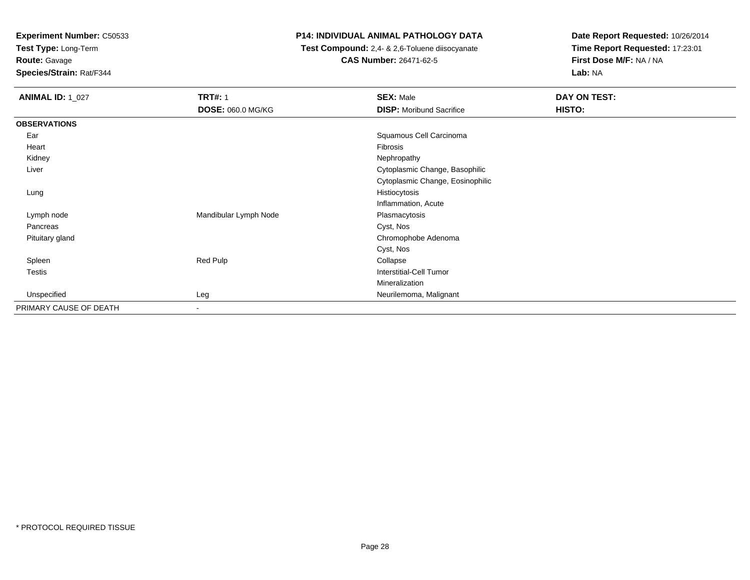**Test Type:** Long-Term

**Route:** Gavage

**Species/Strain:** Rat/F344

## **P14: INDIVIDUAL ANIMAL PATHOLOGY DATA**

 **Test Compound:** 2,4- & 2,6-Toluene diisocyanate**CAS Number:** 26471-62-5

| <b>ANIMAL ID: 1_027</b> | <b>TRT#: 1</b>           | <b>SEX: Male</b>                 | DAY ON TEST: |  |
|-------------------------|--------------------------|----------------------------------|--------------|--|
|                         | <b>DOSE: 060.0 MG/KG</b> | <b>DISP:</b> Moribund Sacrifice  | HISTO:       |  |
| <b>OBSERVATIONS</b>     |                          |                                  |              |  |
| Ear                     |                          | Squamous Cell Carcinoma          |              |  |
| Heart                   |                          | Fibrosis                         |              |  |
| Kidney                  |                          | Nephropathy                      |              |  |
| Liver                   |                          | Cytoplasmic Change, Basophilic   |              |  |
|                         |                          | Cytoplasmic Change, Eosinophilic |              |  |
| Lung                    |                          | Histiocytosis                    |              |  |
|                         |                          | Inflammation, Acute              |              |  |
| Lymph node              | Mandibular Lymph Node    | Plasmacytosis                    |              |  |
| Pancreas                |                          | Cyst, Nos                        |              |  |
| Pituitary gland         |                          | Chromophobe Adenoma              |              |  |
|                         |                          | Cyst, Nos                        |              |  |
| Spleen                  | Red Pulp                 | Collapse                         |              |  |
| Testis                  |                          | Interstitial-Cell Tumor          |              |  |
|                         |                          | Mineralization                   |              |  |
| Unspecified             | Leg                      | Neurilemoma, Malignant           |              |  |
| PRIMARY CAUSE OF DEATH  | $\overline{\phantom{a}}$ |                                  |              |  |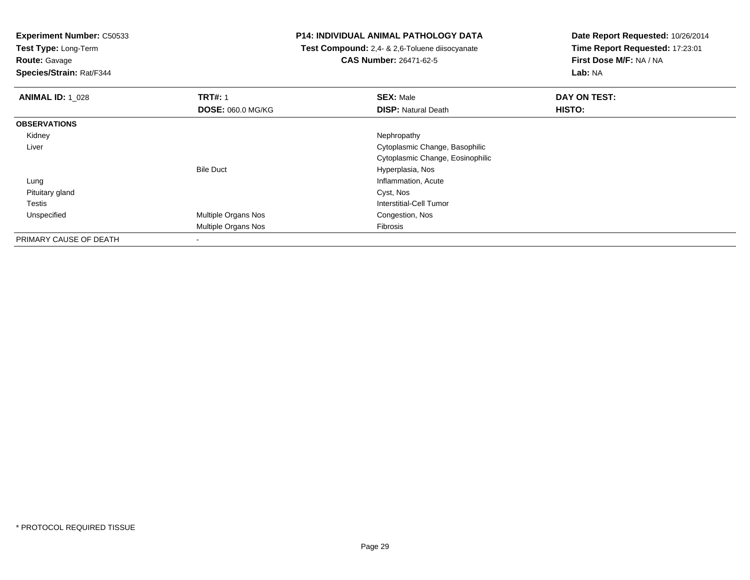**Test Type:** Long-Term

**Route:** Gavage

**Species/Strain:** Rat/F344

## **P14: INDIVIDUAL ANIMAL PATHOLOGY DATA**

 **Test Compound:** 2,4- & 2,6-Toluene diisocyanate**CAS Number:** 26471-62-5

| <b>ANIMAL ID: 1 028</b> | <b>TRT#: 1</b>           | <b>SEX: Male</b>                 | DAY ON TEST: |  |
|-------------------------|--------------------------|----------------------------------|--------------|--|
|                         | <b>DOSE: 060.0 MG/KG</b> | <b>DISP: Natural Death</b>       | HISTO:       |  |
| <b>OBSERVATIONS</b>     |                          |                                  |              |  |
| Kidney                  |                          | Nephropathy                      |              |  |
| Liver                   |                          | Cytoplasmic Change, Basophilic   |              |  |
|                         |                          | Cytoplasmic Change, Eosinophilic |              |  |
|                         | <b>Bile Duct</b>         | Hyperplasia, Nos                 |              |  |
| Lung                    |                          | Inflammation, Acute              |              |  |
| Pituitary gland         |                          | Cyst, Nos                        |              |  |
| <b>Testis</b>           |                          | Interstitial-Cell Tumor          |              |  |
| Unspecified             | Multiple Organs Nos      | Congestion, Nos                  |              |  |
|                         | Multiple Organs Nos      | Fibrosis                         |              |  |
| PRIMARY CAUSE OF DEATH  | $\,$                     |                                  |              |  |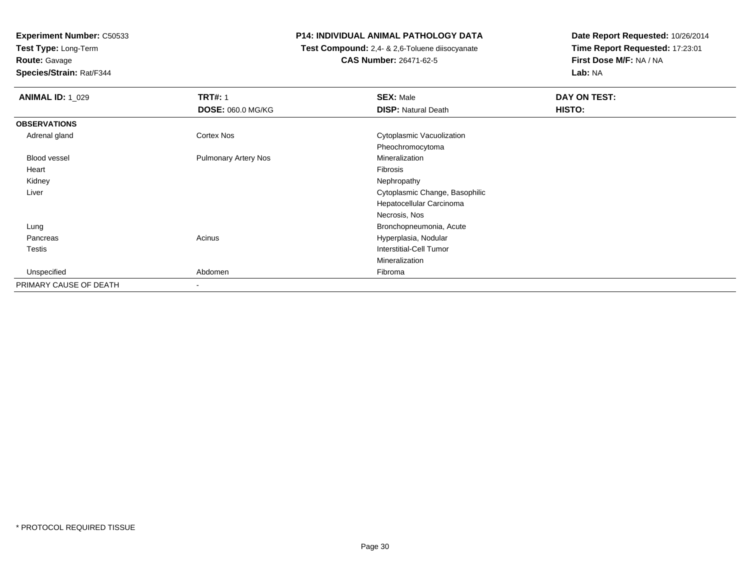**Test Type:** Long-Term

**Route:** Gavage

**Species/Strain:** Rat/F344

## **P14: INDIVIDUAL ANIMAL PATHOLOGY DATA**

 **Test Compound:** 2,4- & 2,6-Toluene diisocyanate**CAS Number:** 26471-62-5

| <b>ANIMAL ID: 1_029</b> | <b>TRT#: 1</b>              | <b>SEX: Male</b>               | DAY ON TEST: |  |
|-------------------------|-----------------------------|--------------------------------|--------------|--|
|                         | DOSE: 060.0 MG/KG           | <b>DISP: Natural Death</b>     | HISTO:       |  |
| <b>OBSERVATIONS</b>     |                             |                                |              |  |
| Adrenal gland           | Cortex Nos                  | Cytoplasmic Vacuolization      |              |  |
|                         |                             | Pheochromocytoma               |              |  |
| Blood vessel            | <b>Pulmonary Artery Nos</b> | Mineralization                 |              |  |
| Heart                   |                             | Fibrosis                       |              |  |
| Kidney                  |                             | Nephropathy                    |              |  |
| Liver                   |                             | Cytoplasmic Change, Basophilic |              |  |
|                         |                             | Hepatocellular Carcinoma       |              |  |
|                         |                             | Necrosis, Nos                  |              |  |
| Lung                    |                             | Bronchopneumonia, Acute        |              |  |
| Pancreas                | Acinus                      | Hyperplasia, Nodular           |              |  |
| <b>Testis</b>           |                             | Interstitial-Cell Tumor        |              |  |
|                         |                             | Mineralization                 |              |  |
| Unspecified             | Abdomen                     | Fibroma                        |              |  |
| PRIMARY CAUSE OF DEATH  |                             |                                |              |  |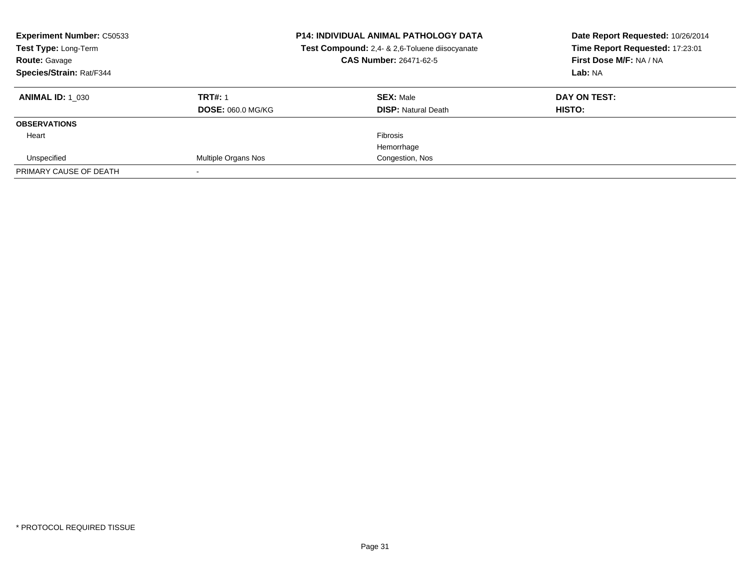| <b>Experiment Number: C50533</b><br>Test Type: Long-Term<br><b>Route: Gavage</b><br>Species/Strain: Rat/F344 |                          | <b>P14: INDIVIDUAL ANIMAL PATHOLOGY DATA</b><br>Test Compound: 2,4- & 2,6-Toluene diisocyanate<br><b>CAS Number: 26471-62-5</b> | Date Report Requested: 10/26/2014<br>Time Report Requested: 17:23:01<br>First Dose M/F: NA / NA<br>Lab: NA |
|--------------------------------------------------------------------------------------------------------------|--------------------------|---------------------------------------------------------------------------------------------------------------------------------|------------------------------------------------------------------------------------------------------------|
| <b>ANIMAL ID: 1 030</b>                                                                                      | <b>TRT#: 1</b>           | <b>SEX: Male</b>                                                                                                                | DAY ON TEST:                                                                                               |
|                                                                                                              | <b>DOSE: 060.0 MG/KG</b> | <b>DISP:</b> Natural Death                                                                                                      | <b>HISTO:</b>                                                                                              |
| <b>OBSERVATIONS</b>                                                                                          |                          |                                                                                                                                 |                                                                                                            |
| Heart                                                                                                        |                          | Fibrosis                                                                                                                        |                                                                                                            |
|                                                                                                              |                          | Hemorrhage                                                                                                                      |                                                                                                            |
| Unspecified                                                                                                  | Multiple Organs Nos      | Congestion, Nos                                                                                                                 |                                                                                                            |
| PRIMARY CAUSE OF DEATH                                                                                       |                          |                                                                                                                                 |                                                                                                            |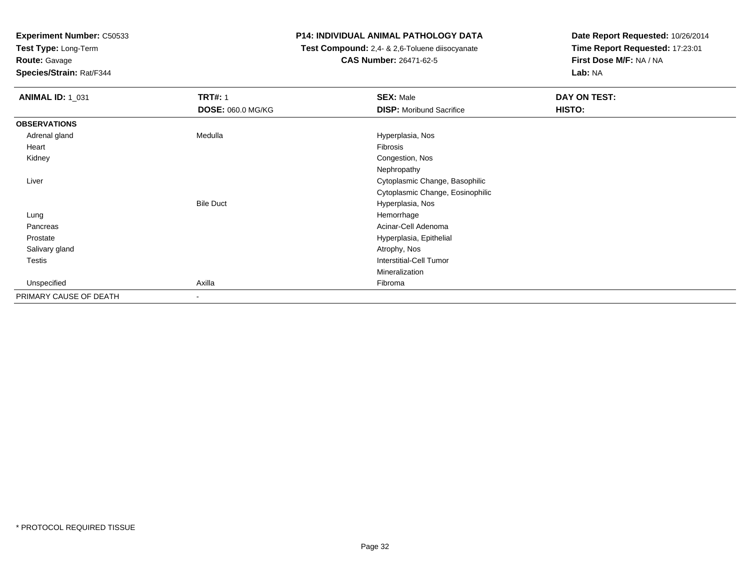**Test Type:** Long-Term

**Route:** Gavage

**Species/Strain:** Rat/F344

## **P14: INDIVIDUAL ANIMAL PATHOLOGY DATA**

 **Test Compound:** 2,4- & 2,6-Toluene diisocyanate**CAS Number:** 26471-62-5

| <b>ANIMAL ID: 1_031</b> | <b>TRT#: 1</b>           | <b>SEX: Male</b>                 | DAY ON TEST: |
|-------------------------|--------------------------|----------------------------------|--------------|
|                         | <b>DOSE: 060.0 MG/KG</b> | <b>DISP:</b> Moribund Sacrifice  | HISTO:       |
| <b>OBSERVATIONS</b>     |                          |                                  |              |
| Adrenal gland           | Medulla                  | Hyperplasia, Nos                 |              |
| Heart                   |                          | Fibrosis                         |              |
| Kidney                  |                          | Congestion, Nos                  |              |
|                         |                          | Nephropathy                      |              |
| Liver                   |                          | Cytoplasmic Change, Basophilic   |              |
|                         |                          | Cytoplasmic Change, Eosinophilic |              |
|                         | <b>Bile Duct</b>         | Hyperplasia, Nos                 |              |
| Lung                    |                          | Hemorrhage                       |              |
| Pancreas                |                          | Acinar-Cell Adenoma              |              |
| Prostate                |                          | Hyperplasia, Epithelial          |              |
| Salivary gland          |                          | Atrophy, Nos                     |              |
| <b>Testis</b>           |                          | Interstitial-Cell Tumor          |              |
|                         |                          | Mineralization                   |              |
| Unspecified             | Axilla                   | Fibroma                          |              |
| PRIMARY CAUSE OF DEATH  | $\overline{\phantom{a}}$ |                                  |              |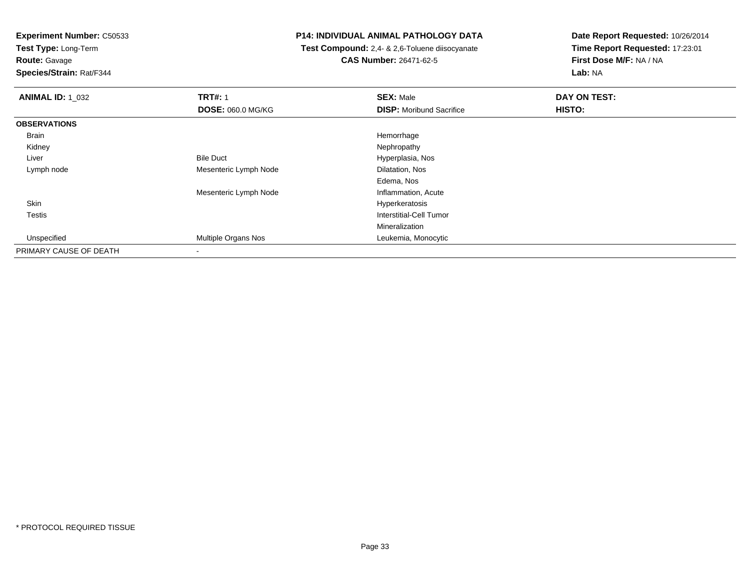**Test Type:** Long-Term

**Route:** Gavage

**Species/Strain:** Rat/F344

## **P14: INDIVIDUAL ANIMAL PATHOLOGY DATA**

 **Test Compound:** 2,4- & 2,6-Toluene diisocyanate**CAS Number:** 26471-62-5

| <b>ANIMAL ID: 1 032</b> | <b>TRT#: 1</b>           | <b>SEX: Male</b>                | DAY ON TEST: |  |
|-------------------------|--------------------------|---------------------------------|--------------|--|
|                         | <b>DOSE: 060.0 MG/KG</b> | <b>DISP:</b> Moribund Sacrifice | HISTO:       |  |
| <b>OBSERVATIONS</b>     |                          |                                 |              |  |
| Brain                   |                          | Hemorrhage                      |              |  |
| Kidney                  |                          | Nephropathy                     |              |  |
| Liver                   | <b>Bile Duct</b>         | Hyperplasia, Nos                |              |  |
| Lymph node              | Mesenteric Lymph Node    | Dilatation, Nos                 |              |  |
|                         |                          | Edema, Nos                      |              |  |
|                         | Mesenteric Lymph Node    | Inflammation, Acute             |              |  |
| Skin                    |                          | Hyperkeratosis                  |              |  |
| Testis                  |                          | <b>Interstitial-Cell Tumor</b>  |              |  |
|                         |                          | Mineralization                  |              |  |
| Unspecified             | Multiple Organs Nos      | Leukemia, Monocytic             |              |  |
| PRIMARY CAUSE OF DEATH  | $\overline{\phantom{a}}$ |                                 |              |  |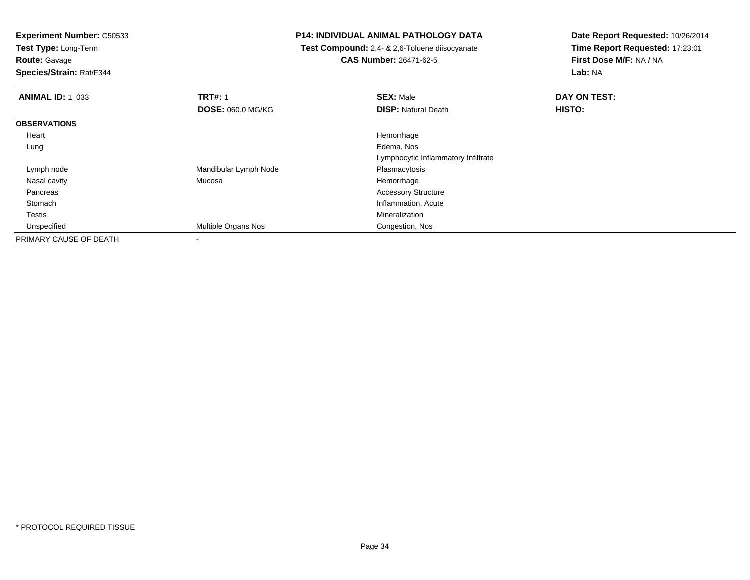**Test Type:** Long-Term

**Route:** Gavage

**Species/Strain:** Rat/F344

## **P14: INDIVIDUAL ANIMAL PATHOLOGY DATA**

 **Test Compound:** 2,4- & 2,6-Toluene diisocyanate**CAS Number:** 26471-62-5

| <b>ANIMAL ID: 1 033</b> | <b>TRT#: 1</b>           | <b>SEX: Male</b>                    | DAY ON TEST: |  |
|-------------------------|--------------------------|-------------------------------------|--------------|--|
|                         | <b>DOSE: 060.0 MG/KG</b> | <b>DISP: Natural Death</b>          | HISTO:       |  |
| <b>OBSERVATIONS</b>     |                          |                                     |              |  |
| Heart                   |                          | Hemorrhage                          |              |  |
| Lung                    |                          | Edema, Nos                          |              |  |
|                         |                          | Lymphocytic Inflammatory Infiltrate |              |  |
| Lymph node              | Mandibular Lymph Node    | Plasmacytosis                       |              |  |
| Nasal cavity            | Mucosa                   | Hemorrhage                          |              |  |
| Pancreas                |                          | <b>Accessory Structure</b>          |              |  |
| Stomach                 |                          | Inflammation, Acute                 |              |  |
| Testis                  |                          | Mineralization                      |              |  |
| Unspecified             | Multiple Organs Nos      | Congestion, Nos                     |              |  |
| PRIMARY CAUSE OF DEATH  |                          |                                     |              |  |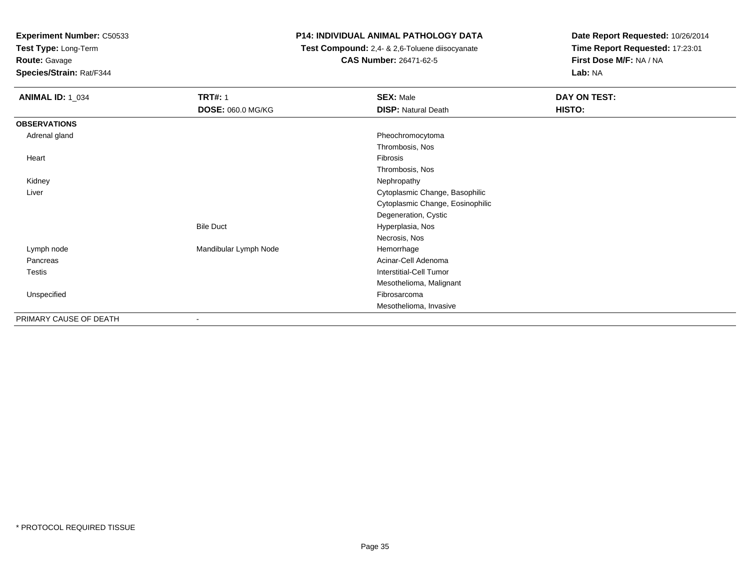**Test Type:** Long-Term

**Route:** Gavage

**Species/Strain:** Rat/F344

## **P14: INDIVIDUAL ANIMAL PATHOLOGY DATA**

 **Test Compound:** 2,4- & 2,6-Toluene diisocyanate**CAS Number:** 26471-62-5

| <b>ANIMAL ID: 1_034</b> | <b>TRT#: 1</b>        | <b>SEX: Male</b>                 | DAY ON TEST: |  |
|-------------------------|-----------------------|----------------------------------|--------------|--|
|                         | DOSE: 060.0 MG/KG     | <b>DISP: Natural Death</b>       | HISTO:       |  |
| <b>OBSERVATIONS</b>     |                       |                                  |              |  |
| Adrenal gland           |                       | Pheochromocytoma                 |              |  |
|                         |                       | Thrombosis, Nos                  |              |  |
| Heart                   |                       | Fibrosis                         |              |  |
|                         |                       | Thrombosis, Nos                  |              |  |
| Kidney                  |                       | Nephropathy                      |              |  |
| Liver                   |                       | Cytoplasmic Change, Basophilic   |              |  |
|                         |                       | Cytoplasmic Change, Eosinophilic |              |  |
|                         |                       | Degeneration, Cystic             |              |  |
|                         | <b>Bile Duct</b>      | Hyperplasia, Nos                 |              |  |
|                         |                       | Necrosis, Nos                    |              |  |
| Lymph node              | Mandibular Lymph Node | Hemorrhage                       |              |  |
| Pancreas                |                       | Acinar-Cell Adenoma              |              |  |
| Testis                  |                       | Interstitial-Cell Tumor          |              |  |
|                         |                       | Mesothelioma, Malignant          |              |  |
| Unspecified             |                       | Fibrosarcoma                     |              |  |
|                         |                       | Mesothelioma, Invasive           |              |  |
| PRIMARY CAUSE OF DEATH  |                       |                                  |              |  |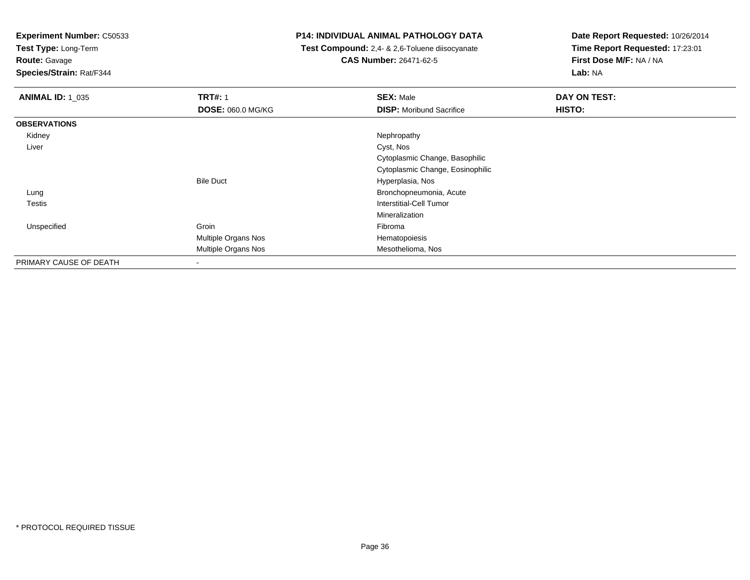**Test Type:** Long-Term

**Route:** Gavage

**Species/Strain:** Rat/F344

## **P14: INDIVIDUAL ANIMAL PATHOLOGY DATA**

 **Test Compound:** 2,4- & 2,6-Toluene diisocyanate**CAS Number:** 26471-62-5

| <b>ANIMAL ID: 1_035</b> | <b>TRT#: 1</b>           | <b>SEX: Male</b>                 | DAY ON TEST: |
|-------------------------|--------------------------|----------------------------------|--------------|
|                         | <b>DOSE: 060.0 MG/KG</b> | <b>DISP:</b> Moribund Sacrifice  | HISTO:       |
| <b>OBSERVATIONS</b>     |                          |                                  |              |
| Kidney                  |                          | Nephropathy                      |              |
| Liver                   |                          | Cyst, Nos                        |              |
|                         |                          | Cytoplasmic Change, Basophilic   |              |
|                         |                          | Cytoplasmic Change, Eosinophilic |              |
|                         | <b>Bile Duct</b>         | Hyperplasia, Nos                 |              |
| Lung                    |                          | Bronchopneumonia, Acute          |              |
| <b>Testis</b>           |                          | Interstitial-Cell Tumor          |              |
|                         |                          | Mineralization                   |              |
| Unspecified             | Groin                    | Fibroma                          |              |
|                         | Multiple Organs Nos      | Hematopoiesis                    |              |
|                         | Multiple Organs Nos      | Mesothelioma, Nos                |              |
| PRIMARY CAUSE OF DEATH  | $\overline{\phantom{a}}$ |                                  |              |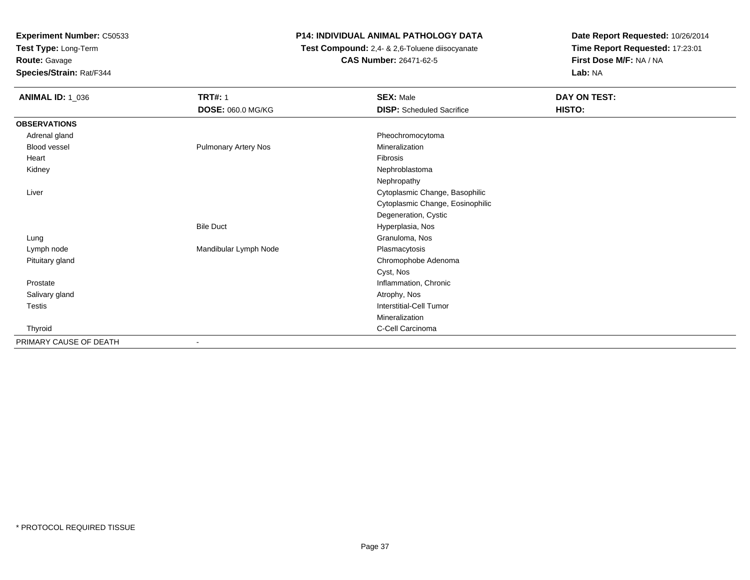**Test Type:** Long-Term

**Route:** Gavage

**Species/Strain:** Rat/F344

# **P14: INDIVIDUAL ANIMAL PATHOLOGY DATA**

 **Test Compound:** 2,4- & 2,6-Toluene diisocyanate**CAS Number:** 26471-62-5

| <b>ANIMAL ID: 1_036</b> | <b>TRT#: 1</b><br><b>DOSE: 060.0 MG/KG</b> | <b>SEX: Male</b><br><b>DISP:</b> Scheduled Sacrifice | DAY ON TEST:<br>HISTO: |
|-------------------------|--------------------------------------------|------------------------------------------------------|------------------------|
| <b>OBSERVATIONS</b>     |                                            |                                                      |                        |
| Adrenal gland           |                                            | Pheochromocytoma                                     |                        |
| Blood vessel            | <b>Pulmonary Artery Nos</b>                | Mineralization                                       |                        |
| Heart                   |                                            | Fibrosis                                             |                        |
| Kidney                  |                                            | Nephroblastoma                                       |                        |
|                         |                                            | Nephropathy                                          |                        |
| Liver                   |                                            | Cytoplasmic Change, Basophilic                       |                        |
|                         |                                            | Cytoplasmic Change, Eosinophilic                     |                        |
|                         |                                            | Degeneration, Cystic                                 |                        |
|                         | <b>Bile Duct</b>                           | Hyperplasia, Nos                                     |                        |
| Lung                    |                                            | Granuloma, Nos                                       |                        |
| Lymph node              | Mandibular Lymph Node                      | Plasmacytosis                                        |                        |
| Pituitary gland         |                                            | Chromophobe Adenoma                                  |                        |
|                         |                                            | Cyst, Nos                                            |                        |
| Prostate                |                                            | Inflammation, Chronic                                |                        |
| Salivary gland          |                                            | Atrophy, Nos                                         |                        |
| Testis                  |                                            | Interstitial-Cell Tumor                              |                        |
|                         |                                            | Mineralization                                       |                        |
| Thyroid                 |                                            | C-Cell Carcinoma                                     |                        |
| PRIMARY CAUSE OF DEATH  | $\overline{\phantom{a}}$                   |                                                      |                        |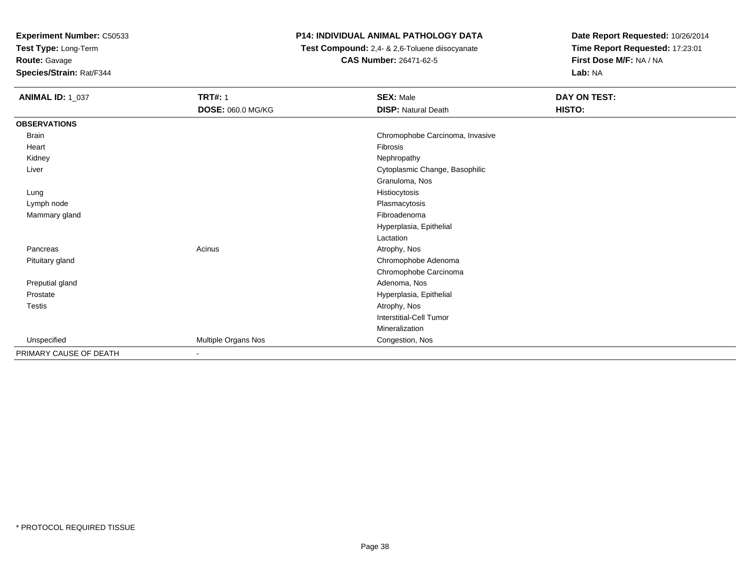**Test Type:** Long-Term**Route:** Gavage

**Species/Strain:** Rat/F344

# **P14: INDIVIDUAL ANIMAL PATHOLOGY DATA**

 **Test Compound:** 2,4- & 2,6-Toluene diisocyanate**CAS Number:** 26471-62-5

| <b>ANIMAL ID: 1_037</b> | <b>TRT#: 1</b>      | <b>SEX: Male</b>                | DAY ON TEST: |  |
|-------------------------|---------------------|---------------------------------|--------------|--|
|                         | DOSE: 060.0 MG/KG   | <b>DISP: Natural Death</b>      | HISTO:       |  |
| <b>OBSERVATIONS</b>     |                     |                                 |              |  |
| Brain                   |                     | Chromophobe Carcinoma, Invasive |              |  |
| Heart                   |                     | Fibrosis                        |              |  |
| Kidney                  |                     | Nephropathy                     |              |  |
| Liver                   |                     | Cytoplasmic Change, Basophilic  |              |  |
|                         |                     | Granuloma, Nos                  |              |  |
| Lung                    |                     | Histiocytosis                   |              |  |
| Lymph node              |                     | Plasmacytosis                   |              |  |
| Mammary gland           |                     | Fibroadenoma                    |              |  |
|                         |                     | Hyperplasia, Epithelial         |              |  |
|                         |                     | Lactation                       |              |  |
| Pancreas                | Acinus              | Atrophy, Nos                    |              |  |
| Pituitary gland         |                     | Chromophobe Adenoma             |              |  |
|                         |                     | Chromophobe Carcinoma           |              |  |
| Preputial gland         |                     | Adenoma, Nos                    |              |  |
| Prostate                |                     | Hyperplasia, Epithelial         |              |  |
| Testis                  |                     | Atrophy, Nos                    |              |  |
|                         |                     | <b>Interstitial-Cell Tumor</b>  |              |  |
|                         |                     | Mineralization                  |              |  |
| Unspecified             | Multiple Organs Nos | Congestion, Nos                 |              |  |
| PRIMARY CAUSE OF DEATH  | $\blacksquare$      |                                 |              |  |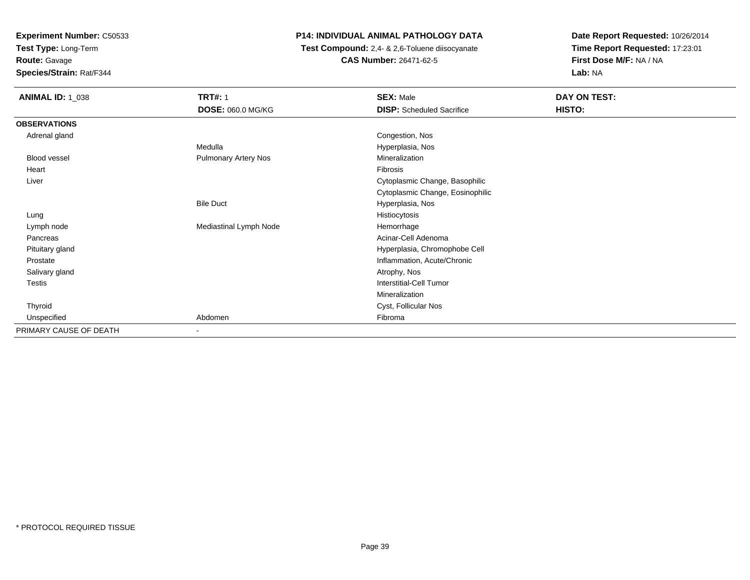**Test Type:** Long-Term

**Route:** Gavage

**Species/Strain:** Rat/F344

# **P14: INDIVIDUAL ANIMAL PATHOLOGY DATA**

 **Test Compound:** 2,4- & 2,6-Toluene diisocyanate**CAS Number:** 26471-62-5

| <b>ANIMAL ID: 1_038</b> | <b>TRT#: 1</b>              | <b>SEX: Male</b>                 | DAY ON TEST: |  |
|-------------------------|-----------------------------|----------------------------------|--------------|--|
|                         | DOSE: 060.0 MG/KG           | <b>DISP:</b> Scheduled Sacrifice | HISTO:       |  |
| <b>OBSERVATIONS</b>     |                             |                                  |              |  |
| Adrenal gland           |                             | Congestion, Nos                  |              |  |
|                         | Medulla                     | Hyperplasia, Nos                 |              |  |
| <b>Blood vessel</b>     | <b>Pulmonary Artery Nos</b> | Mineralization                   |              |  |
| Heart                   |                             | Fibrosis                         |              |  |
| Liver                   |                             | Cytoplasmic Change, Basophilic   |              |  |
|                         |                             | Cytoplasmic Change, Eosinophilic |              |  |
|                         | <b>Bile Duct</b>            | Hyperplasia, Nos                 |              |  |
| Lung                    |                             | Histiocytosis                    |              |  |
| Lymph node              | Mediastinal Lymph Node      | Hemorrhage                       |              |  |
| Pancreas                |                             | Acinar-Cell Adenoma              |              |  |
| Pituitary gland         |                             | Hyperplasia, Chromophobe Cell    |              |  |
| Prostate                |                             | Inflammation, Acute/Chronic      |              |  |
| Salivary gland          |                             | Atrophy, Nos                     |              |  |
| Testis                  |                             | Interstitial-Cell Tumor          |              |  |
|                         |                             | Mineralization                   |              |  |
| Thyroid                 |                             | Cyst, Follicular Nos             |              |  |
| Unspecified             | Abdomen                     | Fibroma                          |              |  |
| PRIMARY CAUSE OF DEATH  | $\overline{\phantom{a}}$    |                                  |              |  |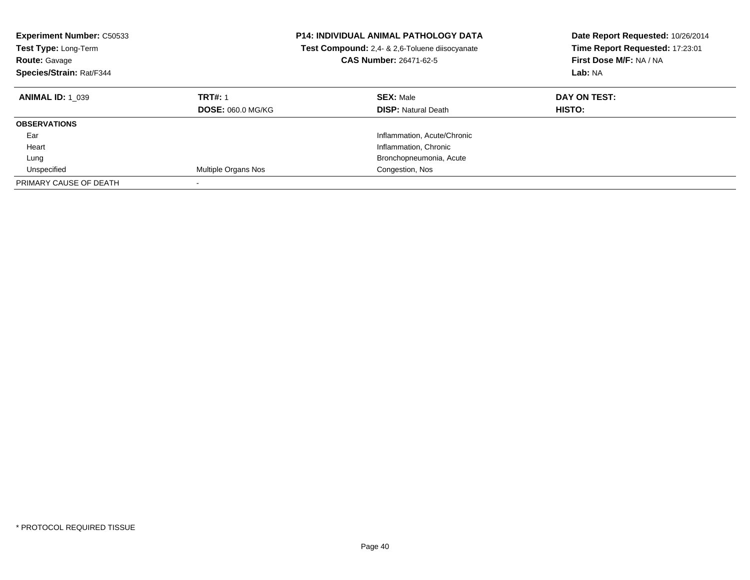| <b>Experiment Number: C50533</b><br><b>Test Type: Long-Term</b><br><b>Route: Gavage</b><br>Species/Strain: Rat/F344 |                                            | <b>P14: INDIVIDUAL ANIMAL PATHOLOGY DATA</b><br><b>Test Compound:</b> 2.4- & 2.6-Toluene diisocyanate<br><b>CAS Number: 26471-62-5</b> | Date Report Requested: 10/26/2014<br>Time Report Requested: 17:23:01<br>First Dose M/F: NA / NA<br>Lab: NA |
|---------------------------------------------------------------------------------------------------------------------|--------------------------------------------|----------------------------------------------------------------------------------------------------------------------------------------|------------------------------------------------------------------------------------------------------------|
| <b>ANIMAL ID: 1 039</b>                                                                                             | <b>TRT#: 1</b><br><b>DOSE: 060.0 MG/KG</b> | <b>SEX: Male</b><br><b>DISP:</b> Natural Death                                                                                         | DAY ON TEST:<br><b>HISTO:</b>                                                                              |
| <b>OBSERVATIONS</b>                                                                                                 |                                            |                                                                                                                                        |                                                                                                            |
| Ear                                                                                                                 |                                            | Inflammation, Acute/Chronic                                                                                                            |                                                                                                            |
| Heart                                                                                                               |                                            | Inflammation, Chronic                                                                                                                  |                                                                                                            |
| Lung                                                                                                                |                                            | Bronchopneumonia, Acute                                                                                                                |                                                                                                            |
| Unspecified                                                                                                         | Multiple Organs Nos                        | Congestion, Nos                                                                                                                        |                                                                                                            |
| PRIMARY CAUSE OF DEATH                                                                                              |                                            |                                                                                                                                        |                                                                                                            |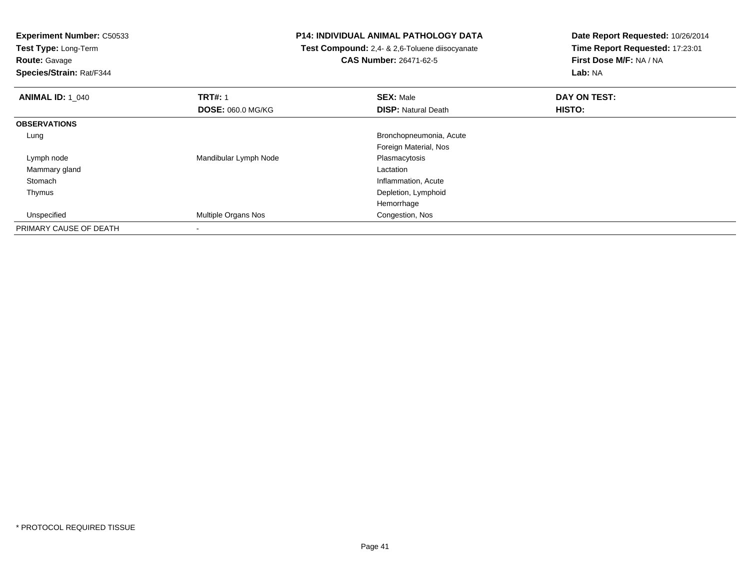**Test Type:** Long-Term

**Route:** Gavage

**Species/Strain:** Rat/F344

## **P14: INDIVIDUAL ANIMAL PATHOLOGY DATA**

 **Test Compound:** 2,4- & 2,6-Toluene diisocyanate**CAS Number:** 26471-62-5

| <b>ANIMAL ID: 1_040</b> | <b>TRT#: 1</b>             | <b>SEX: Male</b>           | DAY ON TEST: |  |
|-------------------------|----------------------------|----------------------------|--------------|--|
|                         | <b>DOSE: 060.0 MG/KG</b>   | <b>DISP: Natural Death</b> | HISTO:       |  |
| <b>OBSERVATIONS</b>     |                            |                            |              |  |
| Lung                    |                            | Bronchopneumonia, Acute    |              |  |
|                         |                            | Foreign Material, Nos      |              |  |
| Lymph node              | Mandibular Lymph Node      | Plasmacytosis              |              |  |
| Mammary gland           |                            | Lactation                  |              |  |
| Stomach                 |                            | Inflammation, Acute        |              |  |
| Thymus                  |                            | Depletion, Lymphoid        |              |  |
|                         |                            | Hemorrhage                 |              |  |
| Unspecified             | <b>Multiple Organs Nos</b> | Congestion, Nos            |              |  |
| PRIMARY CAUSE OF DEATH  |                            |                            |              |  |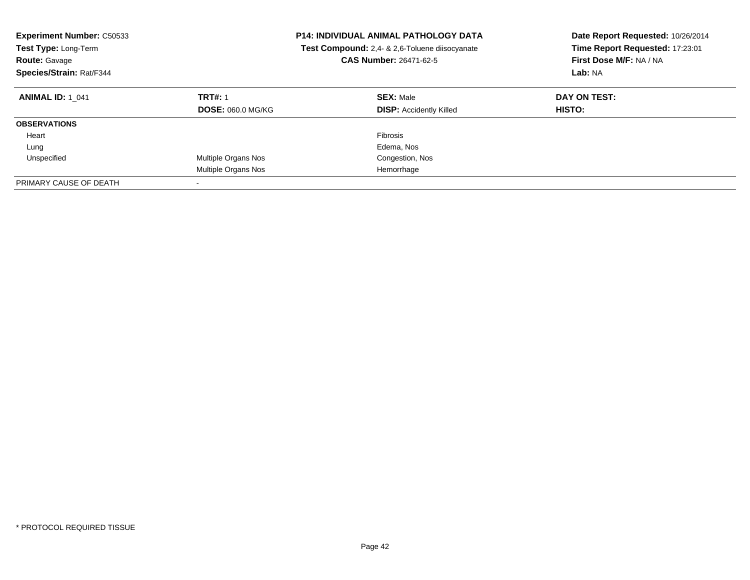| <b>Experiment Number: C50533</b><br><b>Test Type: Long-Term</b><br><b>Route: Gavage</b><br>Species/Strain: Rat/F344 |                                            | <b>P14: INDIVIDUAL ANIMAL PATHOLOGY DATA</b><br>Test Compound: 2,4- & 2,6-Toluene diisocyanate<br><b>CAS Number: 26471-62-5</b> | Date Report Requested: 10/26/2014<br>Time Report Requested: 17:23:01<br>First Dose M/F: NA / NA<br>Lab: NA |
|---------------------------------------------------------------------------------------------------------------------|--------------------------------------------|---------------------------------------------------------------------------------------------------------------------------------|------------------------------------------------------------------------------------------------------------|
| <b>ANIMAL ID: 1 041</b>                                                                                             | <b>TRT#: 1</b><br><b>DOSE: 060.0 MG/KG</b> | <b>SEX: Male</b><br><b>DISP: Accidently Killed</b>                                                                              | DAY ON TEST:<br><b>HISTO:</b>                                                                              |
| <b>OBSERVATIONS</b>                                                                                                 |                                            |                                                                                                                                 |                                                                                                            |
| Heart                                                                                                               |                                            | Fibrosis                                                                                                                        |                                                                                                            |
| Lung                                                                                                                |                                            | Edema, Nos                                                                                                                      |                                                                                                            |
| Unspecified                                                                                                         | Multiple Organs Nos                        | Congestion, Nos                                                                                                                 |                                                                                                            |
|                                                                                                                     | Multiple Organs Nos                        | Hemorrhage                                                                                                                      |                                                                                                            |
| PRIMARY CAUSE OF DEATH                                                                                              | $\overline{\phantom{a}}$                   |                                                                                                                                 |                                                                                                            |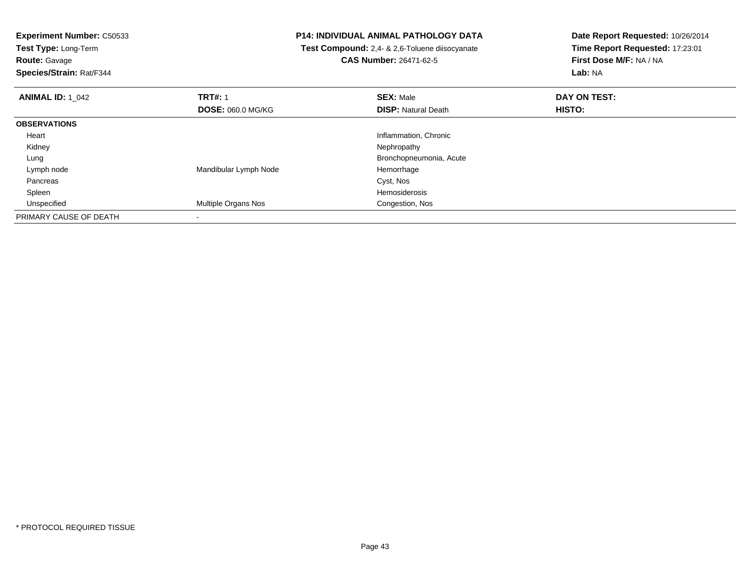**Test Type:** Long-Term

**Route:** Gavage

**Species/Strain:** Rat/F344

## **P14: INDIVIDUAL ANIMAL PATHOLOGY DATA**

 **Test Compound:** 2,4- & 2,6-Toluene diisocyanate**CAS Number:** 26471-62-5

| <b>ANIMAL ID: 1 042</b> | <b>TRT#: 1</b><br><b>DOSE: 060.0 MG/KG</b> | <b>SEX: Male</b><br><b>DISP: Natural Death</b> | DAY ON TEST:<br>HISTO: |  |
|-------------------------|--------------------------------------------|------------------------------------------------|------------------------|--|
|                         |                                            |                                                |                        |  |
| <b>OBSERVATIONS</b>     |                                            |                                                |                        |  |
| Heart                   |                                            | Inflammation, Chronic                          |                        |  |
| Kidney                  |                                            | Nephropathy                                    |                        |  |
| Lung                    |                                            | Bronchopneumonia, Acute                        |                        |  |
| Lymph node              | Mandibular Lymph Node                      | Hemorrhage                                     |                        |  |
| Pancreas                |                                            | Cyst, Nos                                      |                        |  |
| Spleen                  |                                            | Hemosiderosis                                  |                        |  |
| Unspecified             | Multiple Organs Nos                        | Congestion, Nos                                |                        |  |
| PRIMARY CAUSE OF DEATH  |                                            |                                                |                        |  |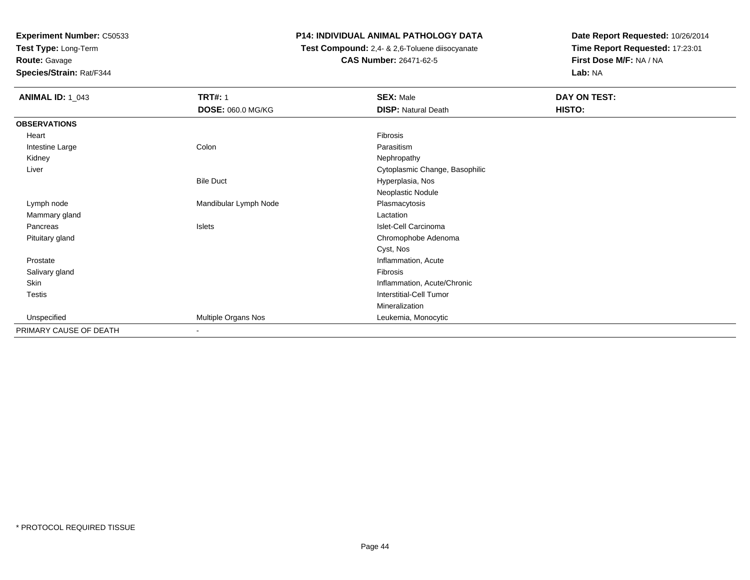**Test Type:** Long-Term

**Route:** Gavage

**Species/Strain:** Rat/F344

# **P14: INDIVIDUAL ANIMAL PATHOLOGY DATA**

 **Test Compound:** 2,4- & 2,6-Toluene diisocyanate**CAS Number:** 26471-62-5

| <b>ANIMAL ID: 1_043</b> | <b>TRT#: 1</b>           | <b>SEX: Male</b>               | DAY ON TEST: |  |
|-------------------------|--------------------------|--------------------------------|--------------|--|
|                         | DOSE: 060.0 MG/KG        | <b>DISP: Natural Death</b>     | HISTO:       |  |
| <b>OBSERVATIONS</b>     |                          |                                |              |  |
| Heart                   |                          | Fibrosis                       |              |  |
| Intestine Large         | Colon                    | Parasitism                     |              |  |
| Kidney                  |                          | Nephropathy                    |              |  |
| Liver                   |                          | Cytoplasmic Change, Basophilic |              |  |
|                         | <b>Bile Duct</b>         | Hyperplasia, Nos               |              |  |
|                         |                          | Neoplastic Nodule              |              |  |
| Lymph node              | Mandibular Lymph Node    | Plasmacytosis                  |              |  |
| Mammary gland           |                          | Lactation                      |              |  |
| Pancreas                | Islets                   | Islet-Cell Carcinoma           |              |  |
| Pituitary gland         |                          | Chromophobe Adenoma            |              |  |
|                         |                          | Cyst, Nos                      |              |  |
| Prostate                |                          | Inflammation, Acute            |              |  |
| Salivary gland          |                          | Fibrosis                       |              |  |
| Skin                    |                          | Inflammation, Acute/Chronic    |              |  |
| Testis                  |                          | Interstitial-Cell Tumor        |              |  |
|                         |                          | Mineralization                 |              |  |
| Unspecified             | Multiple Organs Nos      | Leukemia, Monocytic            |              |  |
| PRIMARY CAUSE OF DEATH  | $\overline{\phantom{a}}$ |                                |              |  |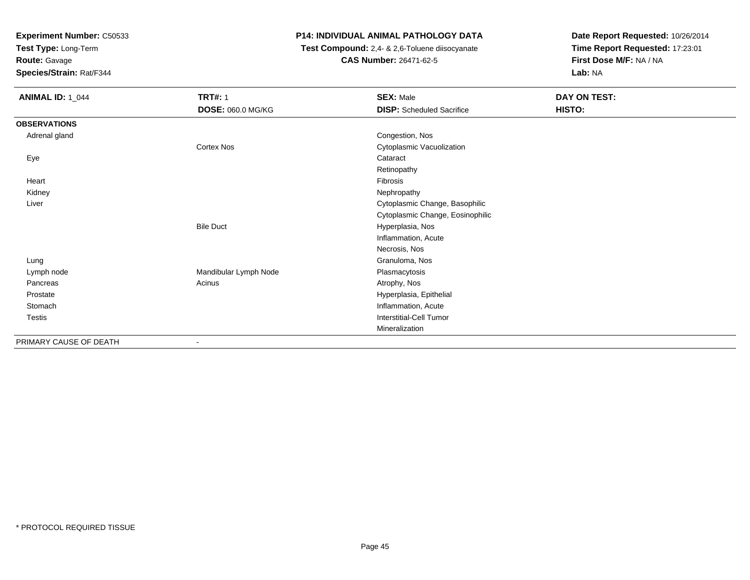**Test Type:** Long-Term

**Route:** Gavage

**Species/Strain:** Rat/F344

# **P14: INDIVIDUAL ANIMAL PATHOLOGY DATA**

 **Test Compound:** 2,4- & 2,6-Toluene diisocyanate**CAS Number:** 26471-62-5

| <b>ANIMAL ID: 1_044</b> | <b>TRT#: 1</b><br>DOSE: 060.0 MG/KG | <b>SEX: Male</b><br><b>DISP:</b> Scheduled Sacrifice | DAY ON TEST:<br>HISTO: |
|-------------------------|-------------------------------------|------------------------------------------------------|------------------------|
|                         |                                     |                                                      |                        |
| <b>OBSERVATIONS</b>     |                                     |                                                      |                        |
| Adrenal gland           |                                     | Congestion, Nos                                      |                        |
|                         | Cortex Nos                          | Cytoplasmic Vacuolization                            |                        |
| Eye                     |                                     | Cataract                                             |                        |
|                         |                                     | Retinopathy                                          |                        |
| Heart                   |                                     | Fibrosis                                             |                        |
| Kidney                  |                                     | Nephropathy                                          |                        |
| Liver                   |                                     | Cytoplasmic Change, Basophilic                       |                        |
|                         |                                     | Cytoplasmic Change, Eosinophilic                     |                        |
|                         | <b>Bile Duct</b>                    | Hyperplasia, Nos                                     |                        |
|                         |                                     | Inflammation, Acute                                  |                        |
|                         |                                     | Necrosis, Nos                                        |                        |
| Lung                    |                                     | Granuloma, Nos                                       |                        |
| Lymph node              | Mandibular Lymph Node               | Plasmacytosis                                        |                        |
| Pancreas                | Acinus                              | Atrophy, Nos                                         |                        |
| Prostate                |                                     | Hyperplasia, Epithelial                              |                        |
| Stomach                 |                                     | Inflammation, Acute                                  |                        |
| Testis                  |                                     | Interstitial-Cell Tumor                              |                        |
|                         |                                     | Mineralization                                       |                        |
| PRIMARY CAUSE OF DEATH  | ٠                                   |                                                      |                        |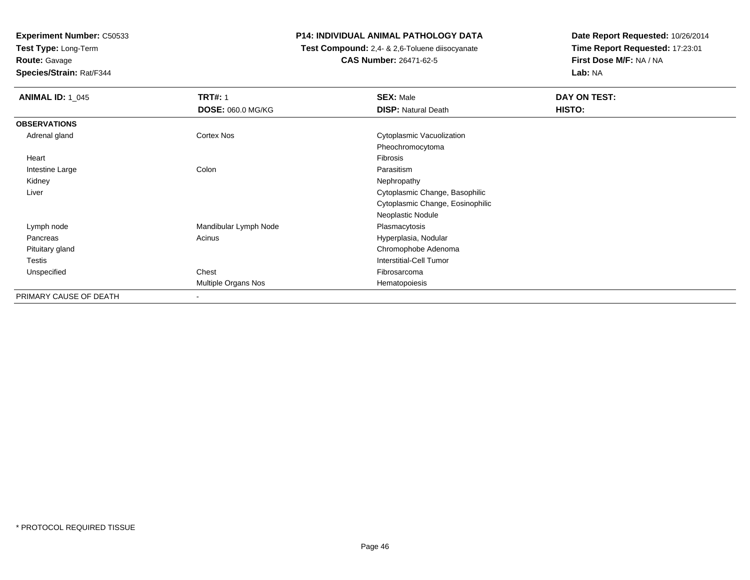**Test Type:** Long-Term**Route:** Gavage

**Species/Strain:** Rat/F344

# **P14: INDIVIDUAL ANIMAL PATHOLOGY DATA**

 **Test Compound:** 2,4- & 2,6-Toluene diisocyanate**CAS Number:** 26471-62-5

| <b>ANIMAL ID: 1_045</b> | <b>TRT#: 1</b>           | <b>SEX: Male</b>                 | DAY ON TEST: |
|-------------------------|--------------------------|----------------------------------|--------------|
|                         | <b>DOSE: 060.0 MG/KG</b> | <b>DISP: Natural Death</b>       | HISTO:       |
| <b>OBSERVATIONS</b>     |                          |                                  |              |
| Adrenal gland           | Cortex Nos               | Cytoplasmic Vacuolization        |              |
|                         |                          | Pheochromocytoma                 |              |
| Heart                   |                          | Fibrosis                         |              |
| Intestine Large         | Colon                    | Parasitism                       |              |
| Kidney                  |                          | Nephropathy                      |              |
| Liver                   |                          | Cytoplasmic Change, Basophilic   |              |
|                         |                          | Cytoplasmic Change, Eosinophilic |              |
|                         |                          | Neoplastic Nodule                |              |
| Lymph node              | Mandibular Lymph Node    | Plasmacytosis                    |              |
| Pancreas                | Acinus                   | Hyperplasia, Nodular             |              |
| Pituitary gland         |                          | Chromophobe Adenoma              |              |
| Testis                  |                          | <b>Interstitial-Cell Tumor</b>   |              |
| Unspecified             | Chest                    | Fibrosarcoma                     |              |
|                         | Multiple Organs Nos      | Hematopoiesis                    |              |
| PRIMARY CAUSE OF DEATH  | ۰                        |                                  |              |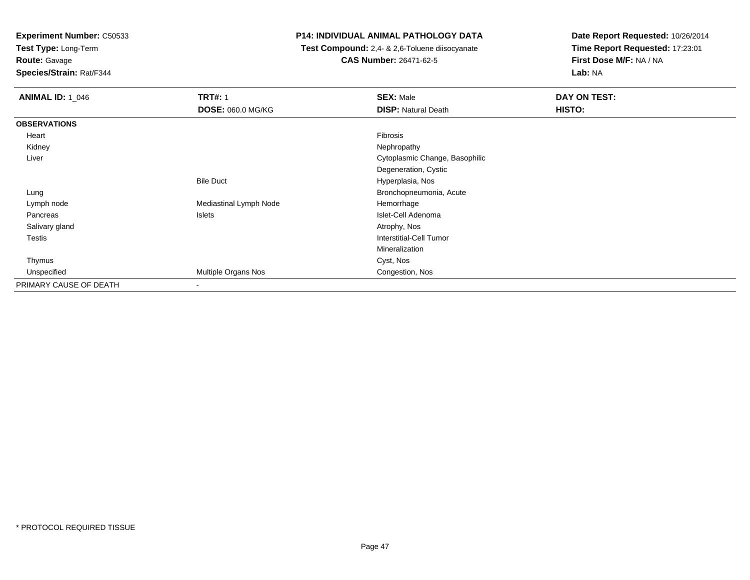**Test Type:** Long-Term

**Route:** Gavage

**Species/Strain:** Rat/F344

## **P14: INDIVIDUAL ANIMAL PATHOLOGY DATA**

 **Test Compound:** 2,4- & 2,6-Toluene diisocyanate**CAS Number:** 26471-62-5

| <b>ANIMAL ID: 1_046</b> | <b>TRT#: 1</b>           | <b>SEX: Male</b>               | DAY ON TEST: |
|-------------------------|--------------------------|--------------------------------|--------------|
|                         | <b>DOSE: 060.0 MG/KG</b> | <b>DISP: Natural Death</b>     | HISTO:       |
| <b>OBSERVATIONS</b>     |                          |                                |              |
| Heart                   |                          | Fibrosis                       |              |
| Kidney                  |                          | Nephropathy                    |              |
| Liver                   |                          | Cytoplasmic Change, Basophilic |              |
|                         |                          | Degeneration, Cystic           |              |
|                         | <b>Bile Duct</b>         | Hyperplasia, Nos               |              |
| Lung                    |                          | Bronchopneumonia, Acute        |              |
| Lymph node              | Mediastinal Lymph Node   | Hemorrhage                     |              |
| Pancreas                | Islets                   | Islet-Cell Adenoma             |              |
| Salivary gland          |                          | Atrophy, Nos                   |              |
| <b>Testis</b>           |                          | Interstitial-Cell Tumor        |              |
|                         |                          | Mineralization                 |              |
| Thymus                  |                          | Cyst, Nos                      |              |
| Unspecified             | Multiple Organs Nos      | Congestion, Nos                |              |
| PRIMARY CAUSE OF DEATH  |                          |                                |              |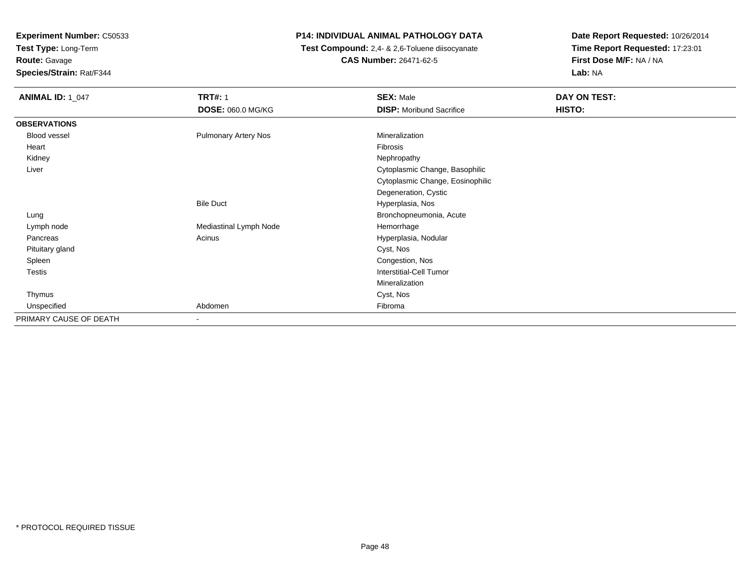**Test Type:** Long-Term**Route:** Gavage

**Species/Strain:** Rat/F344

# **P14: INDIVIDUAL ANIMAL PATHOLOGY DATA**

 **Test Compound:** 2,4- & 2,6-Toluene diisocyanate**CAS Number:** 26471-62-5

| <b>ANIMAL ID: 1_047</b> | <b>TRT#: 1</b><br>DOSE: 060.0 MG/KG | <b>SEX: Male</b><br><b>DISP:</b> Moribund Sacrifice | DAY ON TEST:<br>HISTO: |
|-------------------------|-------------------------------------|-----------------------------------------------------|------------------------|
| <b>OBSERVATIONS</b>     |                                     |                                                     |                        |
| <b>Blood vessel</b>     | <b>Pulmonary Artery Nos</b>         | Mineralization                                      |                        |
| Heart                   |                                     | Fibrosis                                            |                        |
| Kidney                  |                                     | Nephropathy                                         |                        |
| Liver                   |                                     | Cytoplasmic Change, Basophilic                      |                        |
|                         |                                     | Cytoplasmic Change, Eosinophilic                    |                        |
|                         |                                     | Degeneration, Cystic                                |                        |
|                         | <b>Bile Duct</b>                    | Hyperplasia, Nos                                    |                        |
| Lung                    |                                     | Bronchopneumonia, Acute                             |                        |
| Lymph node              | Mediastinal Lymph Node              | Hemorrhage                                          |                        |
| Pancreas                | Acinus                              | Hyperplasia, Nodular                                |                        |
| Pituitary gland         |                                     | Cyst, Nos                                           |                        |
| Spleen                  |                                     | Congestion, Nos                                     |                        |
| Testis                  |                                     | <b>Interstitial-Cell Tumor</b>                      |                        |
|                         |                                     | Mineralization                                      |                        |
| Thymus                  |                                     | Cyst, Nos                                           |                        |
| Unspecified             | Abdomen                             | Fibroma                                             |                        |
| PRIMARY CAUSE OF DEATH  | $\overline{\phantom{a}}$            |                                                     |                        |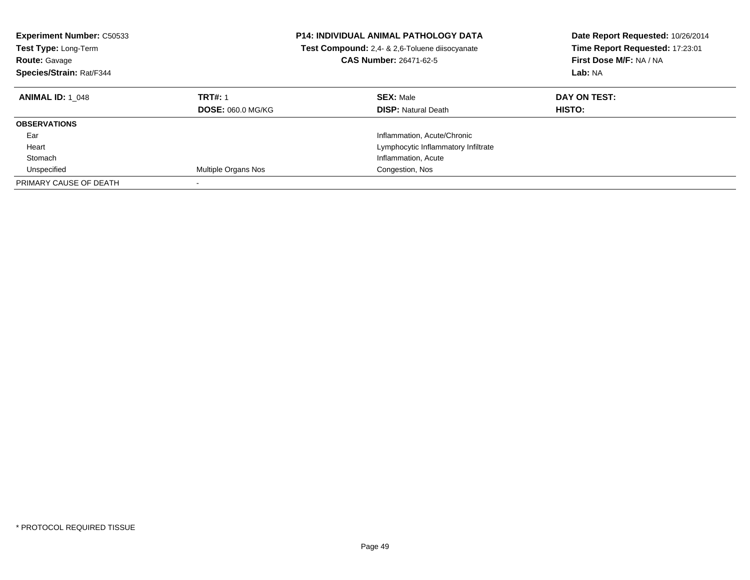| <b>Experiment Number: C50533</b><br><b>Test Type: Long-Term</b><br><b>Route: Gavage</b><br>Species/Strain: Rat/F344 |                                            | <b>P14: INDIVIDUAL ANIMAL PATHOLOGY DATA</b><br>Test Compound: 2,4- & 2,6-Toluene diisocyanate<br><b>CAS Number: 26471-62-5</b> | Date Report Requested: 10/26/2014<br>Time Report Requested: 17:23:01<br>First Dose M/F: NA / NA<br>Lab: NA |
|---------------------------------------------------------------------------------------------------------------------|--------------------------------------------|---------------------------------------------------------------------------------------------------------------------------------|------------------------------------------------------------------------------------------------------------|
| <b>ANIMAL ID: 1 048</b>                                                                                             | <b>TRT#: 1</b><br><b>DOSE: 060.0 MG/KG</b> | <b>SEX: Male</b><br><b>DISP:</b> Natural Death                                                                                  | DAY ON TEST:<br>HISTO:                                                                                     |
| <b>OBSERVATIONS</b>                                                                                                 |                                            |                                                                                                                                 |                                                                                                            |
| Ear                                                                                                                 |                                            | Inflammation, Acute/Chronic                                                                                                     |                                                                                                            |
| Heart                                                                                                               |                                            | Lymphocytic Inflammatory Infiltrate                                                                                             |                                                                                                            |
| Stomach                                                                                                             |                                            | Inflammation, Acute                                                                                                             |                                                                                                            |
| Unspecified                                                                                                         | Multiple Organs Nos                        | Congestion, Nos                                                                                                                 |                                                                                                            |
| PRIMARY CAUSE OF DEATH                                                                                              |                                            |                                                                                                                                 |                                                                                                            |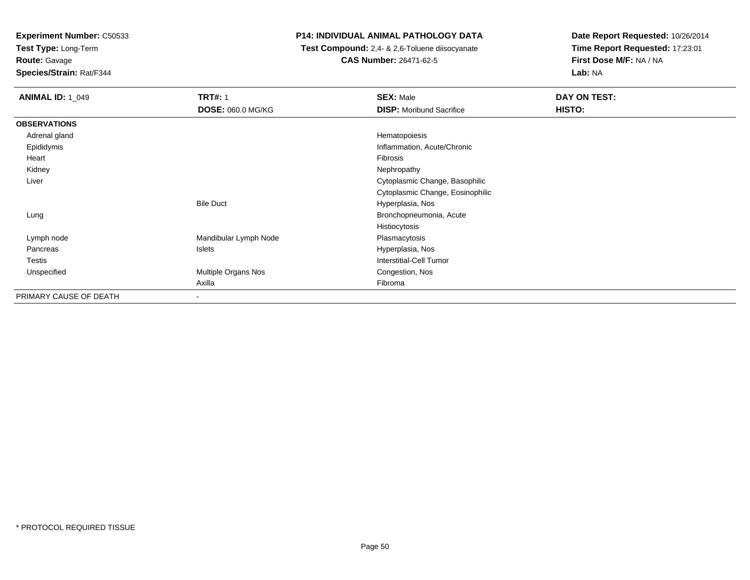**Test Type:** Long-Term

**Route:** Gavage

**Species/Strain:** Rat/F344

# **P14: INDIVIDUAL ANIMAL PATHOLOGY DATA**

 **Test Compound:** 2,4- & 2,6-Toluene diisocyanate**CAS Number:** 26471-62-5

| <b>ANIMAL ID: 1 049</b> | <b>TRT#: 1</b>           | <b>SEX: Male</b>                 | DAY ON TEST: |  |
|-------------------------|--------------------------|----------------------------------|--------------|--|
|                         | <b>DOSE: 060.0 MG/KG</b> | <b>DISP:</b> Moribund Sacrifice  | HISTO:       |  |
| <b>OBSERVATIONS</b>     |                          |                                  |              |  |
| Adrenal gland           |                          | Hematopoiesis                    |              |  |
| Epididymis              |                          | Inflammation, Acute/Chronic      |              |  |
| Heart                   |                          | Fibrosis                         |              |  |
| Kidney                  |                          | Nephropathy                      |              |  |
| Liver                   |                          | Cytoplasmic Change, Basophilic   |              |  |
|                         |                          | Cytoplasmic Change, Eosinophilic |              |  |
|                         | <b>Bile Duct</b>         | Hyperplasia, Nos                 |              |  |
| Lung                    |                          | Bronchopneumonia, Acute          |              |  |
|                         |                          | Histiocytosis                    |              |  |
| Lymph node              | Mandibular Lymph Node    | Plasmacytosis                    |              |  |
| Pancreas                | Islets                   | Hyperplasia, Nos                 |              |  |
| Testis                  |                          | Interstitial-Cell Tumor          |              |  |
| Unspecified             | Multiple Organs Nos      | Congestion, Nos                  |              |  |
|                         | Axilla                   | Fibroma                          |              |  |
| PRIMARY CAUSE OF DEATH  | ۰                        |                                  |              |  |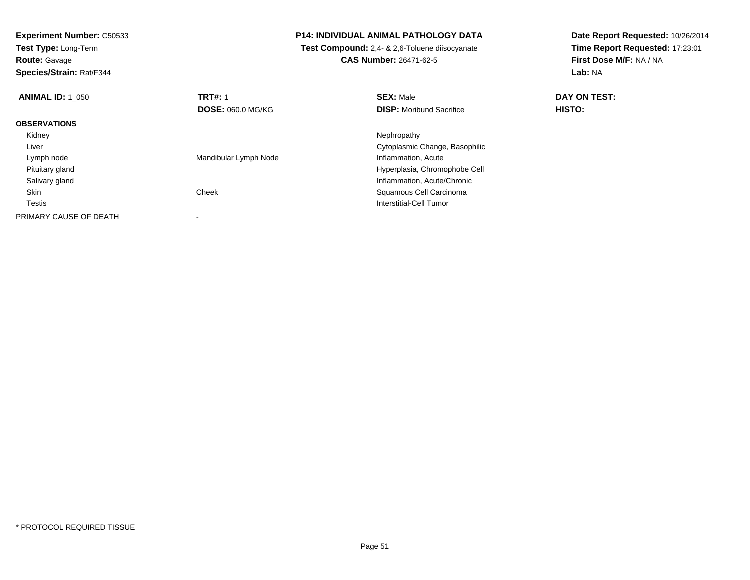**Experiment Number:** C50533**Test Type:** Long-Term**Route:** Gavage **Species/Strain:** Rat/F344**P14: INDIVIDUAL ANIMAL PATHOLOGY DATA Test Compound:** 2,4- & 2,6-Toluene diisocyanate**CAS Number:** 26471-62-5**Date Report Requested:** 10/26/2014**Time Report Requested:** 17:23:01**First Dose M/F:** NA / NA**Lab:** NA**ANIMAL ID:** 1\_050**C TRT#:** 1 **SEX:** Male **DAY ON TEST: DOSE:** 060.0 MG/KG**DISP:** Moribund Sacrifice **HISTO: OBSERVATIONS** Kidneyy the control of the control of the control of the control of the control of the control of the control of the control of the control of the control of the control of the control of the control of the control of the contro Liver Cytoplasmic Change, Basophilic Lymph nodeMandibular Lymph Node **Inflammation**, Acute Pituitary gland Hyperplasia, Chromophobe Cell Salivary glandInflammation, Acute/Chronic<br>
Squamous Cell Carcinoma<br>
Squamous Cell Carcinoma SkinSquamous Cell Carcinoma **Testis**  Interstitial-Cell Tumor PRIMARY CAUSE OF DEATH-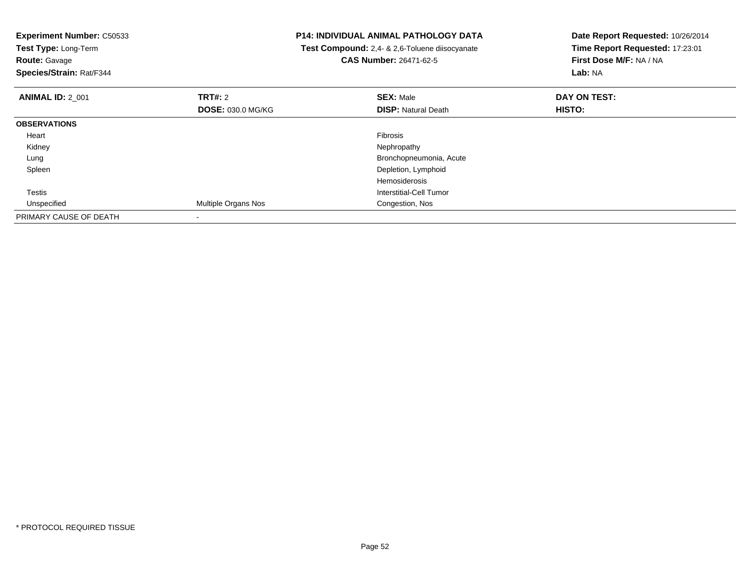| <b>Experiment Number: C50533</b><br>Test Type: Long-Term<br><b>Route: Gavage</b><br>Species/Strain: Rat/F344 |                            | <b>P14: INDIVIDUAL ANIMAL PATHOLOGY DATA</b><br>Test Compound: 2,4- & 2,6-Toluene diisocyanate<br><b>CAS Number: 26471-62-5</b> | Date Report Requested: 10/26/2014<br>Time Report Requested: 17:23:01<br>First Dose M/F: NA / NA<br>Lab: NA |
|--------------------------------------------------------------------------------------------------------------|----------------------------|---------------------------------------------------------------------------------------------------------------------------------|------------------------------------------------------------------------------------------------------------|
| <b>ANIMAL ID: 2 001</b>                                                                                      | TRT#: 2                    | <b>SEX: Male</b>                                                                                                                | DAY ON TEST:                                                                                               |
|                                                                                                              | <b>DOSE: 030.0 MG/KG</b>   | <b>DISP: Natural Death</b>                                                                                                      | <b>HISTO:</b>                                                                                              |
| <b>OBSERVATIONS</b>                                                                                          |                            |                                                                                                                                 |                                                                                                            |
| Heart                                                                                                        |                            | Fibrosis                                                                                                                        |                                                                                                            |
| Kidney                                                                                                       |                            | Nephropathy                                                                                                                     |                                                                                                            |
| Lung                                                                                                         |                            | Bronchopneumonia, Acute                                                                                                         |                                                                                                            |
| Spleen                                                                                                       |                            | Depletion, Lymphoid                                                                                                             |                                                                                                            |
|                                                                                                              |                            | <b>Hemosiderosis</b>                                                                                                            |                                                                                                            |
| Testis                                                                                                       |                            | Interstitial-Cell Tumor                                                                                                         |                                                                                                            |
| Unspecified                                                                                                  | <b>Multiple Organs Nos</b> | Congestion, Nos                                                                                                                 |                                                                                                            |
| PRIMARY CAUSE OF DEATH                                                                                       |                            |                                                                                                                                 |                                                                                                            |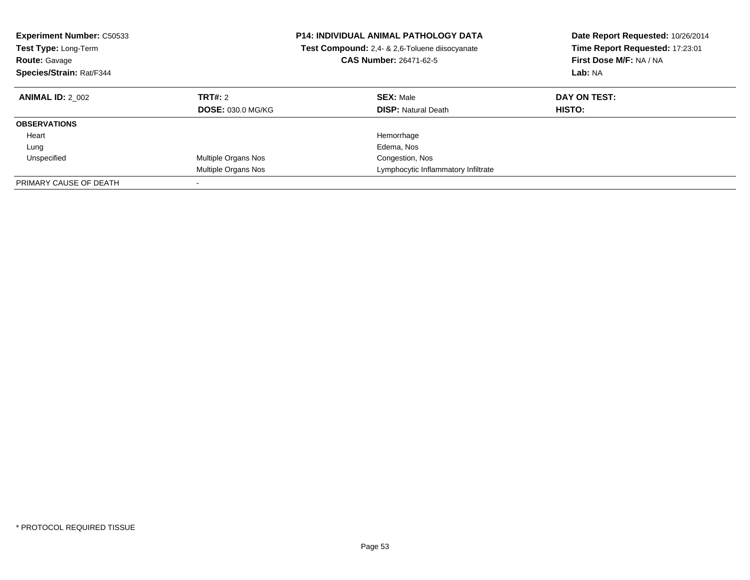| <b>Experiment Number: C50533</b><br><b>Test Type: Long-Term</b><br><b>Route: Gavage</b><br>Species/Strain: Rat/F344 |                                            | <b>P14: INDIVIDUAL ANIMAL PATHOLOGY DATA</b><br>Date Report Requested: 10/26/2014<br>Time Report Requested: 17:23:01<br>Test Compound: 2,4- & 2,6-Toluene diisocyanate<br>First Dose M/F: NA / NA<br><b>CAS Number: 26471-62-5</b><br>Lab: NA |                               |
|---------------------------------------------------------------------------------------------------------------------|--------------------------------------------|-----------------------------------------------------------------------------------------------------------------------------------------------------------------------------------------------------------------------------------------------|-------------------------------|
| <b>ANIMAL ID: 2 002</b>                                                                                             | <b>TRT#: 2</b><br><b>DOSE: 030.0 MG/KG</b> | <b>SEX: Male</b><br><b>DISP:</b> Natural Death                                                                                                                                                                                                | DAY ON TEST:<br><b>HISTO:</b> |
| <b>OBSERVATIONS</b>                                                                                                 |                                            |                                                                                                                                                                                                                                               |                               |
| Heart                                                                                                               |                                            | Hemorrhage                                                                                                                                                                                                                                    |                               |
| Lung                                                                                                                |                                            | Edema, Nos                                                                                                                                                                                                                                    |                               |
| Unspecified                                                                                                         | Multiple Organs Nos                        | Congestion, Nos                                                                                                                                                                                                                               |                               |
|                                                                                                                     | Multiple Organs Nos                        | Lymphocytic Inflammatory Infiltrate                                                                                                                                                                                                           |                               |
| PRIMARY CAUSE OF DEATH                                                                                              |                                            |                                                                                                                                                                                                                                               |                               |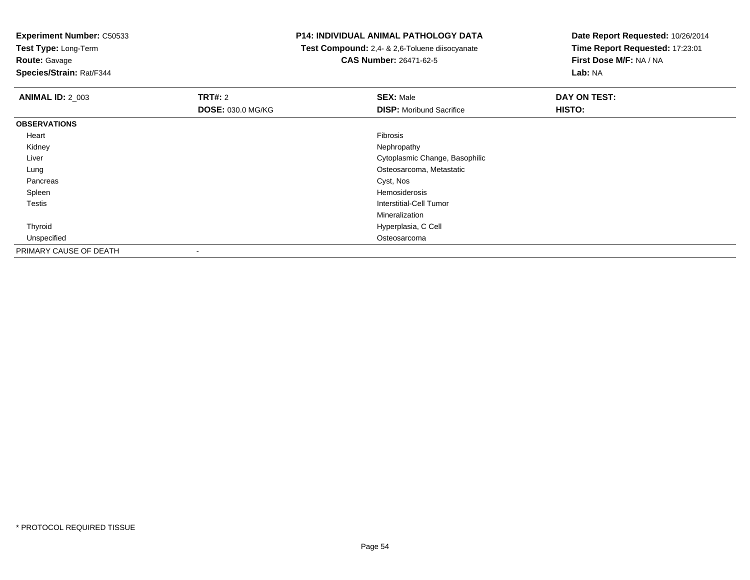**Test Type:** Long-Term**Route:** Gavage

**Species/Strain:** Rat/F344

## **P14: INDIVIDUAL ANIMAL PATHOLOGY DATA**

 **Test Compound:** 2,4- & 2,6-Toluene diisocyanate**CAS Number:** 26471-62-5

| <b>ANIMAL ID: 2_003</b> | TRT#: 2                  | <b>SEX: Male</b>                | DAY ON TEST: |  |
|-------------------------|--------------------------|---------------------------------|--------------|--|
|                         | <b>DOSE: 030.0 MG/KG</b> | <b>DISP:</b> Moribund Sacrifice | HISTO:       |  |
| <b>OBSERVATIONS</b>     |                          |                                 |              |  |
| Heart                   |                          | Fibrosis                        |              |  |
| Kidney                  |                          | Nephropathy                     |              |  |
| Liver                   |                          | Cytoplasmic Change, Basophilic  |              |  |
| Lung                    |                          | Osteosarcoma, Metastatic        |              |  |
| Pancreas                |                          | Cyst, Nos                       |              |  |
| Spleen                  |                          | Hemosiderosis                   |              |  |
| Testis                  |                          | Interstitial-Cell Tumor         |              |  |
|                         |                          | Mineralization                  |              |  |
| Thyroid                 |                          | Hyperplasia, C Cell             |              |  |
| Unspecified             |                          | Osteosarcoma                    |              |  |
| PRIMARY CAUSE OF DEATH  | $\overline{\phantom{a}}$ |                                 |              |  |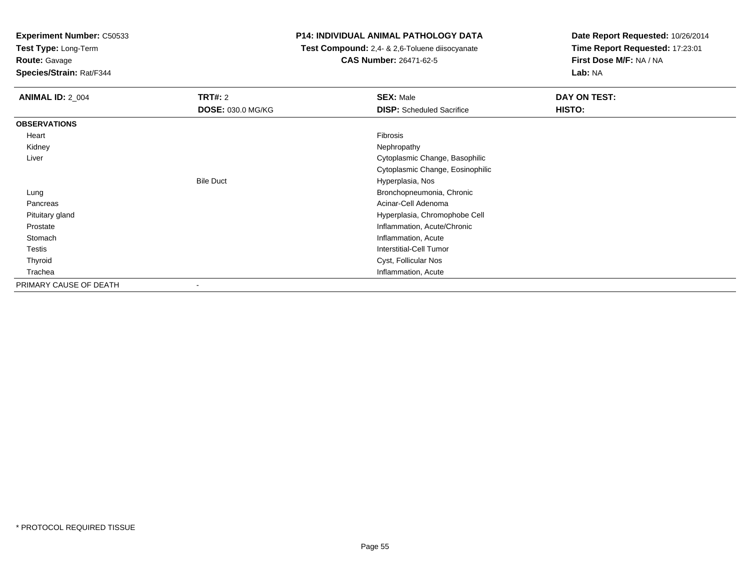**Test Type:** Long-Term

**Route:** Gavage

**Species/Strain:** Rat/F344

## **P14: INDIVIDUAL ANIMAL PATHOLOGY DATA**

 **Test Compound:** 2,4- & 2,6-Toluene diisocyanate**CAS Number:** 26471-62-5

| <b>ANIMAL ID: 2_004</b> | <b>TRT#: 2</b><br>DOSE: 030.0 MG/KG | <b>SEX: Male</b><br><b>DISP:</b> Scheduled Sacrifice | DAY ON TEST:<br>HISTO: |
|-------------------------|-------------------------------------|------------------------------------------------------|------------------------|
| <b>OBSERVATIONS</b>     |                                     |                                                      |                        |
|                         |                                     |                                                      |                        |
| Heart                   |                                     | Fibrosis                                             |                        |
| Kidney                  |                                     | Nephropathy                                          |                        |
| Liver                   |                                     | Cytoplasmic Change, Basophilic                       |                        |
|                         |                                     | Cytoplasmic Change, Eosinophilic                     |                        |
|                         | <b>Bile Duct</b>                    | Hyperplasia, Nos                                     |                        |
| Lung                    |                                     | Bronchopneumonia, Chronic                            |                        |
| Pancreas                |                                     | Acinar-Cell Adenoma                                  |                        |
| Pituitary gland         |                                     | Hyperplasia, Chromophobe Cell                        |                        |
| Prostate                |                                     | Inflammation, Acute/Chronic                          |                        |
| Stomach                 |                                     | Inflammation, Acute                                  |                        |
| Testis                  |                                     | <b>Interstitial-Cell Tumor</b>                       |                        |
| Thyroid                 |                                     | Cyst, Follicular Nos                                 |                        |
| Trachea                 |                                     | Inflammation, Acute                                  |                        |
| PRIMARY CAUSE OF DEATH  | $\overline{\phantom{a}}$            |                                                      |                        |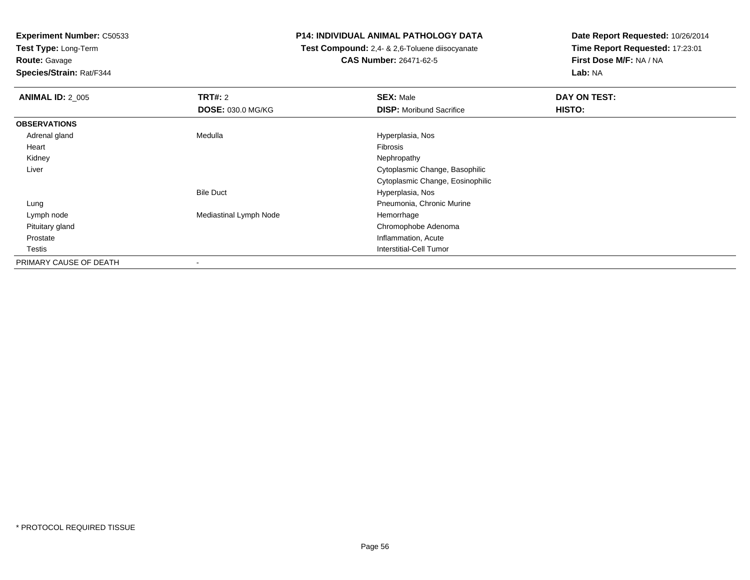**Test Type:** Long-Term

**Route:** Gavage

**Species/Strain:** Rat/F344

## **P14: INDIVIDUAL ANIMAL PATHOLOGY DATA**

 **Test Compound:** 2,4- & 2,6-Toluene diisocyanate**CAS Number:** 26471-62-5

| <b>ANIMAL ID: 2_005</b> | TRT#: 2                  | <b>SEX: Male</b>                 | DAY ON TEST: |
|-------------------------|--------------------------|----------------------------------|--------------|
|                         | <b>DOSE: 030.0 MG/KG</b> | <b>DISP:</b> Moribund Sacrifice  | HISTO:       |
| <b>OBSERVATIONS</b>     |                          |                                  |              |
| Adrenal gland           | Medulla                  | Hyperplasia, Nos                 |              |
| Heart                   |                          | Fibrosis                         |              |
| Kidney                  |                          | Nephropathy                      |              |
| Liver                   |                          | Cytoplasmic Change, Basophilic   |              |
|                         |                          | Cytoplasmic Change, Eosinophilic |              |
|                         | <b>Bile Duct</b>         | Hyperplasia, Nos                 |              |
| Lung                    |                          | Pneumonia, Chronic Murine        |              |
| Lymph node              | Mediastinal Lymph Node   | Hemorrhage                       |              |
| Pituitary gland         |                          | Chromophobe Adenoma              |              |
| Prostate                |                          | Inflammation, Acute              |              |
| Testis                  |                          | Interstitial-Cell Tumor          |              |
| PRIMARY CAUSE OF DEATH  | ۰                        |                                  |              |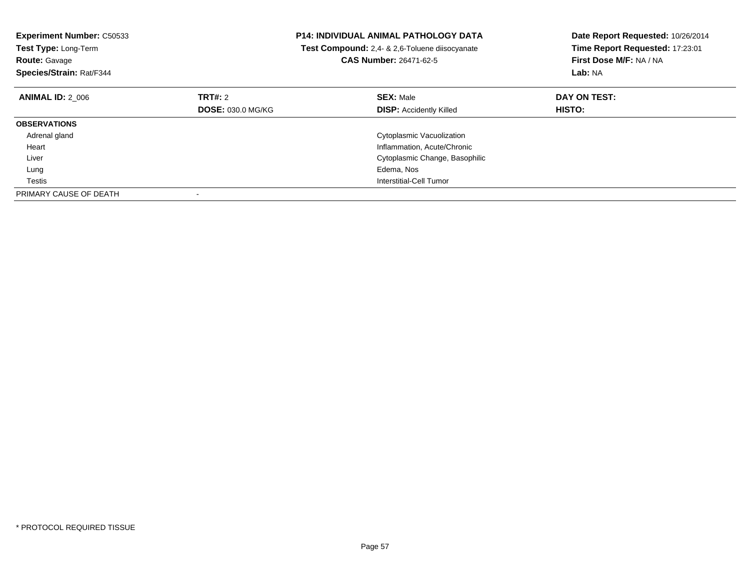| <b>Experiment Number: C50533</b><br>Test Type: Long-Term<br><b>Route: Gavage</b><br>Species/Strain: Rat/F344 |                          | <b>P14: INDIVIDUAL ANIMAL PATHOLOGY DATA</b><br>Test Compound: 2,4- & 2,6-Toluene diisocyanate<br><b>CAS Number: 26471-62-5</b> | Date Report Requested: 10/26/2014<br>Time Report Requested: 17:23:01<br>First Dose M/F: NA / NA<br>Lab: NA |
|--------------------------------------------------------------------------------------------------------------|--------------------------|---------------------------------------------------------------------------------------------------------------------------------|------------------------------------------------------------------------------------------------------------|
| <b>ANIMAL ID: 2 006</b>                                                                                      | <b>TRT#: 2</b>           | <b>SEX: Male</b>                                                                                                                | DAY ON TEST:                                                                                               |
|                                                                                                              | <b>DOSE: 030.0 MG/KG</b> | <b>DISP:</b> Accidently Killed                                                                                                  | <b>HISTO:</b>                                                                                              |
| <b>OBSERVATIONS</b>                                                                                          |                          |                                                                                                                                 |                                                                                                            |
| Adrenal gland                                                                                                |                          | Cytoplasmic Vacuolization                                                                                                       |                                                                                                            |
| Heart                                                                                                        |                          | Inflammation, Acute/Chronic                                                                                                     |                                                                                                            |
| Liver                                                                                                        |                          | Cytoplasmic Change, Basophilic                                                                                                  |                                                                                                            |
| Lung                                                                                                         |                          | Edema, Nos                                                                                                                      |                                                                                                            |
| Testis                                                                                                       |                          | Interstitial-Cell Tumor                                                                                                         |                                                                                                            |
| PRIMARY CAUSE OF DEATH                                                                                       |                          |                                                                                                                                 |                                                                                                            |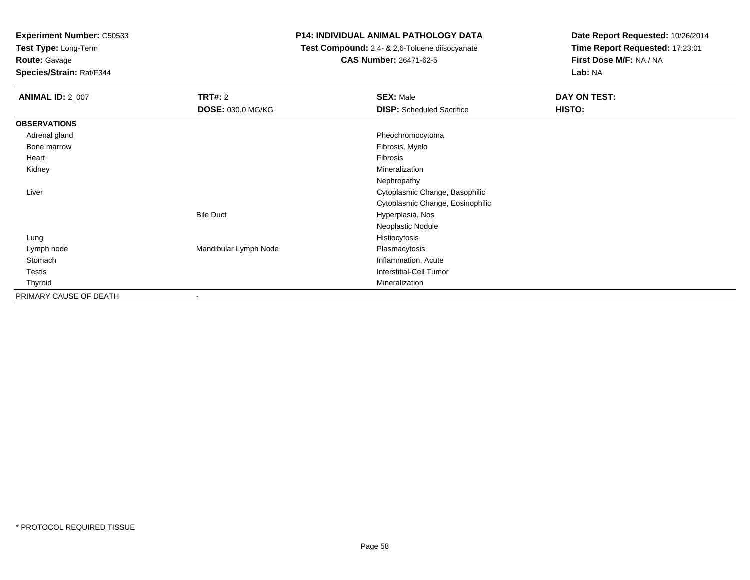**Test Type:** Long-Term

**Route:** Gavage

**Species/Strain:** Rat/F344

# **P14: INDIVIDUAL ANIMAL PATHOLOGY DATA**

 **Test Compound:** 2,4- & 2,6-Toluene diisocyanate**CAS Number:** 26471-62-5

| <b>ANIMAL ID: 2_007</b> | <b>TRT#:</b> 2           | <b>SEX: Male</b>                 | DAY ON TEST: |  |
|-------------------------|--------------------------|----------------------------------|--------------|--|
|                         | DOSE: 030.0 MG/KG        | <b>DISP:</b> Scheduled Sacrifice | HISTO:       |  |
| <b>OBSERVATIONS</b>     |                          |                                  |              |  |
| Adrenal gland           |                          | Pheochromocytoma                 |              |  |
| Bone marrow             |                          | Fibrosis, Myelo                  |              |  |
| Heart                   |                          | Fibrosis                         |              |  |
| Kidney                  |                          | Mineralization                   |              |  |
|                         |                          | Nephropathy                      |              |  |
| Liver                   |                          | Cytoplasmic Change, Basophilic   |              |  |
|                         |                          | Cytoplasmic Change, Eosinophilic |              |  |
|                         | <b>Bile Duct</b>         | Hyperplasia, Nos                 |              |  |
|                         |                          | Neoplastic Nodule                |              |  |
| Lung                    |                          | Histiocytosis                    |              |  |
| Lymph node              | Mandibular Lymph Node    | Plasmacytosis                    |              |  |
| Stomach                 |                          | Inflammation, Acute              |              |  |
| Testis                  |                          | <b>Interstitial-Cell Tumor</b>   |              |  |
| Thyroid                 |                          | Mineralization                   |              |  |
| PRIMARY CAUSE OF DEATH  | $\overline{\phantom{a}}$ |                                  |              |  |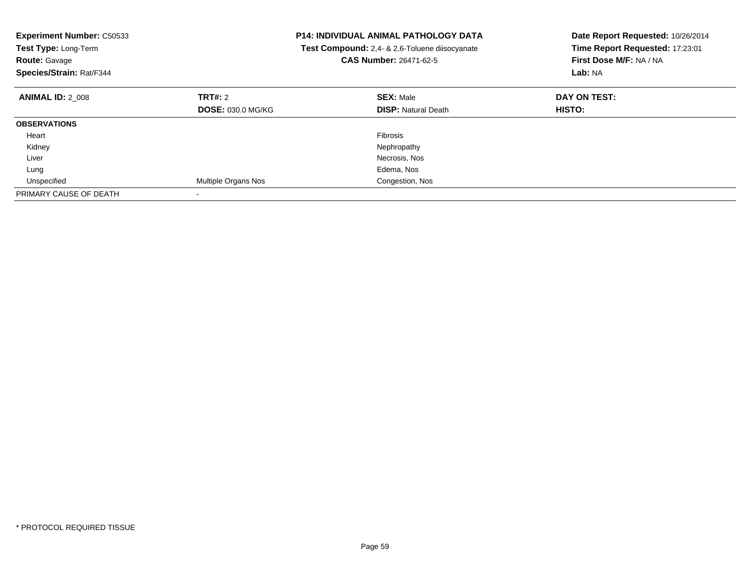| Experiment Number: C50533<br>Test Type: Long-Term<br><b>Route: Gavage</b><br>Species/Strain: Rat/F344 |                          | <b>P14: INDIVIDUAL ANIMAL PATHOLOGY DATA</b><br>Test Compound: 2,4- & 2,6-Toluene diisocyanate<br>CAS Number: 26471-62-5 | Date Report Requested: 10/26/2014<br>Time Report Requested: 17:23:01<br>First Dose M/F: NA / NA<br>Lab: NA |
|-------------------------------------------------------------------------------------------------------|--------------------------|--------------------------------------------------------------------------------------------------------------------------|------------------------------------------------------------------------------------------------------------|
| <b>ANIMAL ID: 2 008</b>                                                                               | TRT#: 2                  | <b>SEX: Male</b>                                                                                                         | DAY ON TEST:                                                                                               |
|                                                                                                       | <b>DOSE: 030.0 MG/KG</b> | <b>DISP: Natural Death</b>                                                                                               | HISTO:                                                                                                     |
| <b>OBSERVATIONS</b>                                                                                   |                          |                                                                                                                          |                                                                                                            |
| Heart                                                                                                 |                          | <b>Fibrosis</b>                                                                                                          |                                                                                                            |
| Kidney                                                                                                |                          | Nephropathy                                                                                                              |                                                                                                            |
| Liver                                                                                                 |                          | Necrosis, Nos                                                                                                            |                                                                                                            |
| Lung                                                                                                  |                          | Edema, Nos                                                                                                               |                                                                                                            |
| Unspecified                                                                                           | Multiple Organs Nos      | Congestion, Nos                                                                                                          |                                                                                                            |
| PRIMARY CAUSE OF DEATH                                                                                |                          |                                                                                                                          |                                                                                                            |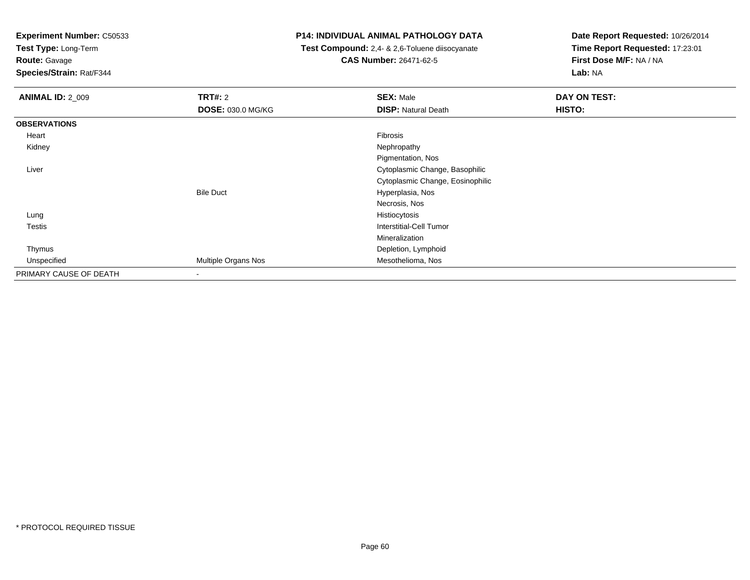**Test Type:** Long-Term

**Route:** Gavage

**Species/Strain:** Rat/F344

## **P14: INDIVIDUAL ANIMAL PATHOLOGY DATA**

 **Test Compound:** 2,4- & 2,6-Toluene diisocyanate**CAS Number:** 26471-62-5

| <b>ANIMAL ID: 2 009</b> | TRT#: 2                  | <b>SEX: Male</b>                 | DAY ON TEST: |
|-------------------------|--------------------------|----------------------------------|--------------|
|                         | DOSE: 030.0 MG/KG        | <b>DISP: Natural Death</b>       | HISTO:       |
| <b>OBSERVATIONS</b>     |                          |                                  |              |
| Heart                   |                          | Fibrosis                         |              |
| Kidney                  |                          | Nephropathy                      |              |
|                         |                          | Pigmentation, Nos                |              |
| Liver                   |                          | Cytoplasmic Change, Basophilic   |              |
|                         |                          | Cytoplasmic Change, Eosinophilic |              |
|                         | <b>Bile Duct</b>         | Hyperplasia, Nos                 |              |
|                         |                          | Necrosis, Nos                    |              |
| Lung                    |                          | Histiocytosis                    |              |
| Testis                  |                          | Interstitial-Cell Tumor          |              |
|                         |                          | Mineralization                   |              |
| Thymus                  |                          | Depletion, Lymphoid              |              |
| Unspecified             | Multiple Organs Nos      | Mesothelioma, Nos                |              |
| PRIMARY CAUSE OF DEATH  | $\overline{\phantom{a}}$ |                                  |              |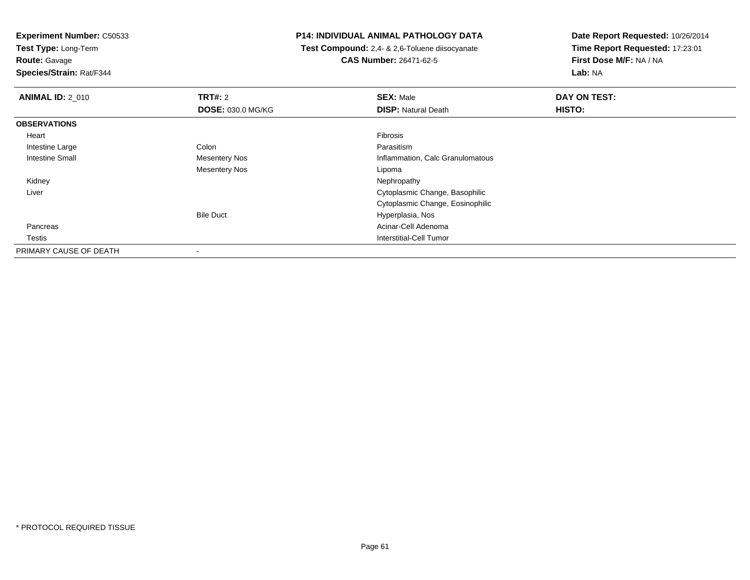**Test Type:** Long-Term

**Route:** Gavage

**Species/Strain:** Rat/F344

## **P14: INDIVIDUAL ANIMAL PATHOLOGY DATA**

 **Test Compound:** 2,4- & 2,6-Toluene diisocyanate**CAS Number:** 26471-62-5

| <b>ANIMAL ID: 2 010</b> | <b>TRT#: 2</b>           | <b>SEX: Male</b>                 | DAY ON TEST: |  |
|-------------------------|--------------------------|----------------------------------|--------------|--|
|                         | <b>DOSE: 030.0 MG/KG</b> | <b>DISP: Natural Death</b>       | HISTO:       |  |
| <b>OBSERVATIONS</b>     |                          |                                  |              |  |
| Heart                   |                          | Fibrosis                         |              |  |
| Intestine Large         | Colon                    | Parasitism                       |              |  |
| <b>Intestine Small</b>  | Mesentery Nos            | Inflammation, Calc Granulomatous |              |  |
|                         | Mesentery Nos            | Lipoma                           |              |  |
| Kidney                  |                          | Nephropathy                      |              |  |
| Liver                   |                          | Cytoplasmic Change, Basophilic   |              |  |
|                         |                          | Cytoplasmic Change, Eosinophilic |              |  |
|                         | <b>Bile Duct</b>         | Hyperplasia, Nos                 |              |  |
| Pancreas                |                          | Acinar-Cell Adenoma              |              |  |
| Testis                  |                          | Interstitial-Cell Tumor          |              |  |
| PRIMARY CAUSE OF DEATH  |                          |                                  |              |  |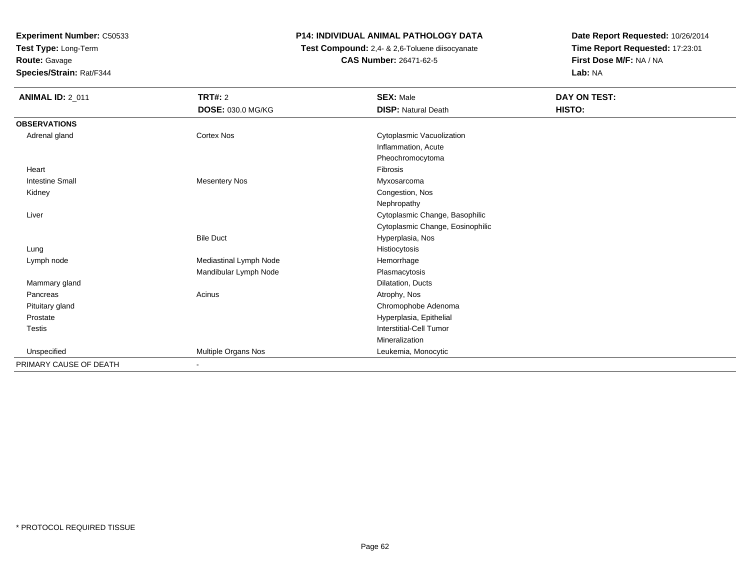**Test Type:** Long-Term

**Route:** Gavage

**Species/Strain:** Rat/F344

# **P14: INDIVIDUAL ANIMAL PATHOLOGY DATA**

 **Test Compound:** 2,4- & 2,6-Toluene diisocyanate**CAS Number:** 26471-62-5

| <b>ANIMAL ID: 2_011</b> | <b>TRT#: 2</b>           | <b>SEX: Male</b>                 | <b>DAY ON TEST:</b> |  |
|-------------------------|--------------------------|----------------------------------|---------------------|--|
|                         |                          |                                  | HISTO:              |  |
|                         | <b>DOSE: 030.0 MG/KG</b> | <b>DISP: Natural Death</b>       |                     |  |
| <b>OBSERVATIONS</b>     |                          |                                  |                     |  |
| Adrenal gland           | <b>Cortex Nos</b>        | Cytoplasmic Vacuolization        |                     |  |
|                         |                          | Inflammation, Acute              |                     |  |
|                         |                          | Pheochromocytoma                 |                     |  |
| Heart                   |                          | Fibrosis                         |                     |  |
| <b>Intestine Small</b>  | <b>Mesentery Nos</b>     | Myxosarcoma                      |                     |  |
| Kidney                  |                          | Congestion, Nos                  |                     |  |
|                         |                          | Nephropathy                      |                     |  |
| Liver                   |                          | Cytoplasmic Change, Basophilic   |                     |  |
|                         |                          | Cytoplasmic Change, Eosinophilic |                     |  |
|                         | <b>Bile Duct</b>         | Hyperplasia, Nos                 |                     |  |
| Lung                    |                          | Histiocytosis                    |                     |  |
| Lymph node              | Mediastinal Lymph Node   | Hemorrhage                       |                     |  |
|                         | Mandibular Lymph Node    | Plasmacytosis                    |                     |  |
| Mammary gland           |                          | Dilatation, Ducts                |                     |  |
| Pancreas                | Acinus                   | Atrophy, Nos                     |                     |  |
| Pituitary gland         |                          | Chromophobe Adenoma              |                     |  |
| Prostate                |                          | Hyperplasia, Epithelial          |                     |  |
| <b>Testis</b>           |                          | <b>Interstitial-Cell Tumor</b>   |                     |  |
|                         |                          | Mineralization                   |                     |  |
| Unspecified             | Multiple Organs Nos      | Leukemia, Monocytic              |                     |  |
| PRIMARY CAUSE OF DEATH  | $\blacksquare$           |                                  |                     |  |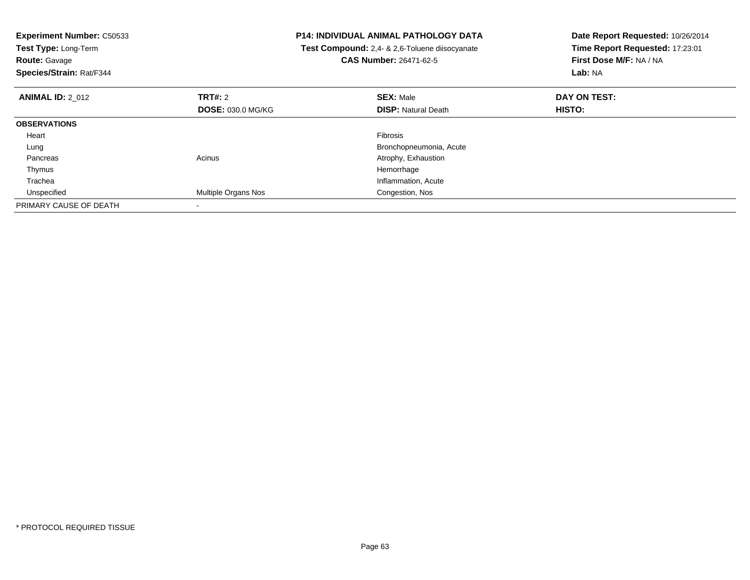| <b>Experiment Number: C50533</b><br>Test Type: Long-Term<br><b>Route: Gavage</b><br>Species/Strain: Rat/F344 | <b>P14: INDIVIDUAL ANIMAL PATHOLOGY DATA</b><br>Test Compound: 2,4- & 2,6-Toluene diisocyanate<br><b>CAS Number: 26471-62-5</b> |                            | Date Report Requested: 10/26/2014<br>Time Report Requested: 17:23:01<br>First Dose M/F: NA / NA<br>Lab: NA |
|--------------------------------------------------------------------------------------------------------------|---------------------------------------------------------------------------------------------------------------------------------|----------------------------|------------------------------------------------------------------------------------------------------------|
| <b>ANIMAL ID: 2 012</b>                                                                                      | <b>TRT#: 2</b>                                                                                                                  | <b>SEX: Male</b>           | DAY ON TEST:                                                                                               |
|                                                                                                              | <b>DOSE: 030.0 MG/KG</b>                                                                                                        | <b>DISP:</b> Natural Death | HISTO:                                                                                                     |
| <b>OBSERVATIONS</b>                                                                                          |                                                                                                                                 |                            |                                                                                                            |
| Heart                                                                                                        |                                                                                                                                 | Fibrosis                   |                                                                                                            |
| Lung                                                                                                         |                                                                                                                                 | Bronchopneumonia, Acute    |                                                                                                            |
| Pancreas                                                                                                     | Acinus                                                                                                                          | Atrophy, Exhaustion        |                                                                                                            |
| Thymus                                                                                                       |                                                                                                                                 | Hemorrhage                 |                                                                                                            |
| Trachea                                                                                                      |                                                                                                                                 | Inflammation, Acute        |                                                                                                            |
| Unspecified                                                                                                  | Multiple Organs Nos                                                                                                             | Congestion, Nos            |                                                                                                            |
| PRIMARY CAUSE OF DEATH                                                                                       |                                                                                                                                 |                            |                                                                                                            |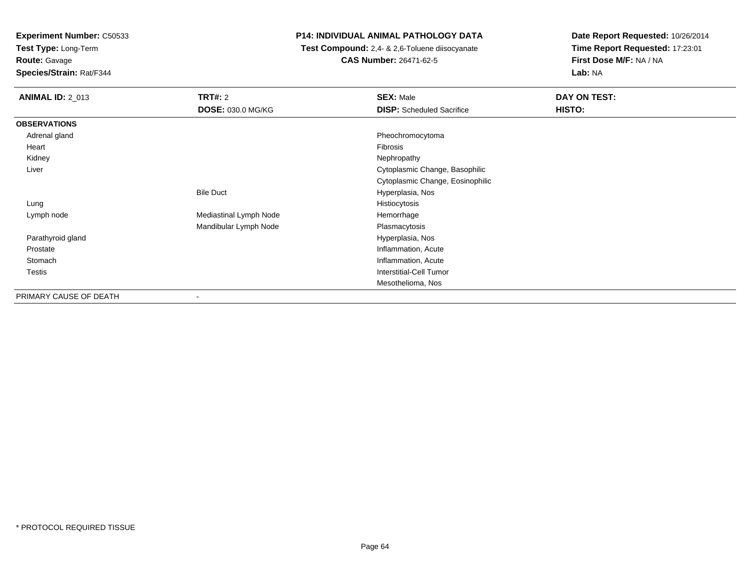**Test Type:** Long-Term**Route:** Gavage

**Species/Strain:** Rat/F344

## **P14: INDIVIDUAL ANIMAL PATHOLOGY DATA**

 **Test Compound:** 2,4- & 2,6-Toluene diisocyanate**CAS Number:** 26471-62-5

| <b>ANIMAL ID: 2 013</b> | TRT#: 2                  | <b>SEX: Male</b>                 | DAY ON TEST:  |
|-------------------------|--------------------------|----------------------------------|---------------|
|                         | <b>DOSE: 030.0 MG/KG</b> | <b>DISP:</b> Scheduled Sacrifice | <b>HISTO:</b> |
| <b>OBSERVATIONS</b>     |                          |                                  |               |
| Adrenal gland           |                          | Pheochromocytoma                 |               |
| Heart                   |                          | Fibrosis                         |               |
| Kidney                  |                          | Nephropathy                      |               |
| Liver                   |                          | Cytoplasmic Change, Basophilic   |               |
|                         |                          | Cytoplasmic Change, Eosinophilic |               |
|                         | <b>Bile Duct</b>         | Hyperplasia, Nos                 |               |
| Lung                    |                          | Histiocytosis                    |               |
| Lymph node              | Mediastinal Lymph Node   | Hemorrhage                       |               |
|                         | Mandibular Lymph Node    | Plasmacytosis                    |               |
| Parathyroid gland       |                          | Hyperplasia, Nos                 |               |
| Prostate                |                          | Inflammation, Acute              |               |
| Stomach                 |                          | Inflammation, Acute              |               |
| Testis                  |                          | <b>Interstitial-Cell Tumor</b>   |               |
|                         |                          | Mesothelioma, Nos                |               |
| PRIMARY CAUSE OF DEATH  | ۰                        |                                  |               |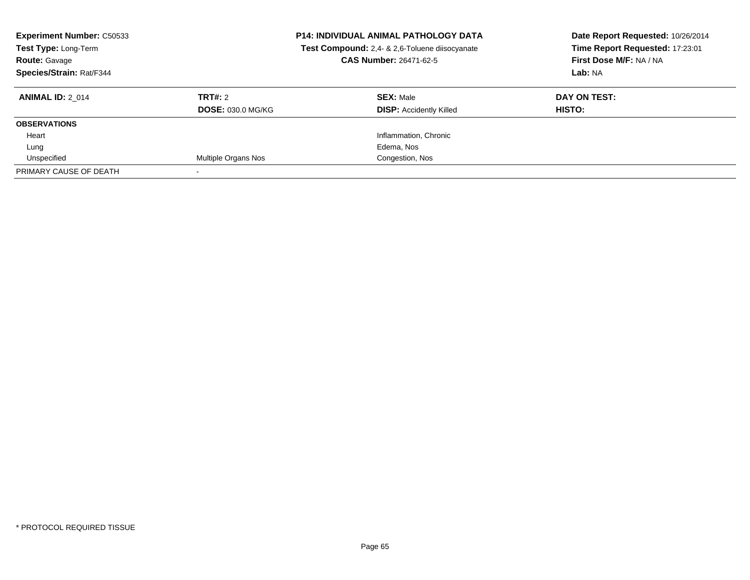| <b>Experiment Number: C50533</b><br>Test Type: Long-Term<br><b>Route: Gavage</b><br>Species/Strain: Rat/F344 | <b>P14: INDIVIDUAL ANIMAL PATHOLOGY DATA</b><br>Test Compound: 2,4- & 2,6-Toluene diisocyanate<br>CAS Number: 26471-62-5 |                                | Date Report Requested: 10/26/2014<br>Time Report Requested: 17:23:01<br>First Dose M/F: NA / NA<br>Lab: NA |
|--------------------------------------------------------------------------------------------------------------|--------------------------------------------------------------------------------------------------------------------------|--------------------------------|------------------------------------------------------------------------------------------------------------|
| <b>ANIMAL ID: 2 014</b>                                                                                      | TRT#: 2                                                                                                                  | <b>SEX: Male</b>               | DAY ON TEST:                                                                                               |
|                                                                                                              | <b>DOSE: 030.0 MG/KG</b>                                                                                                 | <b>DISP:</b> Accidently Killed | HISTO:                                                                                                     |
| <b>OBSERVATIONS</b>                                                                                          |                                                                                                                          |                                |                                                                                                            |
| Heart                                                                                                        |                                                                                                                          | Inflammation, Chronic          |                                                                                                            |
| Lung                                                                                                         |                                                                                                                          | Edema, Nos                     |                                                                                                            |
| Unspecified                                                                                                  | Multiple Organs Nos                                                                                                      | Congestion, Nos                |                                                                                                            |
| PRIMARY CAUSE OF DEATH                                                                                       |                                                                                                                          |                                |                                                                                                            |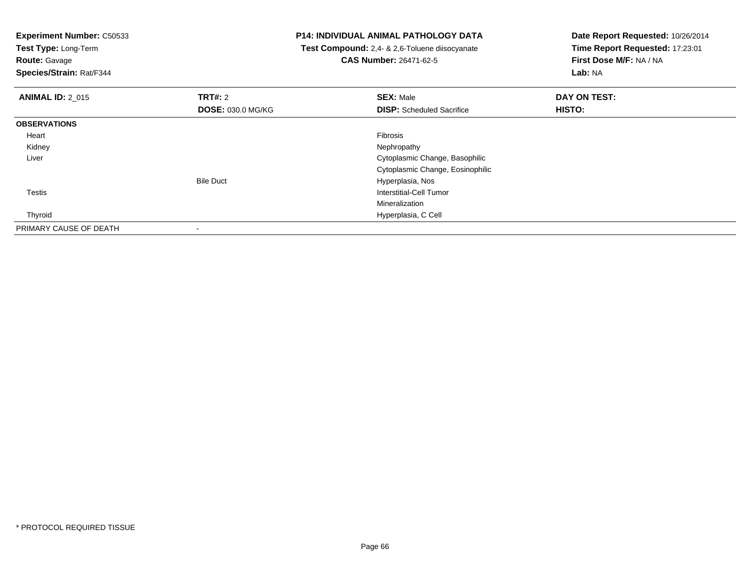**Experiment Number:** C50533**Test Type:** Long-Term**Route:** Gavage **Species/Strain:** Rat/F344**P14: INDIVIDUAL ANIMAL PATHOLOGY DATA Test Compound:** 2,4- & 2,6-Toluene diisocyanate**CAS Number:** 26471-62-5**Date Report Requested:** 10/26/2014**Time Report Requested:** 17:23:01**First Dose M/F:** NA / NA**Lab:** NA**ANIMAL ID:** 2\_015 **TRT#:** <sup>2</sup> **SEX:** Male **DAY ON TEST: DOSE:** 030.0 MG/KG**DISP:** Scheduled Sacrifice **HISTO: OBSERVATIONS** Heartt de la constitución de la constitución de la constitución de la constitución de la constitución de la constitución Nephropathy Kidneyy the control of the control of the control of the control of the control of the control of the control of the control of the control of the control of the control of the control of the control of the control of the contro Liver Cytoplasmic Change, Basophilic Cytoplasmic Change, EosinophilicBile Duct Hyperplasia, Nos**Interstitial-Cell Tumor**  TestisMineralization Hyperplasia, C Cell ThyroidPRIMARY CAUSE OF DEATH-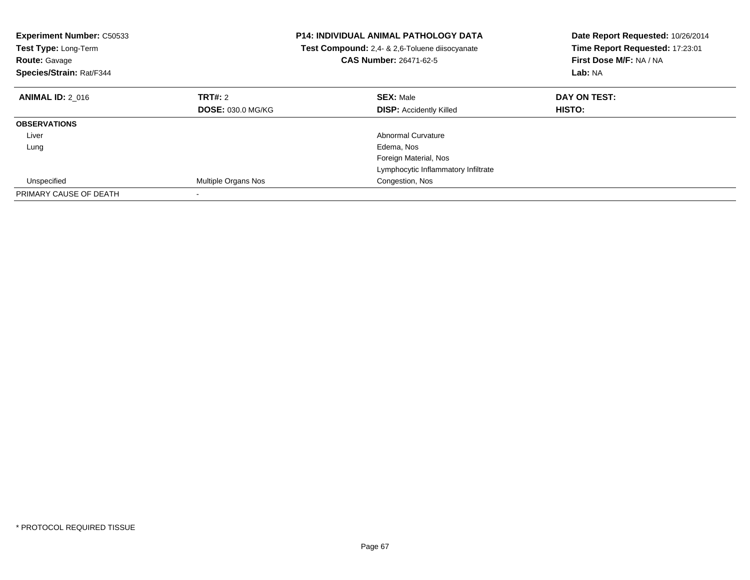| <b>Experiment Number: C50533</b><br>Test Type: Long-Term<br><b>Route: Gavage</b><br>Species/Strain: Rat/F344 | <b>P14: INDIVIDUAL ANIMAL PATHOLOGY DATA</b><br>Test Compound: 2,4- & 2,6-Toluene diisocyanate<br><b>CAS Number: 26471-62-5</b> |                                     | Date Report Requested: 10/26/2014<br>Time Report Requested: 17:23:01<br>First Dose M/F: NA / NA<br>Lab: NA |
|--------------------------------------------------------------------------------------------------------------|---------------------------------------------------------------------------------------------------------------------------------|-------------------------------------|------------------------------------------------------------------------------------------------------------|
| <b>ANIMAL ID: 2 016</b>                                                                                      | TRT#: 2                                                                                                                         | <b>SEX: Male</b>                    | DAY ON TEST:                                                                                               |
|                                                                                                              | <b>DOSE: 030.0 MG/KG</b>                                                                                                        | <b>DISP:</b> Accidently Killed      | HISTO:                                                                                                     |
| <b>OBSERVATIONS</b>                                                                                          |                                                                                                                                 |                                     |                                                                                                            |
| Liver                                                                                                        |                                                                                                                                 | Abnormal Curvature                  |                                                                                                            |
| Lung                                                                                                         |                                                                                                                                 | Edema, Nos                          |                                                                                                            |
|                                                                                                              |                                                                                                                                 | Foreign Material, Nos               |                                                                                                            |
|                                                                                                              |                                                                                                                                 | Lymphocytic Inflammatory Infiltrate |                                                                                                            |
| Unspecified                                                                                                  | Multiple Organs Nos                                                                                                             | Congestion, Nos                     |                                                                                                            |
| PRIMARY CAUSE OF DEATH                                                                                       |                                                                                                                                 |                                     |                                                                                                            |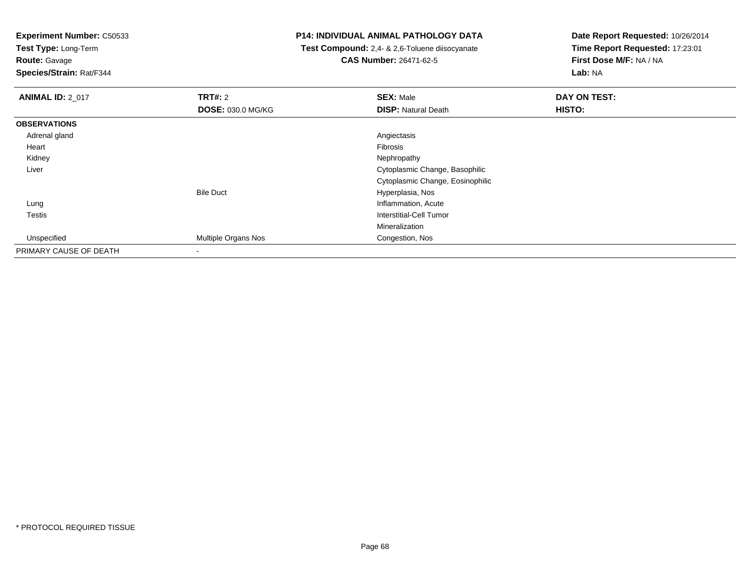**Test Type:** Long-Term

**Route:** Gavage

**Species/Strain:** Rat/F344

## **P14: INDIVIDUAL ANIMAL PATHOLOGY DATA**

 **Test Compound:** 2,4- & 2,6-Toluene diisocyanate**CAS Number:** 26471-62-5

| <b>ANIMAL ID: 2_017</b> | <b>TRT#: 2</b>           | <b>SEX: Male</b>                 | DAY ON TEST: |
|-------------------------|--------------------------|----------------------------------|--------------|
|                         | <b>DOSE: 030.0 MG/KG</b> | <b>DISP: Natural Death</b>       | HISTO:       |
| <b>OBSERVATIONS</b>     |                          |                                  |              |
| Adrenal gland           |                          | Angiectasis                      |              |
| Heart                   |                          | Fibrosis                         |              |
| Kidney                  |                          | Nephropathy                      |              |
| Liver                   |                          | Cytoplasmic Change, Basophilic   |              |
|                         |                          | Cytoplasmic Change, Eosinophilic |              |
|                         | <b>Bile Duct</b>         | Hyperplasia, Nos                 |              |
| Lung                    |                          | Inflammation, Acute              |              |
| Testis                  |                          | Interstitial-Cell Tumor          |              |
|                         |                          | Mineralization                   |              |
| Unspecified             | Multiple Organs Nos      | Congestion, Nos                  |              |
| PRIMARY CAUSE OF DEATH  | ۰                        |                                  |              |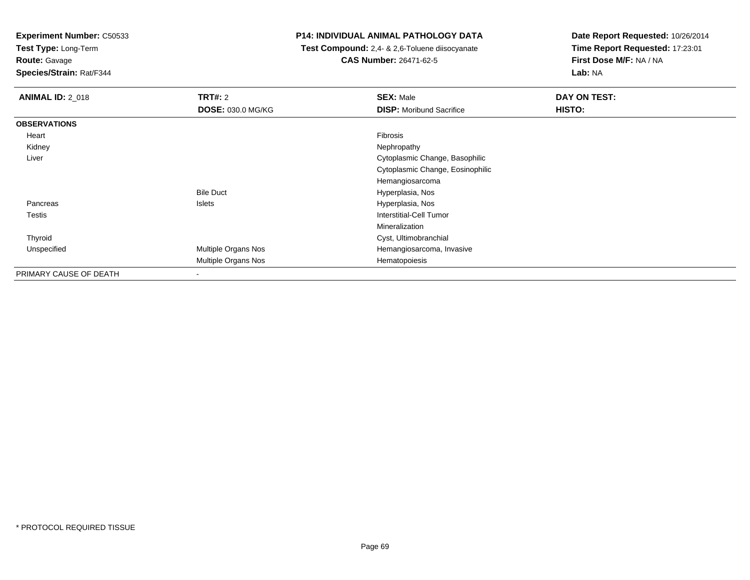**Test Type:** Long-Term

**Route:** Gavage

**Species/Strain:** Rat/F344

## **P14: INDIVIDUAL ANIMAL PATHOLOGY DATA**

 **Test Compound:** 2,4- & 2,6-Toluene diisocyanate**CAS Number:** 26471-62-5

| <b>ANIMAL ID: 2 018</b> | <b>TRT#: 2</b><br>DOSE: 030.0 MG/KG | <b>SEX: Male</b><br><b>DISP:</b> Moribund Sacrifice | DAY ON TEST:<br>HISTO: |
|-------------------------|-------------------------------------|-----------------------------------------------------|------------------------|
|                         |                                     |                                                     |                        |
| <b>OBSERVATIONS</b>     |                                     |                                                     |                        |
| Heart                   |                                     | Fibrosis                                            |                        |
| Kidney                  |                                     | Nephropathy                                         |                        |
| Liver                   |                                     | Cytoplasmic Change, Basophilic                      |                        |
|                         |                                     | Cytoplasmic Change, Eosinophilic                    |                        |
|                         |                                     | Hemangiosarcoma                                     |                        |
|                         | <b>Bile Duct</b>                    | Hyperplasia, Nos                                    |                        |
| Pancreas                | <b>Islets</b>                       | Hyperplasia, Nos                                    |                        |
| <b>Testis</b>           |                                     | Interstitial-Cell Tumor                             |                        |
|                         |                                     | Mineralization                                      |                        |
| Thyroid                 |                                     | Cyst, Ultimobranchial                               |                        |
| Unspecified             | Multiple Organs Nos                 | Hemangiosarcoma, Invasive                           |                        |
|                         | Multiple Organs Nos                 | Hematopoiesis                                       |                        |
| PRIMARY CAUSE OF DEATH  |                                     |                                                     |                        |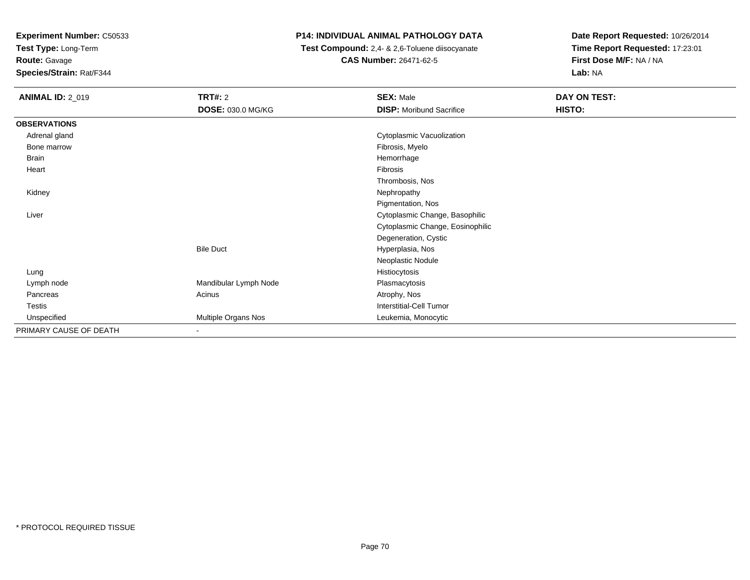**Test Type:** Long-Term

**Route:** Gavage

**Species/Strain:** Rat/F344

# **P14: INDIVIDUAL ANIMAL PATHOLOGY DATA**

 **Test Compound:** 2,4- & 2,6-Toluene diisocyanate**CAS Number:** 26471-62-5

| <b>ANIMAL ID: 2_019</b> | TRT#: 2               | <b>SEX: Male</b>                 | DAY ON TEST: |
|-------------------------|-----------------------|----------------------------------|--------------|
|                         | DOSE: 030.0 MG/KG     | <b>DISP:</b> Moribund Sacrifice  | HISTO:       |
| <b>OBSERVATIONS</b>     |                       |                                  |              |
| Adrenal gland           |                       | Cytoplasmic Vacuolization        |              |
| Bone marrow             |                       | Fibrosis, Myelo                  |              |
| <b>Brain</b>            |                       | Hemorrhage                       |              |
| Heart                   |                       | Fibrosis                         |              |
|                         |                       | Thrombosis, Nos                  |              |
| Kidney                  |                       | Nephropathy                      |              |
|                         |                       | Pigmentation, Nos                |              |
| Liver                   |                       | Cytoplasmic Change, Basophilic   |              |
|                         |                       | Cytoplasmic Change, Eosinophilic |              |
|                         |                       | Degeneration, Cystic             |              |
|                         | <b>Bile Duct</b>      | Hyperplasia, Nos                 |              |
|                         |                       | Neoplastic Nodule                |              |
| Lung                    |                       | Histiocytosis                    |              |
| Lymph node              | Mandibular Lymph Node | Plasmacytosis                    |              |
| Pancreas                | Acinus                | Atrophy, Nos                     |              |
| Testis                  |                       | <b>Interstitial-Cell Tumor</b>   |              |
| Unspecified             | Multiple Organs Nos   | Leukemia, Monocytic              |              |
| PRIMARY CAUSE OF DEATH  |                       |                                  |              |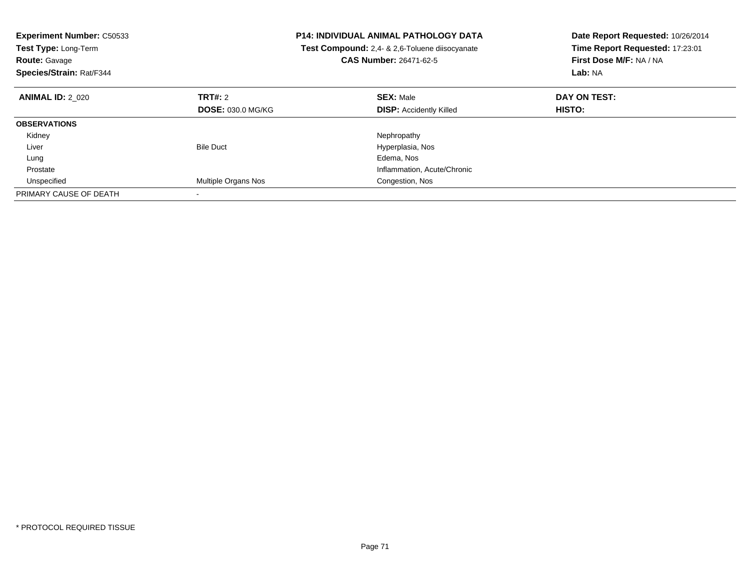| <b>Experiment Number: C50533</b><br>Test Type: Long-Term<br><b>CAS Number: 26471-62-5</b><br><b>Route: Gavage</b><br>Species/Strain: Rat/F344 |                            | <b>P14: INDIVIDUAL ANIMAL PATHOLOGY DATA</b><br>Test Compound: 2,4- & 2,6-Toluene diisocyanate | Date Report Requested: 10/26/2014<br>Time Report Requested: 17:23:01<br>First Dose M/F: NA / NA<br>Lab: NA |
|-----------------------------------------------------------------------------------------------------------------------------------------------|----------------------------|------------------------------------------------------------------------------------------------|------------------------------------------------------------------------------------------------------------|
| <b>ANIMAL ID: 2 020</b>                                                                                                                       | TRT#: 2                    | <b>SEX: Male</b>                                                                               | DAY ON TEST:                                                                                               |
|                                                                                                                                               | <b>DOSE: 030.0 MG/KG</b>   | <b>DISP:</b> Accidently Killed                                                                 | <b>HISTO:</b>                                                                                              |
| <b>OBSERVATIONS</b>                                                                                                                           |                            |                                                                                                |                                                                                                            |
| Kidney                                                                                                                                        |                            | Nephropathy                                                                                    |                                                                                                            |
| Liver                                                                                                                                         | <b>Bile Duct</b>           | Hyperplasia, Nos                                                                               |                                                                                                            |
| Lung                                                                                                                                          |                            | Edema, Nos                                                                                     |                                                                                                            |
| Prostate                                                                                                                                      |                            | Inflammation, Acute/Chronic                                                                    |                                                                                                            |
| Unspecified                                                                                                                                   | <b>Multiple Organs Nos</b> | Congestion, Nos                                                                                |                                                                                                            |
| PRIMARY CAUSE OF DEATH                                                                                                                        |                            |                                                                                                |                                                                                                            |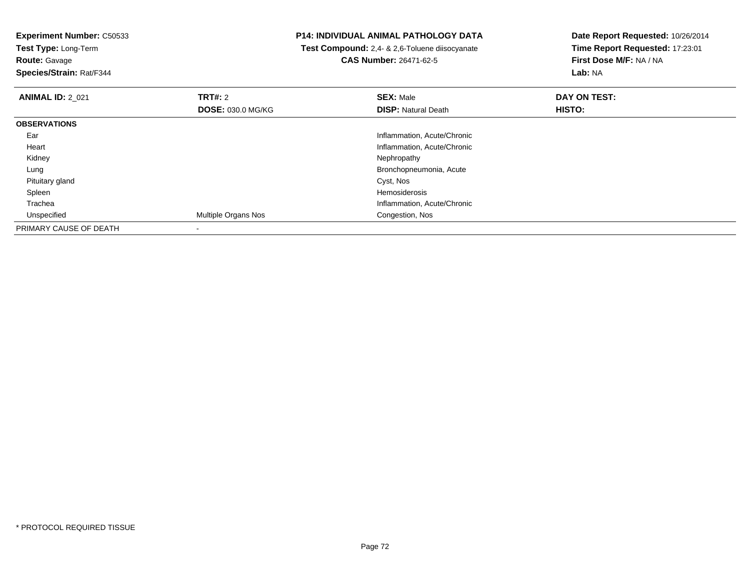**Test Type:** Long-Term**Route:** Gavage

**Species/Strain:** Rat/F344

## **P14: INDIVIDUAL ANIMAL PATHOLOGY DATA**

 **Test Compound:** 2,4- & 2,6-Toluene diisocyanate**CAS Number:** 26471-62-5

| <b>ANIMAL ID: 2 021</b> | TRT#: 2                  | <b>SEX: Male</b>            | DAY ON TEST: |  |
|-------------------------|--------------------------|-----------------------------|--------------|--|
|                         | <b>DOSE: 030.0 MG/KG</b> | <b>DISP:</b> Natural Death  | HISTO:       |  |
| <b>OBSERVATIONS</b>     |                          |                             |              |  |
| Ear                     |                          | Inflammation, Acute/Chronic |              |  |
| Heart                   |                          | Inflammation, Acute/Chronic |              |  |
| Kidney                  |                          | Nephropathy                 |              |  |
| Lung                    |                          | Bronchopneumonia, Acute     |              |  |
| Pituitary gland         |                          | Cyst, Nos                   |              |  |
| Spleen                  |                          | Hemosiderosis               |              |  |
| Trachea                 |                          | Inflammation, Acute/Chronic |              |  |
| Unspecified             | Multiple Organs Nos      | Congestion, Nos             |              |  |
| PRIMARY CAUSE OF DEATH  |                          |                             |              |  |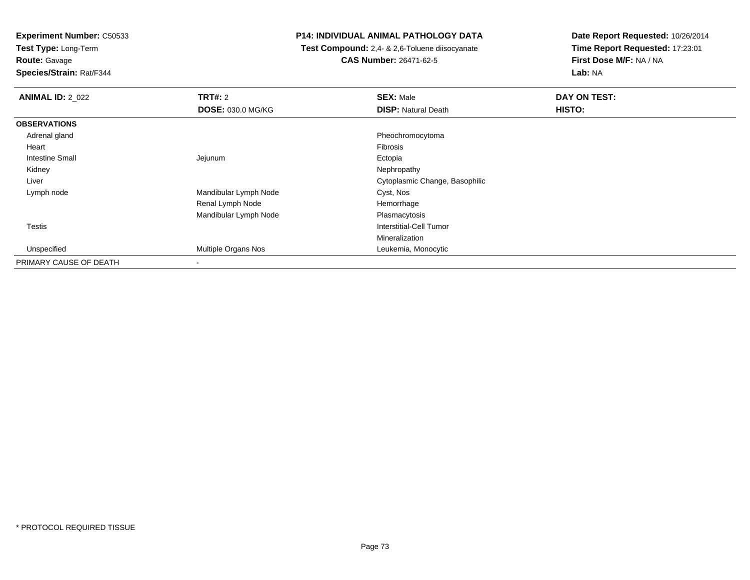**Test Type:** Long-Term**Route:** Gavage

**Species/Strain:** Rat/F344

## **P14: INDIVIDUAL ANIMAL PATHOLOGY DATA**

 **Test Compound:** 2,4- & 2,6-Toluene diisocyanate**CAS Number:** 26471-62-5

| <b>ANIMAL ID: 2_022</b> | <b>TRT#: 2</b>           | <b>SEX: Male</b>               | DAY ON TEST: |  |
|-------------------------|--------------------------|--------------------------------|--------------|--|
|                         | <b>DOSE: 030.0 MG/KG</b> | <b>DISP: Natural Death</b>     | HISTO:       |  |
| <b>OBSERVATIONS</b>     |                          |                                |              |  |
| Adrenal gland           |                          | Pheochromocytoma               |              |  |
| Heart                   |                          | Fibrosis                       |              |  |
| <b>Intestine Small</b>  | Jejunum                  | Ectopia                        |              |  |
| Kidney                  |                          | Nephropathy                    |              |  |
| Liver                   |                          | Cytoplasmic Change, Basophilic |              |  |
| Lymph node              | Mandibular Lymph Node    | Cyst, Nos                      |              |  |
|                         | Renal Lymph Node         | Hemorrhage                     |              |  |
|                         | Mandibular Lymph Node    | Plasmacytosis                  |              |  |
| <b>Testis</b>           |                          | Interstitial-Cell Tumor        |              |  |
|                         |                          | Mineralization                 |              |  |
| Unspecified             | Multiple Organs Nos      | Leukemia, Monocytic            |              |  |
| PRIMARY CAUSE OF DEATH  | $\blacksquare$           |                                |              |  |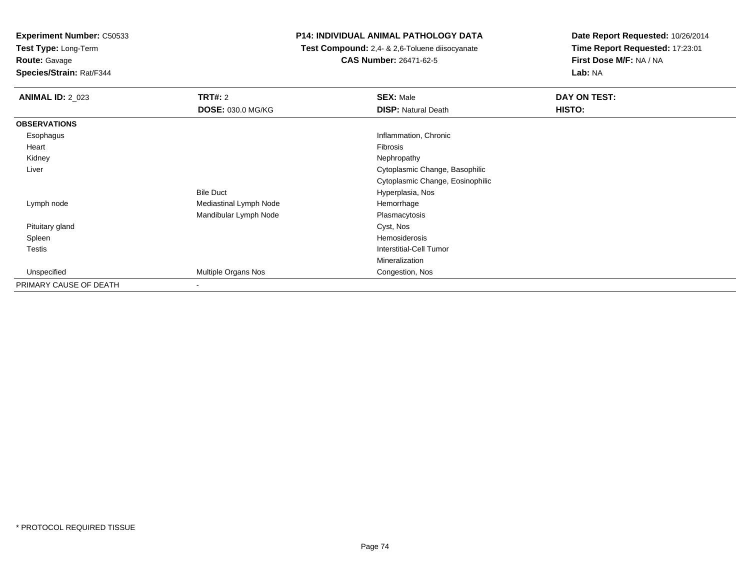**Test Type:** Long-Term**Route:** Gavage

**Species/Strain:** Rat/F344

# **P14: INDIVIDUAL ANIMAL PATHOLOGY DATA**

 **Test Compound:** 2,4- & 2,6-Toluene diisocyanate**CAS Number:** 26471-62-5

| <b>ANIMAL ID: 2_023</b> | <b>TRT#: 2</b><br><b>DOSE: 030.0 MG/KG</b> | <b>SEX: Male</b><br><b>DISP: Natural Death</b> | DAY ON TEST:<br>HISTO: |
|-------------------------|--------------------------------------------|------------------------------------------------|------------------------|
| <b>OBSERVATIONS</b>     |                                            |                                                |                        |
| Esophagus               |                                            | Inflammation, Chronic                          |                        |
| Heart                   |                                            | Fibrosis                                       |                        |
| Kidney                  |                                            | Nephropathy                                    |                        |
| Liver                   |                                            | Cytoplasmic Change, Basophilic                 |                        |
|                         |                                            | Cytoplasmic Change, Eosinophilic               |                        |
|                         | <b>Bile Duct</b>                           | Hyperplasia, Nos                               |                        |
| Lymph node              | Mediastinal Lymph Node                     | Hemorrhage                                     |                        |
|                         | Mandibular Lymph Node                      | Plasmacytosis                                  |                        |
| Pituitary gland         |                                            | Cyst, Nos                                      |                        |
| Spleen                  |                                            | Hemosiderosis                                  |                        |
| Testis                  |                                            | <b>Interstitial-Cell Tumor</b>                 |                        |
|                         |                                            | <b>Mineralization</b>                          |                        |
| Unspecified             | Multiple Organs Nos                        | Congestion, Nos                                |                        |
| PRIMARY CAUSE OF DEATH  | ۰                                          |                                                |                        |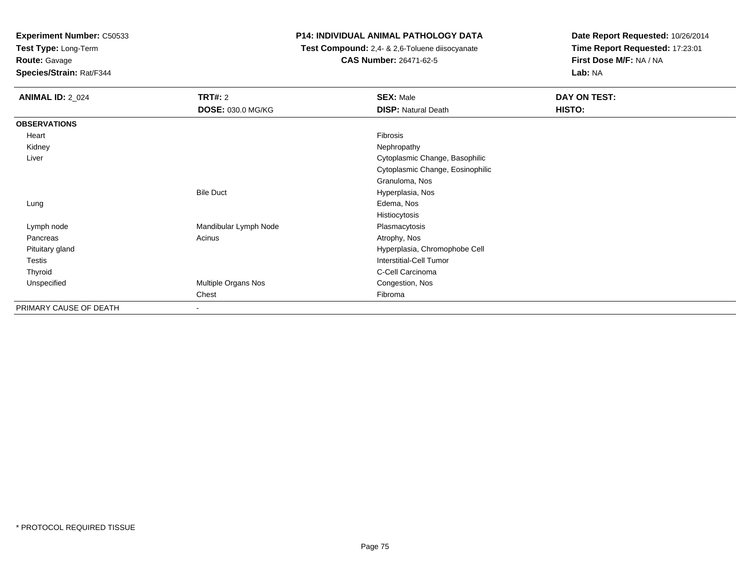**Test Type:** Long-Term

**Route:** Gavage

**Species/Strain:** Rat/F344

# **P14: INDIVIDUAL ANIMAL PATHOLOGY DATA**

 **Test Compound:** 2,4- & 2,6-Toluene diisocyanate**CAS Number:** 26471-62-5

| <b>ANIMAL ID: 2_024</b> | <b>TRT#: 2</b>           | <b>SEX: Male</b>                 | DAY ON TEST: |  |
|-------------------------|--------------------------|----------------------------------|--------------|--|
|                         | <b>DOSE: 030.0 MG/KG</b> | <b>DISP: Natural Death</b>       | HISTO:       |  |
| <b>OBSERVATIONS</b>     |                          |                                  |              |  |
| Heart                   |                          | Fibrosis                         |              |  |
| Kidney                  |                          | Nephropathy                      |              |  |
| Liver                   |                          | Cytoplasmic Change, Basophilic   |              |  |
|                         |                          | Cytoplasmic Change, Eosinophilic |              |  |
|                         |                          | Granuloma, Nos                   |              |  |
|                         | <b>Bile Duct</b>         | Hyperplasia, Nos                 |              |  |
| Lung                    |                          | Edema, Nos                       |              |  |
|                         |                          | Histiocytosis                    |              |  |
| Lymph node              | Mandibular Lymph Node    | Plasmacytosis                    |              |  |
| Pancreas                | Acinus                   | Atrophy, Nos                     |              |  |
| Pituitary gland         |                          | Hyperplasia, Chromophobe Cell    |              |  |
| <b>Testis</b>           |                          | Interstitial-Cell Tumor          |              |  |
| Thyroid                 |                          | C-Cell Carcinoma                 |              |  |
| Unspecified             | Multiple Organs Nos      | Congestion, Nos                  |              |  |
|                         | Chest                    | Fibroma                          |              |  |
| PRIMARY CAUSE OF DEATH  |                          |                                  |              |  |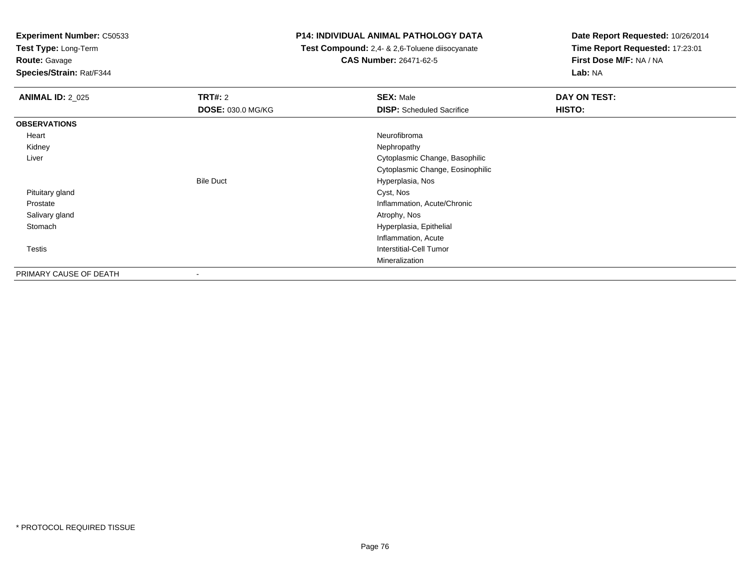**Test Type:** Long-Term

**Route:** Gavage

**Species/Strain:** Rat/F344

## **P14: INDIVIDUAL ANIMAL PATHOLOGY DATA**

 **Test Compound:** 2,4- & 2,6-Toluene diisocyanate**CAS Number:** 26471-62-5

| <b>ANIMAL ID: 2_025</b> | <b>TRT#: 2</b><br><b>DOSE: 030.0 MG/KG</b> | <b>SEX: Male</b><br><b>DISP:</b> Scheduled Sacrifice | DAY ON TEST:<br>HISTO: |
|-------------------------|--------------------------------------------|------------------------------------------------------|------------------------|
| <b>OBSERVATIONS</b>     |                                            |                                                      |                        |
| Heart                   |                                            | Neurofibroma                                         |                        |
| Kidney                  |                                            | Nephropathy                                          |                        |
| Liver                   |                                            | Cytoplasmic Change, Basophilic                       |                        |
|                         |                                            | Cytoplasmic Change, Eosinophilic                     |                        |
|                         | <b>Bile Duct</b>                           | Hyperplasia, Nos                                     |                        |
| Pituitary gland         |                                            | Cyst, Nos                                            |                        |
| Prostate                |                                            | Inflammation, Acute/Chronic                          |                        |
| Salivary gland          |                                            | Atrophy, Nos                                         |                        |
| Stomach                 |                                            | Hyperplasia, Epithelial                              |                        |
|                         |                                            | Inflammation, Acute                                  |                        |
| Testis                  |                                            | Interstitial-Cell Tumor                              |                        |
|                         |                                            | Mineralization                                       |                        |
| PRIMARY CAUSE OF DEATH  | $\,$                                       |                                                      |                        |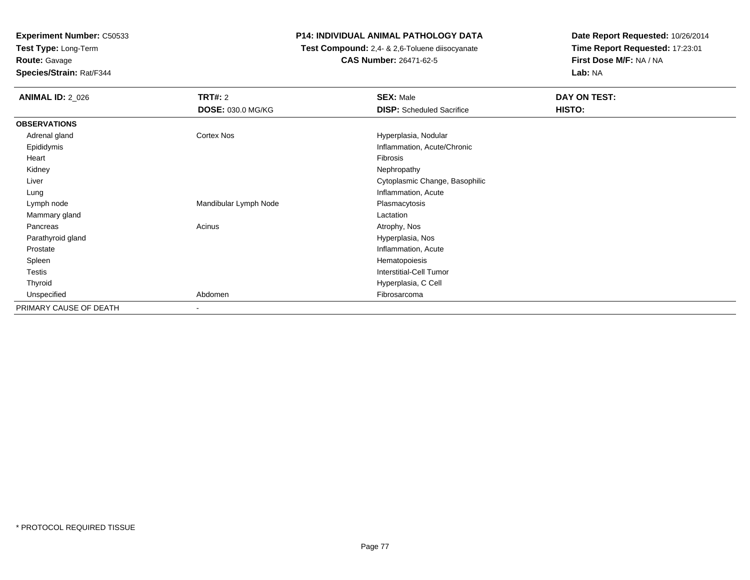**Test Type:** Long-Term**Route:** Gavage

**Species/Strain:** Rat/F344

# **P14: INDIVIDUAL ANIMAL PATHOLOGY DATA**

 **Test Compound:** 2,4- & 2,6-Toluene diisocyanate**CAS Number:** 26471-62-5

| <b>ANIMAL ID: 2_026</b> | <b>TRT#: 2</b>           | <b>SEX: Male</b>                 | DAY ON TEST: |  |
|-------------------------|--------------------------|----------------------------------|--------------|--|
|                         | <b>DOSE: 030.0 MG/KG</b> | <b>DISP:</b> Scheduled Sacrifice | HISTO:       |  |
| <b>OBSERVATIONS</b>     |                          |                                  |              |  |
| Adrenal gland           | <b>Cortex Nos</b>        | Hyperplasia, Nodular             |              |  |
| Epididymis              |                          | Inflammation, Acute/Chronic      |              |  |
| Heart                   |                          | Fibrosis                         |              |  |
| Kidney                  |                          | Nephropathy                      |              |  |
| Liver                   |                          | Cytoplasmic Change, Basophilic   |              |  |
| Lung                    |                          | Inflammation, Acute              |              |  |
| Lymph node              | Mandibular Lymph Node    | Plasmacytosis                    |              |  |
| Mammary gland           |                          | Lactation                        |              |  |
| Pancreas                | Acinus                   | Atrophy, Nos                     |              |  |
| Parathyroid gland       |                          | Hyperplasia, Nos                 |              |  |
| Prostate                |                          | Inflammation, Acute              |              |  |
| Spleen                  |                          | Hematopoiesis                    |              |  |
| Testis                  |                          | Interstitial-Cell Tumor          |              |  |
| Thyroid                 |                          | Hyperplasia, C Cell              |              |  |
| Unspecified             | Abdomen                  | Fibrosarcoma                     |              |  |
| PRIMARY CAUSE OF DEATH  |                          |                                  |              |  |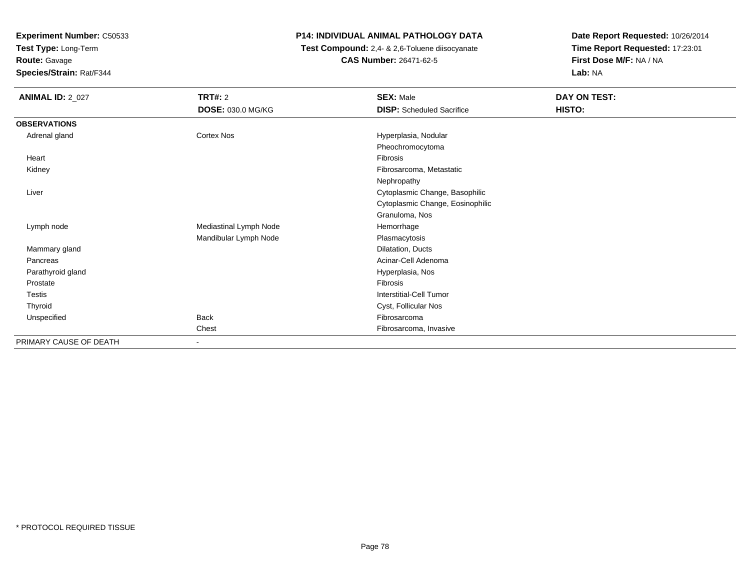**Test Type:** Long-Term

**Route:** Gavage

**Species/Strain:** Rat/F344

## **P14: INDIVIDUAL ANIMAL PATHOLOGY DATA**

 **Test Compound:** 2,4- & 2,6-Toluene diisocyanate**CAS Number:** 26471-62-5

| <b>ANIMAL ID: 2_027</b> | <b>TRT#: 2</b><br>DOSE: 030.0 MG/KG | <b>SEX: Male</b><br><b>DISP:</b> Scheduled Sacrifice | DAY ON TEST:<br>HISTO: |
|-------------------------|-------------------------------------|------------------------------------------------------|------------------------|
| <b>OBSERVATIONS</b>     |                                     |                                                      |                        |
| Adrenal gland           | Cortex Nos                          | Hyperplasia, Nodular                                 |                        |
|                         |                                     | Pheochromocytoma                                     |                        |
| Heart                   |                                     | <b>Fibrosis</b>                                      |                        |
| Kidney                  |                                     | Fibrosarcoma, Metastatic                             |                        |
|                         |                                     | Nephropathy                                          |                        |
| Liver                   |                                     | Cytoplasmic Change, Basophilic                       |                        |
|                         |                                     | Cytoplasmic Change, Eosinophilic                     |                        |
|                         |                                     | Granuloma, Nos                                       |                        |
| Lymph node              | Mediastinal Lymph Node              | Hemorrhage                                           |                        |
|                         | Mandibular Lymph Node               | Plasmacytosis                                        |                        |
| Mammary gland           |                                     | Dilatation, Ducts                                    |                        |
| Pancreas                |                                     | Acinar-Cell Adenoma                                  |                        |
| Parathyroid gland       |                                     | Hyperplasia, Nos                                     |                        |
| Prostate                |                                     | Fibrosis                                             |                        |
| Testis                  |                                     | <b>Interstitial-Cell Tumor</b>                       |                        |
| Thyroid                 |                                     | Cyst, Follicular Nos                                 |                        |
| Unspecified             | <b>Back</b>                         | Fibrosarcoma                                         |                        |
|                         | Chest                               | Fibrosarcoma, Invasive                               |                        |
| PRIMARY CAUSE OF DEATH  | $\sim$                              |                                                      |                        |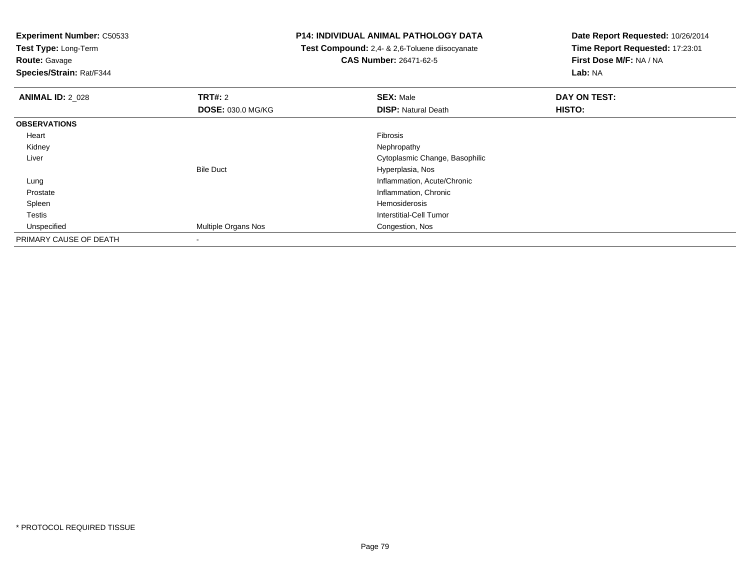**Test Type:** Long-Term

**Route:** Gavage

**Species/Strain:** Rat/F344

## **P14: INDIVIDUAL ANIMAL PATHOLOGY DATA**

 **Test Compound:** 2,4- & 2,6-Toluene diisocyanate**CAS Number:** 26471-62-5

| <b>ANIMAL ID: 2 028</b> | TRT#: 2                  | <b>SEX: Male</b>               | DAY ON TEST: |  |
|-------------------------|--------------------------|--------------------------------|--------------|--|
|                         | <b>DOSE: 030.0 MG/KG</b> | <b>DISP: Natural Death</b>     | HISTO:       |  |
| <b>OBSERVATIONS</b>     |                          |                                |              |  |
| Heart                   |                          | <b>Fibrosis</b>                |              |  |
| Kidney                  |                          | Nephropathy                    |              |  |
| Liver                   |                          | Cytoplasmic Change, Basophilic |              |  |
|                         | <b>Bile Duct</b>         | Hyperplasia, Nos               |              |  |
| Lung                    |                          | Inflammation, Acute/Chronic    |              |  |
| Prostate                |                          | Inflammation, Chronic          |              |  |
| Spleen                  |                          | Hemosiderosis                  |              |  |
| Testis                  |                          | Interstitial-Cell Tumor        |              |  |
| Unspecified             | Multiple Organs Nos      | Congestion, Nos                |              |  |
| PRIMARY CAUSE OF DEATH  |                          |                                |              |  |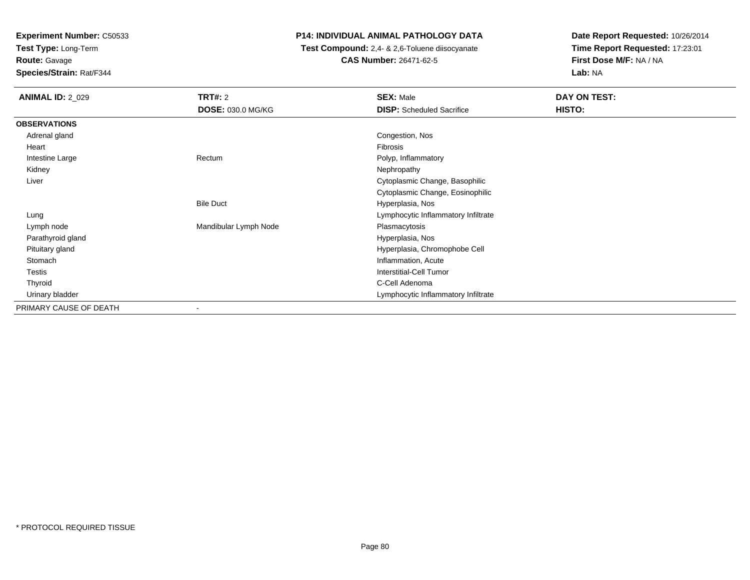**Test Type:** Long-Term**Route:** Gavage

**Species/Strain:** Rat/F344

# **P14: INDIVIDUAL ANIMAL PATHOLOGY DATA**

 **Test Compound:** 2,4- & 2,6-Toluene diisocyanate**CAS Number:** 26471-62-5

| <b>ANIMAL ID: 2 029</b> | TRT#: 2               | <b>SEX: Male</b>                    | DAY ON TEST: |
|-------------------------|-----------------------|-------------------------------------|--------------|
|                         | DOSE: 030.0 MG/KG     | <b>DISP:</b> Scheduled Sacrifice    | HISTO:       |
| <b>OBSERVATIONS</b>     |                       |                                     |              |
| Adrenal gland           |                       | Congestion, Nos                     |              |
| Heart                   |                       | Fibrosis                            |              |
| Intestine Large         | Rectum                | Polyp, Inflammatory                 |              |
| Kidney                  |                       | Nephropathy                         |              |
| Liver                   |                       | Cytoplasmic Change, Basophilic      |              |
|                         |                       | Cytoplasmic Change, Eosinophilic    |              |
|                         | <b>Bile Duct</b>      | Hyperplasia, Nos                    |              |
| Lung                    |                       | Lymphocytic Inflammatory Infiltrate |              |
| Lymph node              | Mandibular Lymph Node | Plasmacytosis                       |              |
| Parathyroid gland       |                       | Hyperplasia, Nos                    |              |
| Pituitary gland         |                       | Hyperplasia, Chromophobe Cell       |              |
| Stomach                 |                       | Inflammation, Acute                 |              |
| Testis                  |                       | Interstitial-Cell Tumor             |              |
| Thyroid                 |                       | C-Cell Adenoma                      |              |
| Urinary bladder         |                       | Lymphocytic Inflammatory Infiltrate |              |
| PRIMARY CAUSE OF DEATH  | $\blacksquare$        |                                     |              |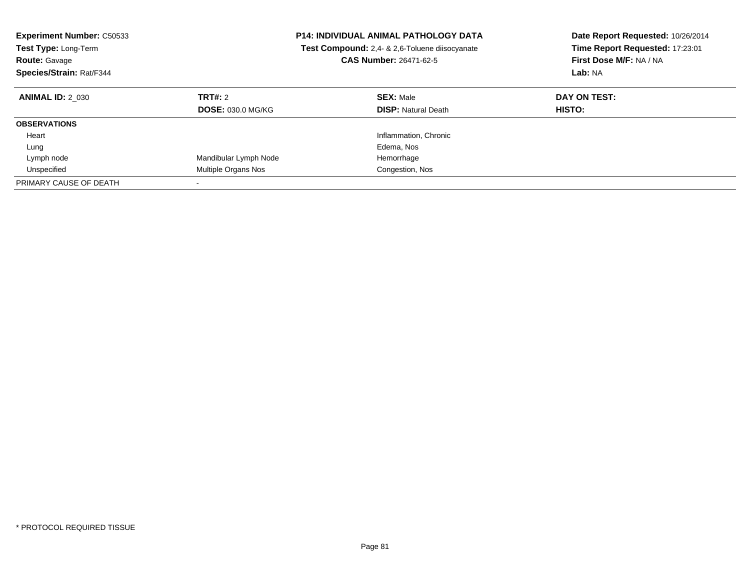| <b>Experiment Number: C50533</b><br><b>Test Type: Long-Term</b><br><b>Route: Gavage</b><br>Species/Strain: Rat/F344 |                                            | <b>P14: INDIVIDUAL ANIMAL PATHOLOGY DATA</b><br>Test Compound: 2,4- & 2,6-Toluene diisocyanate<br><b>CAS Number: 26471-62-5</b> | Date Report Requested: 10/26/2014<br>Time Report Requested: 17:23:01<br>First Dose M/F: NA / NA<br>Lab: NA |
|---------------------------------------------------------------------------------------------------------------------|--------------------------------------------|---------------------------------------------------------------------------------------------------------------------------------|------------------------------------------------------------------------------------------------------------|
| <b>ANIMAL ID: 2 030</b>                                                                                             | <b>TRT#: 2</b><br><b>DOSE: 030.0 MG/KG</b> | <b>SEX: Male</b><br><b>DISP: Natural Death</b>                                                                                  | DAY ON TEST:<br>HISTO:                                                                                     |
| <b>OBSERVATIONS</b>                                                                                                 |                                            |                                                                                                                                 |                                                                                                            |
| Heart                                                                                                               |                                            | Inflammation, Chronic                                                                                                           |                                                                                                            |
| Lung                                                                                                                |                                            | Edema, Nos                                                                                                                      |                                                                                                            |
| Lymph node                                                                                                          | Mandibular Lymph Node                      | Hemorrhage                                                                                                                      |                                                                                                            |
| Unspecified                                                                                                         | Multiple Organs Nos                        | Congestion, Nos                                                                                                                 |                                                                                                            |
| PRIMARY CAUSE OF DEATH                                                                                              |                                            |                                                                                                                                 |                                                                                                            |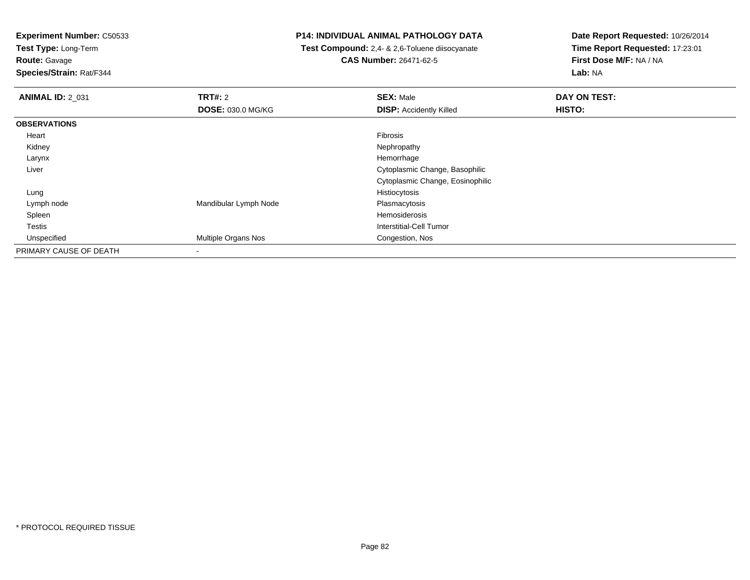**Test Type:** Long-Term

**Route:** Gavage

**Species/Strain:** Rat/F344

## **P14: INDIVIDUAL ANIMAL PATHOLOGY DATA**

 **Test Compound:** 2,4- & 2,6-Toluene diisocyanate**CAS Number:** 26471-62-5

| <b>ANIMAL ID: 2_031</b> | TRT#: 2               | <b>SEX: Male</b>                 | DAY ON TEST: |
|-------------------------|-----------------------|----------------------------------|--------------|
|                         | DOSE: 030.0 MG/KG     | <b>DISP:</b> Accidently Killed   | HISTO:       |
| <b>OBSERVATIONS</b>     |                       |                                  |              |
| Heart                   |                       | Fibrosis                         |              |
| Kidney                  |                       | Nephropathy                      |              |
| Larynx                  |                       | Hemorrhage                       |              |
| Liver                   |                       | Cytoplasmic Change, Basophilic   |              |
|                         |                       | Cytoplasmic Change, Eosinophilic |              |
| Lung                    |                       | Histiocytosis                    |              |
| Lymph node              | Mandibular Lymph Node | Plasmacytosis                    |              |
| Spleen                  |                       | Hemosiderosis                    |              |
| Testis                  |                       | Interstitial-Cell Tumor          |              |
| Unspecified             | Multiple Organs Nos   | Congestion, Nos                  |              |
| PRIMARY CAUSE OF DEATH  | -                     |                                  |              |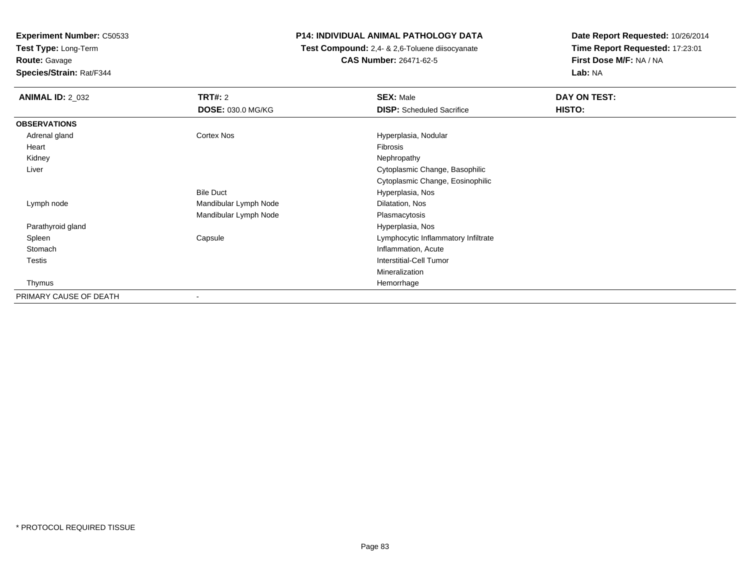**Test Type:** Long-Term**Route:** Gavage

**Species/Strain:** Rat/F344

# **P14: INDIVIDUAL ANIMAL PATHOLOGY DATA**

 **Test Compound:** 2,4- & 2,6-Toluene diisocyanate**CAS Number:** 26471-62-5

| <b>ANIMAL ID: 2_032</b> | <b>TRT#: 2</b>           | <b>SEX: Male</b>                    | DAY ON TEST: |  |
|-------------------------|--------------------------|-------------------------------------|--------------|--|
|                         | <b>DOSE: 030.0 MG/KG</b> | <b>DISP:</b> Scheduled Sacrifice    | HISTO:       |  |
| <b>OBSERVATIONS</b>     |                          |                                     |              |  |
| Adrenal gland           | Cortex Nos               | Hyperplasia, Nodular                |              |  |
| Heart                   |                          | Fibrosis                            |              |  |
| Kidney                  |                          | Nephropathy                         |              |  |
| Liver                   |                          | Cytoplasmic Change, Basophilic      |              |  |
|                         |                          | Cytoplasmic Change, Eosinophilic    |              |  |
|                         | <b>Bile Duct</b>         | Hyperplasia, Nos                    |              |  |
| Lymph node              | Mandibular Lymph Node    | Dilatation, Nos                     |              |  |
|                         | Mandibular Lymph Node    | Plasmacytosis                       |              |  |
| Parathyroid gland       |                          | Hyperplasia, Nos                    |              |  |
| Spleen                  | Capsule                  | Lymphocytic Inflammatory Infiltrate |              |  |
| Stomach                 |                          | Inflammation, Acute                 |              |  |
| <b>Testis</b>           |                          | <b>Interstitial-Cell Tumor</b>      |              |  |
|                         |                          | Mineralization                      |              |  |
| Thymus                  |                          | Hemorrhage                          |              |  |
| PRIMARY CAUSE OF DEATH  | $\overline{\phantom{a}}$ |                                     |              |  |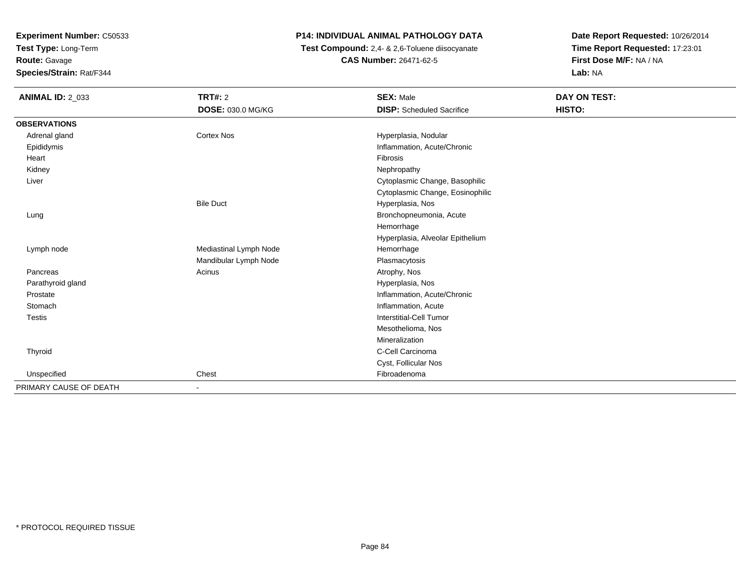**Test Type:** Long-Term**Route:** Gavage

**Species/Strain:** Rat/F344

# **P14: INDIVIDUAL ANIMAL PATHOLOGY DATA**

 **Test Compound:** 2,4- & 2,6-Toluene diisocyanate**CAS Number:** 26471-62-5

| <b>ANIMAL ID: 2_033</b> | <b>TRT#: 2</b>         | <b>SEX: Male</b>                 | DAY ON TEST: |
|-------------------------|------------------------|----------------------------------|--------------|
|                         | DOSE: 030.0 MG/KG      | <b>DISP:</b> Scheduled Sacrifice | HISTO:       |
| <b>OBSERVATIONS</b>     |                        |                                  |              |
| Adrenal gland           | <b>Cortex Nos</b>      | Hyperplasia, Nodular             |              |
| Epididymis              |                        | Inflammation, Acute/Chronic      |              |
| Heart                   |                        | Fibrosis                         |              |
| Kidney                  |                        | Nephropathy                      |              |
| Liver                   |                        | Cytoplasmic Change, Basophilic   |              |
|                         |                        | Cytoplasmic Change, Eosinophilic |              |
|                         | <b>Bile Duct</b>       | Hyperplasia, Nos                 |              |
| Lung                    |                        | Bronchopneumonia, Acute          |              |
|                         |                        | Hemorrhage                       |              |
|                         |                        | Hyperplasia, Alveolar Epithelium |              |
| Lymph node              | Mediastinal Lymph Node | Hemorrhage                       |              |
|                         | Mandibular Lymph Node  | Plasmacytosis                    |              |
| Pancreas                | Acinus                 | Atrophy, Nos                     |              |
| Parathyroid gland       |                        | Hyperplasia, Nos                 |              |
| Prostate                |                        | Inflammation, Acute/Chronic      |              |
| Stomach                 |                        | Inflammation, Acute              |              |
| <b>Testis</b>           |                        | <b>Interstitial-Cell Tumor</b>   |              |
|                         |                        | Mesothelioma, Nos                |              |
|                         |                        | Mineralization                   |              |
| Thyroid                 |                        | C-Cell Carcinoma                 |              |
|                         |                        | Cyst, Follicular Nos             |              |
| Unspecified             | Chest                  | Fibroadenoma                     |              |
| PRIMARY CAUSE OF DEATH  |                        |                                  |              |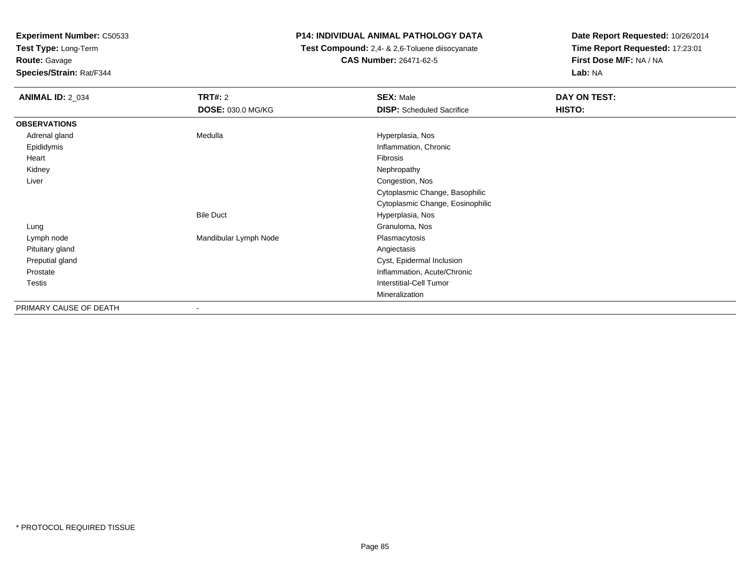**Test Type:** Long-Term

**Route:** Gavage

**Species/Strain:** Rat/F344

# **P14: INDIVIDUAL ANIMAL PATHOLOGY DATA**

 **Test Compound:** 2,4- & 2,6-Toluene diisocyanate**CAS Number:** 26471-62-5

| <b>ANIMAL ID: 2_034</b> | <b>TRT#: 2</b>           | <b>SEX: Male</b>                 | DAY ON TEST: |
|-------------------------|--------------------------|----------------------------------|--------------|
|                         | DOSE: 030.0 MG/KG        | <b>DISP:</b> Scheduled Sacrifice | HISTO:       |
| <b>OBSERVATIONS</b>     |                          |                                  |              |
| Adrenal gland           | Medulla                  | Hyperplasia, Nos                 |              |
| Epididymis              |                          | Inflammation, Chronic            |              |
| Heart                   |                          | Fibrosis                         |              |
| Kidney                  |                          | Nephropathy                      |              |
| Liver                   |                          | Congestion, Nos                  |              |
|                         |                          | Cytoplasmic Change, Basophilic   |              |
|                         |                          | Cytoplasmic Change, Eosinophilic |              |
|                         | <b>Bile Duct</b>         | Hyperplasia, Nos                 |              |
| Lung                    |                          | Granuloma, Nos                   |              |
| Lymph node              | Mandibular Lymph Node    | Plasmacytosis                    |              |
| Pituitary gland         |                          | Angiectasis                      |              |
| Preputial gland         |                          | Cyst, Epidermal Inclusion        |              |
| Prostate                |                          | Inflammation, Acute/Chronic      |              |
| Testis                  |                          | Interstitial-Cell Tumor          |              |
|                         |                          | Mineralization                   |              |
| PRIMARY CAUSE OF DEATH  | $\overline{\phantom{a}}$ |                                  |              |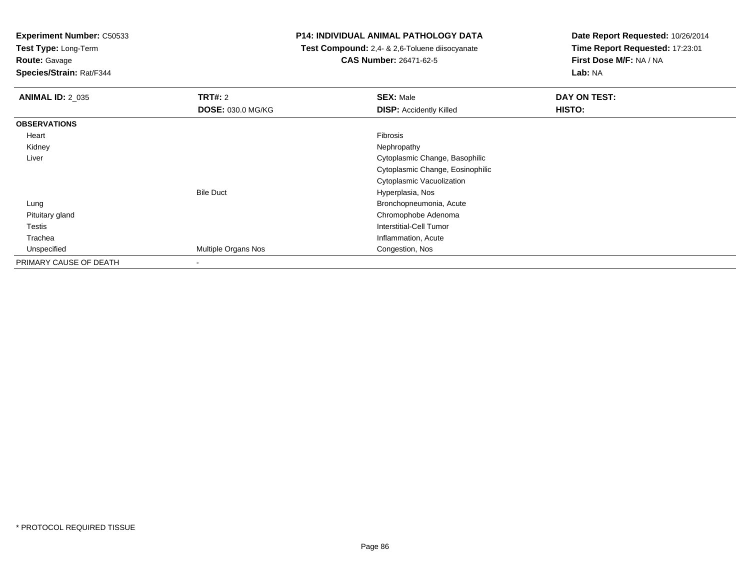**Test Type:** Long-Term

**Route:** Gavage

**Species/Strain:** Rat/F344

## **P14: INDIVIDUAL ANIMAL PATHOLOGY DATA**

 **Test Compound:** 2,4- & 2,6-Toluene diisocyanate**CAS Number:** 26471-62-5

| <b>ANIMAL ID: 2_035</b> | TRT#: 2                  | <b>SEX: Male</b>                 | DAY ON TEST: |
|-------------------------|--------------------------|----------------------------------|--------------|
|                         | <b>DOSE: 030.0 MG/KG</b> | <b>DISP:</b> Accidently Killed   | HISTO:       |
| <b>OBSERVATIONS</b>     |                          |                                  |              |
| Heart                   |                          | Fibrosis                         |              |
| Kidney                  |                          | Nephropathy                      |              |
| Liver                   |                          | Cytoplasmic Change, Basophilic   |              |
|                         |                          | Cytoplasmic Change, Eosinophilic |              |
|                         |                          | Cytoplasmic Vacuolization        |              |
|                         | <b>Bile Duct</b>         | Hyperplasia, Nos                 |              |
| Lung                    |                          | Bronchopneumonia, Acute          |              |
| Pituitary gland         |                          | Chromophobe Adenoma              |              |
| <b>Testis</b>           |                          | <b>Interstitial-Cell Tumor</b>   |              |
| Trachea                 |                          | Inflammation, Acute              |              |
| Unspecified             | Multiple Organs Nos      | Congestion, Nos                  |              |
| PRIMARY CAUSE OF DEATH  | ۰                        |                                  |              |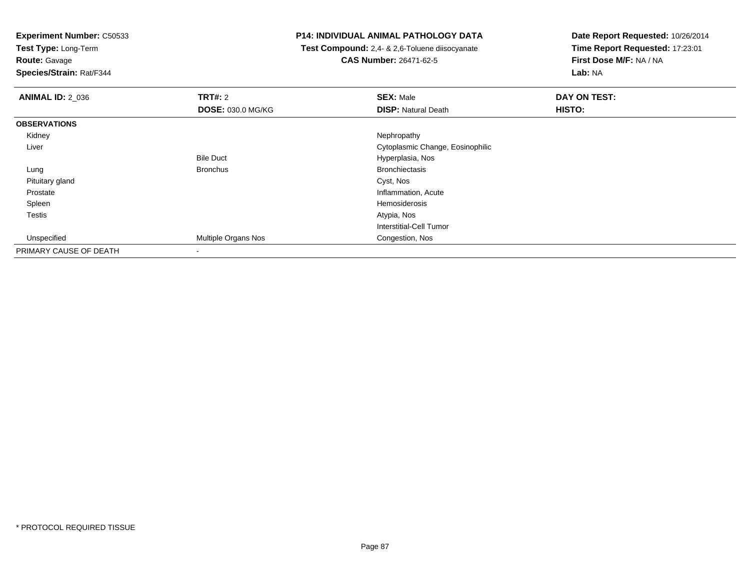**Test Type:** Long-Term

# **Route:** Gavage

**Species/Strain:** Rat/F344

## **P14: INDIVIDUAL ANIMAL PATHOLOGY DATA**

 **Test Compound:** 2,4- & 2,6-Toluene diisocyanate**CAS Number:** 26471-62-5

| <b>ANIMAL ID: 2_036</b> | <b>TRT#: 2</b>           | <b>SEX: Male</b>                 | DAY ON TEST: |  |
|-------------------------|--------------------------|----------------------------------|--------------|--|
|                         | <b>DOSE: 030.0 MG/KG</b> | <b>DISP: Natural Death</b>       | HISTO:       |  |
| <b>OBSERVATIONS</b>     |                          |                                  |              |  |
| Kidney                  |                          | Nephropathy                      |              |  |
| Liver                   |                          | Cytoplasmic Change, Eosinophilic |              |  |
|                         | <b>Bile Duct</b>         | Hyperplasia, Nos                 |              |  |
| Lung                    | <b>Bronchus</b>          | <b>Bronchiectasis</b>            |              |  |
| Pituitary gland         |                          | Cyst, Nos                        |              |  |
| Prostate                |                          | Inflammation, Acute              |              |  |
| Spleen                  |                          | Hemosiderosis                    |              |  |
| <b>Testis</b>           |                          | Atypia, Nos                      |              |  |
|                         |                          | Interstitial-Cell Tumor          |              |  |
| Unspecified             | Multiple Organs Nos      | Congestion, Nos                  |              |  |
| PRIMARY CAUSE OF DEATH  | $\blacksquare$           |                                  |              |  |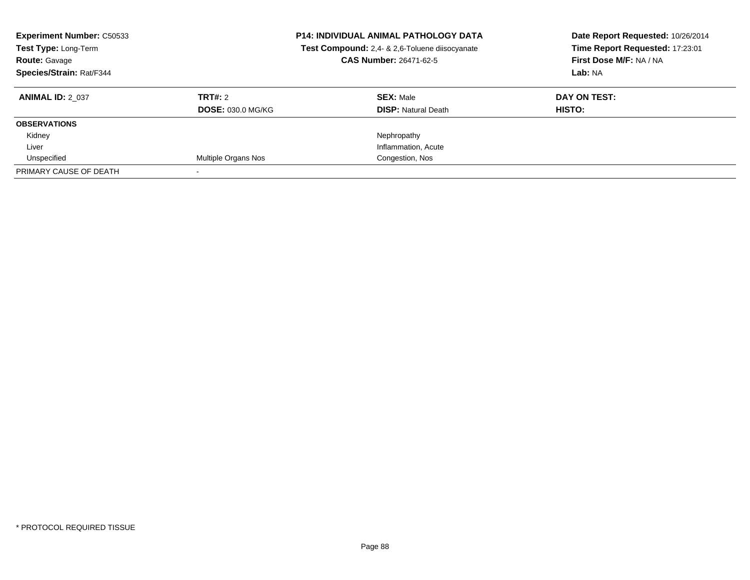| <b>Experiment Number: C50533</b><br>Test Type: Long-Term<br><b>Route: Gavage</b><br>Species/Strain: Rat/F344 |                          | <b>P14: INDIVIDUAL ANIMAL PATHOLOGY DATA</b><br>Test Compound: 2,4- & 2,6-Toluene diisocyanate<br><b>CAS Number: 26471-62-5</b> | Date Report Requested: 10/26/2014<br>Time Report Requested: 17:23:01<br>First Dose M/F: NA / NA<br>Lab: NA |
|--------------------------------------------------------------------------------------------------------------|--------------------------|---------------------------------------------------------------------------------------------------------------------------------|------------------------------------------------------------------------------------------------------------|
| <b>ANIMAL ID: 2 037</b>                                                                                      | TRT#: 2                  | <b>SEX: Male</b>                                                                                                                | DAY ON TEST:                                                                                               |
|                                                                                                              | <b>DOSE: 030.0 MG/KG</b> | <b>DISP:</b> Natural Death                                                                                                      | HISTO:                                                                                                     |
| <b>OBSERVATIONS</b>                                                                                          |                          |                                                                                                                                 |                                                                                                            |
| Kidney                                                                                                       |                          | Nephropathy                                                                                                                     |                                                                                                            |
| Liver                                                                                                        |                          | Inflammation, Acute                                                                                                             |                                                                                                            |
| Unspecified                                                                                                  | Multiple Organs Nos      | Congestion, Nos                                                                                                                 |                                                                                                            |
| PRIMARY CAUSE OF DEATH                                                                                       |                          |                                                                                                                                 |                                                                                                            |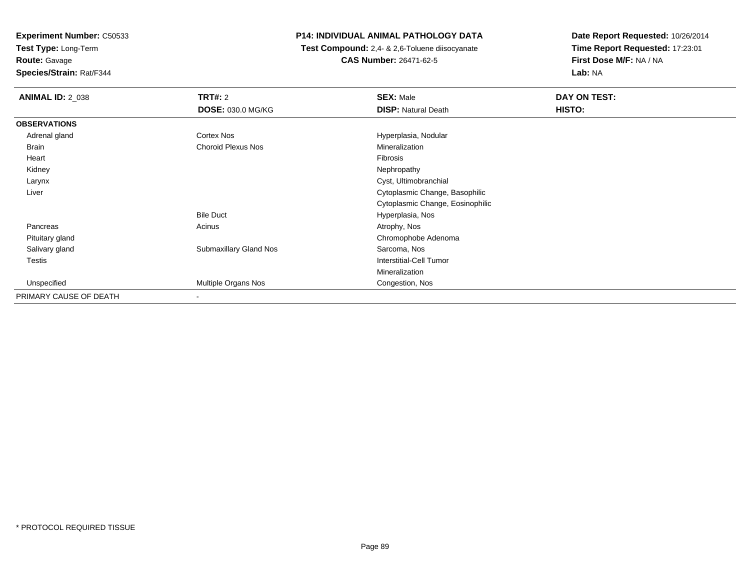**Test Type:** Long-Term

**Route:** Gavage

**Species/Strain:** Rat/F344

# **P14: INDIVIDUAL ANIMAL PATHOLOGY DATA**

 **Test Compound:** 2,4- & 2,6-Toluene diisocyanate**CAS Number:** 26471-62-5

| <b>ANIMAL ID: 2_038</b> | <b>TRT#: 2</b>           | <b>SEX: Male</b>                 | DAY ON TEST: |  |
|-------------------------|--------------------------|----------------------------------|--------------|--|
|                         | DOSE: 030.0 MG/KG        | <b>DISP: Natural Death</b>       | HISTO:       |  |
| <b>OBSERVATIONS</b>     |                          |                                  |              |  |
| Adrenal gland           | Cortex Nos               | Hyperplasia, Nodular             |              |  |
| <b>Brain</b>            | Choroid Plexus Nos       | Mineralization                   |              |  |
| Heart                   |                          | Fibrosis                         |              |  |
| Kidney                  |                          | Nephropathy                      |              |  |
| Larynx                  |                          | Cyst, Ultimobranchial            |              |  |
| Liver                   |                          | Cytoplasmic Change, Basophilic   |              |  |
|                         |                          | Cytoplasmic Change, Eosinophilic |              |  |
|                         | <b>Bile Duct</b>         | Hyperplasia, Nos                 |              |  |
| Pancreas                | Acinus                   | Atrophy, Nos                     |              |  |
| Pituitary gland         |                          | Chromophobe Adenoma              |              |  |
| Salivary gland          | Submaxillary Gland Nos   | Sarcoma, Nos                     |              |  |
| <b>Testis</b>           |                          | <b>Interstitial-Cell Tumor</b>   |              |  |
|                         |                          | Mineralization                   |              |  |
| Unspecified             | Multiple Organs Nos      | Congestion, Nos                  |              |  |
| PRIMARY CAUSE OF DEATH  | $\overline{\phantom{a}}$ |                                  |              |  |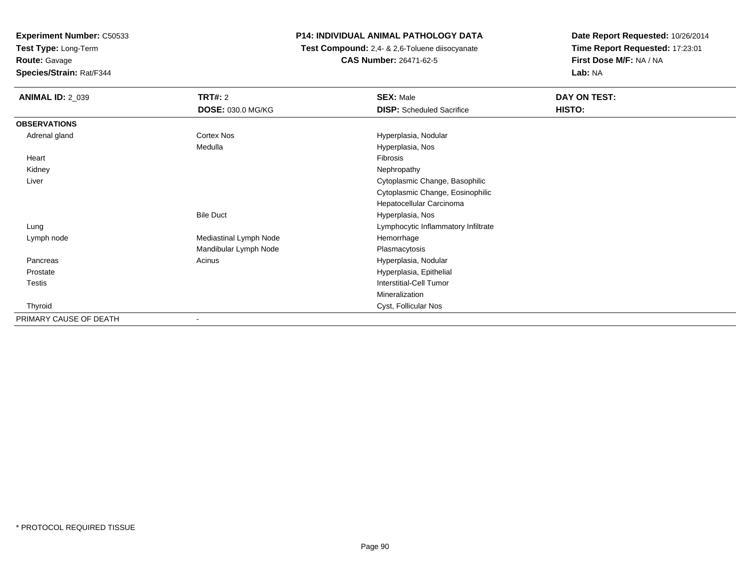**Test Type:** Long-Term

**Route:** Gavage

**Species/Strain:** Rat/F344

# **P14: INDIVIDUAL ANIMAL PATHOLOGY DATA**

 **Test Compound:** 2,4- & 2,6-Toluene diisocyanate**CAS Number:** 26471-62-5

| <b>ANIMAL ID: 2_039</b> | TRT#: 2<br><b>DOSE: 030.0 MG/KG</b> | <b>SEX: Male</b><br><b>DISP:</b> Scheduled Sacrifice | DAY ON TEST:<br>HISTO: |
|-------------------------|-------------------------------------|------------------------------------------------------|------------------------|
| <b>OBSERVATIONS</b>     |                                     |                                                      |                        |
| Adrenal gland           | Cortex Nos                          | Hyperplasia, Nodular                                 |                        |
|                         | Medulla                             | Hyperplasia, Nos                                     |                        |
| Heart                   |                                     | Fibrosis                                             |                        |
| Kidney                  |                                     | Nephropathy                                          |                        |
| Liver                   |                                     | Cytoplasmic Change, Basophilic                       |                        |
|                         |                                     | Cytoplasmic Change, Eosinophilic                     |                        |
|                         |                                     | Hepatocellular Carcinoma                             |                        |
|                         | <b>Bile Duct</b>                    | Hyperplasia, Nos                                     |                        |
| Lung                    |                                     | Lymphocytic Inflammatory Infiltrate                  |                        |
| Lymph node              | Mediastinal Lymph Node              | Hemorrhage                                           |                        |
|                         | Mandibular Lymph Node               | Plasmacytosis                                        |                        |
| Pancreas                | Acinus                              | Hyperplasia, Nodular                                 |                        |
| Prostate                |                                     | Hyperplasia, Epithelial                              |                        |
| Testis                  |                                     | Interstitial-Cell Tumor                              |                        |
|                         |                                     | Mineralization                                       |                        |
| Thyroid                 |                                     | Cyst, Follicular Nos                                 |                        |
| PRIMARY CAUSE OF DEATH  | $\blacksquare$                      |                                                      |                        |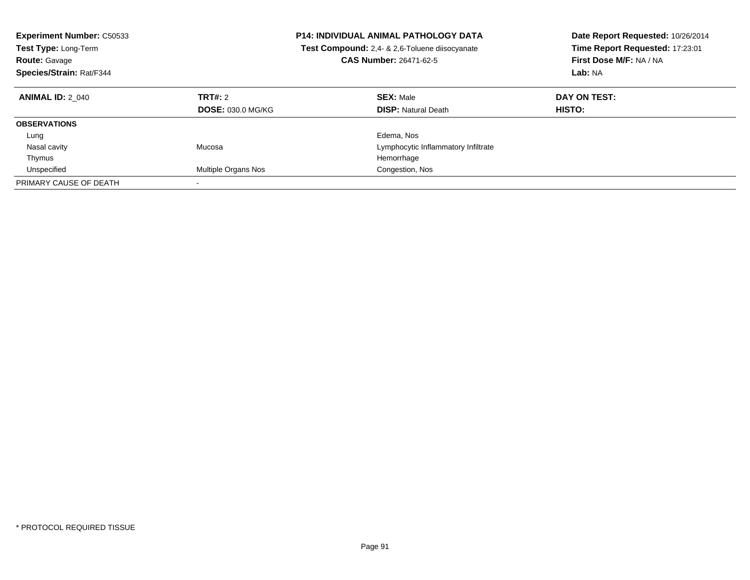| <b>Experiment Number: C50533</b><br>Test Type: Long-Term<br><b>Route: Gavage</b><br>Species/Strain: Rat/F344 |                                     | <b>P14: INDIVIDUAL ANIMAL PATHOLOGY DATA</b><br>Test Compound: 2.4- & 2.6-Toluene diisocyanate<br><b>CAS Number: 26471-62-5</b> | Date Report Requested: 10/26/2014<br>Time Report Requested: 17:23:01<br>First Dose M/F: NA / NA<br>Lab: NA |
|--------------------------------------------------------------------------------------------------------------|-------------------------------------|---------------------------------------------------------------------------------------------------------------------------------|------------------------------------------------------------------------------------------------------------|
| <b>ANIMAL ID: 2 040</b>                                                                                      | TRT#: 2<br><b>DOSE: 030.0 MG/KG</b> | <b>SEX: Male</b><br><b>DISP: Natural Death</b>                                                                                  | DAY ON TEST:<br>HISTO:                                                                                     |
| <b>OBSERVATIONS</b>                                                                                          |                                     |                                                                                                                                 |                                                                                                            |
| Lung                                                                                                         |                                     | Edema, Nos                                                                                                                      |                                                                                                            |
| Nasal cavity                                                                                                 | Mucosa                              | Lymphocytic Inflammatory Infiltrate                                                                                             |                                                                                                            |
| Thymus                                                                                                       |                                     | Hemorrhage                                                                                                                      |                                                                                                            |
| Unspecified                                                                                                  | <b>Multiple Organs Nos</b>          | Congestion, Nos                                                                                                                 |                                                                                                            |
| PRIMARY CAUSE OF DEATH                                                                                       | $\overline{\phantom{a}}$            |                                                                                                                                 |                                                                                                            |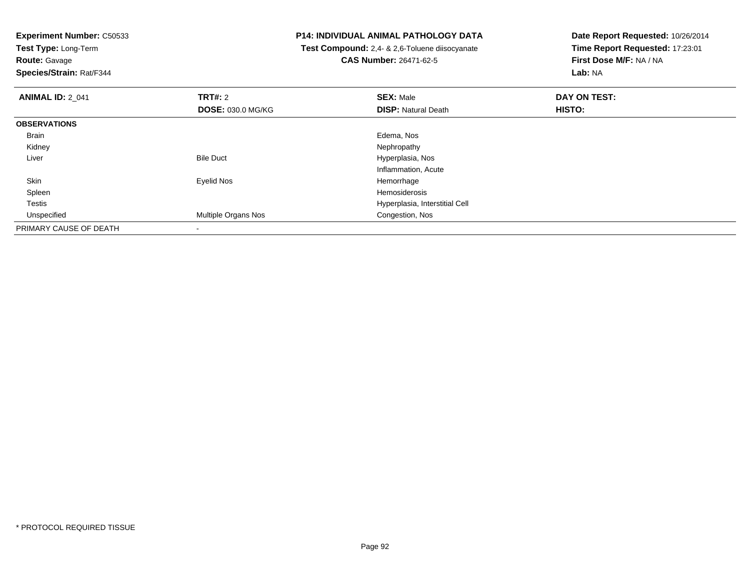**Test Type:** Long-Term**Route:** Gavage

**Species/Strain:** Rat/F344

## **P14: INDIVIDUAL ANIMAL PATHOLOGY DATA**

 **Test Compound:** 2,4- & 2,6-Toluene diisocyanate**CAS Number:** 26471-62-5

| <b>ANIMAL ID: 2_041</b> | TRT#: 2                    | <b>SEX: Male</b>               | DAY ON TEST: |  |
|-------------------------|----------------------------|--------------------------------|--------------|--|
|                         | <b>DOSE: 030.0 MG/KG</b>   | <b>DISP: Natural Death</b>     | HISTO:       |  |
| <b>OBSERVATIONS</b>     |                            |                                |              |  |
| Brain                   |                            | Edema, Nos                     |              |  |
| Kidney                  |                            | Nephropathy                    |              |  |
| Liver                   | <b>Bile Duct</b>           | Hyperplasia, Nos               |              |  |
|                         |                            | Inflammation, Acute            |              |  |
| Skin                    | Eyelid Nos                 | Hemorrhage                     |              |  |
| Spleen                  |                            | Hemosiderosis                  |              |  |
| Testis                  |                            | Hyperplasia, Interstitial Cell |              |  |
| Unspecified             | <b>Multiple Organs Nos</b> | Congestion, Nos                |              |  |
| PRIMARY CAUSE OF DEATH  |                            |                                |              |  |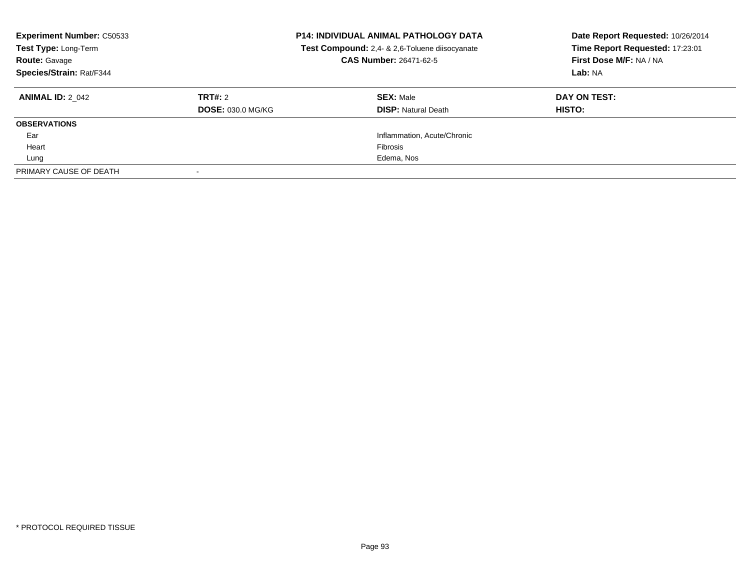| <b>Experiment Number: C50533</b><br>Test Type: Long-Term<br><b>Route: Gavage</b><br>Species/Strain: Rat/F344 |                                     | <b>P14: INDIVIDUAL ANIMAL PATHOLOGY DATA</b><br>Test Compound: 2,4- & 2,6-Toluene diisocyanate<br>CAS Number: 26471-62-5 | Date Report Requested: 10/26/2014<br>Time Report Requested: 17:23:01<br>First Dose M/F: NA / NA<br>Lab: NA |
|--------------------------------------------------------------------------------------------------------------|-------------------------------------|--------------------------------------------------------------------------------------------------------------------------|------------------------------------------------------------------------------------------------------------|
| <b>ANIMAL ID: 2 042</b>                                                                                      | TRT#: 2<br><b>DOSE: 030.0 MG/KG</b> | <b>SEX: Male</b><br><b>DISP: Natural Death</b>                                                                           | DAY ON TEST:<br>HISTO:                                                                                     |
| <b>OBSERVATIONS</b>                                                                                          |                                     |                                                                                                                          |                                                                                                            |
| Ear                                                                                                          |                                     | Inflammation, Acute/Chronic                                                                                              |                                                                                                            |
| Heart                                                                                                        |                                     | <b>Fibrosis</b>                                                                                                          |                                                                                                            |
| Lung                                                                                                         |                                     | Edema, Nos                                                                                                               |                                                                                                            |
| PRIMARY CAUSE OF DEATH                                                                                       |                                     |                                                                                                                          |                                                                                                            |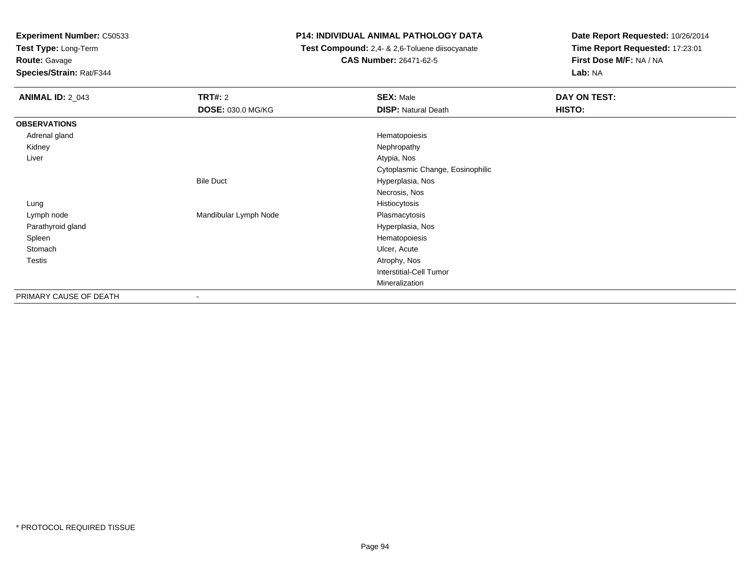**Test Type:** Long-Term

**Route:** Gavage

**Species/Strain:** Rat/F344

# **P14: INDIVIDUAL ANIMAL PATHOLOGY DATA**

 **Test Compound:** 2,4- & 2,6-Toluene diisocyanate**CAS Number:** 26471-62-5

| <b>ANIMAL ID: 2_043</b> | <b>TRT#: 2</b>           | <b>SEX: Male</b>                 | DAY ON TEST: |
|-------------------------|--------------------------|----------------------------------|--------------|
|                         | <b>DOSE: 030.0 MG/KG</b> | <b>DISP: Natural Death</b>       | HISTO:       |
| <b>OBSERVATIONS</b>     |                          |                                  |              |
| Adrenal gland           |                          | Hematopoiesis                    |              |
| Kidney                  |                          | Nephropathy                      |              |
| Liver                   |                          | Atypia, Nos                      |              |
|                         |                          | Cytoplasmic Change, Eosinophilic |              |
|                         | <b>Bile Duct</b>         | Hyperplasia, Nos                 |              |
|                         |                          | Necrosis, Nos                    |              |
| Lung                    |                          | Histiocytosis                    |              |
| Lymph node              | Mandibular Lymph Node    | Plasmacytosis                    |              |
| Parathyroid gland       |                          | Hyperplasia, Nos                 |              |
| Spleen                  |                          | Hematopoiesis                    |              |
| Stomach                 |                          | Ulcer, Acute                     |              |
| <b>Testis</b>           |                          | Atrophy, Nos                     |              |
|                         |                          | <b>Interstitial-Cell Tumor</b>   |              |
|                         |                          | Mineralization                   |              |
| PRIMARY CAUSE OF DEATH  | $\overline{\phantom{a}}$ |                                  |              |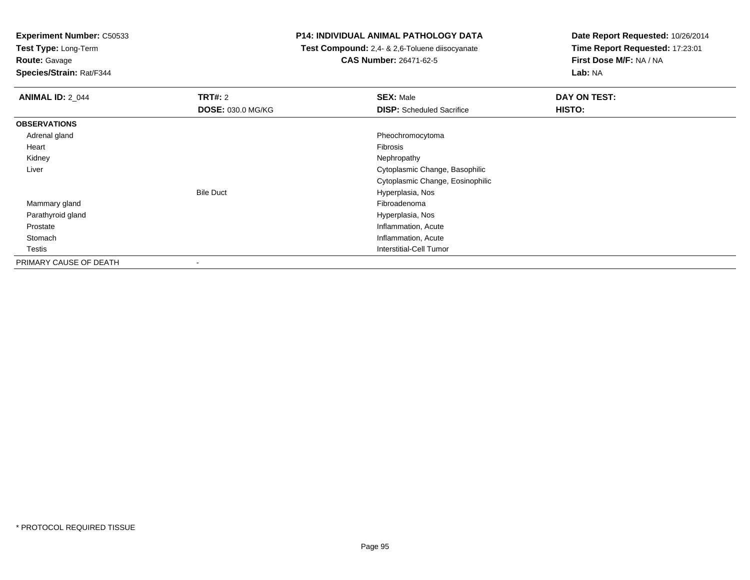**Test Type:** Long-Term

**Route:** Gavage

**Species/Strain:** Rat/F344

## **P14: INDIVIDUAL ANIMAL PATHOLOGY DATA**

 **Test Compound:** 2,4- & 2,6-Toluene diisocyanate**CAS Number:** 26471-62-5

| <b>ANIMAL ID: 2_044</b> | <b>TRT#: 2</b>           | <b>SEX: Male</b>                 | DAY ON TEST: |
|-------------------------|--------------------------|----------------------------------|--------------|
|                         | <b>DOSE: 030.0 MG/KG</b> | <b>DISP:</b> Scheduled Sacrifice | HISTO:       |
| <b>OBSERVATIONS</b>     |                          |                                  |              |
| Adrenal gland           |                          | Pheochromocytoma                 |              |
| Heart                   |                          | <b>Fibrosis</b>                  |              |
| Kidney                  |                          | Nephropathy                      |              |
| Liver                   |                          | Cytoplasmic Change, Basophilic   |              |
|                         |                          | Cytoplasmic Change, Eosinophilic |              |
|                         | <b>Bile Duct</b>         | Hyperplasia, Nos                 |              |
| Mammary gland           |                          | Fibroadenoma                     |              |
| Parathyroid gland       |                          | Hyperplasia, Nos                 |              |
| Prostate                |                          | Inflammation, Acute              |              |
| Stomach                 |                          | Inflammation, Acute              |              |
| <b>Testis</b>           |                          | Interstitial-Cell Tumor          |              |
| PRIMARY CAUSE OF DEATH  |                          |                                  |              |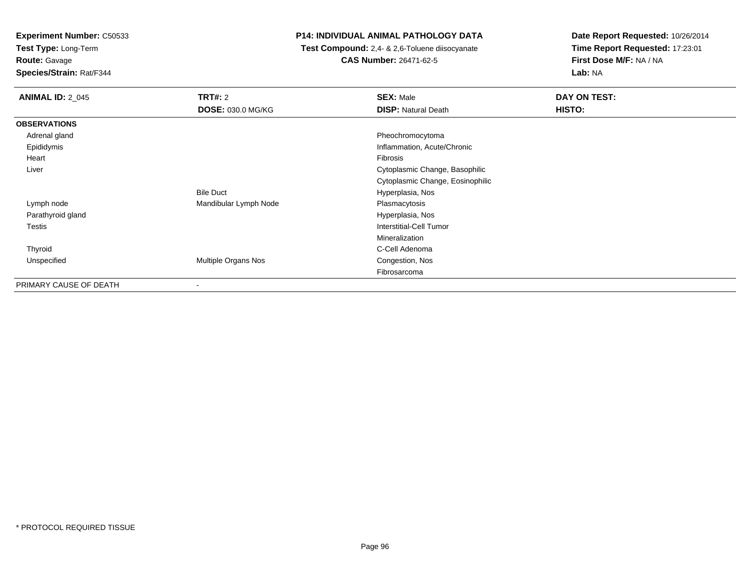**Test Type:** Long-Term

**Route:** Gavage

**Species/Strain:** Rat/F344

## **P14: INDIVIDUAL ANIMAL PATHOLOGY DATA**

 **Test Compound:** 2,4- & 2,6-Toluene diisocyanate**CAS Number:** 26471-62-5

| <b>ANIMAL ID: 2_045</b> | <b>TRT#: 2</b><br><b>DOSE: 030.0 MG/KG</b> | <b>SEX: Male</b><br><b>DISP: Natural Death</b> | DAY ON TEST:<br>HISTO: |
|-------------------------|--------------------------------------------|------------------------------------------------|------------------------|
|                         |                                            |                                                |                        |
| <b>OBSERVATIONS</b>     |                                            |                                                |                        |
| Adrenal gland           |                                            | Pheochromocytoma                               |                        |
| Epididymis              |                                            | Inflammation, Acute/Chronic                    |                        |
| Heart                   |                                            | Fibrosis                                       |                        |
| Liver                   |                                            | Cytoplasmic Change, Basophilic                 |                        |
|                         |                                            | Cytoplasmic Change, Eosinophilic               |                        |
|                         | <b>Bile Duct</b>                           | Hyperplasia, Nos                               |                        |
| Lymph node              | Mandibular Lymph Node                      | Plasmacytosis                                  |                        |
| Parathyroid gland       |                                            | Hyperplasia, Nos                               |                        |
| <b>Testis</b>           |                                            | <b>Interstitial-Cell Tumor</b>                 |                        |
|                         |                                            | Mineralization                                 |                        |
| Thyroid                 |                                            | C-Cell Adenoma                                 |                        |
| Unspecified             | Multiple Organs Nos                        | Congestion, Nos                                |                        |
|                         |                                            | Fibrosarcoma                                   |                        |
| PRIMARY CAUSE OF DEATH  | ۰                                          |                                                |                        |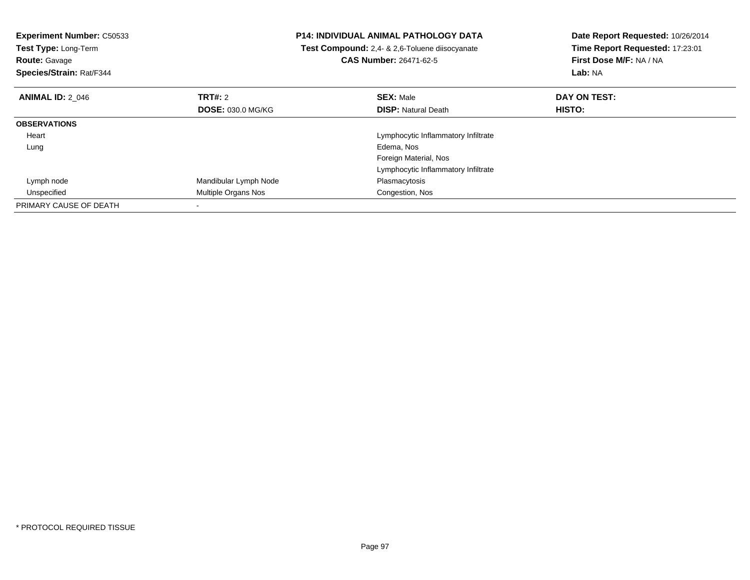| Experiment Number: C50533<br>Test Type: Long-Term<br><b>Route: Gavage</b><br>Species/Strain: Rat/F344 |                          | <b>P14: INDIVIDUAL ANIMAL PATHOLOGY DATA</b><br>Test Compound: 2,4- & 2,6-Toluene diisocyanate<br><b>CAS Number: 26471-62-5</b> | Date Report Requested: 10/26/2014<br>Time Report Requested: 17:23:01<br>First Dose M/F: NA / NA<br>Lab: NA |
|-------------------------------------------------------------------------------------------------------|--------------------------|---------------------------------------------------------------------------------------------------------------------------------|------------------------------------------------------------------------------------------------------------|
| <b>ANIMAL ID: 2 046</b>                                                                               | TRT#: 2                  | <b>SEX: Male</b>                                                                                                                | DAY ON TEST:                                                                                               |
|                                                                                                       | <b>DOSE: 030.0 MG/KG</b> | <b>DISP:</b> Natural Death                                                                                                      | <b>HISTO:</b>                                                                                              |
| <b>OBSERVATIONS</b>                                                                                   |                          |                                                                                                                                 |                                                                                                            |
| Heart                                                                                                 |                          | Lymphocytic Inflammatory Infiltrate                                                                                             |                                                                                                            |
| Lung                                                                                                  |                          | Edema, Nos                                                                                                                      |                                                                                                            |
|                                                                                                       |                          | Foreign Material, Nos                                                                                                           |                                                                                                            |
|                                                                                                       |                          | Lymphocytic Inflammatory Infiltrate                                                                                             |                                                                                                            |
| Lymph node                                                                                            | Mandibular Lymph Node    | Plasmacytosis                                                                                                                   |                                                                                                            |
| Unspecified                                                                                           | Multiple Organs Nos      | Congestion, Nos                                                                                                                 |                                                                                                            |
| PRIMARY CAUSE OF DEATH                                                                                |                          |                                                                                                                                 |                                                                                                            |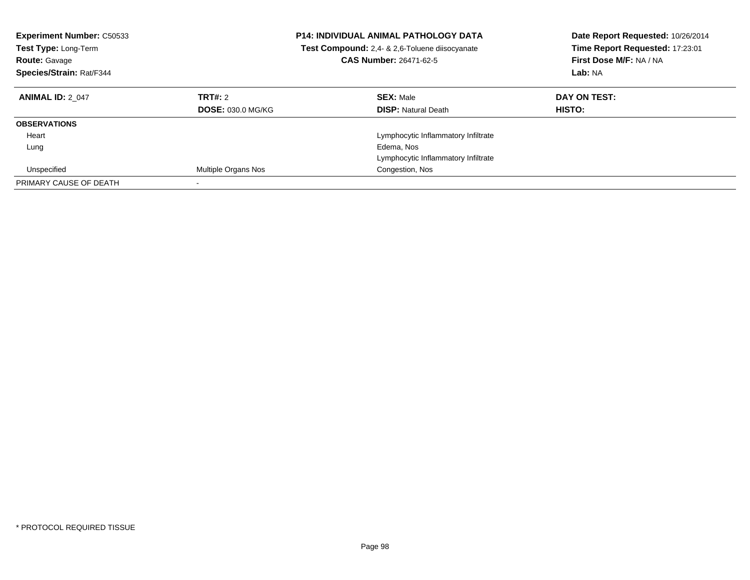| <b>Experiment Number: C50533</b><br><b>Test Type: Long-Term</b><br><b>Route: Gavage</b><br>Species/Strain: Rat/F344 |                                     | <b>P14: INDIVIDUAL ANIMAL PATHOLOGY DATA</b><br>Test Compound: 2,4- & 2,6-Toluene diisocyanate<br><b>CAS Number: 26471-62-5</b> | Date Report Requested: 10/26/2014<br>Time Report Requested: 17:23:01<br>First Dose M/F: NA / NA<br>Lab: NA |
|---------------------------------------------------------------------------------------------------------------------|-------------------------------------|---------------------------------------------------------------------------------------------------------------------------------|------------------------------------------------------------------------------------------------------------|
| <b>ANIMAL ID: 2 047</b>                                                                                             | TRT#: 2<br><b>DOSE: 030.0 MG/KG</b> | <b>SEX: Male</b><br><b>DISP:</b> Natural Death                                                                                  | DAY ON TEST:<br>HISTO:                                                                                     |
| <b>OBSERVATIONS</b>                                                                                                 |                                     |                                                                                                                                 |                                                                                                            |
| Heart                                                                                                               |                                     | Lymphocytic Inflammatory Infiltrate                                                                                             |                                                                                                            |
| Lung                                                                                                                |                                     | Edema, Nos                                                                                                                      |                                                                                                            |
|                                                                                                                     |                                     | Lymphocytic Inflammatory Infiltrate                                                                                             |                                                                                                            |
| Unspecified                                                                                                         | Multiple Organs Nos                 | Congestion, Nos                                                                                                                 |                                                                                                            |
| PRIMARY CAUSE OF DEATH                                                                                              |                                     |                                                                                                                                 |                                                                                                            |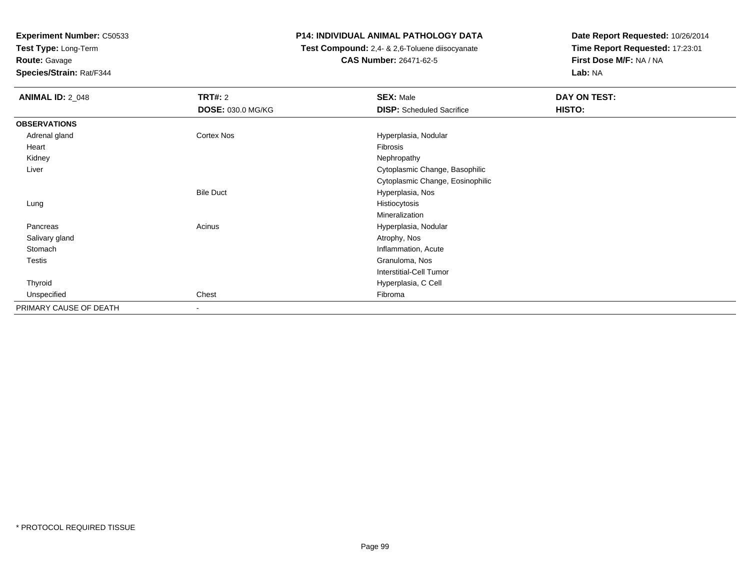**Test Type:** Long-Term

**Route:** Gavage

**Species/Strain:** Rat/F344

# **P14: INDIVIDUAL ANIMAL PATHOLOGY DATA**

 **Test Compound:** 2,4- & 2,6-Toluene diisocyanate**CAS Number:** 26471-62-5

| <b>ANIMAL ID: 2_048</b> | TRT#: 2           | <b>SEX: Male</b>                 | DAY ON TEST: |
|-------------------------|-------------------|----------------------------------|--------------|
|                         | DOSE: 030.0 MG/KG | <b>DISP:</b> Scheduled Sacrifice | HISTO:       |
| <b>OBSERVATIONS</b>     |                   |                                  |              |
| Adrenal gland           | Cortex Nos        | Hyperplasia, Nodular             |              |
| Heart                   |                   | Fibrosis                         |              |
| Kidney                  |                   | Nephropathy                      |              |
| Liver                   |                   | Cytoplasmic Change, Basophilic   |              |
|                         |                   | Cytoplasmic Change, Eosinophilic |              |
|                         | <b>Bile Duct</b>  | Hyperplasia, Nos                 |              |
| Lung                    |                   | Histiocytosis                    |              |
|                         |                   | Mineralization                   |              |
| Pancreas                | Acinus            | Hyperplasia, Nodular             |              |
| Salivary gland          |                   | Atrophy, Nos                     |              |
| Stomach                 |                   | Inflammation, Acute              |              |
| <b>Testis</b>           |                   | Granuloma, Nos                   |              |
|                         |                   | <b>Interstitial-Cell Tumor</b>   |              |
| Thyroid                 |                   | Hyperplasia, C Cell              |              |
| Unspecified             | Chest             | Fibroma                          |              |
| PRIMARY CAUSE OF DEATH  | $\blacksquare$    |                                  |              |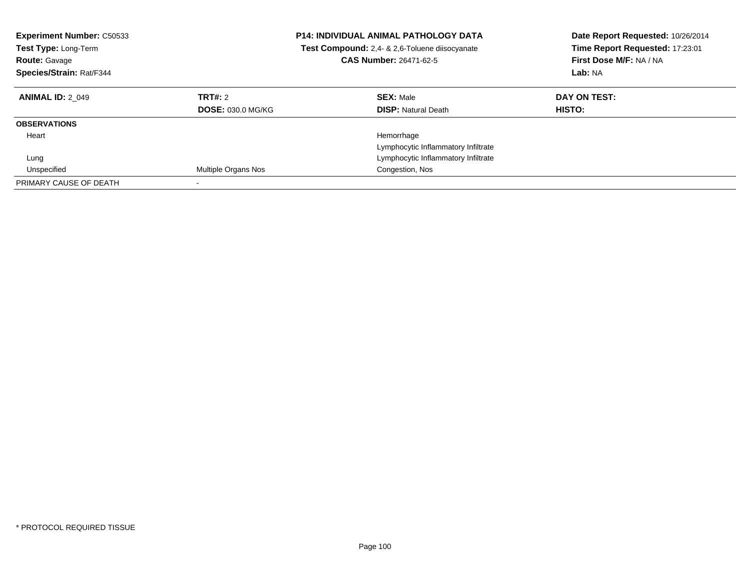| <b>Experiment Number: C50533</b><br>Test Type: Long-Term<br><b>Route: Gavage</b><br>Species/Strain: Rat/F344 |                                     | <b>P14: INDIVIDUAL ANIMAL PATHOLOGY DATA</b><br>Test Compound: 2,4- & 2,6-Toluene diisocyanate<br><b>CAS Number: 26471-62-5</b> | Date Report Requested: 10/26/2014<br>Time Report Requested: 17:23:01<br><b>First Dose M/F: NA / NA</b><br>Lab: NA |
|--------------------------------------------------------------------------------------------------------------|-------------------------------------|---------------------------------------------------------------------------------------------------------------------------------|-------------------------------------------------------------------------------------------------------------------|
| <b>ANIMAL ID: 2 049</b>                                                                                      | TRT#: 2<br><b>DOSE: 030.0 MG/KG</b> | <b>SEX: Male</b><br><b>DISP:</b> Natural Death                                                                                  | DAY ON TEST:<br>HISTO:                                                                                            |
|                                                                                                              |                                     |                                                                                                                                 |                                                                                                                   |
| <b>OBSERVATIONS</b>                                                                                          |                                     |                                                                                                                                 |                                                                                                                   |
| Heart                                                                                                        |                                     | Hemorrhage                                                                                                                      |                                                                                                                   |
|                                                                                                              |                                     | Lymphocytic Inflammatory Infiltrate                                                                                             |                                                                                                                   |
| Lung                                                                                                         |                                     | Lymphocytic Inflammatory Infiltrate                                                                                             |                                                                                                                   |
| Unspecified                                                                                                  | <b>Multiple Organs Nos</b>          | Congestion, Nos                                                                                                                 |                                                                                                                   |
| PRIMARY CAUSE OF DEATH                                                                                       |                                     |                                                                                                                                 |                                                                                                                   |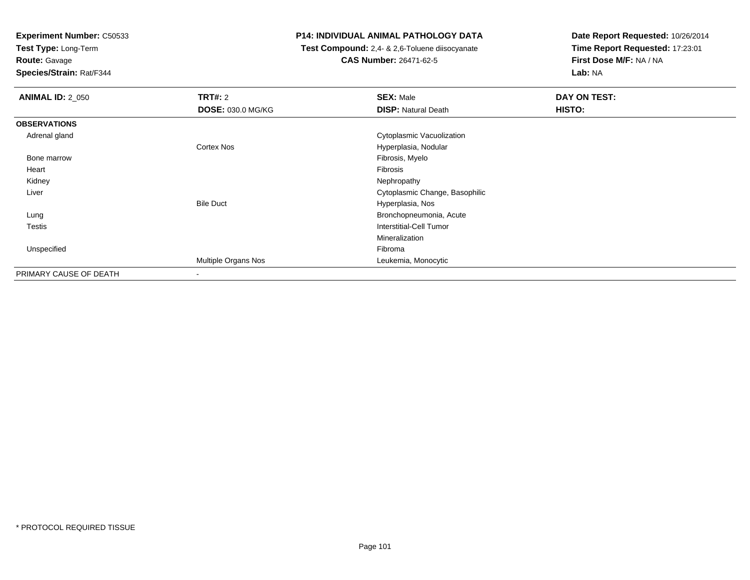**Test Type:** Long-Term

**Route:** Gavage

**Species/Strain:** Rat/F344

## **P14: INDIVIDUAL ANIMAL PATHOLOGY DATA**

 **Test Compound:** 2,4- & 2,6-Toluene diisocyanate**CAS Number:** 26471-62-5

| <b>ANIMAL ID: 2_050</b> | <b>TRT#: 2</b>           | <b>SEX: Male</b>               | DAY ON TEST: |
|-------------------------|--------------------------|--------------------------------|--------------|
|                         | <b>DOSE: 030.0 MG/KG</b> | <b>DISP: Natural Death</b>     | HISTO:       |
| <b>OBSERVATIONS</b>     |                          |                                |              |
| Adrenal gland           |                          | Cytoplasmic Vacuolization      |              |
|                         | Cortex Nos               | Hyperplasia, Nodular           |              |
| Bone marrow             |                          | Fibrosis, Myelo                |              |
| Heart                   |                          | Fibrosis                       |              |
| Kidney                  |                          | Nephropathy                    |              |
| Liver                   |                          | Cytoplasmic Change, Basophilic |              |
|                         | <b>Bile Duct</b>         | Hyperplasia, Nos               |              |
| Lung                    |                          | Bronchopneumonia, Acute        |              |
| <b>Testis</b>           |                          | Interstitial-Cell Tumor        |              |
|                         |                          | Mineralization                 |              |
| Unspecified             |                          | Fibroma                        |              |
|                         | Multiple Organs Nos      | Leukemia, Monocytic            |              |
| PRIMARY CAUSE OF DEATH  |                          |                                |              |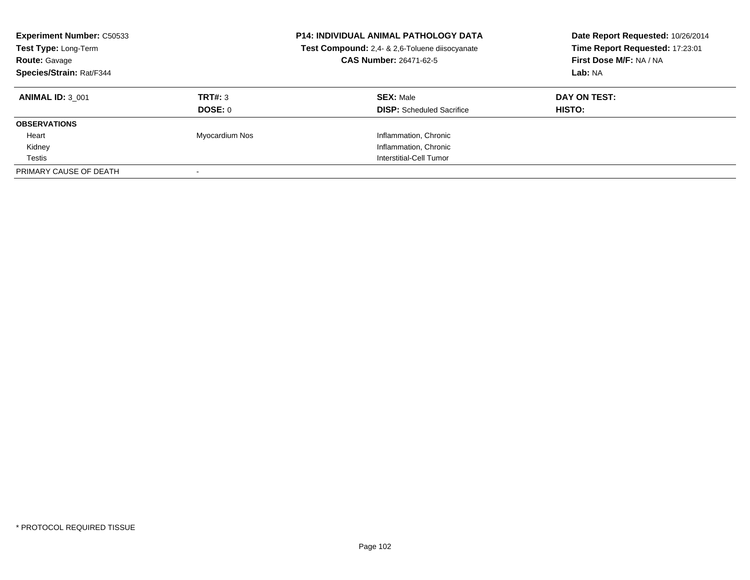| <b>Experiment Number: C50533</b><br>Test Type: Long-Term<br><b>Route: Gavage</b><br>Species/Strain: Rat/F344 |                | <b>P14: INDIVIDUAL ANIMAL PATHOLOGY DATA</b><br>Test Compound: 2,4- & 2,6-Toluene diisocyanate<br><b>CAS Number: 26471-62-5</b> | Date Report Requested: 10/26/2014<br>Time Report Requested: 17:23:01<br>First Dose M/F: NA / NA<br>Lab: NA |
|--------------------------------------------------------------------------------------------------------------|----------------|---------------------------------------------------------------------------------------------------------------------------------|------------------------------------------------------------------------------------------------------------|
| <b>ANIMAL ID: 3 001</b>                                                                                      | TRT#: 3        | <b>SEX: Male</b>                                                                                                                | DAY ON TEST:                                                                                               |
|                                                                                                              | DOSE: 0        | <b>DISP:</b> Scheduled Sacrifice                                                                                                | HISTO:                                                                                                     |
| <b>OBSERVATIONS</b>                                                                                          |                |                                                                                                                                 |                                                                                                            |
| Heart                                                                                                        | Myocardium Nos | Inflammation, Chronic                                                                                                           |                                                                                                            |
| Kidney                                                                                                       |                | Inflammation, Chronic                                                                                                           |                                                                                                            |
| Testis                                                                                                       |                | Interstitial-Cell Tumor                                                                                                         |                                                                                                            |
| PRIMARY CAUSE OF DEATH                                                                                       |                |                                                                                                                                 |                                                                                                            |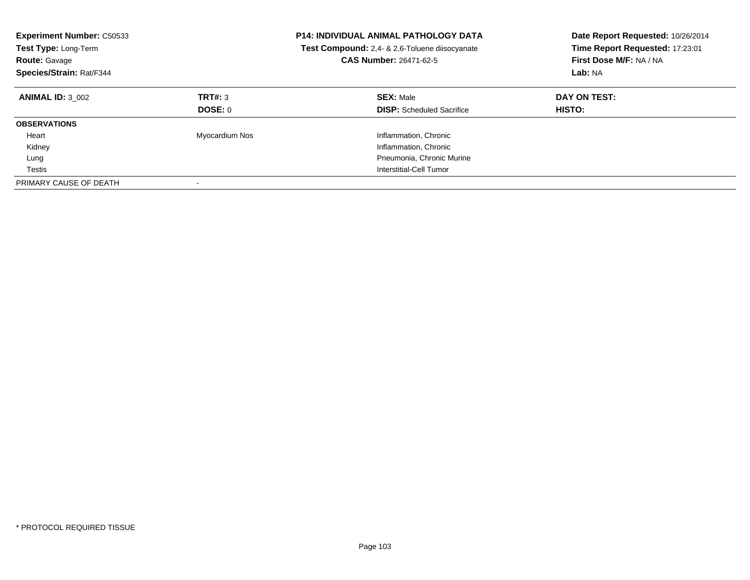| <b>Experiment Number: C50533</b><br>Test Type: Long-Term<br><b>Route: Gavage</b><br>Species/Strain: Rat/F344 |                    | <b>P14: INDIVIDUAL ANIMAL PATHOLOGY DATA</b><br>Test Compound: 2,4- & 2,6-Toluene diisocyanate<br>CAS Number: 26471-62-5 | Date Report Requested: 10/26/2014<br>Time Report Requested: 17:23:01<br>First Dose M/F: NA / NA<br>Lab: NA |
|--------------------------------------------------------------------------------------------------------------|--------------------|--------------------------------------------------------------------------------------------------------------------------|------------------------------------------------------------------------------------------------------------|
| <b>ANIMAL ID: 3 002</b>                                                                                      | TRT#: 3<br>DOSE: 0 | <b>SEX: Male</b><br><b>DISP:</b> Scheduled Sacrifice                                                                     | DAY ON TEST:<br><b>HISTO:</b>                                                                              |
| <b>OBSERVATIONS</b>                                                                                          |                    |                                                                                                                          |                                                                                                            |
| Heart                                                                                                        | Myocardium Nos     | Inflammation, Chronic                                                                                                    |                                                                                                            |
| Kidney                                                                                                       |                    | Inflammation, Chronic                                                                                                    |                                                                                                            |
| Lung                                                                                                         |                    | Pneumonia, Chronic Murine                                                                                                |                                                                                                            |
| Testis                                                                                                       |                    | Interstitial-Cell Tumor                                                                                                  |                                                                                                            |
| PRIMARY CAUSE OF DEATH                                                                                       |                    |                                                                                                                          |                                                                                                            |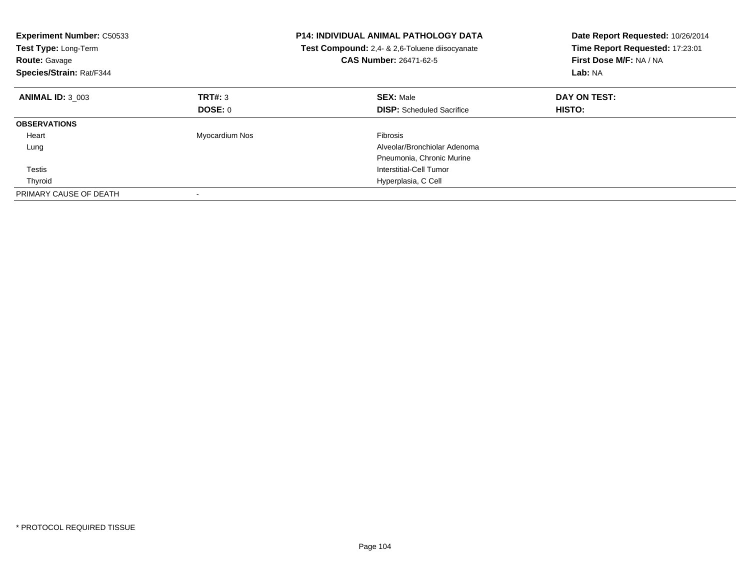| <b>Experiment Number: C50533</b><br>Test Type: Long-Term<br><b>Route: Gavage</b><br>Species/Strain: Rat/F344 |                | <b>P14: INDIVIDUAL ANIMAL PATHOLOGY DATA</b><br>Test Compound: 2,4- & 2,6-Toluene diisocyanate<br><b>CAS Number: 26471-62-5</b> | Date Report Requested: 10/26/2014<br>Time Report Requested: 17:23:01<br>First Dose M/F: NA / NA<br>Lab: NA |
|--------------------------------------------------------------------------------------------------------------|----------------|---------------------------------------------------------------------------------------------------------------------------------|------------------------------------------------------------------------------------------------------------|
| <b>ANIMAL ID: 3_003</b>                                                                                      | TRT#: 3        | <b>SEX: Male</b>                                                                                                                | DAY ON TEST:                                                                                               |
|                                                                                                              | DOSE: 0        | <b>DISP:</b> Scheduled Sacrifice                                                                                                | HISTO:                                                                                                     |
| <b>OBSERVATIONS</b>                                                                                          |                |                                                                                                                                 |                                                                                                            |
| Heart                                                                                                        | Myocardium Nos | <b>Fibrosis</b>                                                                                                                 |                                                                                                            |
| Lung                                                                                                         |                | Alveolar/Bronchiolar Adenoma                                                                                                    |                                                                                                            |
|                                                                                                              |                | Pneumonia, Chronic Murine                                                                                                       |                                                                                                            |
| Testis                                                                                                       |                | Interstitial-Cell Tumor                                                                                                         |                                                                                                            |
| Thyroid                                                                                                      |                | Hyperplasia, C Cell                                                                                                             |                                                                                                            |
| PRIMARY CAUSE OF DEATH                                                                                       |                |                                                                                                                                 |                                                                                                            |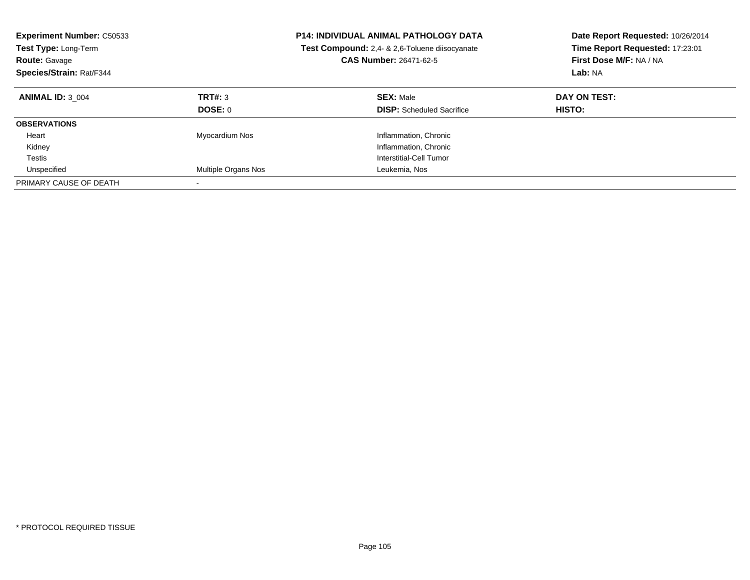| <b>Experiment Number: C50533</b><br><b>Test Type: Long-Term</b><br><b>Route: Gavage</b><br>Species/Strain: Rat/F344 |                     | <b>P14: INDIVIDUAL ANIMAL PATHOLOGY DATA</b><br><b>Test Compound:</b> 2.4- & 2.6-Toluene diisocyanate<br><b>CAS Number: 26471-62-5</b> | Date Report Requested: 10/26/2014<br>Time Report Requested: 17:23:01<br>First Dose M/F: NA / NA<br>Lab: NA |
|---------------------------------------------------------------------------------------------------------------------|---------------------|----------------------------------------------------------------------------------------------------------------------------------------|------------------------------------------------------------------------------------------------------------|
| <b>ANIMAL ID: 3 004</b>                                                                                             | TRT#: 3<br>DOSE: 0  | <b>SEX: Male</b><br><b>DISP:</b> Scheduled Sacrifice                                                                                   | DAY ON TEST:<br><b>HISTO:</b>                                                                              |
| <b>OBSERVATIONS</b>                                                                                                 |                     |                                                                                                                                        |                                                                                                            |
| Heart                                                                                                               | Myocardium Nos      | Inflammation, Chronic                                                                                                                  |                                                                                                            |
| Kidney                                                                                                              |                     | Inflammation, Chronic                                                                                                                  |                                                                                                            |
| Testis                                                                                                              |                     | Interstitial-Cell Tumor                                                                                                                |                                                                                                            |
| Unspecified                                                                                                         | Multiple Organs Nos | Leukemia, Nos                                                                                                                          |                                                                                                            |
| PRIMARY CAUSE OF DEATH                                                                                              |                     |                                                                                                                                        |                                                                                                            |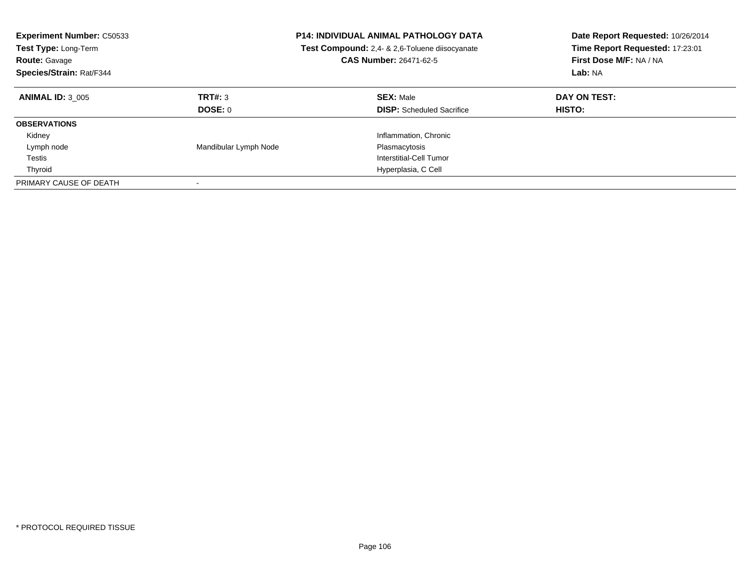| <b>Experiment Number: C50533</b><br><b>Test Type: Long-Term</b><br><b>Route: Gavage</b><br>Species/Strain: Rat/F344 |                           | <b>P14: INDIVIDUAL ANIMAL PATHOLOGY DATA</b><br><b>Test Compound:</b> 2.4- & 2.6-Toluene diisocyanate<br><b>CAS Number: 26471-62-5</b> | Date Report Requested: 10/26/2014<br>Time Report Requested: 17:23:01<br>First Dose M/F: NA / NA<br>Lab: NA |
|---------------------------------------------------------------------------------------------------------------------|---------------------------|----------------------------------------------------------------------------------------------------------------------------------------|------------------------------------------------------------------------------------------------------------|
| <b>ANIMAL ID: 3 005</b>                                                                                             | TRT#: 3<br><b>DOSE: 0</b> | <b>SEX: Male</b><br><b>DISP:</b> Scheduled Sacrifice                                                                                   | DAY ON TEST:<br><b>HISTO:</b>                                                                              |
| <b>OBSERVATIONS</b>                                                                                                 |                           |                                                                                                                                        |                                                                                                            |
| Kidney                                                                                                              |                           | Inflammation, Chronic                                                                                                                  |                                                                                                            |
| Lymph node                                                                                                          | Mandibular Lymph Node     | Plasmacytosis                                                                                                                          |                                                                                                            |
| Testis                                                                                                              |                           | Interstitial-Cell Tumor                                                                                                                |                                                                                                            |
| Thyroid                                                                                                             |                           | Hyperplasia, C Cell                                                                                                                    |                                                                                                            |
| PRIMARY CAUSE OF DEATH                                                                                              | $\overline{\phantom{a}}$  |                                                                                                                                        |                                                                                                            |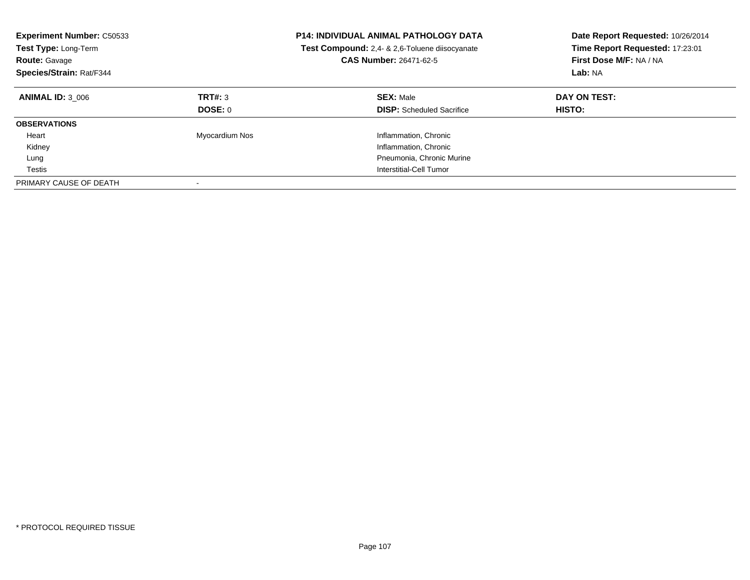| <b>Experiment Number: C50533</b><br>Test Type: Long-Term<br><b>Route: Gavage</b><br>Species/Strain: Rat/F344 |                    | <b>P14: INDIVIDUAL ANIMAL PATHOLOGY DATA</b><br>Test Compound: 2,4- & 2,6-Toluene diisocyanate<br>CAS Number: 26471-62-5 | Date Report Requested: 10/26/2014<br>Time Report Requested: 17:23:01<br>First Dose M/F: NA / NA<br>Lab: NA |
|--------------------------------------------------------------------------------------------------------------|--------------------|--------------------------------------------------------------------------------------------------------------------------|------------------------------------------------------------------------------------------------------------|
| <b>ANIMAL ID: 3 006</b>                                                                                      | TRT#: 3<br>DOSE: 0 | <b>SEX: Male</b><br><b>DISP:</b> Scheduled Sacrifice                                                                     | DAY ON TEST:<br><b>HISTO:</b>                                                                              |
| <b>OBSERVATIONS</b>                                                                                          |                    |                                                                                                                          |                                                                                                            |
| Heart                                                                                                        | Myocardium Nos     | Inflammation, Chronic                                                                                                    |                                                                                                            |
| Kidney                                                                                                       |                    | Inflammation, Chronic                                                                                                    |                                                                                                            |
| Lung                                                                                                         |                    | Pneumonia, Chronic Murine                                                                                                |                                                                                                            |
| Testis                                                                                                       |                    | Interstitial-Cell Tumor                                                                                                  |                                                                                                            |
| PRIMARY CAUSE OF DEATH                                                                                       |                    |                                                                                                                          |                                                                                                            |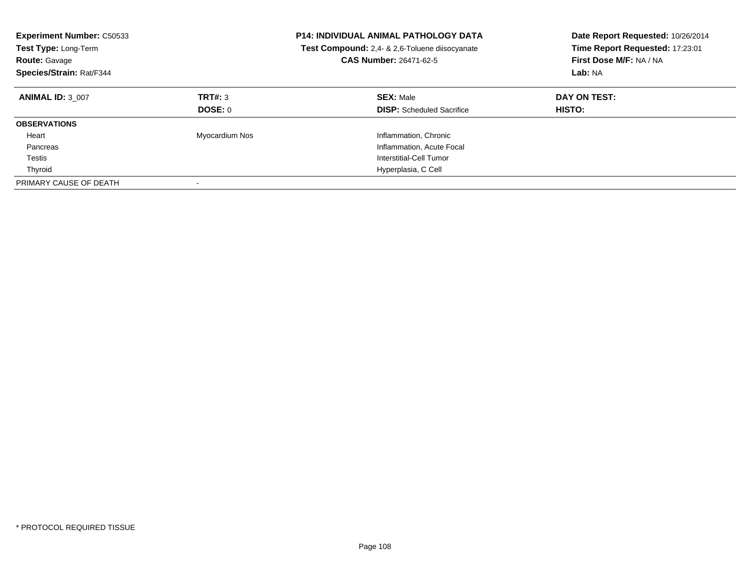| <b>Experiment Number: C50533</b><br><b>Test Type: Long-Term</b><br><b>Route: Gavage</b><br>Species/Strain: Rat/F344 |                    | <b>P14: INDIVIDUAL ANIMAL PATHOLOGY DATA</b><br><b>Test Compound:</b> 2.4- & 2.6-Toluene diisocyanate<br>CAS Number: 26471-62-5 | Date Report Requested: 10/26/2014<br>Time Report Requested: 17:23:01<br>First Dose M/F: NA / NA<br>Lab: NA |
|---------------------------------------------------------------------------------------------------------------------|--------------------|---------------------------------------------------------------------------------------------------------------------------------|------------------------------------------------------------------------------------------------------------|
| <b>ANIMAL ID: 3 007</b>                                                                                             | TRT#: 3<br>DOSE: 0 | <b>SEX: Male</b><br><b>DISP:</b> Scheduled Sacrifice                                                                            | DAY ON TEST:<br><b>HISTO:</b>                                                                              |
| <b>OBSERVATIONS</b>                                                                                                 |                    |                                                                                                                                 |                                                                                                            |
| Heart                                                                                                               | Myocardium Nos     | Inflammation, Chronic                                                                                                           |                                                                                                            |
| Pancreas                                                                                                            |                    | Inflammation, Acute Focal                                                                                                       |                                                                                                            |
| Testis                                                                                                              |                    | Interstitial-Cell Tumor                                                                                                         |                                                                                                            |
| Thyroid                                                                                                             |                    | Hyperplasia, C Cell                                                                                                             |                                                                                                            |
| PRIMARY CAUSE OF DEATH                                                                                              |                    |                                                                                                                                 |                                                                                                            |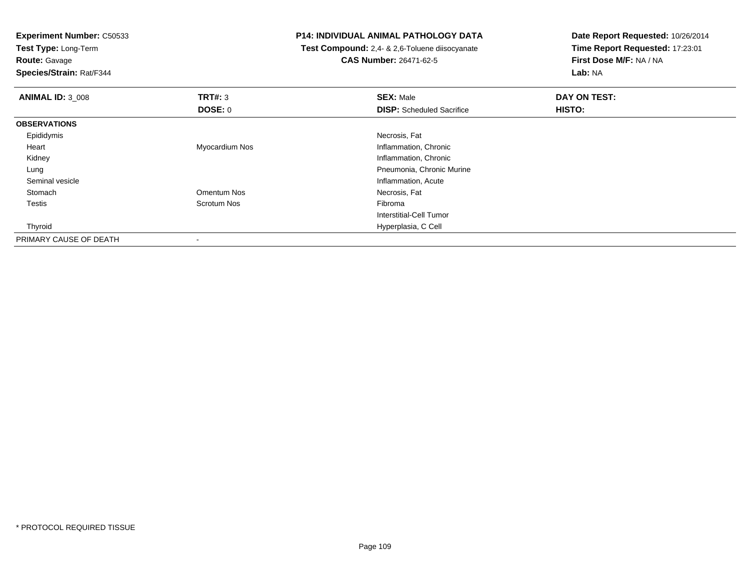**Experiment Number:** C50533**Test Type:** Long-Term**Route:** Gavage **Species/Strain:** Rat/F344**P14: INDIVIDUAL ANIMAL PATHOLOGY DATA Test Compound:** 2,4- & 2,6-Toluene diisocyanate**CAS Number:** 26471-62-5**Date Report Requested:** 10/26/2014**Time Report Requested:** 17:23:01**First Dose M/F:** NA / NA**Lab:** NA**ANIMAL ID:** 3\_008**REX:** Male **DAY ON TEST: SEX:** Male **SEX:** Male **DOSE:** 0**DISP:** Scheduled Sacrifice **HISTO: OBSERVATIONS** Epididymiss and the contract of the contract of the contract of the contract of the contract of the contract of the contract of the contract of the contract of the contract of the contract of the contract of the contract of the cont Heart Myocardium Nos Inflammation, Chronic Kidney Inflammation, Chronic Lung Pneumonia, Chronic Murine Seminal vesicleInflammation, Acute<br>
Omentum Nos<br>
Necrosis, Fat Stomachh **and a community of the Community Community** Omentum Nos **Necrosis, Fat**  Testiss and the second Scrotum Nos and the second of the Scrotum Nos and the Scrotum Nos and the Scrotum Nos and the Scrotum Nos and the Scrotum Nos and the Scrotum Nos and the Scrotum Nos and the Scrotum Nos and the Scrotum Nos Interstitial-Cell Tumor Thyroid Hyperplasia, C Cell PRIMARY CAUSE OF DEATH-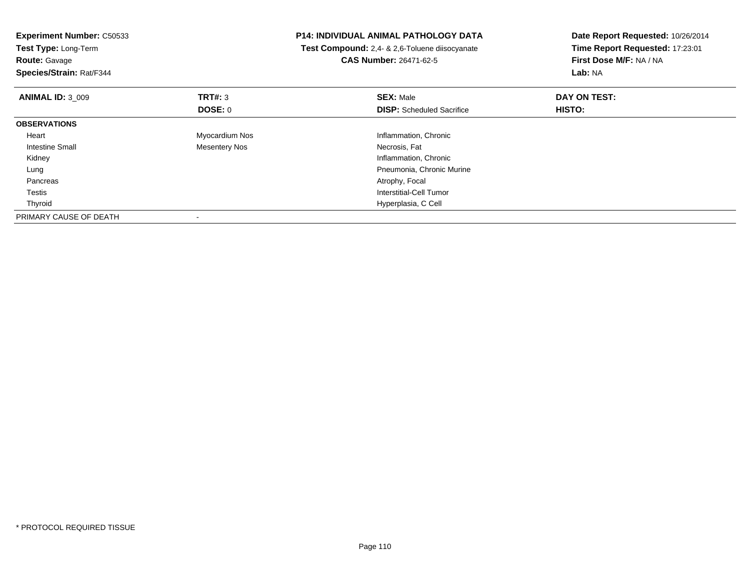| Experiment Number: C50533<br>Test Type: Long-Term<br><b>Route: Gavage</b><br>Species/Strain: Rat/F344 |                | <b>P14: INDIVIDUAL ANIMAL PATHOLOGY DATA</b><br>Test Compound: 2,4- & 2,6-Toluene diisocyanate<br><b>CAS Number: 26471-62-5</b> | Date Report Requested: 10/26/2014<br>Time Report Requested: 17:23:01<br>First Dose M/F: NA / NA<br><b>Lab: NA</b> |
|-------------------------------------------------------------------------------------------------------|----------------|---------------------------------------------------------------------------------------------------------------------------------|-------------------------------------------------------------------------------------------------------------------|
|                                                                                                       |                |                                                                                                                                 |                                                                                                                   |
| <b>ANIMAL ID: 3 009</b>                                                                               | TRT#: 3        | <b>SEX: Male</b>                                                                                                                | DAY ON TEST:                                                                                                      |
|                                                                                                       | DOSE: 0        | <b>DISP:</b> Scheduled Sacrifice                                                                                                | HISTO:                                                                                                            |
| <b>OBSERVATIONS</b>                                                                                   |                |                                                                                                                                 |                                                                                                                   |
| Heart                                                                                                 | Myocardium Nos | Inflammation, Chronic                                                                                                           |                                                                                                                   |
| Intestine Small                                                                                       | Mesentery Nos  | Necrosis, Fat                                                                                                                   |                                                                                                                   |
| Kidney                                                                                                |                | Inflammation, Chronic                                                                                                           |                                                                                                                   |
| Lung                                                                                                  |                | Pneumonia, Chronic Murine                                                                                                       |                                                                                                                   |
| Pancreas                                                                                              |                | Atrophy, Focal                                                                                                                  |                                                                                                                   |
| Testis                                                                                                |                | Interstitial-Cell Tumor                                                                                                         |                                                                                                                   |
| Thyroid                                                                                               |                | Hyperplasia, C Cell                                                                                                             |                                                                                                                   |
| PRIMARY CAUSE OF DEATH                                                                                |                |                                                                                                                                 |                                                                                                                   |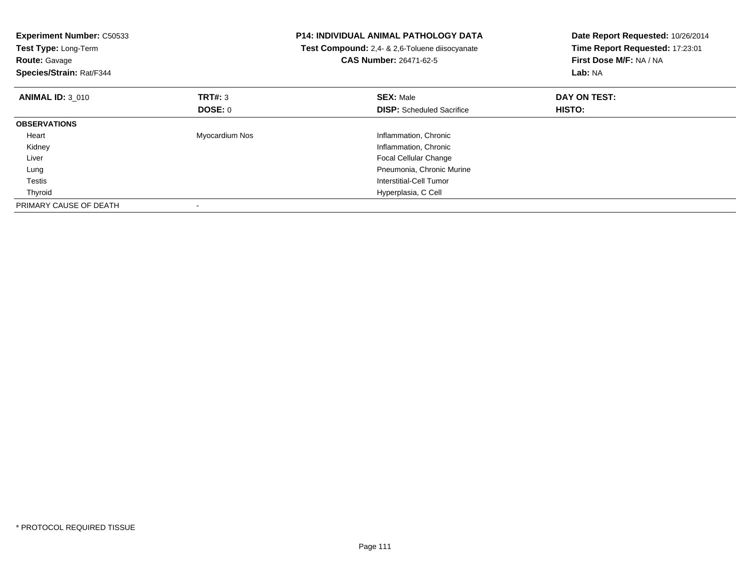| <b>Experiment Number: C50533</b><br>Test Type: Long-Term<br><b>Route: Gavage</b><br>Species/Strain: Rat/F344 |                | <b>P14: INDIVIDUAL ANIMAL PATHOLOGY DATA</b><br>Test Compound: 2,4- & 2,6-Toluene diisocyanate<br>CAS Number: 26471-62-5 | Date Report Requested: 10/26/2014<br>Time Report Requested: 17:23:01<br>First Dose M/F: NA / NA<br>Lab: NA |
|--------------------------------------------------------------------------------------------------------------|----------------|--------------------------------------------------------------------------------------------------------------------------|------------------------------------------------------------------------------------------------------------|
| <b>ANIMAL ID: 3 010</b>                                                                                      | TRT#: 3        | <b>SEX: Male</b>                                                                                                         | DAY ON TEST:                                                                                               |
|                                                                                                              | DOSE: 0        | <b>DISP:</b> Scheduled Sacrifice                                                                                         | HISTO:                                                                                                     |
| <b>OBSERVATIONS</b>                                                                                          |                |                                                                                                                          |                                                                                                            |
| Heart                                                                                                        | Myocardium Nos | Inflammation, Chronic                                                                                                    |                                                                                                            |
| Kidney                                                                                                       |                | Inflammation, Chronic                                                                                                    |                                                                                                            |
| Liver                                                                                                        |                | <b>Focal Cellular Change</b>                                                                                             |                                                                                                            |
| Lung                                                                                                         |                | Pneumonia, Chronic Murine                                                                                                |                                                                                                            |
| Testis                                                                                                       |                | Interstitial-Cell Tumor                                                                                                  |                                                                                                            |
| Thyroid                                                                                                      |                | Hyperplasia, C Cell                                                                                                      |                                                                                                            |
| PRIMARY CAUSE OF DEATH                                                                                       |                |                                                                                                                          |                                                                                                            |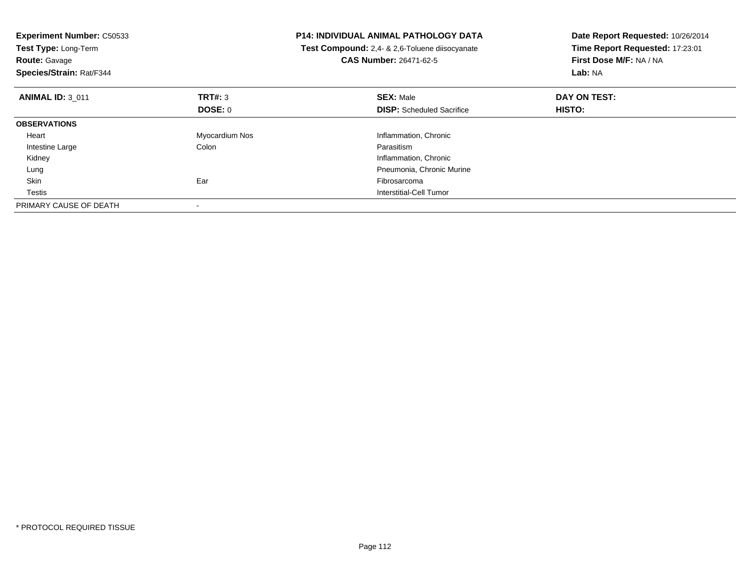| <b>Experiment Number: C50533</b><br>Test Type: Long-Term<br><b>Route: Gavage</b><br>Species/Strain: Rat/F344 |                | <b>P14: INDIVIDUAL ANIMAL PATHOLOGY DATA</b><br>Test Compound: 2,4- & 2,6-Toluene diisocyanate<br><b>CAS Number: 26471-62-5</b> | Date Report Requested: 10/26/2014<br>Time Report Requested: 17:23:01<br>First Dose M/F: NA / NA<br>Lab: NA |
|--------------------------------------------------------------------------------------------------------------|----------------|---------------------------------------------------------------------------------------------------------------------------------|------------------------------------------------------------------------------------------------------------|
| <b>ANIMAL ID: 3 011</b>                                                                                      | TRT#: 3        | <b>SEX: Male</b>                                                                                                                | DAY ON TEST:                                                                                               |
|                                                                                                              | DOSE: 0        | <b>DISP:</b> Scheduled Sacrifice                                                                                                | <b>HISTO:</b>                                                                                              |
| <b>OBSERVATIONS</b>                                                                                          |                |                                                                                                                                 |                                                                                                            |
| Heart                                                                                                        | Myocardium Nos | Inflammation, Chronic                                                                                                           |                                                                                                            |
| Intestine Large                                                                                              | Colon          | Parasitism                                                                                                                      |                                                                                                            |
| Kidney                                                                                                       |                | Inflammation, Chronic                                                                                                           |                                                                                                            |
| Lung                                                                                                         |                | Pneumonia, Chronic Murine                                                                                                       |                                                                                                            |
| Skin                                                                                                         | Ear            | Fibrosarcoma                                                                                                                    |                                                                                                            |
| Testis                                                                                                       |                | Interstitial-Cell Tumor                                                                                                         |                                                                                                            |
| PRIMARY CAUSE OF DEATH                                                                                       |                |                                                                                                                                 |                                                                                                            |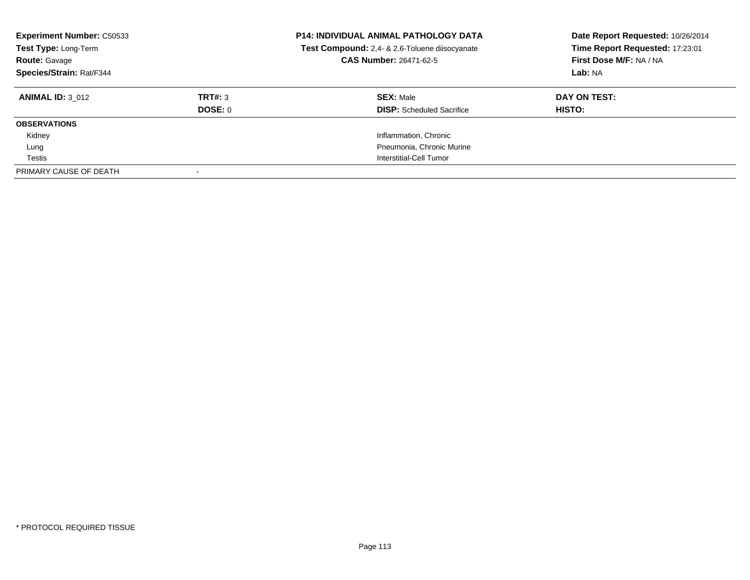| <b>Experiment Number: C50533</b><br>Test Type: Long-Term<br><b>Route: Gavage</b><br>Species/Strain: Rat/F344 |         | <b>P14: INDIVIDUAL ANIMAL PATHOLOGY DATA</b><br>Test Compound: 2,4- & 2,6-Toluene diisocyanate<br>CAS Number: 26471-62-5 | Date Report Requested: 10/26/2014<br>Time Report Requested: 17:23:01<br>First Dose M/F: NA / NA<br>Lab: NA |
|--------------------------------------------------------------------------------------------------------------|---------|--------------------------------------------------------------------------------------------------------------------------|------------------------------------------------------------------------------------------------------------|
| <b>ANIMAL ID: 3 012</b>                                                                                      | TRT#: 3 | <b>SEX: Male</b>                                                                                                         | DAY ON TEST:                                                                                               |
|                                                                                                              | DOSE: 0 | <b>DISP:</b> Scheduled Sacrifice                                                                                         | HISTO:                                                                                                     |
| <b>OBSERVATIONS</b>                                                                                          |         |                                                                                                                          |                                                                                                            |
| Kidney                                                                                                       |         | Inflammation, Chronic                                                                                                    |                                                                                                            |
| Lung                                                                                                         |         | Pneumonia, Chronic Murine                                                                                                |                                                                                                            |
| Testis                                                                                                       |         | Interstitial-Cell Tumor                                                                                                  |                                                                                                            |
| PRIMARY CAUSE OF DEATH                                                                                       |         |                                                                                                                          |                                                                                                            |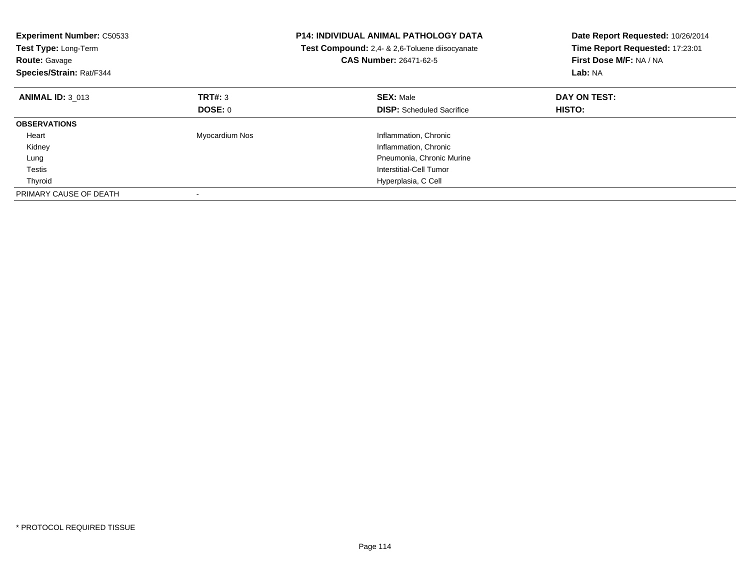| <b>Experiment Number: C50533</b><br>Test Type: Long-Term<br><b>Route: Gavage</b><br>Species/Strain: Rat/F344 |                | <b>P14: INDIVIDUAL ANIMAL PATHOLOGY DATA</b><br>Test Compound: 2,4- & 2,6-Toluene diisocyanate<br><b>CAS Number: 26471-62-5</b> | Date Report Requested: 10/26/2014<br>Time Report Requested: 17:23:01<br>First Dose M/F: NA / NA<br>Lab: NA |
|--------------------------------------------------------------------------------------------------------------|----------------|---------------------------------------------------------------------------------------------------------------------------------|------------------------------------------------------------------------------------------------------------|
| <b>ANIMAL ID: 3 013</b>                                                                                      | TRT#: 3        | <b>SEX: Male</b>                                                                                                                | DAY ON TEST:                                                                                               |
|                                                                                                              | DOSE: 0        | <b>DISP:</b> Scheduled Sacrifice                                                                                                | <b>HISTO:</b>                                                                                              |
| <b>OBSERVATIONS</b>                                                                                          |                |                                                                                                                                 |                                                                                                            |
| Heart                                                                                                        | Myocardium Nos | Inflammation, Chronic                                                                                                           |                                                                                                            |
| Kidney                                                                                                       |                | Inflammation, Chronic                                                                                                           |                                                                                                            |
| Lung                                                                                                         |                | Pneumonia, Chronic Murine                                                                                                       |                                                                                                            |
| Testis                                                                                                       |                | Interstitial-Cell Tumor                                                                                                         |                                                                                                            |
| Thyroid                                                                                                      |                | Hyperplasia, C Cell                                                                                                             |                                                                                                            |
| PRIMARY CAUSE OF DEATH                                                                                       |                |                                                                                                                                 |                                                                                                            |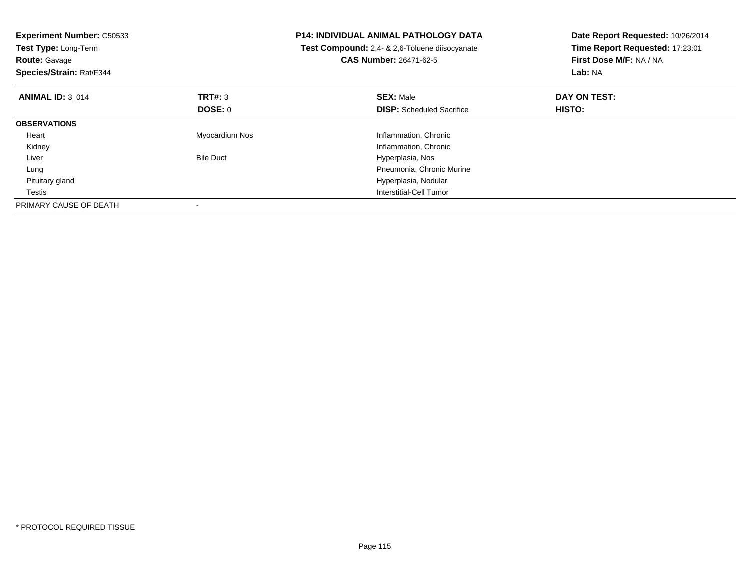| <b>Experiment Number: C50533</b><br>Test Type: Long-Term<br><b>Route: Gavage</b><br>Species/Strain: Rat/F344 |                  | <b>P14: INDIVIDUAL ANIMAL PATHOLOGY DATA</b><br>Test Compound: 2,4- & 2,6-Toluene diisocyanate<br><b>CAS Number: 26471-62-5</b> | Date Report Requested: 10/26/2014<br>Time Report Requested: 17:23:01<br>First Dose M/F: NA / NA<br>Lab: NA |
|--------------------------------------------------------------------------------------------------------------|------------------|---------------------------------------------------------------------------------------------------------------------------------|------------------------------------------------------------------------------------------------------------|
| <b>ANIMAL ID: 3 014</b>                                                                                      | TRT#: 3          | <b>SEX: Male</b>                                                                                                                | DAY ON TEST:                                                                                               |
|                                                                                                              | <b>DOSE: 0</b>   | <b>DISP:</b> Scheduled Sacrifice                                                                                                | HISTO:                                                                                                     |
| <b>OBSERVATIONS</b>                                                                                          |                  |                                                                                                                                 |                                                                                                            |
| Heart                                                                                                        | Myocardium Nos   | Inflammation, Chronic                                                                                                           |                                                                                                            |
| Kidney                                                                                                       |                  | Inflammation, Chronic                                                                                                           |                                                                                                            |
| Liver                                                                                                        | <b>Bile Duct</b> | Hyperplasia, Nos                                                                                                                |                                                                                                            |
| Lung                                                                                                         |                  | Pneumonia, Chronic Murine                                                                                                       |                                                                                                            |
| Pituitary gland                                                                                              |                  | Hyperplasia, Nodular                                                                                                            |                                                                                                            |
| Testis                                                                                                       |                  | Interstitial-Cell Tumor                                                                                                         |                                                                                                            |
| PRIMARY CAUSE OF DEATH                                                                                       |                  |                                                                                                                                 |                                                                                                            |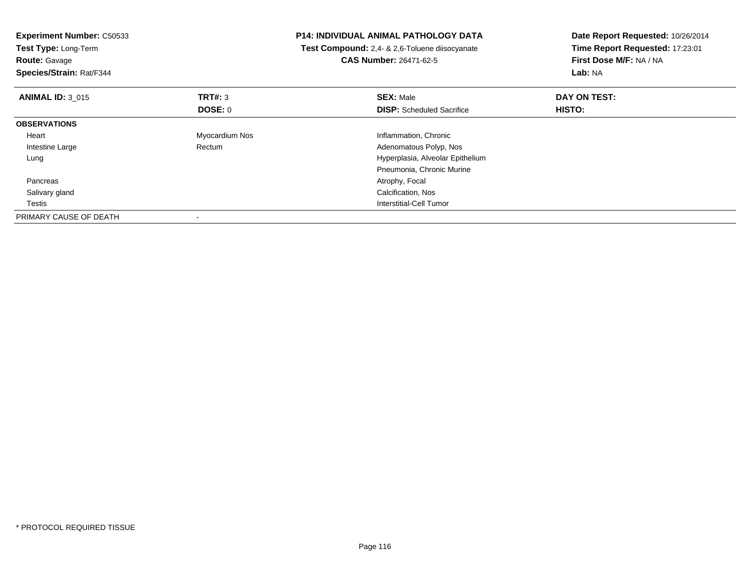| <b>Experiment Number: C50533</b><br>Test Type: Long-Term<br><b>Route: Gavage</b><br>Species/Strain: Rat/F344 |                | <b>P14: INDIVIDUAL ANIMAL PATHOLOGY DATA</b><br>Test Compound: 2,4- & 2,6-Toluene diisocyanate<br><b>CAS Number: 26471-62-5</b> | Date Report Requested: 10/26/2014<br>Time Report Requested: 17:23:01<br>First Dose M/F: NA / NA<br>Lab: NA |
|--------------------------------------------------------------------------------------------------------------|----------------|---------------------------------------------------------------------------------------------------------------------------------|------------------------------------------------------------------------------------------------------------|
| <b>ANIMAL ID: 3 015</b>                                                                                      | <b>TRT#:</b> 3 | <b>SEX: Male</b>                                                                                                                | DAY ON TEST:                                                                                               |
|                                                                                                              | <b>DOSE: 0</b> | <b>DISP:</b> Scheduled Sacrifice                                                                                                | HISTO:                                                                                                     |
| <b>OBSERVATIONS</b>                                                                                          |                |                                                                                                                                 |                                                                                                            |
| Heart                                                                                                        | Myocardium Nos | Inflammation, Chronic                                                                                                           |                                                                                                            |
| Intestine Large                                                                                              | Rectum         | Adenomatous Polyp, Nos                                                                                                          |                                                                                                            |
| Lung                                                                                                         |                | Hyperplasia, Alveolar Epithelium                                                                                                |                                                                                                            |
|                                                                                                              |                | Pneumonia, Chronic Murine                                                                                                       |                                                                                                            |
| Pancreas                                                                                                     |                | Atrophy, Focal                                                                                                                  |                                                                                                            |
| Salivary gland                                                                                               |                | Calcification, Nos                                                                                                              |                                                                                                            |
| Testis                                                                                                       |                | Interstitial-Cell Tumor                                                                                                         |                                                                                                            |
| PRIMARY CAUSE OF DEATH                                                                                       |                |                                                                                                                                 |                                                                                                            |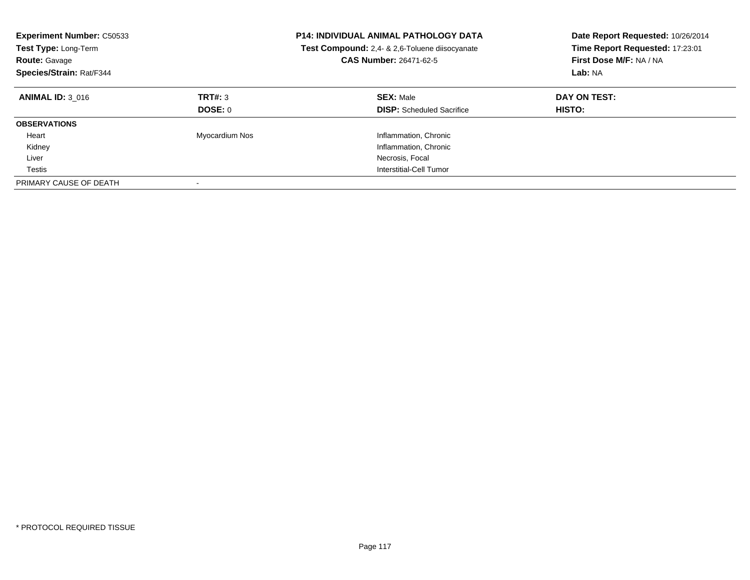| <b>Experiment Number: C50533</b><br>Test Type: Long-Term<br><b>Route: Gavage</b><br>Species/Strain: Rat/F344 |                           | <b>P14: INDIVIDUAL ANIMAL PATHOLOGY DATA</b><br>Test Compound: 2,4- & 2,6-Toluene diisocyanate<br>CAS Number: 26471-62-5 | Date Report Requested: 10/26/2014<br>Time Report Requested: 17:23:01<br>First Dose M/F: NA / NA<br>Lab: NA |
|--------------------------------------------------------------------------------------------------------------|---------------------------|--------------------------------------------------------------------------------------------------------------------------|------------------------------------------------------------------------------------------------------------|
| <b>ANIMAL ID: 3 016</b>                                                                                      | TRT#: 3<br><b>DOSE: 0</b> | <b>SEX: Male</b><br><b>DISP:</b> Scheduled Sacrifice                                                                     | DAY ON TEST:<br><b>HISTO:</b>                                                                              |
| <b>OBSERVATIONS</b>                                                                                          |                           |                                                                                                                          |                                                                                                            |
| Heart                                                                                                        | Myocardium Nos            | Inflammation, Chronic                                                                                                    |                                                                                                            |
| Kidney                                                                                                       |                           | Inflammation, Chronic                                                                                                    |                                                                                                            |
| Liver                                                                                                        |                           | Necrosis, Focal                                                                                                          |                                                                                                            |
| Testis                                                                                                       |                           | Interstitial-Cell Tumor                                                                                                  |                                                                                                            |
| PRIMARY CAUSE OF DEATH                                                                                       |                           |                                                                                                                          |                                                                                                            |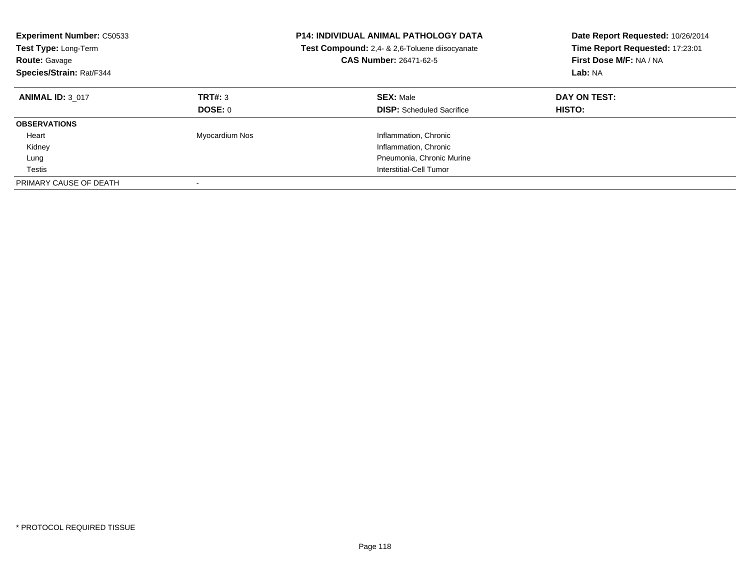| <b>Experiment Number: C50533</b><br><b>Test Type: Long-Term</b><br><b>Route: Gavage</b><br>Species/Strain: Rat/F344 |                           | <b>P14: INDIVIDUAL ANIMAL PATHOLOGY DATA</b><br>Test Compound: 2,4- & 2,6-Toluene diisocyanate<br>CAS Number: 26471-62-5 | Date Report Requested: 10/26/2014<br>Time Report Requested: 17:23:01<br>First Dose M/F: NA / NA<br>Lab: NA |
|---------------------------------------------------------------------------------------------------------------------|---------------------------|--------------------------------------------------------------------------------------------------------------------------|------------------------------------------------------------------------------------------------------------|
| <b>ANIMAL ID: 3 017</b>                                                                                             | TRT#: 3<br><b>DOSE: 0</b> | <b>SEX: Male</b><br><b>DISP:</b> Scheduled Sacrifice                                                                     | DAY ON TEST:<br>HISTO:                                                                                     |
| <b>OBSERVATIONS</b>                                                                                                 |                           |                                                                                                                          |                                                                                                            |
| Heart                                                                                                               | Myocardium Nos            | Inflammation, Chronic                                                                                                    |                                                                                                            |
| Kidney                                                                                                              |                           | Inflammation, Chronic                                                                                                    |                                                                                                            |
| Lung                                                                                                                |                           | Pneumonia, Chronic Murine                                                                                                |                                                                                                            |
| Testis                                                                                                              |                           | Interstitial-Cell Tumor                                                                                                  |                                                                                                            |
| PRIMARY CAUSE OF DEATH                                                                                              |                           |                                                                                                                          |                                                                                                            |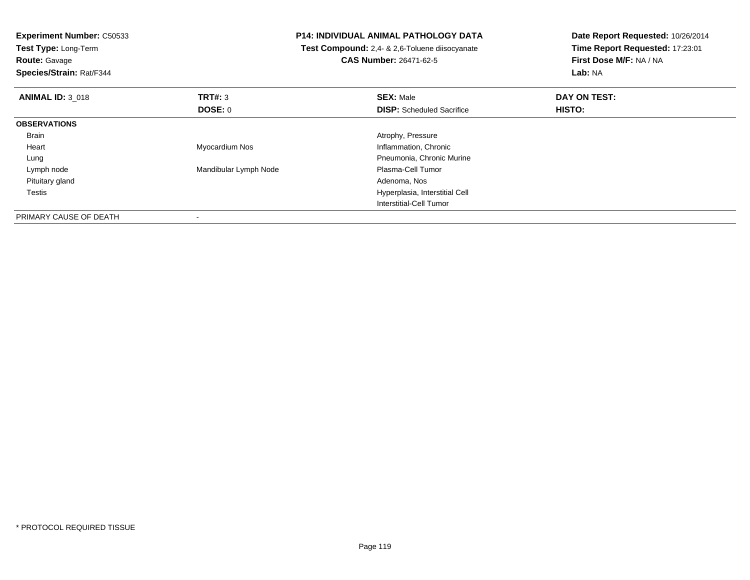| <b>Experiment Number: C50533</b><br>Test Type: Long-Term |                       | <b>P14: INDIVIDUAL ANIMAL PATHOLOGY DATA</b><br>Test Compound: 2,4- & 2,6-Toluene diisocyanate | Date Report Requested: 10/26/2014<br>Time Report Requested: 17:23:01 |
|----------------------------------------------------------|-----------------------|------------------------------------------------------------------------------------------------|----------------------------------------------------------------------|
| <b>Route: Gavage</b>                                     |                       | <b>CAS Number: 26471-62-5</b>                                                                  | First Dose M/F: NA / NA                                              |
| Species/Strain: Rat/F344                                 |                       |                                                                                                | Lab: NA                                                              |
| <b>ANIMAL ID: 3 018</b>                                  | <b>TRT#: 3</b>        | <b>SEX: Male</b>                                                                               | DAY ON TEST:                                                         |
|                                                          | DOSE: 0               | <b>DISP:</b> Scheduled Sacrifice                                                               | HISTO:                                                               |
| <b>OBSERVATIONS</b>                                      |                       |                                                                                                |                                                                      |
| Brain                                                    |                       | Atrophy, Pressure                                                                              |                                                                      |
| Heart                                                    | Myocardium Nos        | Inflammation, Chronic                                                                          |                                                                      |
| Lung                                                     |                       | Pneumonia, Chronic Murine                                                                      |                                                                      |
| Lymph node                                               | Mandibular Lymph Node | Plasma-Cell Tumor                                                                              |                                                                      |
| Pituitary gland                                          |                       | Adenoma, Nos                                                                                   |                                                                      |
| Testis                                                   |                       | Hyperplasia, Interstitial Cell                                                                 |                                                                      |
|                                                          |                       | Interstitial-Cell Tumor                                                                        |                                                                      |
| PRIMARY CAUSE OF DEATH                                   |                       |                                                                                                |                                                                      |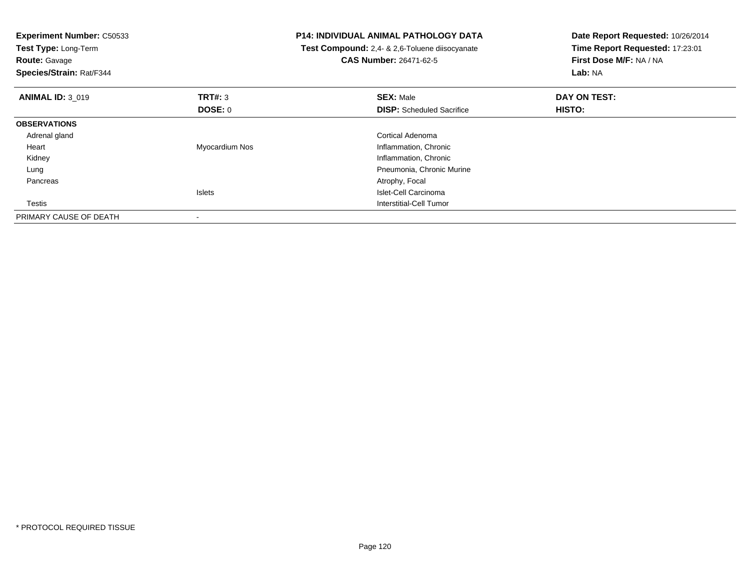| <b>Experiment Number: C50533</b><br>Test Type: Long-Term<br><b>Route: Gavage</b><br>Species/Strain: Rat/F344 |                           | <b>P14: INDIVIDUAL ANIMAL PATHOLOGY DATA</b><br>Test Compound: 2,4- & 2,6-Toluene diisocyanate<br>CAS Number: 26471-62-5 | Date Report Requested: 10/26/2014<br>Time Report Requested: 17:23:01<br>First Dose M/F: NA / NA<br>Lab: NA |
|--------------------------------------------------------------------------------------------------------------|---------------------------|--------------------------------------------------------------------------------------------------------------------------|------------------------------------------------------------------------------------------------------------|
| <b>ANIMAL ID: 3 019</b>                                                                                      | <b>TRT#:</b> 3<br>DOSE: 0 | <b>SEX: Male</b><br><b>DISP:</b> Scheduled Sacrifice                                                                     | DAY ON TEST:<br>HISTO:                                                                                     |
| <b>OBSERVATIONS</b>                                                                                          |                           |                                                                                                                          |                                                                                                            |
| Adrenal gland                                                                                                |                           | Cortical Adenoma                                                                                                         |                                                                                                            |
| Heart                                                                                                        | Myocardium Nos            | Inflammation, Chronic                                                                                                    |                                                                                                            |
| Kidney                                                                                                       |                           | Inflammation, Chronic                                                                                                    |                                                                                                            |
| Lung                                                                                                         |                           | Pneumonia, Chronic Murine                                                                                                |                                                                                                            |
| Pancreas                                                                                                     |                           | Atrophy, Focal                                                                                                           |                                                                                                            |
|                                                                                                              | <b>Islets</b>             | Islet-Cell Carcinoma                                                                                                     |                                                                                                            |
| Testis                                                                                                       |                           | Interstitial-Cell Tumor                                                                                                  |                                                                                                            |
| PRIMARY CAUSE OF DEATH                                                                                       |                           |                                                                                                                          |                                                                                                            |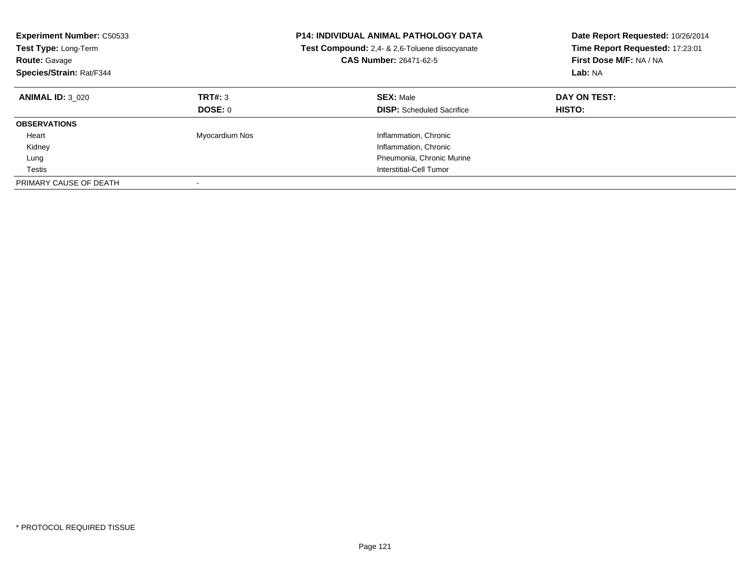| <b>Experiment Number: C50533</b><br>Test Type: Long-Term<br><b>Route: Gavage</b><br>Species/Strain: Rat/F344 |                    | <b>P14: INDIVIDUAL ANIMAL PATHOLOGY DATA</b><br>Test Compound: 2,4- & 2,6-Toluene diisocyanate<br>CAS Number: 26471-62-5 | Date Report Requested: 10/26/2014<br>Time Report Requested: 17:23:01<br>First Dose M/F: NA / NA<br>Lab: NA |
|--------------------------------------------------------------------------------------------------------------|--------------------|--------------------------------------------------------------------------------------------------------------------------|------------------------------------------------------------------------------------------------------------|
| <b>ANIMAL ID: 3 020</b>                                                                                      | TRT#: 3<br>DOSE: 0 | <b>SEX: Male</b><br><b>DISP:</b> Scheduled Sacrifice                                                                     | DAY ON TEST:<br><b>HISTO:</b>                                                                              |
| <b>OBSERVATIONS</b>                                                                                          |                    |                                                                                                                          |                                                                                                            |
| Heart                                                                                                        | Myocardium Nos     | Inflammation, Chronic                                                                                                    |                                                                                                            |
| Kidney                                                                                                       |                    | Inflammation, Chronic                                                                                                    |                                                                                                            |
| Lung                                                                                                         |                    | Pneumonia, Chronic Murine                                                                                                |                                                                                                            |
| Testis                                                                                                       |                    | Interstitial-Cell Tumor                                                                                                  |                                                                                                            |
| PRIMARY CAUSE OF DEATH                                                                                       |                    |                                                                                                                          |                                                                                                            |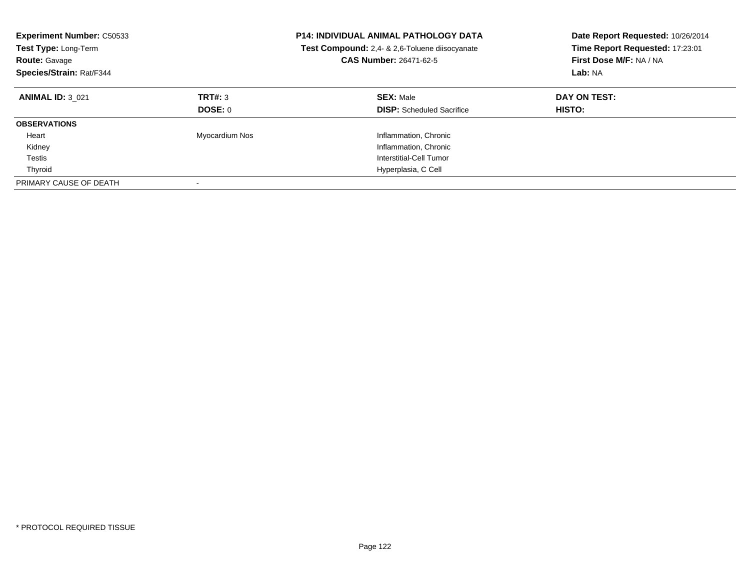| <b>Experiment Number: C50533</b><br><b>Test Type: Long-Term</b><br><b>Route: Gavage</b><br>Species/Strain: Rat/F344 |                           | <b>P14: INDIVIDUAL ANIMAL PATHOLOGY DATA</b><br><b>Test Compound:</b> 2.4- & 2.6-Toluene diisocyanate<br>CAS Number: 26471-62-5 | Date Report Requested: 10/26/2014<br>Time Report Requested: 17:23:01<br>First Dose M/F: NA / NA<br>Lab: NA |
|---------------------------------------------------------------------------------------------------------------------|---------------------------|---------------------------------------------------------------------------------------------------------------------------------|------------------------------------------------------------------------------------------------------------|
| <b>ANIMAL ID: 3 021</b>                                                                                             | TRT#: 3<br><b>DOSE: 0</b> | <b>SEX: Male</b><br><b>DISP:</b> Scheduled Sacrifice                                                                            | DAY ON TEST:<br><b>HISTO:</b>                                                                              |
| <b>OBSERVATIONS</b>                                                                                                 |                           |                                                                                                                                 |                                                                                                            |
| Heart                                                                                                               | Myocardium Nos            | Inflammation, Chronic                                                                                                           |                                                                                                            |
| Kidney                                                                                                              |                           | Inflammation, Chronic                                                                                                           |                                                                                                            |
| Testis                                                                                                              |                           | Interstitial-Cell Tumor                                                                                                         |                                                                                                            |
| Thyroid                                                                                                             |                           | Hyperplasia, C Cell                                                                                                             |                                                                                                            |
| PRIMARY CAUSE OF DEATH                                                                                              |                           |                                                                                                                                 |                                                                                                            |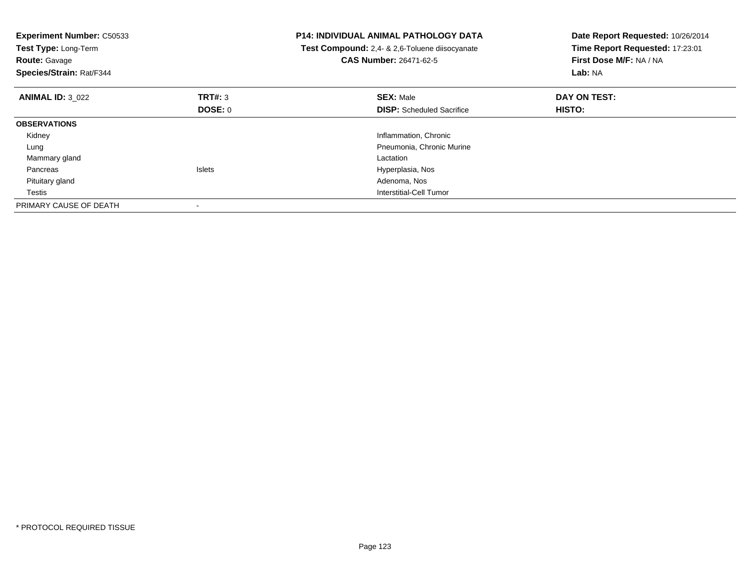| <b>Experiment Number: C50533</b><br>Test Type: Long-Term<br><b>Route: Gavage</b><br>Species/Strain: Rat/F344 |               | <b>P14: INDIVIDUAL ANIMAL PATHOLOGY DATA</b><br>Test Compound: 2,4- & 2,6-Toluene diisocyanate<br><b>CAS Number: 26471-62-5</b> | Date Report Requested: 10/26/2014<br>Time Report Requested: 17:23:01<br>First Dose M/F: NA / NA<br>Lab: NA |
|--------------------------------------------------------------------------------------------------------------|---------------|---------------------------------------------------------------------------------------------------------------------------------|------------------------------------------------------------------------------------------------------------|
| <b>ANIMAL ID: 3 022</b>                                                                                      | TRT#: 3       | <b>SEX: Male</b>                                                                                                                | DAY ON TEST:                                                                                               |
|                                                                                                              | DOSE: 0       | <b>DISP:</b> Scheduled Sacrifice                                                                                                | <b>HISTO:</b>                                                                                              |
| <b>OBSERVATIONS</b>                                                                                          |               |                                                                                                                                 |                                                                                                            |
| Kidney                                                                                                       |               | Inflammation, Chronic                                                                                                           |                                                                                                            |
| Lung                                                                                                         |               | Pneumonia, Chronic Murine                                                                                                       |                                                                                                            |
| Mammary gland                                                                                                |               | Lactation                                                                                                                       |                                                                                                            |
| Pancreas                                                                                                     | <b>Islets</b> | Hyperplasia, Nos                                                                                                                |                                                                                                            |
| Pituitary gland                                                                                              |               | Adenoma, Nos                                                                                                                    |                                                                                                            |
| Testis                                                                                                       |               | Interstitial-Cell Tumor                                                                                                         |                                                                                                            |
| PRIMARY CAUSE OF DEATH                                                                                       |               |                                                                                                                                 |                                                                                                            |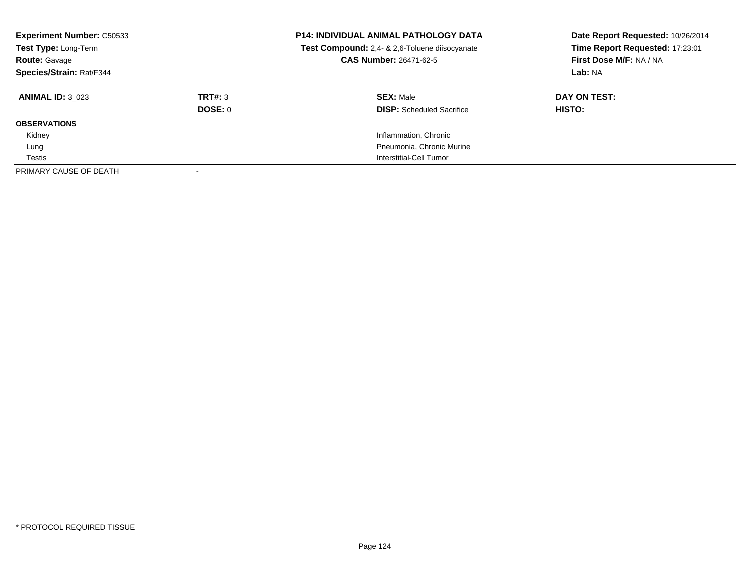| <b>Experiment Number: C50533</b><br>Test Type: Long-Term<br><b>Route: Gavage</b><br>Species/Strain: Rat/F344 |                | <b>P14: INDIVIDUAL ANIMAL PATHOLOGY DATA</b><br>Test Compound: 2,4- & 2,6-Toluene diisocyanate<br><b>CAS Number: 26471-62-5</b> | Date Report Requested: 10/26/2014<br>Time Report Requested: 17:23:01<br>First Dose M/F: NA / NA<br>Lab: NA |
|--------------------------------------------------------------------------------------------------------------|----------------|---------------------------------------------------------------------------------------------------------------------------------|------------------------------------------------------------------------------------------------------------|
| <b>ANIMAL ID: 3 023</b>                                                                                      | TRT#: 3        | <b>SEX: Male</b>                                                                                                                | DAY ON TEST:                                                                                               |
|                                                                                                              | <b>DOSE: 0</b> | <b>DISP:</b> Scheduled Sacrifice                                                                                                | HISTO:                                                                                                     |
| <b>OBSERVATIONS</b>                                                                                          |                |                                                                                                                                 |                                                                                                            |
| Kidney                                                                                                       |                | Inflammation, Chronic                                                                                                           |                                                                                                            |
| Lung                                                                                                         |                | Pneumonia, Chronic Murine                                                                                                       |                                                                                                            |
| Testis                                                                                                       |                | Interstitial-Cell Tumor                                                                                                         |                                                                                                            |
| PRIMARY CAUSE OF DEATH                                                                                       |                |                                                                                                                                 |                                                                                                            |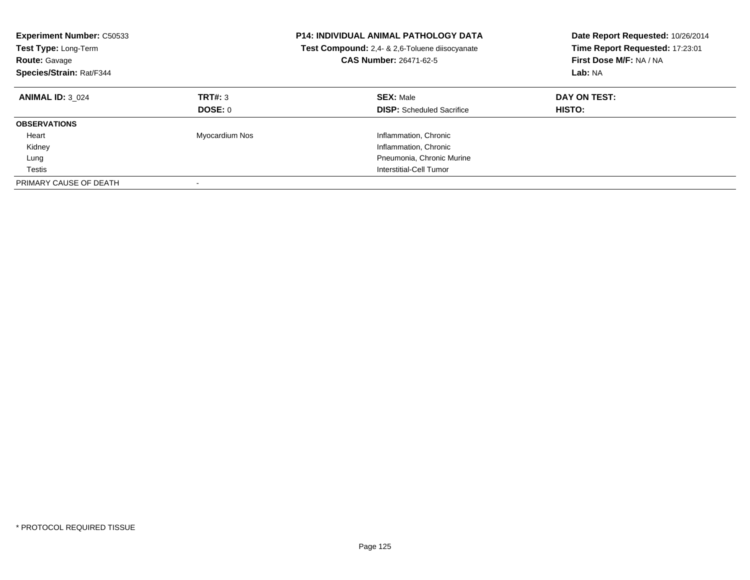| <b>Experiment Number: C50533</b><br>Test Type: Long-Term<br><b>Route: Gavage</b><br>Species/Strain: Rat/F344 |                    | <b>P14: INDIVIDUAL ANIMAL PATHOLOGY DATA</b><br>Test Compound: 2,4- & 2,6-Toluene diisocyanate<br>CAS Number: 26471-62-5 | Date Report Requested: 10/26/2014<br>Time Report Requested: 17:23:01<br>First Dose M/F: NA / NA<br>Lab: NA |
|--------------------------------------------------------------------------------------------------------------|--------------------|--------------------------------------------------------------------------------------------------------------------------|------------------------------------------------------------------------------------------------------------|
| <b>ANIMAL ID: 3 024</b>                                                                                      | TRT#: 3<br>DOSE: 0 | <b>SEX: Male</b><br><b>DISP:</b> Scheduled Sacrifice                                                                     | DAY ON TEST:<br><b>HISTO:</b>                                                                              |
| <b>OBSERVATIONS</b>                                                                                          |                    |                                                                                                                          |                                                                                                            |
| Heart                                                                                                        | Myocardium Nos     | Inflammation, Chronic                                                                                                    |                                                                                                            |
| Kidney                                                                                                       |                    | Inflammation, Chronic                                                                                                    |                                                                                                            |
| Lung                                                                                                         |                    | Pneumonia, Chronic Murine                                                                                                |                                                                                                            |
| Testis                                                                                                       |                    | Interstitial-Cell Tumor                                                                                                  |                                                                                                            |
| PRIMARY CAUSE OF DEATH                                                                                       |                    |                                                                                                                          |                                                                                                            |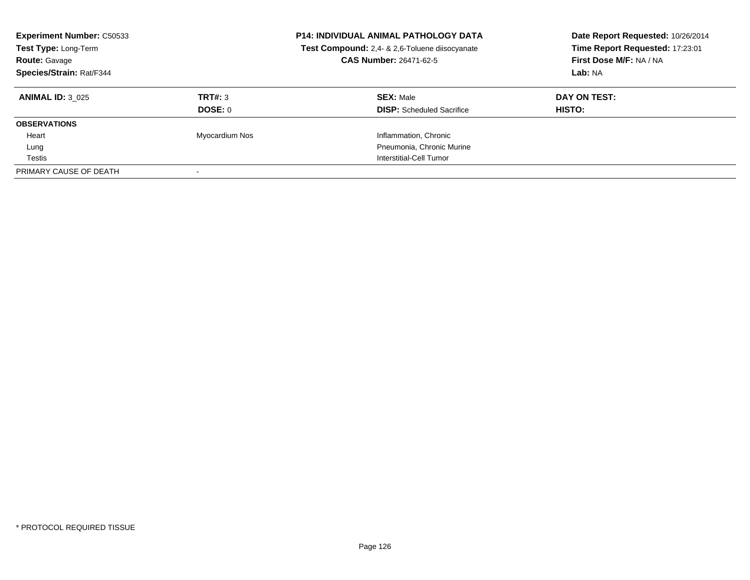| <b>Experiment Number: C50533</b><br>Test Type: Long-Term<br><b>Route: Gavage</b><br>Species/Strain: Rat/F344 |                | <b>P14: INDIVIDUAL ANIMAL PATHOLOGY DATA</b><br>Test Compound: 2,4- & 2,6-Toluene diisocyanate<br><b>CAS Number: 26471-62-5</b> | Date Report Requested: 10/26/2014<br>Time Report Requested: 17:23:01<br>First Dose M/F: NA / NA<br>Lab: NA |
|--------------------------------------------------------------------------------------------------------------|----------------|---------------------------------------------------------------------------------------------------------------------------------|------------------------------------------------------------------------------------------------------------|
| <b>ANIMAL ID: 3 025</b>                                                                                      | TRT#: 3        | <b>SEX: Male</b>                                                                                                                | DAY ON TEST:                                                                                               |
|                                                                                                              | DOSE: 0        | <b>DISP:</b> Scheduled Sacrifice                                                                                                | HISTO:                                                                                                     |
| <b>OBSERVATIONS</b>                                                                                          |                |                                                                                                                                 |                                                                                                            |
| Heart                                                                                                        | Myocardium Nos | Inflammation, Chronic                                                                                                           |                                                                                                            |
| Lung                                                                                                         |                | Pneumonia, Chronic Murine                                                                                                       |                                                                                                            |
| Testis                                                                                                       |                | Interstitial-Cell Tumor                                                                                                         |                                                                                                            |
| PRIMARY CAUSE OF DEATH                                                                                       |                |                                                                                                                                 |                                                                                                            |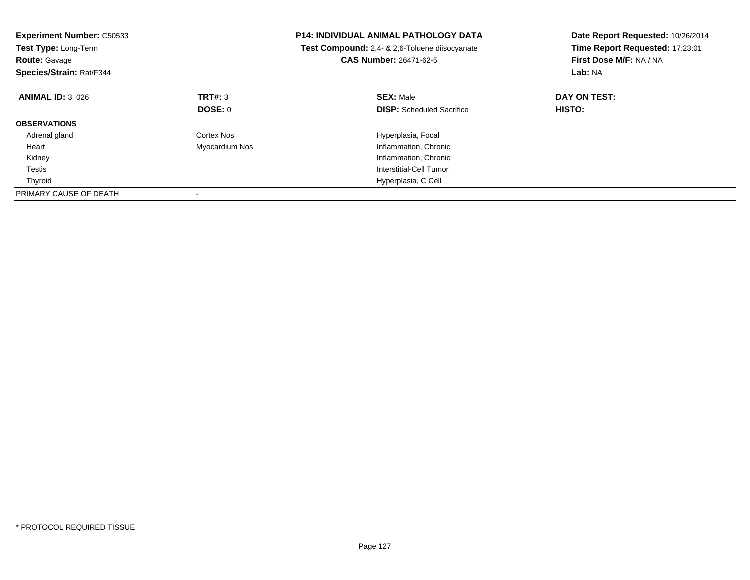| <b>Experiment Number: C50533</b><br>Test Type: Long-Term<br><b>Route: Gavage</b><br>Species/Strain: Rat/F344 |                | <b>P14: INDIVIDUAL ANIMAL PATHOLOGY DATA</b><br>Test Compound: 2,4- & 2,6-Toluene diisocyanate<br>CAS Number: 26471-62-5 | Date Report Requested: 10/26/2014<br>Time Report Requested: 17:23:01<br>First Dose M/F: NA / NA<br>Lab: NA |
|--------------------------------------------------------------------------------------------------------------|----------------|--------------------------------------------------------------------------------------------------------------------------|------------------------------------------------------------------------------------------------------------|
| <b>ANIMAL ID: 3 026</b>                                                                                      | TRT#: 3        | <b>SEX: Male</b>                                                                                                         | DAY ON TEST:                                                                                               |
|                                                                                                              | DOSE: 0        | <b>DISP:</b> Scheduled Sacrifice                                                                                         | HISTO:                                                                                                     |
| <b>OBSERVATIONS</b>                                                                                          |                |                                                                                                                          |                                                                                                            |
| Adrenal gland                                                                                                | Cortex Nos     | Hyperplasia, Focal                                                                                                       |                                                                                                            |
| Heart                                                                                                        | Myocardium Nos | Inflammation, Chronic                                                                                                    |                                                                                                            |
| Kidney                                                                                                       |                | Inflammation, Chronic                                                                                                    |                                                                                                            |
| Testis                                                                                                       |                | Interstitial-Cell Tumor                                                                                                  |                                                                                                            |
| Thyroid                                                                                                      |                | Hyperplasia, C Cell                                                                                                      |                                                                                                            |
| PRIMARY CAUSE OF DEATH                                                                                       |                |                                                                                                                          |                                                                                                            |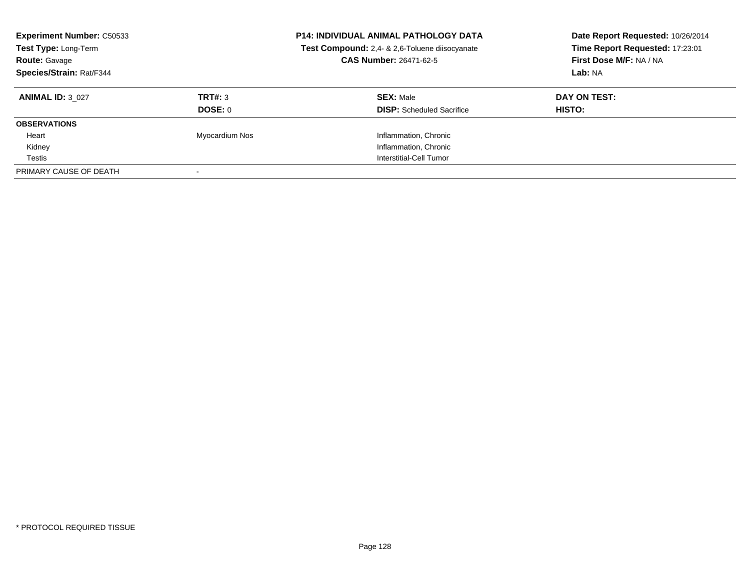| <b>Experiment Number: C50533</b><br>Test Type: Long-Term<br><b>Route: Gavage</b><br>Species/Strain: Rat/F344 |                | <b>P14: INDIVIDUAL ANIMAL PATHOLOGY DATA</b><br>Test Compound: 2,4- & 2,6-Toluene diisocyanate<br><b>CAS Number: 26471-62-5</b> | Date Report Requested: 10/26/2014<br>Time Report Requested: 17:23:01<br>First Dose M/F: NA / NA<br>Lab: NA |
|--------------------------------------------------------------------------------------------------------------|----------------|---------------------------------------------------------------------------------------------------------------------------------|------------------------------------------------------------------------------------------------------------|
| <b>ANIMAL ID: 3 027</b>                                                                                      | TRT#: 3        | <b>SEX: Male</b>                                                                                                                | DAY ON TEST:                                                                                               |
|                                                                                                              | DOSE: 0        | <b>DISP:</b> Scheduled Sacrifice                                                                                                | HISTO:                                                                                                     |
| <b>OBSERVATIONS</b>                                                                                          |                |                                                                                                                                 |                                                                                                            |
| Heart                                                                                                        | Myocardium Nos | Inflammation, Chronic                                                                                                           |                                                                                                            |
| Kidney                                                                                                       |                | Inflammation, Chronic                                                                                                           |                                                                                                            |
| Testis                                                                                                       |                | Interstitial-Cell Tumor                                                                                                         |                                                                                                            |
| PRIMARY CAUSE OF DEATH                                                                                       |                |                                                                                                                                 |                                                                                                            |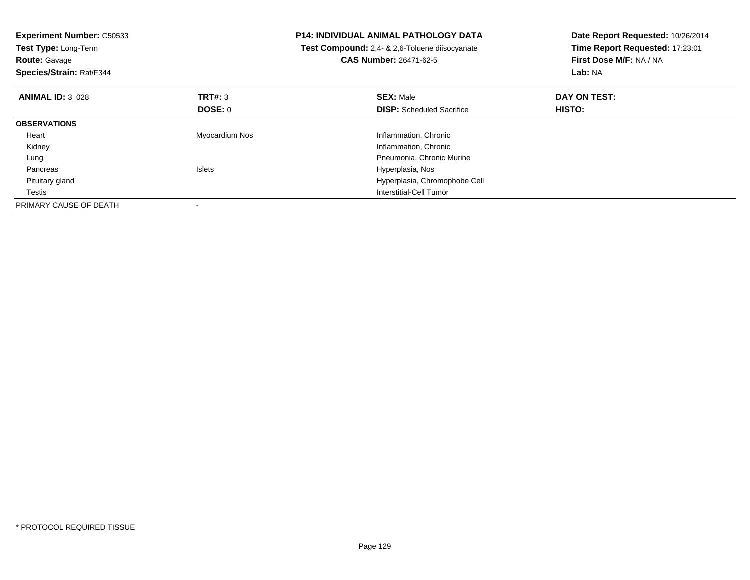| <b>Experiment Number: C50533</b><br>Test Type: Long-Term<br><b>Route: Gavage</b><br>Species/Strain: Rat/F344 |                | <b>P14: INDIVIDUAL ANIMAL PATHOLOGY DATA</b><br><b>Test Compound:</b> 2,4- & 2,6-Toluene diisocyanate<br><b>CAS Number: 26471-62-5</b> | Date Report Requested: 10/26/2014<br>Time Report Requested: 17:23:01<br>First Dose M/F: NA / NA<br>Lab: NA |
|--------------------------------------------------------------------------------------------------------------|----------------|----------------------------------------------------------------------------------------------------------------------------------------|------------------------------------------------------------------------------------------------------------|
| <b>ANIMAL ID: 3 028</b>                                                                                      | TRT#: 3        | <b>SEX: Male</b>                                                                                                                       | DAY ON TEST:                                                                                               |
|                                                                                                              | DOSE: 0        | <b>DISP:</b> Scheduled Sacrifice                                                                                                       | <b>HISTO:</b>                                                                                              |
| <b>OBSERVATIONS</b>                                                                                          |                |                                                                                                                                        |                                                                                                            |
| Heart                                                                                                        | Myocardium Nos | Inflammation, Chronic                                                                                                                  |                                                                                                            |
| Kidney                                                                                                       |                | Inflammation, Chronic                                                                                                                  |                                                                                                            |
| Lung                                                                                                         |                | Pneumonia, Chronic Murine                                                                                                              |                                                                                                            |
| Pancreas                                                                                                     | <b>Islets</b>  | Hyperplasia, Nos                                                                                                                       |                                                                                                            |
| Pituitary gland                                                                                              |                | Hyperplasia, Chromophobe Cell                                                                                                          |                                                                                                            |
| Testis                                                                                                       |                | Interstitial-Cell Tumor                                                                                                                |                                                                                                            |
| PRIMARY CAUSE OF DEATH                                                                                       |                |                                                                                                                                        |                                                                                                            |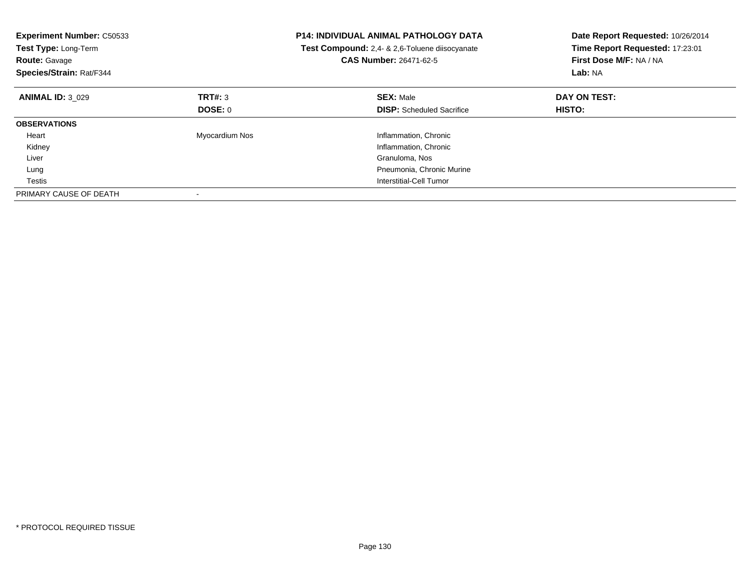| <b>Experiment Number: C50533</b><br>Test Type: Long-Term<br><b>Route: Gavage</b><br>Species/Strain: Rat/F344 |                | <b>P14: INDIVIDUAL ANIMAL PATHOLOGY DATA</b><br>Test Compound: 2,4- & 2,6-Toluene diisocyanate<br><b>CAS Number: 26471-62-5</b> | Date Report Requested: 10/26/2014<br>Time Report Requested: 17:23:01<br>First Dose M/F: NA / NA<br>Lab: NA |
|--------------------------------------------------------------------------------------------------------------|----------------|---------------------------------------------------------------------------------------------------------------------------------|------------------------------------------------------------------------------------------------------------|
| <b>ANIMAL ID: 3 029</b>                                                                                      | TRT#: 3        | <b>SEX: Male</b>                                                                                                                | DAY ON TEST:                                                                                               |
|                                                                                                              | DOSE: 0        | <b>DISP:</b> Scheduled Sacrifice                                                                                                | HISTO:                                                                                                     |
| <b>OBSERVATIONS</b>                                                                                          |                |                                                                                                                                 |                                                                                                            |
| Heart                                                                                                        | Myocardium Nos | Inflammation, Chronic                                                                                                           |                                                                                                            |
| Kidney                                                                                                       |                | Inflammation, Chronic                                                                                                           |                                                                                                            |
| Liver                                                                                                        |                | Granuloma, Nos                                                                                                                  |                                                                                                            |
| Lung                                                                                                         |                | Pneumonia, Chronic Murine                                                                                                       |                                                                                                            |
| Testis                                                                                                       |                | Interstitial-Cell Tumor                                                                                                         |                                                                                                            |
| PRIMARY CAUSE OF DEATH                                                                                       |                |                                                                                                                                 |                                                                                                            |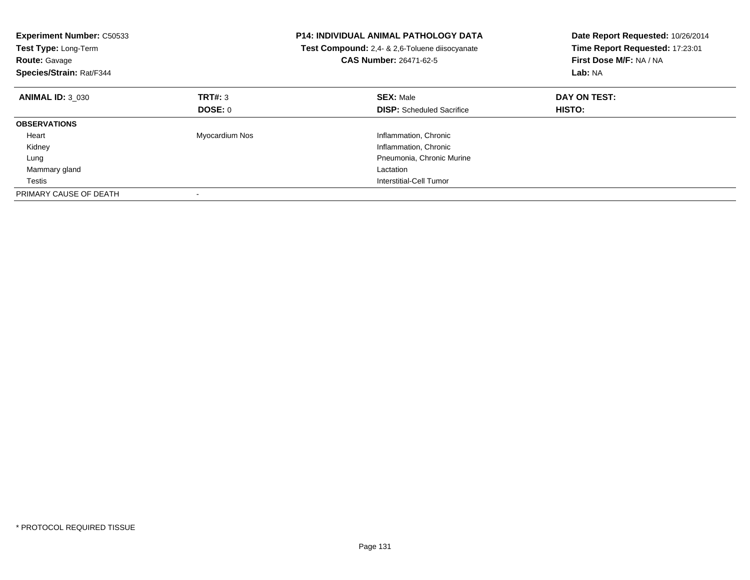| <b>Experiment Number: C50533</b><br>Test Type: Long-Term<br><b>Route: Gavage</b><br>Species/Strain: Rat/F344 |                | <b>P14: INDIVIDUAL ANIMAL PATHOLOGY DATA</b><br>Test Compound: 2,4- & 2,6-Toluene diisocyanate<br><b>CAS Number: 26471-62-5</b> | Date Report Requested: 10/26/2014<br>Time Report Requested: 17:23:01<br>First Dose M/F: NA / NA<br>Lab: NA |
|--------------------------------------------------------------------------------------------------------------|----------------|---------------------------------------------------------------------------------------------------------------------------------|------------------------------------------------------------------------------------------------------------|
| <b>ANIMAL ID: 3 030</b>                                                                                      | TRT#: 3        | <b>SEX: Male</b>                                                                                                                | DAY ON TEST:                                                                                               |
|                                                                                                              | DOSE: 0        | <b>DISP:</b> Scheduled Sacrifice                                                                                                | HISTO:                                                                                                     |
| <b>OBSERVATIONS</b>                                                                                          |                |                                                                                                                                 |                                                                                                            |
| Heart                                                                                                        | Myocardium Nos | Inflammation, Chronic                                                                                                           |                                                                                                            |
| Kidney                                                                                                       |                | Inflammation, Chronic                                                                                                           |                                                                                                            |
| Lung                                                                                                         |                | Pneumonia, Chronic Murine                                                                                                       |                                                                                                            |
| Mammary gland                                                                                                |                | Lactation                                                                                                                       |                                                                                                            |
| Testis                                                                                                       |                | Interstitial-Cell Tumor                                                                                                         |                                                                                                            |
| PRIMARY CAUSE OF DEATH                                                                                       |                |                                                                                                                                 |                                                                                                            |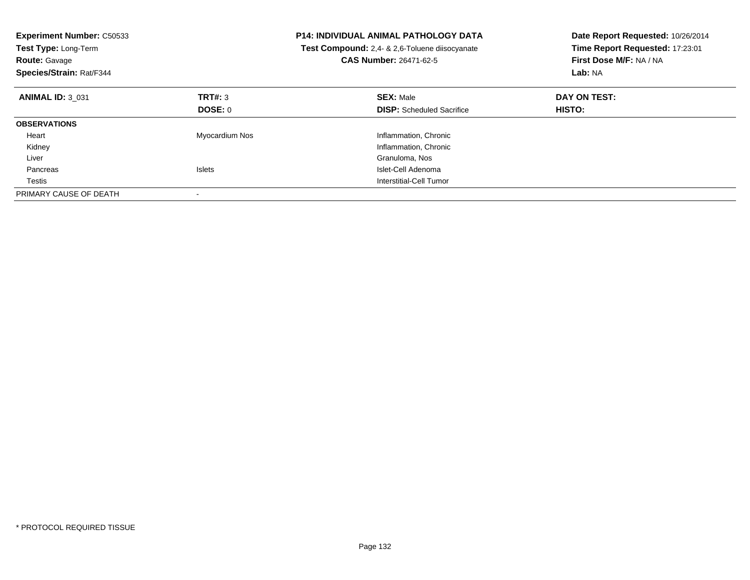| <b>Experiment Number: C50533</b><br>Test Type: Long-Term<br><b>Route: Gavage</b><br>Species/Strain: Rat/F344 |                | P14: INDIVIDUAL ANIMAL PATHOLOGY DATA<br>Test Compound: 2,4- & 2,6-Toluene diisocyanate<br><b>CAS Number: 26471-62-5</b> | Date Report Requested: 10/26/2014<br>Time Report Requested: 17:23:01<br>First Dose M/F: NA / NA<br>Lab: NA |
|--------------------------------------------------------------------------------------------------------------|----------------|--------------------------------------------------------------------------------------------------------------------------|------------------------------------------------------------------------------------------------------------|
| <b>ANIMAL ID: 3 031</b>                                                                                      | TRT#: 3        | <b>SEX: Male</b>                                                                                                         | DAY ON TEST:                                                                                               |
|                                                                                                              | DOSE: 0        | <b>DISP:</b> Scheduled Sacrifice                                                                                         | HISTO:                                                                                                     |
| <b>OBSERVATIONS</b>                                                                                          |                |                                                                                                                          |                                                                                                            |
| Heart                                                                                                        | Myocardium Nos | Inflammation, Chronic                                                                                                    |                                                                                                            |
| Kidney                                                                                                       |                | Inflammation, Chronic                                                                                                    |                                                                                                            |
| Liver                                                                                                        |                | Granuloma, Nos                                                                                                           |                                                                                                            |
| Pancreas                                                                                                     | <b>Islets</b>  | Islet-Cell Adenoma                                                                                                       |                                                                                                            |
| Testis                                                                                                       |                | Interstitial-Cell Tumor                                                                                                  |                                                                                                            |
| PRIMARY CAUSE OF DEATH                                                                                       |                |                                                                                                                          |                                                                                                            |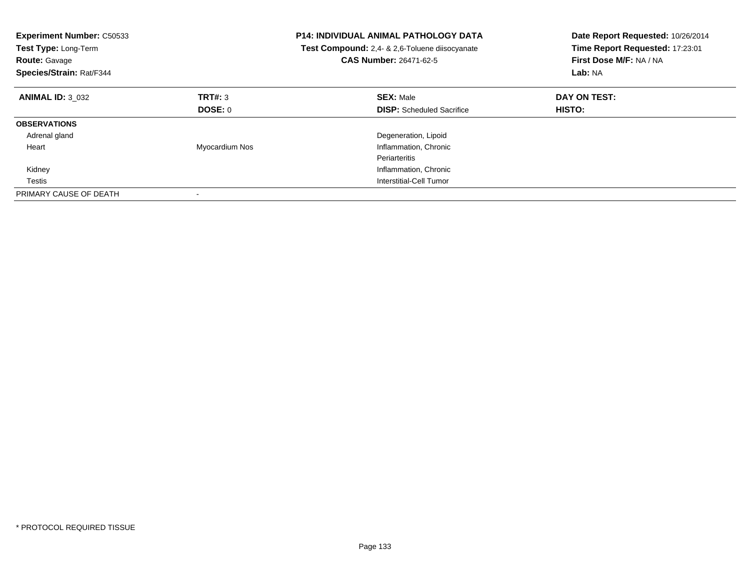| <b>Experiment Number: C50533</b><br>Test Type: Long-Term<br><b>Route: Gavage</b><br>Species/Strain: Rat/F344 |                | <b>P14: INDIVIDUAL ANIMAL PATHOLOGY DATA</b><br>Test Compound: 2,4- & 2,6-Toluene diisocyanate<br><b>CAS Number: 26471-62-5</b> | Date Report Requested: 10/26/2014<br>Time Report Requested: 17:23:01<br>First Dose M/F: NA / NA<br>Lab: NA |
|--------------------------------------------------------------------------------------------------------------|----------------|---------------------------------------------------------------------------------------------------------------------------------|------------------------------------------------------------------------------------------------------------|
| <b>ANIMAL ID: 3 032</b>                                                                                      | TRT#: 3        | <b>SEX: Male</b>                                                                                                                | DAY ON TEST:                                                                                               |
|                                                                                                              | <b>DOSE: 0</b> | <b>DISP:</b> Scheduled Sacrifice                                                                                                | <b>HISTO:</b>                                                                                              |
| <b>OBSERVATIONS</b>                                                                                          |                |                                                                                                                                 |                                                                                                            |
| Adrenal gland                                                                                                |                | Degeneration, Lipoid                                                                                                            |                                                                                                            |
| Heart                                                                                                        | Myocardium Nos | Inflammation, Chronic                                                                                                           |                                                                                                            |
|                                                                                                              |                | Periarteritis                                                                                                                   |                                                                                                            |
| Kidney                                                                                                       |                | Inflammation, Chronic                                                                                                           |                                                                                                            |
| Testis                                                                                                       |                | Interstitial-Cell Tumor                                                                                                         |                                                                                                            |
| PRIMARY CAUSE OF DEATH                                                                                       |                |                                                                                                                                 |                                                                                                            |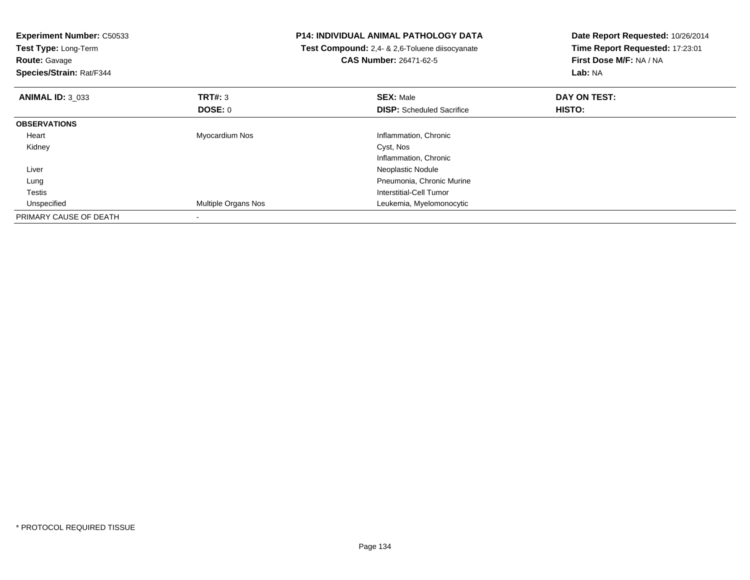| <b>Experiment Number: C50533</b><br>Test Type: Long-Term<br><b>Route: Gavage</b><br>Species/Strain: Rat/F344 |                     | <b>P14: INDIVIDUAL ANIMAL PATHOLOGY DATA</b><br>Test Compound: 2,4- & 2,6-Toluene diisocyanate<br><b>CAS Number: 26471-62-5</b> | Date Report Requested: 10/26/2014<br>Time Report Requested: 17:23:01<br>First Dose M/F: NA / NA<br>Lab: NA |
|--------------------------------------------------------------------------------------------------------------|---------------------|---------------------------------------------------------------------------------------------------------------------------------|------------------------------------------------------------------------------------------------------------|
| <b>ANIMAL ID: 3_033</b>                                                                                      | TRT#: 3             | <b>SEX: Male</b>                                                                                                                | DAY ON TEST:                                                                                               |
|                                                                                                              | DOSE: 0             | <b>DISP:</b> Scheduled Sacrifice                                                                                                | HISTO:                                                                                                     |
| <b>OBSERVATIONS</b>                                                                                          |                     |                                                                                                                                 |                                                                                                            |
| Heart                                                                                                        | Myocardium Nos      | Inflammation, Chronic                                                                                                           |                                                                                                            |
| Kidney                                                                                                       |                     | Cyst, Nos                                                                                                                       |                                                                                                            |
|                                                                                                              |                     | Inflammation, Chronic                                                                                                           |                                                                                                            |
| Liver                                                                                                        |                     | Neoplastic Nodule                                                                                                               |                                                                                                            |
| Lung                                                                                                         |                     | Pneumonia, Chronic Murine                                                                                                       |                                                                                                            |
| Testis                                                                                                       |                     | Interstitial-Cell Tumor                                                                                                         |                                                                                                            |
| Unspecified                                                                                                  | Multiple Organs Nos | Leukemia, Myelomonocytic                                                                                                        |                                                                                                            |
| PRIMARY CAUSE OF DEATH                                                                                       |                     |                                                                                                                                 |                                                                                                            |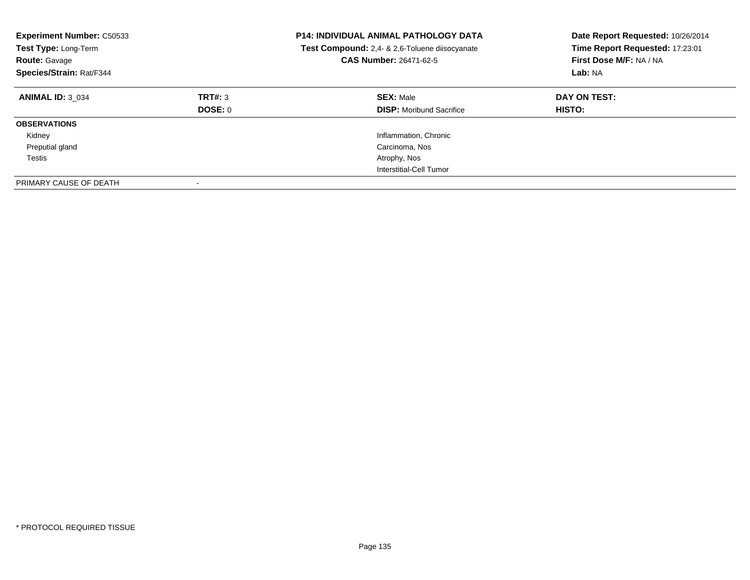| <b>Experiment Number: C50533</b><br>Test Type: Long-Term<br><b>Route: Gavage</b><br>Species/Strain: Rat/F344 |                    | <b>P14: INDIVIDUAL ANIMAL PATHOLOGY DATA</b><br>Test Compound: 2,4- & 2,6-Toluene diisocyanate<br><b>CAS Number: 26471-62-5</b> | Date Report Requested: 10/26/2014<br>Time Report Requested: 17:23:01<br>First Dose M/F: NA / NA<br>Lab: NA |
|--------------------------------------------------------------------------------------------------------------|--------------------|---------------------------------------------------------------------------------------------------------------------------------|------------------------------------------------------------------------------------------------------------|
| <b>ANIMAL ID: 3 034</b>                                                                                      | TRT#: 3<br>DOSE: 0 | <b>SEX: Male</b><br><b>DISP:</b> Moribund Sacrifice                                                                             | DAY ON TEST:<br><b>HISTO:</b>                                                                              |
| <b>OBSERVATIONS</b>                                                                                          |                    |                                                                                                                                 |                                                                                                            |
| Kidney                                                                                                       |                    | Inflammation, Chronic                                                                                                           |                                                                                                            |
| Preputial gland                                                                                              |                    | Carcinoma, Nos                                                                                                                  |                                                                                                            |
| Testis                                                                                                       |                    | Atrophy, Nos                                                                                                                    |                                                                                                            |
|                                                                                                              |                    | Interstitial-Cell Tumor                                                                                                         |                                                                                                            |
| PRIMARY CAUSE OF DEATH                                                                                       |                    |                                                                                                                                 |                                                                                                            |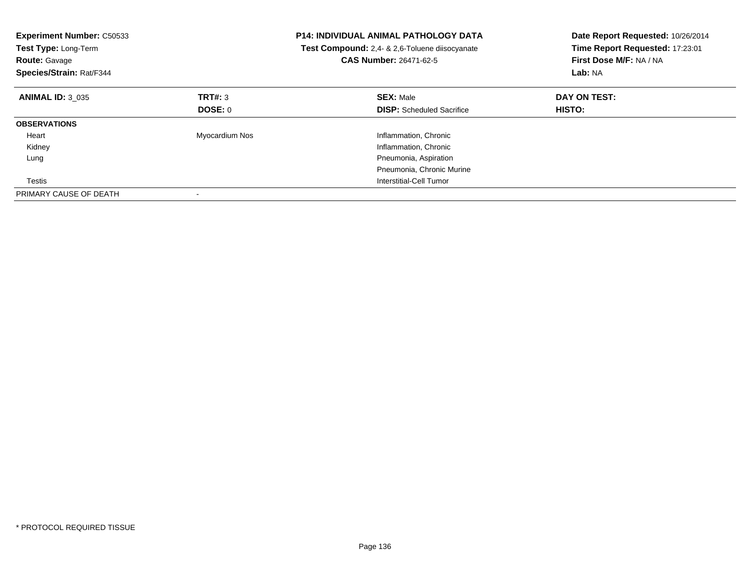| <b>Experiment Number: C50533</b><br>Test Type: Long-Term<br><b>Route: Gavage</b><br>Species/Strain: Rat/F344 |                | <b>P14: INDIVIDUAL ANIMAL PATHOLOGY DATA</b><br>Test Compound: 2,4- & 2,6-Toluene diisocyanate<br>CAS Number: 26471-62-5 | Date Report Requested: 10/26/2014<br>Time Report Requested: 17:23:01<br>First Dose M/F: NA / NA<br>Lab: NA |
|--------------------------------------------------------------------------------------------------------------|----------------|--------------------------------------------------------------------------------------------------------------------------|------------------------------------------------------------------------------------------------------------|
| <b>ANIMAL ID: 3 035</b>                                                                                      | TRT#: 3        | <b>SEX: Male</b>                                                                                                         | DAY ON TEST:                                                                                               |
|                                                                                                              | DOSE: 0        | <b>DISP:</b> Scheduled Sacrifice                                                                                         | <b>HISTO:</b>                                                                                              |
| <b>OBSERVATIONS</b>                                                                                          |                |                                                                                                                          |                                                                                                            |
| Heart                                                                                                        | Myocardium Nos | Inflammation, Chronic                                                                                                    |                                                                                                            |
| Kidney                                                                                                       |                | Inflammation, Chronic                                                                                                    |                                                                                                            |
| Lung                                                                                                         |                | Pneumonia, Aspiration                                                                                                    |                                                                                                            |
|                                                                                                              |                | Pneumonia, Chronic Murine                                                                                                |                                                                                                            |
| Testis                                                                                                       |                | Interstitial-Cell Tumor                                                                                                  |                                                                                                            |
| PRIMARY CAUSE OF DEATH                                                                                       |                |                                                                                                                          |                                                                                                            |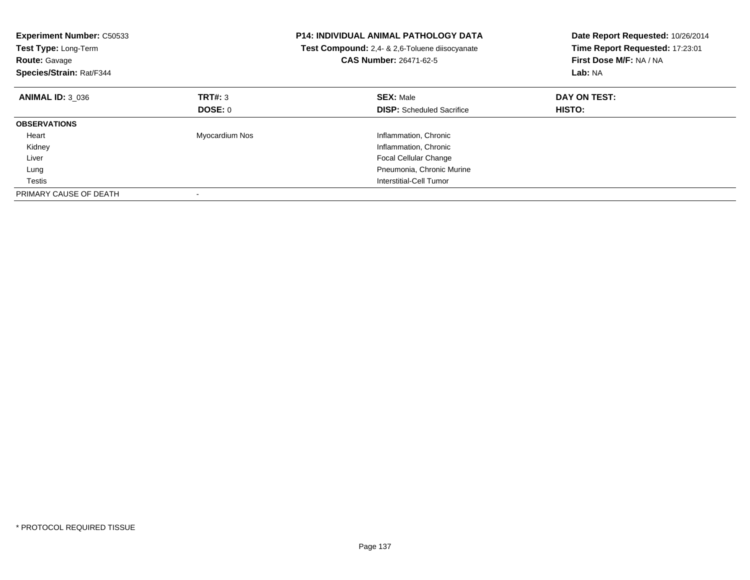| <b>Experiment Number: C50533</b><br>Test Type: Long-Term<br><b>Route: Gavage</b><br>Species/Strain: Rat/F344 |                | <b>P14: INDIVIDUAL ANIMAL PATHOLOGY DATA</b><br>Test Compound: 2,4- & 2,6-Toluene diisocyanate<br><b>CAS Number: 26471-62-5</b> | Date Report Requested: 10/26/2014<br>Time Report Requested: 17:23:01<br>First Dose M/F: NA / NA<br>Lab: NA |
|--------------------------------------------------------------------------------------------------------------|----------------|---------------------------------------------------------------------------------------------------------------------------------|------------------------------------------------------------------------------------------------------------|
| <b>ANIMAL ID: 3 036</b>                                                                                      | TRT#: 3        | <b>SEX: Male</b>                                                                                                                | DAY ON TEST:                                                                                               |
|                                                                                                              | DOSE: 0        | <b>DISP:</b> Scheduled Sacrifice                                                                                                | HISTO:                                                                                                     |
| <b>OBSERVATIONS</b>                                                                                          |                |                                                                                                                                 |                                                                                                            |
| Heart                                                                                                        | Myocardium Nos | Inflammation, Chronic                                                                                                           |                                                                                                            |
| Kidney                                                                                                       |                | Inflammation, Chronic                                                                                                           |                                                                                                            |
| Liver                                                                                                        |                | <b>Focal Cellular Change</b>                                                                                                    |                                                                                                            |
| Lung                                                                                                         |                | Pneumonia, Chronic Murine                                                                                                       |                                                                                                            |
| Testis                                                                                                       |                | Interstitial-Cell Tumor                                                                                                         |                                                                                                            |
| PRIMARY CAUSE OF DEATH                                                                                       |                |                                                                                                                                 |                                                                                                            |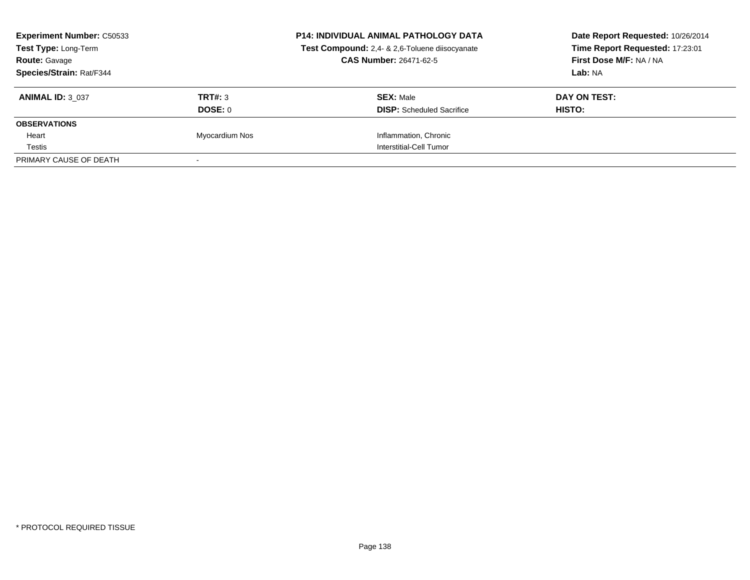| <b>Experiment Number: C50533</b><br>Test Type: Long-Term<br><b>Route: Gavage</b><br>Species/Strain: Rat/F344 |                | <b>P14: INDIVIDUAL ANIMAL PATHOLOGY DATA</b><br>Test Compound: 2,4- & 2,6-Toluene diisocyanate<br><b>CAS Number: 26471-62-5</b> | Date Report Requested: 10/26/2014<br>Time Report Requested: 17:23:01<br>First Dose M/F: NA / NA<br>Lab: NA |
|--------------------------------------------------------------------------------------------------------------|----------------|---------------------------------------------------------------------------------------------------------------------------------|------------------------------------------------------------------------------------------------------------|
|                                                                                                              |                |                                                                                                                                 |                                                                                                            |
| <b>ANIMAL ID: 3 037</b>                                                                                      | TRT#: 3        | <b>SEX: Male</b>                                                                                                                | DAY ON TEST:                                                                                               |
|                                                                                                              | DOSE: 0        | <b>DISP:</b> Scheduled Sacrifice                                                                                                | HISTO:                                                                                                     |
| <b>OBSERVATIONS</b>                                                                                          |                |                                                                                                                                 |                                                                                                            |
| Heart                                                                                                        | Myocardium Nos | Inflammation, Chronic                                                                                                           |                                                                                                            |
| Testis                                                                                                       |                | Interstitial-Cell Tumor                                                                                                         |                                                                                                            |
| PRIMARY CAUSE OF DEATH                                                                                       |                |                                                                                                                                 |                                                                                                            |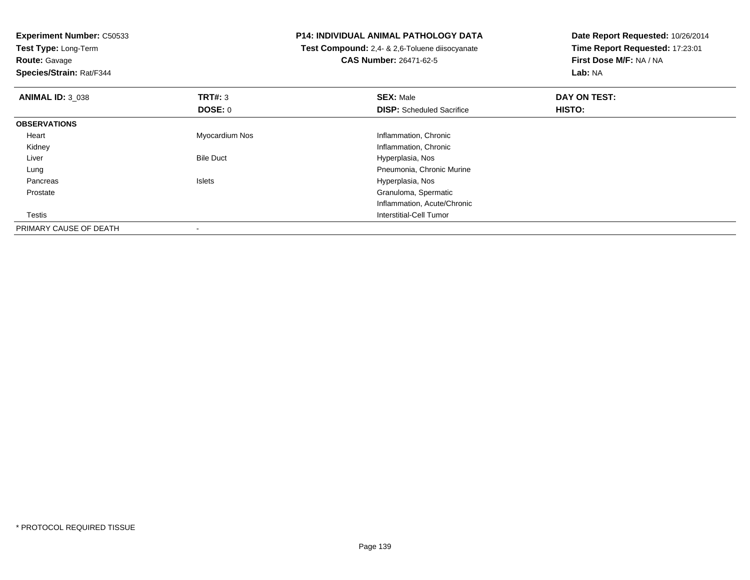**Experiment Number:** C50533

**Test Type:** Long-Term**Route:** Gavage

**Species/Strain:** Rat/F344

## **P14: INDIVIDUAL ANIMAL PATHOLOGY DATA**

 **Test Compound:** 2,4- & 2,6-Toluene diisocyanate**CAS Number:** 26471-62-5

**Date Report Requested:** 10/26/2014**Time Report Requested:** 17:23:01**First Dose M/F:** NA / NA**Lab:** NA

| <b>ANIMAL ID: 3 038</b> | TRT#: 3          | <b>SEX: Male</b>                 | DAY ON TEST:  |  |
|-------------------------|------------------|----------------------------------|---------------|--|
|                         | DOSE: 0          | <b>DISP:</b> Scheduled Sacrifice | <b>HISTO:</b> |  |
| <b>OBSERVATIONS</b>     |                  |                                  |               |  |
| Heart                   | Myocardium Nos   | Inflammation, Chronic            |               |  |
| Kidney                  |                  | Inflammation, Chronic            |               |  |
| Liver                   | <b>Bile Duct</b> | Hyperplasia, Nos                 |               |  |
| Lung                    |                  | Pneumonia, Chronic Murine        |               |  |
| Pancreas                | <b>Islets</b>    | Hyperplasia, Nos                 |               |  |
| Prostate                |                  | Granuloma, Spermatic             |               |  |
|                         |                  | Inflammation, Acute/Chronic      |               |  |
| Testis                  |                  | Interstitial-Cell Tumor          |               |  |
| PRIMARY CAUSE OF DEATH  |                  |                                  |               |  |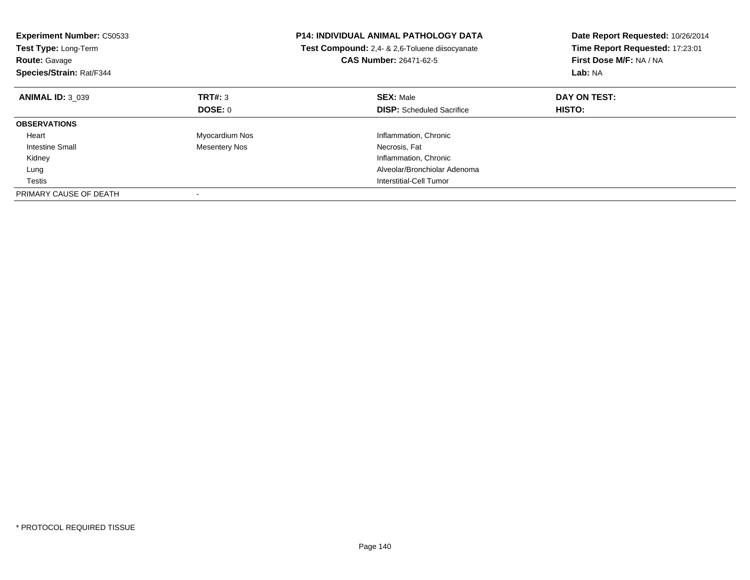| <b>Experiment Number: C50533</b><br>Test Type: Long-Term<br><b>Route: Gavage</b><br>Species/Strain: Rat/F344 |                      | <b>P14: INDIVIDUAL ANIMAL PATHOLOGY DATA</b><br>Test Compound: 2,4- & 2,6-Toluene diisocyanate<br><b>CAS Number: 26471-62-5</b> | Date Report Requested: 10/26/2014<br>Time Report Requested: 17:23:01<br>First Dose M/F: NA / NA<br>Lab: NA |
|--------------------------------------------------------------------------------------------------------------|----------------------|---------------------------------------------------------------------------------------------------------------------------------|------------------------------------------------------------------------------------------------------------|
| <b>ANIMAL ID: 3 039</b>                                                                                      | TRT#: 3              | <b>SEX: Male</b>                                                                                                                | DAY ON TEST:                                                                                               |
|                                                                                                              | DOSE: 0              | <b>DISP:</b> Scheduled Sacrifice                                                                                                | HISTO:                                                                                                     |
| <b>OBSERVATIONS</b>                                                                                          |                      |                                                                                                                                 |                                                                                                            |
| Heart                                                                                                        | Myocardium Nos       | Inflammation, Chronic                                                                                                           |                                                                                                            |
| Intestine Small                                                                                              | <b>Mesentery Nos</b> | Necrosis, Fat                                                                                                                   |                                                                                                            |
| Kidney                                                                                                       |                      | Inflammation, Chronic                                                                                                           |                                                                                                            |
| Lung                                                                                                         |                      | Alveolar/Bronchiolar Adenoma                                                                                                    |                                                                                                            |
| Testis                                                                                                       |                      | Interstitial-Cell Tumor                                                                                                         |                                                                                                            |
| PRIMARY CAUSE OF DEATH                                                                                       |                      |                                                                                                                                 |                                                                                                            |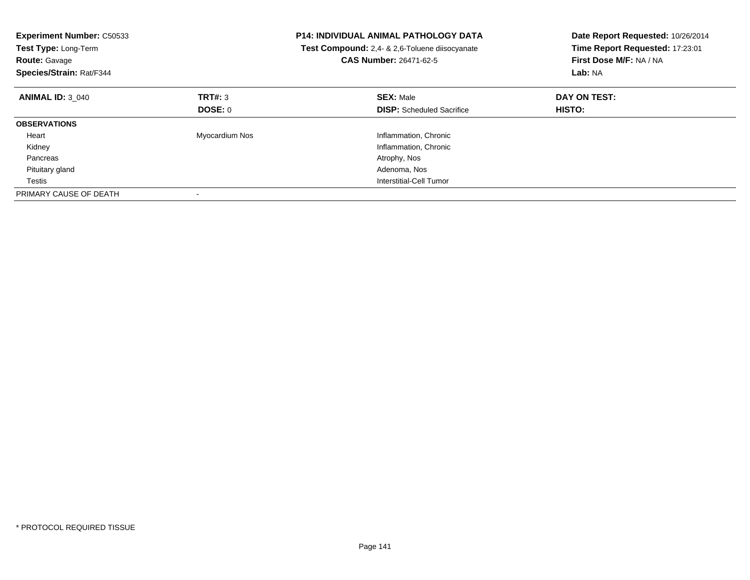| <b>Experiment Number: C50533</b><br>Test Type: Long-Term<br><b>Route: Gavage</b><br>Species/Strain: Rat/F344 |                | <b>P14: INDIVIDUAL ANIMAL PATHOLOGY DATA</b><br>Test Compound: 2,4- & 2,6-Toluene diisocyanate<br>CAS Number: 26471-62-5 | Date Report Requested: 10/26/2014<br>Time Report Requested: 17:23:01<br>First Dose M/F: NA / NA<br>Lab: NA |
|--------------------------------------------------------------------------------------------------------------|----------------|--------------------------------------------------------------------------------------------------------------------------|------------------------------------------------------------------------------------------------------------|
| <b>ANIMAL ID: 3 040</b>                                                                                      | TRT#: 3        | <b>SEX: Male</b>                                                                                                         | DAY ON TEST:                                                                                               |
|                                                                                                              | DOSE: 0        | <b>DISP:</b> Scheduled Sacrifice                                                                                         | HISTO:                                                                                                     |
| <b>OBSERVATIONS</b>                                                                                          |                |                                                                                                                          |                                                                                                            |
| Heart                                                                                                        | Myocardium Nos | Inflammation, Chronic                                                                                                    |                                                                                                            |
| Kidney                                                                                                       |                | Inflammation, Chronic                                                                                                    |                                                                                                            |
| Pancreas                                                                                                     |                | Atrophy, Nos                                                                                                             |                                                                                                            |
| Pituitary gland                                                                                              |                | Adenoma, Nos                                                                                                             |                                                                                                            |
| Testis                                                                                                       |                | Interstitial-Cell Tumor                                                                                                  |                                                                                                            |
| PRIMARY CAUSE OF DEATH                                                                                       |                |                                                                                                                          |                                                                                                            |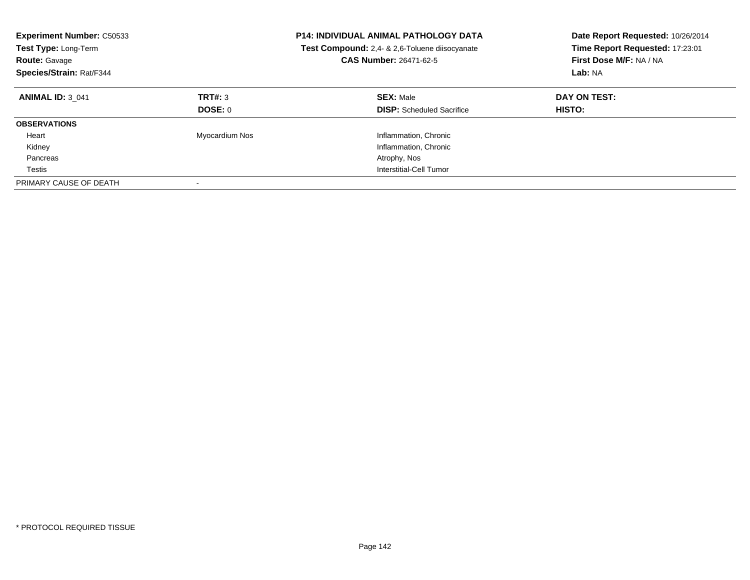| <b>Experiment Number: C50533</b><br>Test Type: Long-Term<br><b>Route: Gavage</b><br>Species/Strain: Rat/F344 |                    | <b>P14: INDIVIDUAL ANIMAL PATHOLOGY DATA</b><br>Test Compound: 2,4- & 2,6-Toluene diisocyanate<br><b>CAS Number: 26471-62-5</b> | Date Report Requested: 10/26/2014<br>Time Report Requested: 17:23:01<br>First Dose M/F: NA / NA<br>Lab: NA |
|--------------------------------------------------------------------------------------------------------------|--------------------|---------------------------------------------------------------------------------------------------------------------------------|------------------------------------------------------------------------------------------------------------|
| <b>ANIMAL ID: 3 041</b>                                                                                      | TRT#: 3<br>DOSE: 0 | <b>SEX: Male</b><br><b>DISP:</b> Scheduled Sacrifice                                                                            | DAY ON TEST:<br>HISTO:                                                                                     |
| <b>OBSERVATIONS</b>                                                                                          |                    |                                                                                                                                 |                                                                                                            |
|                                                                                                              |                    |                                                                                                                                 |                                                                                                            |
| Heart                                                                                                        | Myocardium Nos     | Inflammation, Chronic                                                                                                           |                                                                                                            |
| Kidney                                                                                                       |                    | Inflammation, Chronic                                                                                                           |                                                                                                            |
| Pancreas                                                                                                     |                    | Atrophy, Nos                                                                                                                    |                                                                                                            |
| Testis                                                                                                       |                    | Interstitial-Cell Tumor                                                                                                         |                                                                                                            |
| PRIMARY CAUSE OF DEATH                                                                                       |                    |                                                                                                                                 |                                                                                                            |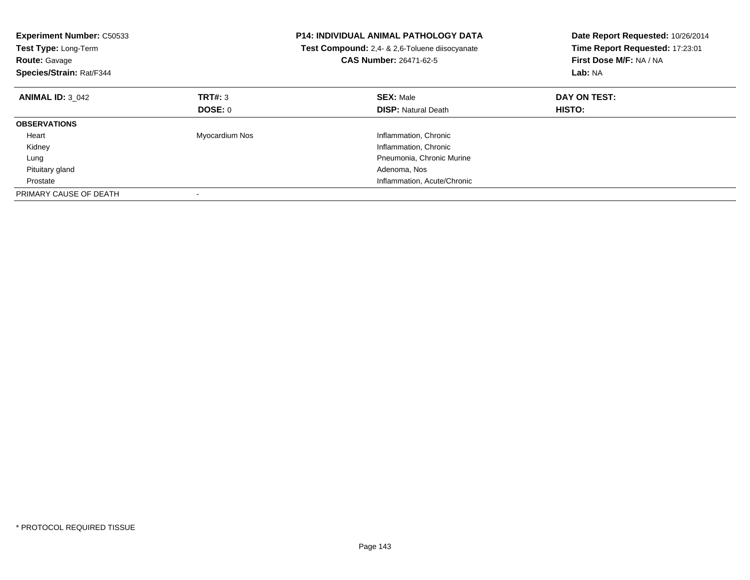| <b>Experiment Number: C50533</b><br>Test Type: Long-Term<br><b>Route: Gavage</b><br>Species/Strain: Rat/F344 |                | <b>P14: INDIVIDUAL ANIMAL PATHOLOGY DATA</b><br>Test Compound: 2,4- & 2,6-Toluene diisocyanate<br>CAS Number: 26471-62-5 | Date Report Requested: 10/26/2014<br>Time Report Requested: 17:23:01<br>First Dose M/F: NA / NA<br>Lab: NA |
|--------------------------------------------------------------------------------------------------------------|----------------|--------------------------------------------------------------------------------------------------------------------------|------------------------------------------------------------------------------------------------------------|
| <b>ANIMAL ID: 3 042</b>                                                                                      | TRT#: 3        | <b>SEX: Male</b>                                                                                                         | DAY ON TEST:                                                                                               |
|                                                                                                              | DOSE: 0        | <b>DISP: Natural Death</b>                                                                                               | HISTO:                                                                                                     |
| <b>OBSERVATIONS</b>                                                                                          |                |                                                                                                                          |                                                                                                            |
| Heart                                                                                                        | Myocardium Nos | Inflammation, Chronic                                                                                                    |                                                                                                            |
| Kidney                                                                                                       |                | Inflammation, Chronic                                                                                                    |                                                                                                            |
| Lung                                                                                                         |                | Pneumonia, Chronic Murine                                                                                                |                                                                                                            |
| Pituitary gland                                                                                              |                | Adenoma, Nos                                                                                                             |                                                                                                            |
| Prostate                                                                                                     |                | Inflammation, Acute/Chronic                                                                                              |                                                                                                            |
| PRIMARY CAUSE OF DEATH                                                                                       |                |                                                                                                                          |                                                                                                            |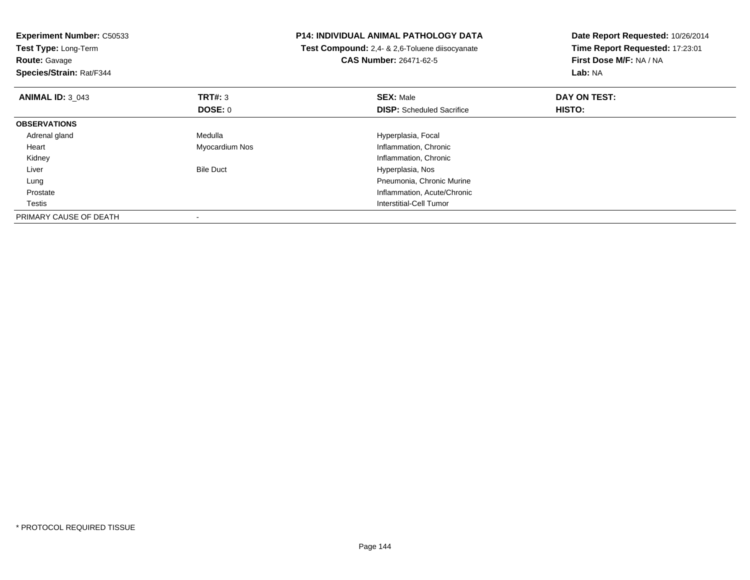| <b>Experiment Number: C50533</b><br>Test Type: Long-Term<br><b>Route: Gavage</b><br>Species/Strain: Rat/F344 |                  | <b>P14: INDIVIDUAL ANIMAL PATHOLOGY DATA</b><br>Test Compound: 2,4- & 2,6-Toluene diisocyanate<br><b>CAS Number: 26471-62-5</b> | Date Report Requested: 10/26/2014<br>Time Report Requested: 17:23:01<br>First Dose M/F: NA / NA<br>Lab: NA |
|--------------------------------------------------------------------------------------------------------------|------------------|---------------------------------------------------------------------------------------------------------------------------------|------------------------------------------------------------------------------------------------------------|
| <b>ANIMAL ID: 3 043</b>                                                                                      | TRT#: 3          | <b>SEX: Male</b>                                                                                                                | DAY ON TEST:                                                                                               |
|                                                                                                              | DOSE: 0          | <b>DISP:</b> Scheduled Sacrifice                                                                                                | HISTO:                                                                                                     |
| <b>OBSERVATIONS</b>                                                                                          |                  |                                                                                                                                 |                                                                                                            |
| Adrenal gland                                                                                                | Medulla          | Hyperplasia, Focal                                                                                                              |                                                                                                            |
| Heart                                                                                                        | Myocardium Nos   | Inflammation, Chronic                                                                                                           |                                                                                                            |
| Kidney                                                                                                       |                  | Inflammation, Chronic                                                                                                           |                                                                                                            |
| Liver                                                                                                        | <b>Bile Duct</b> | Hyperplasia, Nos                                                                                                                |                                                                                                            |
| Lung                                                                                                         |                  | Pneumonia, Chronic Murine                                                                                                       |                                                                                                            |
| Prostate                                                                                                     |                  | Inflammation, Acute/Chronic                                                                                                     |                                                                                                            |
| Testis                                                                                                       |                  | Interstitial-Cell Tumor                                                                                                         |                                                                                                            |
| PRIMARY CAUSE OF DEATH                                                                                       |                  |                                                                                                                                 |                                                                                                            |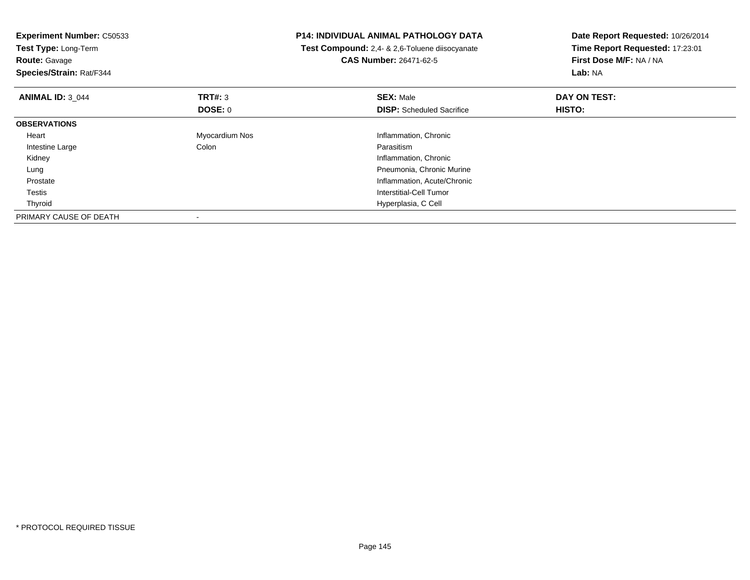| <b>Experiment Number: C50533</b><br>Test Type: Long-Term<br><b>Route: Gavage</b><br>Species/Strain: Rat/F344 |                | P14: INDIVIDUAL ANIMAL PATHOLOGY DATA<br>Test Compound: 2,4- & 2,6-Toluene diisocyanate<br><b>CAS Number: 26471-62-5</b> | Date Report Requested: 10/26/2014<br>Time Report Requested: 17:23:01<br>First Dose M/F: NA / NA<br>Lab: NA |  |
|--------------------------------------------------------------------------------------------------------------|----------------|--------------------------------------------------------------------------------------------------------------------------|------------------------------------------------------------------------------------------------------------|--|
| <b>ANIMAL ID: 3 044</b>                                                                                      | TRT#: 3        | <b>SEX: Male</b>                                                                                                         | DAY ON TEST:                                                                                               |  |
|                                                                                                              | <b>DOSE: 0</b> | <b>DISP:</b> Scheduled Sacrifice                                                                                         | <b>HISTO:</b>                                                                                              |  |
| <b>OBSERVATIONS</b>                                                                                          |                |                                                                                                                          |                                                                                                            |  |
| Heart                                                                                                        | Myocardium Nos | Inflammation, Chronic                                                                                                    |                                                                                                            |  |
| Intestine Large                                                                                              | Colon          | Parasitism                                                                                                               |                                                                                                            |  |
| Kidney                                                                                                       |                | Inflammation, Chronic                                                                                                    |                                                                                                            |  |
| Lung                                                                                                         |                | Pneumonia, Chronic Murine                                                                                                |                                                                                                            |  |
| Prostate                                                                                                     |                | Inflammation, Acute/Chronic                                                                                              |                                                                                                            |  |
| Testis                                                                                                       |                | <b>Interstitial-Cell Tumor</b>                                                                                           |                                                                                                            |  |
| Thyroid                                                                                                      |                | Hyperplasia, C Cell                                                                                                      |                                                                                                            |  |
| PRIMARY CAUSE OF DEATH                                                                                       |                |                                                                                                                          |                                                                                                            |  |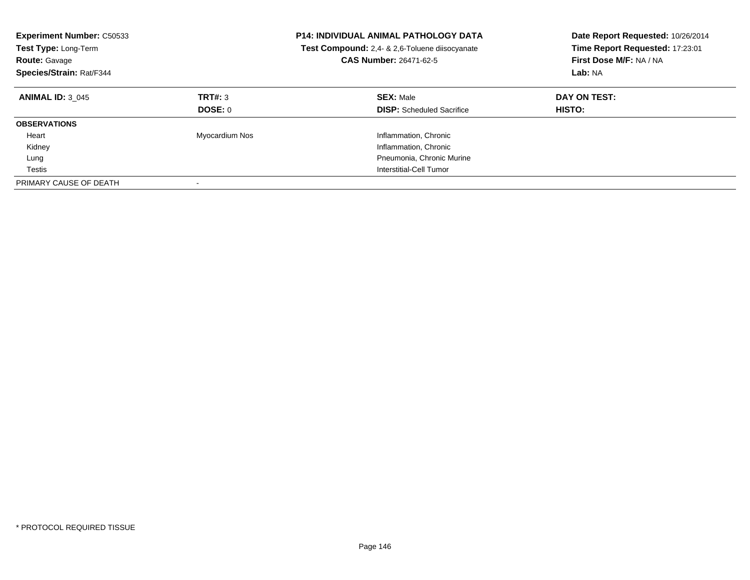| <b>Experiment Number: C50533</b><br>Test Type: Long-Term<br><b>Route: Gavage</b><br>Species/Strain: Rat/F344 |                    | <b>P14: INDIVIDUAL ANIMAL PATHOLOGY DATA</b><br>Test Compound: 2,4- & 2,6-Toluene diisocyanate<br>CAS Number: 26471-62-5 | Date Report Requested: 10/26/2014<br>Time Report Requested: 17:23:01<br>First Dose M/F: NA / NA<br>Lab: NA |  |
|--------------------------------------------------------------------------------------------------------------|--------------------|--------------------------------------------------------------------------------------------------------------------------|------------------------------------------------------------------------------------------------------------|--|
| <b>ANIMAL ID: 3 045</b>                                                                                      | TRT#: 3<br>DOSE: 0 | <b>SEX: Male</b><br><b>DISP:</b> Scheduled Sacrifice                                                                     | DAY ON TEST:<br><b>HISTO:</b>                                                                              |  |
| <b>OBSERVATIONS</b>                                                                                          |                    |                                                                                                                          |                                                                                                            |  |
| Heart                                                                                                        | Myocardium Nos     | Inflammation, Chronic                                                                                                    |                                                                                                            |  |
| Kidney                                                                                                       |                    | Inflammation, Chronic                                                                                                    |                                                                                                            |  |
| Lung                                                                                                         |                    | Pneumonia, Chronic Murine                                                                                                |                                                                                                            |  |
| Testis                                                                                                       |                    | Interstitial-Cell Tumor                                                                                                  |                                                                                                            |  |
| PRIMARY CAUSE OF DEATH                                                                                       |                    |                                                                                                                          |                                                                                                            |  |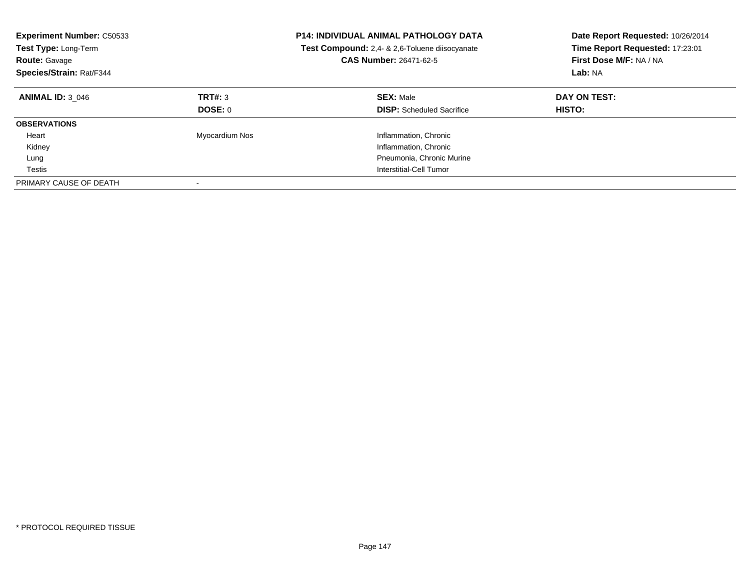| <b>Experiment Number: C50533</b><br>Test Type: Long-Term<br><b>Route: Gavage</b><br>Species/Strain: Rat/F344 |                    | <b>P14: INDIVIDUAL ANIMAL PATHOLOGY DATA</b><br>Test Compound: 2,4- & 2,6-Toluene diisocyanate<br>CAS Number: 26471-62-5 | Date Report Requested: 10/26/2014<br>Time Report Requested: 17:23:01<br>First Dose M/F: NA / NA<br>Lab: NA |  |
|--------------------------------------------------------------------------------------------------------------|--------------------|--------------------------------------------------------------------------------------------------------------------------|------------------------------------------------------------------------------------------------------------|--|
| <b>ANIMAL ID: 3 046</b>                                                                                      | TRT#: 3<br>DOSE: 0 | <b>SEX: Male</b><br><b>DISP:</b> Scheduled Sacrifice                                                                     | DAY ON TEST:<br><b>HISTO:</b>                                                                              |  |
| <b>OBSERVATIONS</b>                                                                                          |                    |                                                                                                                          |                                                                                                            |  |
| Heart                                                                                                        | Myocardium Nos     | Inflammation, Chronic                                                                                                    |                                                                                                            |  |
| Kidney                                                                                                       |                    | Inflammation, Chronic                                                                                                    |                                                                                                            |  |
| Lung                                                                                                         |                    | Pneumonia, Chronic Murine                                                                                                |                                                                                                            |  |
| Testis                                                                                                       |                    | Interstitial-Cell Tumor                                                                                                  |                                                                                                            |  |
| PRIMARY CAUSE OF DEATH                                                                                       |                    |                                                                                                                          |                                                                                                            |  |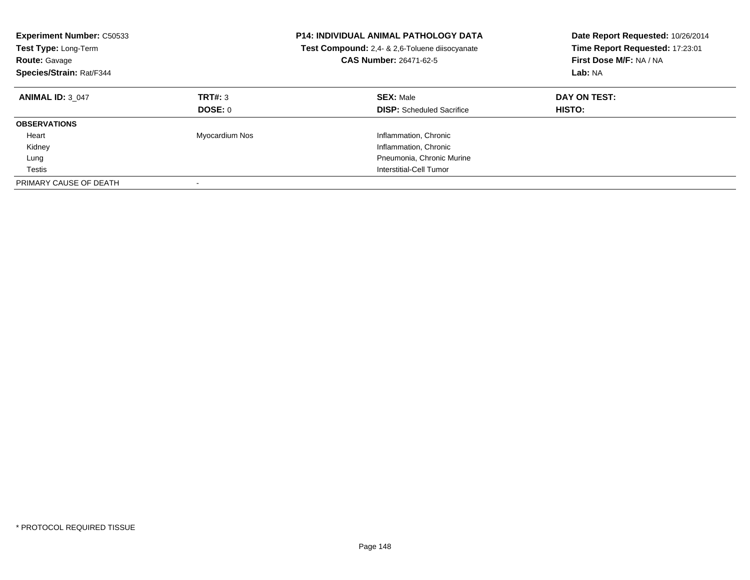| <b>Experiment Number: C50533</b><br>Test Type: Long-Term<br><b>Route: Gavage</b><br>Species/Strain: Rat/F344 |                    | <b>P14: INDIVIDUAL ANIMAL PATHOLOGY DATA</b><br>Test Compound: 2,4- & 2,6-Toluene diisocyanate<br>CAS Number: 26471-62-5 | Date Report Requested: 10/26/2014<br>Time Report Requested: 17:23:01<br>First Dose M/F: NA / NA<br>Lab: NA |  |
|--------------------------------------------------------------------------------------------------------------|--------------------|--------------------------------------------------------------------------------------------------------------------------|------------------------------------------------------------------------------------------------------------|--|
| <b>ANIMAL ID: 3 047</b>                                                                                      | TRT#: 3<br>DOSE: 0 | <b>SEX: Male</b><br><b>DISP:</b> Scheduled Sacrifice                                                                     | DAY ON TEST:<br><b>HISTO:</b>                                                                              |  |
| <b>OBSERVATIONS</b>                                                                                          |                    |                                                                                                                          |                                                                                                            |  |
| Heart                                                                                                        | Myocardium Nos     | Inflammation, Chronic                                                                                                    |                                                                                                            |  |
| Kidney                                                                                                       |                    | Inflammation, Chronic                                                                                                    |                                                                                                            |  |
| Lung                                                                                                         |                    | Pneumonia, Chronic Murine                                                                                                |                                                                                                            |  |
| Testis                                                                                                       |                    | Interstitial-Cell Tumor                                                                                                  |                                                                                                            |  |
| PRIMARY CAUSE OF DEATH                                                                                       |                    |                                                                                                                          |                                                                                                            |  |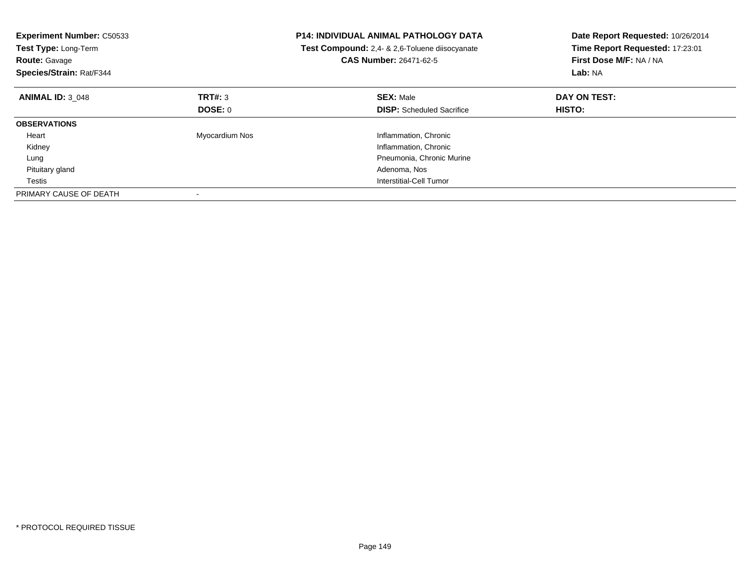| <b>Experiment Number: C50533</b><br>Test Type: Long-Term<br><b>Route: Gavage</b><br>Species/Strain: Rat/F344 |                | <b>P14: INDIVIDUAL ANIMAL PATHOLOGY DATA</b><br>Test Compound: 2,4- & 2,6-Toluene diisocyanate<br><b>CAS Number: 26471-62-5</b> | Date Report Requested: 10/26/2014<br>Time Report Requested: 17:23:01<br>First Dose M/F: NA / NA<br>Lab: NA |  |
|--------------------------------------------------------------------------------------------------------------|----------------|---------------------------------------------------------------------------------------------------------------------------------|------------------------------------------------------------------------------------------------------------|--|
| <b>ANIMAL ID: 3 048</b>                                                                                      | TRT#: 3        | <b>SEX: Male</b>                                                                                                                | DAY ON TEST:                                                                                               |  |
|                                                                                                              | DOSE: 0        | <b>DISP:</b> Scheduled Sacrifice                                                                                                | HISTO:                                                                                                     |  |
| <b>OBSERVATIONS</b>                                                                                          |                |                                                                                                                                 |                                                                                                            |  |
| Heart                                                                                                        | Myocardium Nos | Inflammation, Chronic                                                                                                           |                                                                                                            |  |
| Kidney                                                                                                       |                | Inflammation, Chronic                                                                                                           |                                                                                                            |  |
| Lung                                                                                                         |                | Pneumonia, Chronic Murine                                                                                                       |                                                                                                            |  |
| Pituitary gland                                                                                              |                | Adenoma, Nos                                                                                                                    |                                                                                                            |  |
| Testis                                                                                                       |                | Interstitial-Cell Tumor                                                                                                         |                                                                                                            |  |
| PRIMARY CAUSE OF DEATH                                                                                       |                |                                                                                                                                 |                                                                                                            |  |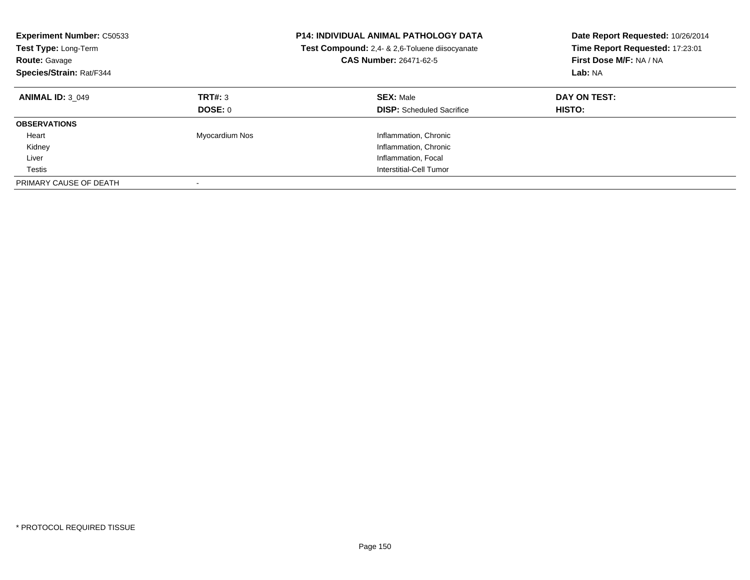| <b>Experiment Number: C50533</b><br>Test Type: Long-Term<br><b>Route: Gavage</b><br>Species/Strain: Rat/F344 |                    | <b>P14: INDIVIDUAL ANIMAL PATHOLOGY DATA</b><br><b>Test Compound:</b> 2.4- & 2.6-Toluene diisocyanate<br><b>CAS Number: 26471-62-5</b> | Date Report Requested: 10/26/2014<br>Time Report Requested: 17:23:01<br>First Dose M/F: NA / NA<br>Lab: NA |  |
|--------------------------------------------------------------------------------------------------------------|--------------------|----------------------------------------------------------------------------------------------------------------------------------------|------------------------------------------------------------------------------------------------------------|--|
| <b>ANIMAL ID: 3 049</b>                                                                                      | TRT#: 3<br>DOSE: 0 | <b>SEX: Male</b><br><b>DISP:</b> Scheduled Sacrifice                                                                                   | DAY ON TEST:<br><b>HISTO:</b>                                                                              |  |
| <b>OBSERVATIONS</b>                                                                                          |                    |                                                                                                                                        |                                                                                                            |  |
| Heart                                                                                                        | Myocardium Nos     | Inflammation, Chronic                                                                                                                  |                                                                                                            |  |
| Kidney                                                                                                       |                    | Inflammation, Chronic                                                                                                                  |                                                                                                            |  |
| Liver                                                                                                        |                    | Inflammation, Focal                                                                                                                    |                                                                                                            |  |
| Testis                                                                                                       |                    | Interstitial-Cell Tumor                                                                                                                |                                                                                                            |  |
| PRIMARY CAUSE OF DEATH                                                                                       |                    |                                                                                                                                        |                                                                                                            |  |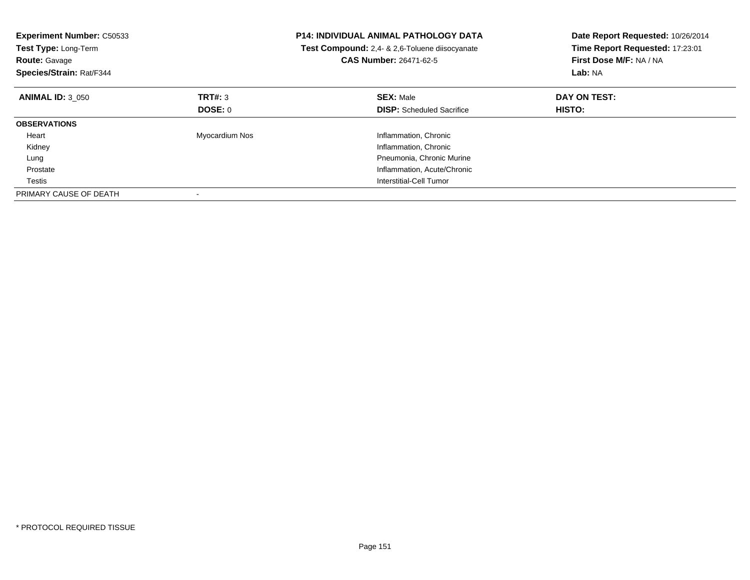| <b>Experiment Number: C50533</b><br>Test Type: Long-Term<br><b>Route: Gavage</b><br>Species/Strain: Rat/F344 |                | <b>P14: INDIVIDUAL ANIMAL PATHOLOGY DATA</b><br>Test Compound: 2,4- & 2,6-Toluene diisocyanate<br><b>CAS Number: 26471-62-5</b> | Date Report Requested: 10/26/2014<br>Time Report Requested: 17:23:01<br>First Dose M/F: NA / NA<br>Lab: NA |  |
|--------------------------------------------------------------------------------------------------------------|----------------|---------------------------------------------------------------------------------------------------------------------------------|------------------------------------------------------------------------------------------------------------|--|
| <b>ANIMAL ID: 3 050</b>                                                                                      | TRT#: 3        | <b>SEX: Male</b>                                                                                                                | DAY ON TEST:                                                                                               |  |
|                                                                                                              | DOSE: 0        | <b>DISP:</b> Scheduled Sacrifice                                                                                                | HISTO:                                                                                                     |  |
| <b>OBSERVATIONS</b>                                                                                          |                |                                                                                                                                 |                                                                                                            |  |
| Heart                                                                                                        | Myocardium Nos | Inflammation, Chronic                                                                                                           |                                                                                                            |  |
| Kidney                                                                                                       |                | Inflammation, Chronic                                                                                                           |                                                                                                            |  |
| Lung                                                                                                         |                | Pneumonia, Chronic Murine                                                                                                       |                                                                                                            |  |
| Prostate                                                                                                     |                | Inflammation, Acute/Chronic                                                                                                     |                                                                                                            |  |
| Testis                                                                                                       |                | Interstitial-Cell Tumor                                                                                                         |                                                                                                            |  |
| PRIMARY CAUSE OF DEATH                                                                                       |                |                                                                                                                                 |                                                                                                            |  |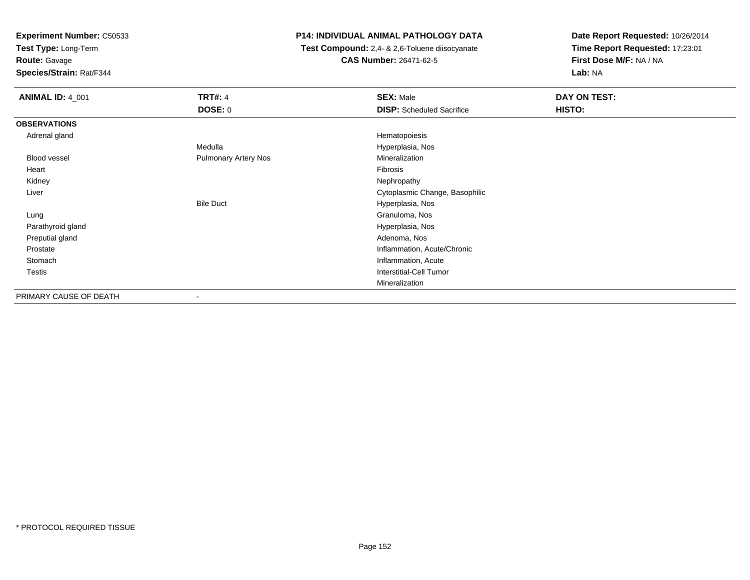**Test Type:** Long-Term

**Route:** Gavage

**Species/Strain:** Rat/F344

## **P14: INDIVIDUAL ANIMAL PATHOLOGY DATA**

 **Test Compound:** 2,4- & 2,6-Toluene diisocyanate**CAS Number:** 26471-62-5

| <b>ANIMAL ID: 4_001</b> | <b>TRT#: 4</b>              | <b>SEX: Male</b>                 | DAY ON TEST: |
|-------------------------|-----------------------------|----------------------------------|--------------|
|                         | <b>DOSE: 0</b>              | <b>DISP:</b> Scheduled Sacrifice | HISTO:       |
| <b>OBSERVATIONS</b>     |                             |                                  |              |
| Adrenal gland           |                             | Hematopoiesis                    |              |
|                         | Medulla                     | Hyperplasia, Nos                 |              |
| Blood vessel            | <b>Pulmonary Artery Nos</b> | Mineralization                   |              |
| Heart                   |                             | Fibrosis                         |              |
| Kidney                  |                             | Nephropathy                      |              |
| Liver                   |                             | Cytoplasmic Change, Basophilic   |              |
|                         | <b>Bile Duct</b>            | Hyperplasia, Nos                 |              |
| Lung                    |                             | Granuloma, Nos                   |              |
| Parathyroid gland       |                             | Hyperplasia, Nos                 |              |
| Preputial gland         |                             | Adenoma, Nos                     |              |
| Prostate                |                             | Inflammation, Acute/Chronic      |              |
| Stomach                 |                             | Inflammation, Acute              |              |
| <b>Testis</b>           |                             | <b>Interstitial-Cell Tumor</b>   |              |
|                         |                             | Mineralization                   |              |
| PRIMARY CAUSE OF DEATH  | $\overline{\phantom{a}}$    |                                  |              |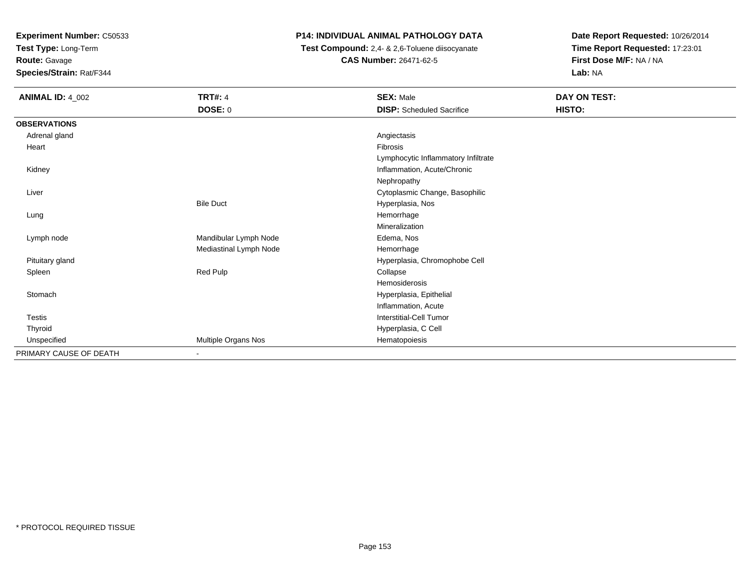**Test Type:** Long-Term

**Route:** Gavage

**Species/Strain:** Rat/F344

### **P14: INDIVIDUAL ANIMAL PATHOLOGY DATA**

 **Test Compound:** 2,4- & 2,6-Toluene diisocyanate**CAS Number:** 26471-62-5

| <b>ANIMAL ID: 4_002</b> | <b>TRT#: 4</b>         | <b>SEX: Male</b>                    | DAY ON TEST: |  |
|-------------------------|------------------------|-------------------------------------|--------------|--|
|                         | DOSE: 0                | <b>DISP:</b> Scheduled Sacrifice    | HISTO:       |  |
| <b>OBSERVATIONS</b>     |                        |                                     |              |  |
| Adrenal gland           |                        | Angiectasis                         |              |  |
| Heart                   |                        | Fibrosis                            |              |  |
|                         |                        | Lymphocytic Inflammatory Infiltrate |              |  |
| Kidney                  |                        | Inflammation, Acute/Chronic         |              |  |
|                         |                        | Nephropathy                         |              |  |
| Liver                   |                        | Cytoplasmic Change, Basophilic      |              |  |
|                         | <b>Bile Duct</b>       | Hyperplasia, Nos                    |              |  |
| Lung                    |                        | Hemorrhage                          |              |  |
|                         |                        | Mineralization                      |              |  |
| Lymph node              | Mandibular Lymph Node  | Edema, Nos                          |              |  |
|                         | Mediastinal Lymph Node | Hemorrhage                          |              |  |
| Pituitary gland         |                        | Hyperplasia, Chromophobe Cell       |              |  |
| Spleen                  | Red Pulp               | Collapse                            |              |  |
|                         |                        | Hemosiderosis                       |              |  |
| Stomach                 |                        | Hyperplasia, Epithelial             |              |  |
|                         |                        | Inflammation, Acute                 |              |  |
| Testis                  |                        | Interstitial-Cell Tumor             |              |  |
| Thyroid                 |                        | Hyperplasia, C Cell                 |              |  |
| Unspecified             | Multiple Organs Nos    | Hematopoiesis                       |              |  |
| PRIMARY CAUSE OF DEATH  |                        |                                     |              |  |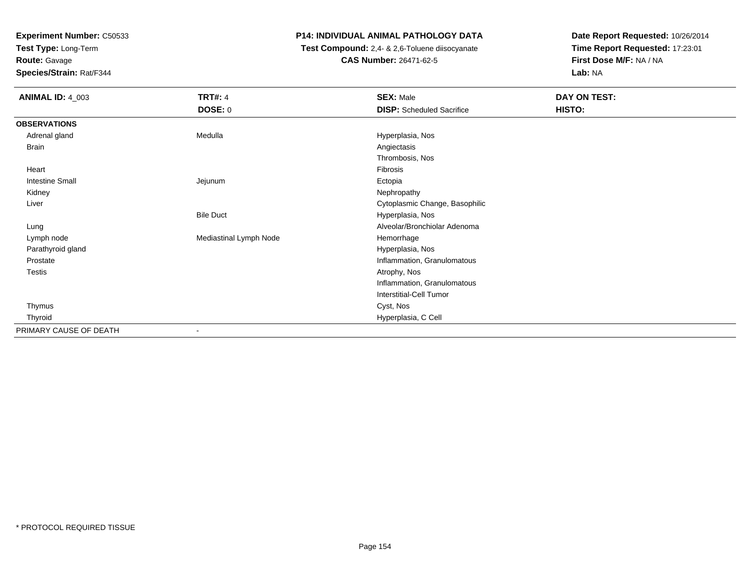**Test Type:** Long-Term

**Route:** Gavage

**Species/Strain:** Rat/F344

### **P14: INDIVIDUAL ANIMAL PATHOLOGY DATA**

 **Test Compound:** 2,4- & 2,6-Toluene diisocyanate**CAS Number:** 26471-62-5

| <b>ANIMAL ID: 4_003</b> | <b>TRT#: 4</b>         | <b>SEX: Male</b>                 | DAY ON TEST: |
|-------------------------|------------------------|----------------------------------|--------------|
|                         | <b>DOSE: 0</b>         | <b>DISP:</b> Scheduled Sacrifice | HISTO:       |
| <b>OBSERVATIONS</b>     |                        |                                  |              |
| Adrenal gland           | Medulla                | Hyperplasia, Nos                 |              |
| Brain                   |                        | Angiectasis                      |              |
|                         |                        | Thrombosis, Nos                  |              |
| Heart                   |                        | Fibrosis                         |              |
| <b>Intestine Small</b>  | Jejunum                | Ectopia                          |              |
| Kidney                  |                        | Nephropathy                      |              |
| Liver                   |                        | Cytoplasmic Change, Basophilic   |              |
|                         | <b>Bile Duct</b>       | Hyperplasia, Nos                 |              |
| Lung                    |                        | Alveolar/Bronchiolar Adenoma     |              |
| Lymph node              | Mediastinal Lymph Node | Hemorrhage                       |              |
| Parathyroid gland       |                        | Hyperplasia, Nos                 |              |
| Prostate                |                        | Inflammation, Granulomatous      |              |
| <b>Testis</b>           |                        | Atrophy, Nos                     |              |
|                         |                        | Inflammation, Granulomatous      |              |
|                         |                        | Interstitial-Cell Tumor          |              |
| Thymus                  |                        | Cyst, Nos                        |              |
| Thyroid                 |                        | Hyperplasia, C Cell              |              |
| PRIMARY CAUSE OF DEATH  | ۰                      |                                  |              |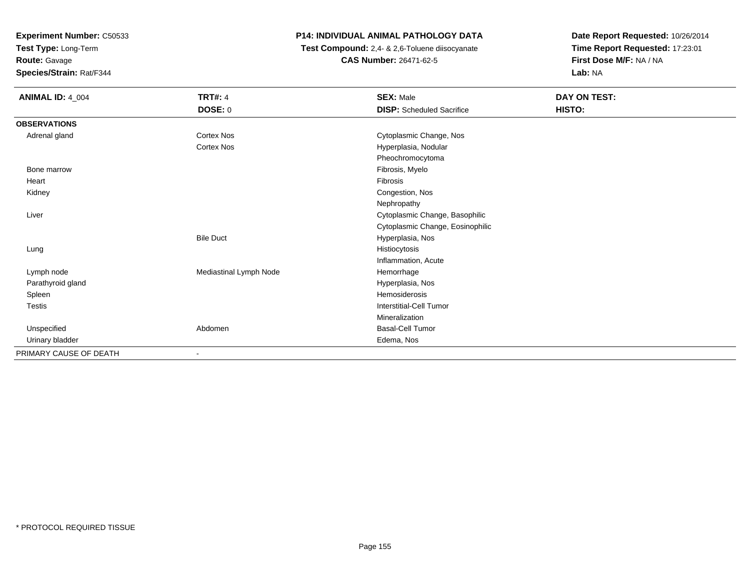**Test Type:** Long-Term

## **Route:** Gavage

**Species/Strain:** Rat/F344

## **P14: INDIVIDUAL ANIMAL PATHOLOGY DATA**

 **Test Compound:** 2,4- & 2,6-Toluene diisocyanate**CAS Number:** 26471-62-5

| <b>ANIMAL ID: 4_004</b> | <b>TRT#: 4</b>         | <b>SEX: Male</b>                 | DAY ON TEST: |  |
|-------------------------|------------------------|----------------------------------|--------------|--|
|                         | DOSE: 0                | <b>DISP:</b> Scheduled Sacrifice | HISTO:       |  |
| <b>OBSERVATIONS</b>     |                        |                                  |              |  |
| Adrenal gland           | Cortex Nos             | Cytoplasmic Change, Nos          |              |  |
|                         | <b>Cortex Nos</b>      | Hyperplasia, Nodular             |              |  |
|                         |                        | Pheochromocytoma                 |              |  |
| Bone marrow             |                        | Fibrosis, Myelo                  |              |  |
| Heart                   |                        | Fibrosis                         |              |  |
| Kidney                  |                        | Congestion, Nos                  |              |  |
|                         |                        | Nephropathy                      |              |  |
| Liver                   |                        | Cytoplasmic Change, Basophilic   |              |  |
|                         |                        | Cytoplasmic Change, Eosinophilic |              |  |
|                         | <b>Bile Duct</b>       | Hyperplasia, Nos                 |              |  |
| Lung                    |                        | Histiocytosis                    |              |  |
|                         |                        | Inflammation, Acute              |              |  |
| Lymph node              | Mediastinal Lymph Node | Hemorrhage                       |              |  |
| Parathyroid gland       |                        | Hyperplasia, Nos                 |              |  |
| Spleen                  |                        | Hemosiderosis                    |              |  |
| Testis                  |                        | <b>Interstitial-Cell Tumor</b>   |              |  |
|                         |                        | Mineralization                   |              |  |
| Unspecified             | Abdomen                | Basal-Cell Tumor                 |              |  |
| Urinary bladder         |                        | Edema, Nos                       |              |  |
| PRIMARY CAUSE OF DEATH  | ۰                      |                                  |              |  |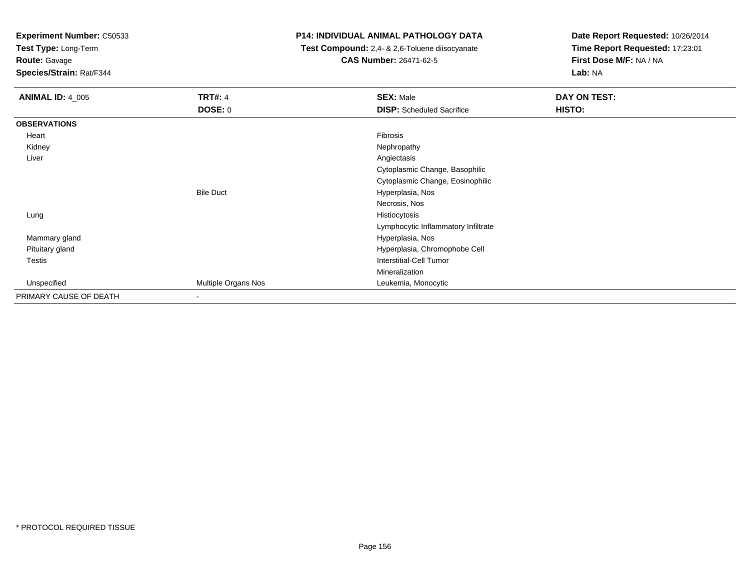**Test Type:** Long-Term

**Route:** Gavage

**Species/Strain:** Rat/F344

#### **P14: INDIVIDUAL ANIMAL PATHOLOGY DATA**

 **Test Compound:** 2,4- & 2,6-Toluene diisocyanate**CAS Number:** 26471-62-5

| <b>ANIMAL ID: 4_005</b> | <b>TRT#: 4</b>      | <b>SEX: Male</b>                    | DAY ON TEST: |  |
|-------------------------|---------------------|-------------------------------------|--------------|--|
|                         | <b>DOSE: 0</b>      | <b>DISP:</b> Scheduled Sacrifice    | HISTO:       |  |
| <b>OBSERVATIONS</b>     |                     |                                     |              |  |
| Heart                   |                     | Fibrosis                            |              |  |
| Kidney                  |                     | Nephropathy                         |              |  |
| Liver                   |                     | Angiectasis                         |              |  |
|                         |                     | Cytoplasmic Change, Basophilic      |              |  |
|                         |                     | Cytoplasmic Change, Eosinophilic    |              |  |
|                         | <b>Bile Duct</b>    | Hyperplasia, Nos                    |              |  |
|                         |                     | Necrosis, Nos                       |              |  |
| Lung                    |                     | Histiocytosis                       |              |  |
|                         |                     | Lymphocytic Inflammatory Infiltrate |              |  |
| Mammary gland           |                     | Hyperplasia, Nos                    |              |  |
| Pituitary gland         |                     | Hyperplasia, Chromophobe Cell       |              |  |
| Testis                  |                     | <b>Interstitial-Cell Tumor</b>      |              |  |
|                         |                     | Mineralization                      |              |  |
| Unspecified             | Multiple Organs Nos | Leukemia, Monocytic                 |              |  |
| PRIMARY CAUSE OF DEATH  | ٠                   |                                     |              |  |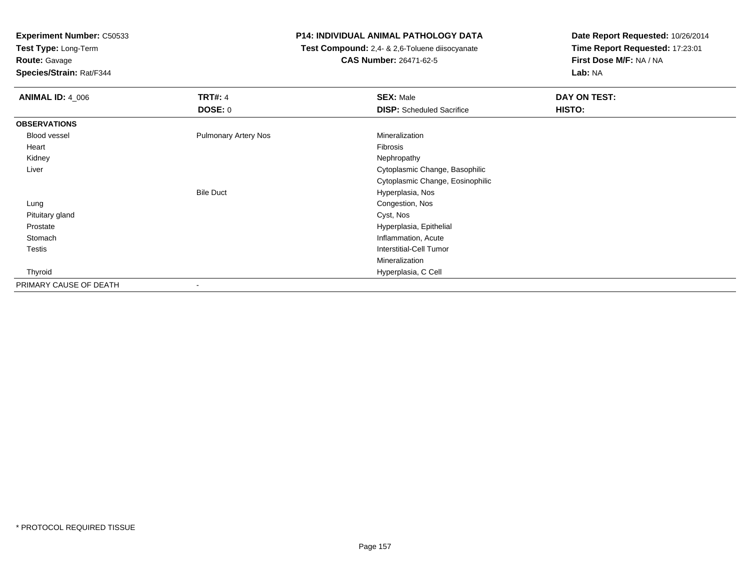**Test Type:** Long-Term

**Route:** Gavage

**Species/Strain:** Rat/F344

### **P14: INDIVIDUAL ANIMAL PATHOLOGY DATA**

 **Test Compound:** 2,4- & 2,6-Toluene diisocyanate**CAS Number:** 26471-62-5

| <b>ANIMAL ID: 4_006</b> | <b>TRT#: 4</b>              | <b>SEX: Male</b>                 | DAY ON TEST: |  |
|-------------------------|-----------------------------|----------------------------------|--------------|--|
|                         | DOSE: 0                     | <b>DISP:</b> Scheduled Sacrifice | HISTO:       |  |
| <b>OBSERVATIONS</b>     |                             |                                  |              |  |
| Blood vessel            | <b>Pulmonary Artery Nos</b> | Mineralization                   |              |  |
| Heart                   |                             | Fibrosis                         |              |  |
| Kidney                  |                             | Nephropathy                      |              |  |
| Liver                   |                             | Cytoplasmic Change, Basophilic   |              |  |
|                         |                             | Cytoplasmic Change, Eosinophilic |              |  |
|                         | <b>Bile Duct</b>            | Hyperplasia, Nos                 |              |  |
| Lung                    |                             | Congestion, Nos                  |              |  |
| Pituitary gland         |                             | Cyst, Nos                        |              |  |
| Prostate                |                             | Hyperplasia, Epithelial          |              |  |
| Stomach                 |                             | Inflammation, Acute              |              |  |
| Testis                  |                             | <b>Interstitial-Cell Tumor</b>   |              |  |
|                         |                             | Mineralization                   |              |  |
| Thyroid                 |                             | Hyperplasia, C Cell              |              |  |
| PRIMARY CAUSE OF DEATH  | $\overline{\phantom{a}}$    |                                  |              |  |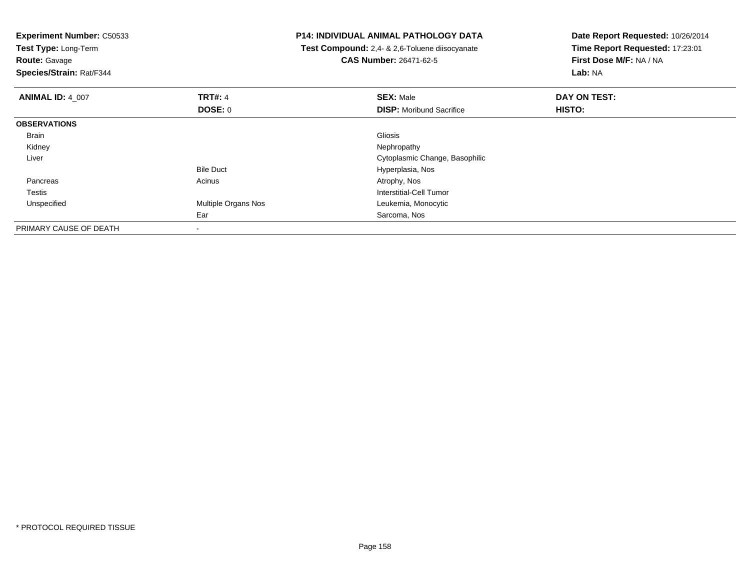**Experiment Number:** C50533**Test Type:** Long-Term**Route:** Gavage **Species/Strain:** Rat/F344**P14: INDIVIDUAL ANIMAL PATHOLOGY DATA Test Compound:** 2,4- & 2,6-Toluene diisocyanate**CAS Number:** 26471-62-5**Date Report Requested:** 10/26/2014**Time Report Requested:** 17:23:01**First Dose M/F:** NA / NA**Lab:** NA**ANIMAL ID:** 4\_007**TRT#:** 4 **SEX:** Male **DAY ON TEST: DOSE:** 0**DISP:** Moribund Sacrifice **HISTO: OBSERVATIONS** Brainn and the control of the control of the control of the control of the control of the control of the control of Kidneyy the control of the control of the control of the control of the control of the control of the control of the control of the control of the control of the control of the control of the control of the control of the contro Liver Cytoplasmic Change, BasophilicBile Duct Hyperplasia, Nos Pancreass and the contract of the contract of the contract of the contract of the contract  $\mathsf{A}$  at  $\mathsf{A}$  and  $\mathsf{A}$  and  $\mathsf{A}$  and  $\mathsf{A}$  and  $\mathsf{A}$  are contract of  $\mathsf{A}$  and  $\mathsf{A}$  and  $\mathsf{A}$  are contract of TestisInterstitial-Cell Tumor<br>Multiple Organs Nos<br>Leukemia, Monocytic UnspecifiedLeukemia, Monocytic Ear Sarcoma, NosPRIMARY CAUSE OF DEATH-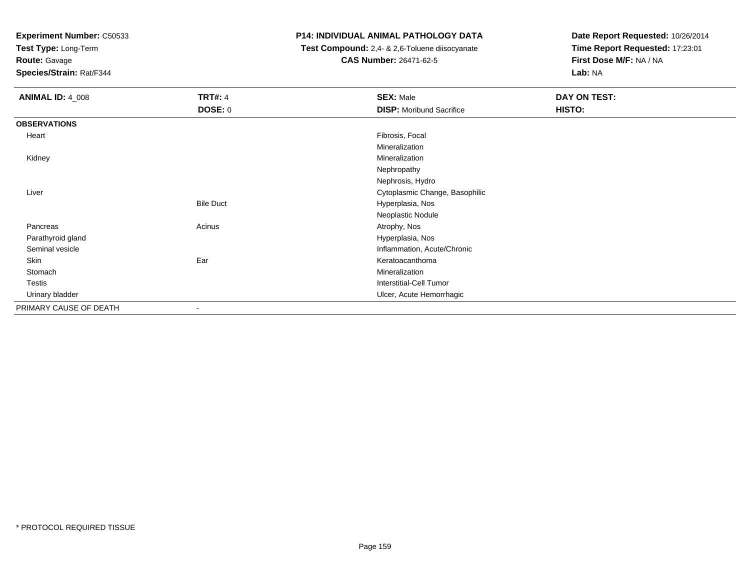**Test Type:** Long-Term

**Route:** Gavage

**Species/Strain:** Rat/F344

## **P14: INDIVIDUAL ANIMAL PATHOLOGY DATA**

 **Test Compound:** 2,4- & 2,6-Toluene diisocyanate**CAS Number:** 26471-62-5

| <b>ANIMAL ID: 4_008</b> | <b>TRT#: 4</b>   | <b>SEX: Male</b>                | DAY ON TEST: |
|-------------------------|------------------|---------------------------------|--------------|
|                         | <b>DOSE: 0</b>   | <b>DISP:</b> Moribund Sacrifice | HISTO:       |
| <b>OBSERVATIONS</b>     |                  |                                 |              |
| Heart                   |                  | Fibrosis, Focal                 |              |
|                         |                  | Mineralization                  |              |
| Kidney                  |                  | Mineralization                  |              |
|                         |                  | Nephropathy                     |              |
|                         |                  | Nephrosis, Hydro                |              |
| Liver                   |                  | Cytoplasmic Change, Basophilic  |              |
|                         | <b>Bile Duct</b> | Hyperplasia, Nos                |              |
|                         |                  | Neoplastic Nodule               |              |
| Pancreas                | Acinus           | Atrophy, Nos                    |              |
| Parathyroid gland       |                  | Hyperplasia, Nos                |              |
| Seminal vesicle         |                  | Inflammation, Acute/Chronic     |              |
| Skin                    | Ear              | Keratoacanthoma                 |              |
| Stomach                 |                  | Mineralization                  |              |
| Testis                  |                  | <b>Interstitial-Cell Tumor</b>  |              |
| Urinary bladder         |                  | Ulcer, Acute Hemorrhagic        |              |
| PRIMARY CAUSE OF DEATH  | ۰                |                                 |              |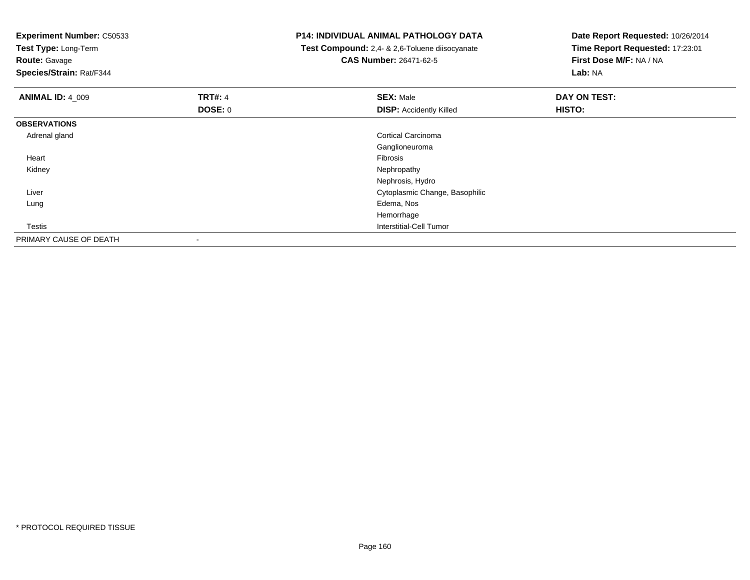| <b>Experiment Number: C50533</b><br>Test Type: Long-Term<br><b>Route: Gavage</b><br>Species/Strain: Rat/F344 |                | <b>P14: INDIVIDUAL ANIMAL PATHOLOGY DATA</b><br>Test Compound: 2,4- & 2,6-Toluene diisocyanate<br><b>CAS Number: 26471-62-5</b> | Date Report Requested: 10/26/2014<br>Time Report Requested: 17:23:01<br>First Dose M/F: NA / NA<br>Lab: NA |
|--------------------------------------------------------------------------------------------------------------|----------------|---------------------------------------------------------------------------------------------------------------------------------|------------------------------------------------------------------------------------------------------------|
| <b>ANIMAL ID: 4_009</b>                                                                                      | <b>TRT#: 4</b> | <b>SEX: Male</b>                                                                                                                | DAY ON TEST:                                                                                               |
|                                                                                                              | DOSE: 0        | <b>DISP:</b> Accidently Killed                                                                                                  | HISTO:                                                                                                     |
| <b>OBSERVATIONS</b>                                                                                          |                |                                                                                                                                 |                                                                                                            |
| Adrenal gland                                                                                                |                | <b>Cortical Carcinoma</b>                                                                                                       |                                                                                                            |
|                                                                                                              |                | Ganglioneuroma                                                                                                                  |                                                                                                            |
| Heart                                                                                                        |                | Fibrosis                                                                                                                        |                                                                                                            |
| Kidney                                                                                                       |                | Nephropathy                                                                                                                     |                                                                                                            |
|                                                                                                              |                | Nephrosis, Hydro                                                                                                                |                                                                                                            |
| Liver                                                                                                        |                | Cytoplasmic Change, Basophilic                                                                                                  |                                                                                                            |
| Lung                                                                                                         |                | Edema, Nos                                                                                                                      |                                                                                                            |
|                                                                                                              |                | Hemorrhage                                                                                                                      |                                                                                                            |
| Testis                                                                                                       |                | <b>Interstitial-Cell Tumor</b>                                                                                                  |                                                                                                            |
| PRIMARY CAUSE OF DEATH                                                                                       |                |                                                                                                                                 |                                                                                                            |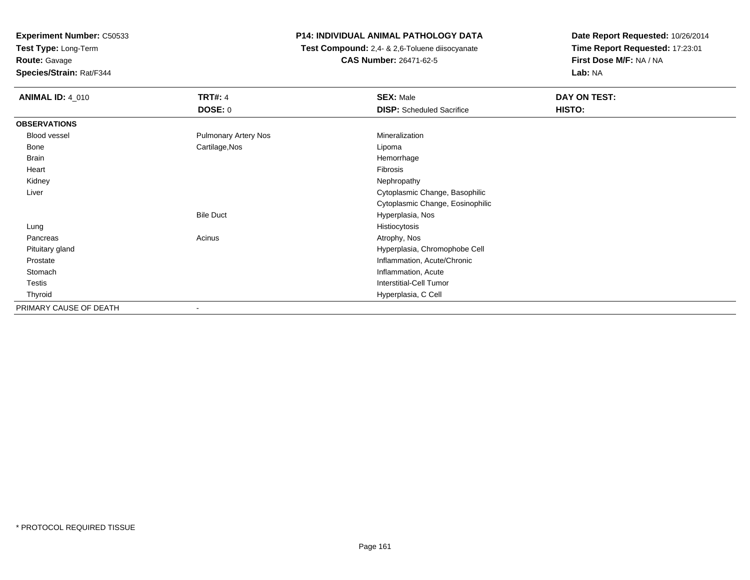**Test Type:** Long-Term

**Route:** Gavage

**Species/Strain:** Rat/F344

## **P14: INDIVIDUAL ANIMAL PATHOLOGY DATA**

 **Test Compound:** 2,4- & 2,6-Toluene diisocyanate**CAS Number:** 26471-62-5

| <b>ANIMAL ID: 4 010</b> | <b>TRT#: 4</b>              | <b>SEX: Male</b>                 | DAY ON TEST: |
|-------------------------|-----------------------------|----------------------------------|--------------|
|                         | <b>DOSE: 0</b>              | <b>DISP:</b> Scheduled Sacrifice | HISTO:       |
| <b>OBSERVATIONS</b>     |                             |                                  |              |
| Blood vessel            | <b>Pulmonary Artery Nos</b> | Mineralization                   |              |
| Bone                    | Cartilage, Nos              | Lipoma                           |              |
| Brain                   |                             | Hemorrhage                       |              |
| Heart                   |                             | Fibrosis                         |              |
| Kidney                  |                             | Nephropathy                      |              |
| Liver                   |                             | Cytoplasmic Change, Basophilic   |              |
|                         |                             | Cytoplasmic Change, Eosinophilic |              |
|                         | <b>Bile Duct</b>            | Hyperplasia, Nos                 |              |
| Lung                    |                             | Histiocytosis                    |              |
| Pancreas                | Acinus                      | Atrophy, Nos                     |              |
| Pituitary gland         |                             | Hyperplasia, Chromophobe Cell    |              |
| Prostate                |                             | Inflammation, Acute/Chronic      |              |
| Stomach                 |                             | Inflammation, Acute              |              |
| Testis                  |                             | <b>Interstitial-Cell Tumor</b>   |              |
| Thyroid                 |                             | Hyperplasia, C Cell              |              |
| PRIMARY CAUSE OF DEATH  |                             |                                  |              |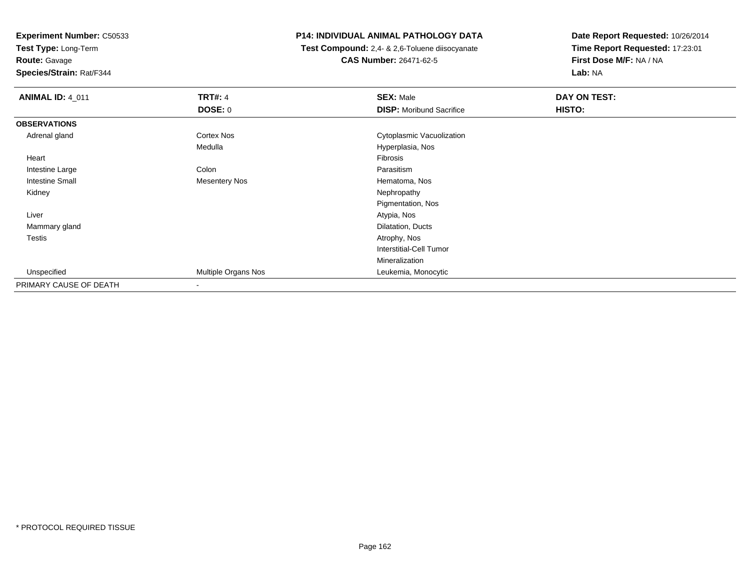**Test Type:** Long-Term**Route:** Gavage

**Species/Strain:** Rat/F344

#### **P14: INDIVIDUAL ANIMAL PATHOLOGY DATA**

 **Test Compound:** 2,4- & 2,6-Toluene diisocyanate**CAS Number:** 26471-62-5

| <b>ANIMAL ID: 4_011</b> | <b>TRT#: 4</b>       | <b>SEX: Male</b>                | DAY ON TEST: |  |
|-------------------------|----------------------|---------------------------------|--------------|--|
|                         | <b>DOSE: 0</b>       | <b>DISP:</b> Moribund Sacrifice | HISTO:       |  |
| <b>OBSERVATIONS</b>     |                      |                                 |              |  |
| Adrenal gland           | Cortex Nos           | Cytoplasmic Vacuolization       |              |  |
|                         | Medulla              | Hyperplasia, Nos                |              |  |
| Heart                   |                      | Fibrosis                        |              |  |
| Intestine Large         | Colon                | Parasitism                      |              |  |
| <b>Intestine Small</b>  | <b>Mesentery Nos</b> | Hematoma, Nos                   |              |  |
| Kidney                  |                      | Nephropathy                     |              |  |
|                         |                      | Pigmentation, Nos               |              |  |
| Liver                   |                      | Atypia, Nos                     |              |  |
| Mammary gland           |                      | Dilatation, Ducts               |              |  |
| <b>Testis</b>           |                      | Atrophy, Nos                    |              |  |
|                         |                      | <b>Interstitial-Cell Tumor</b>  |              |  |
|                         |                      | Mineralization                  |              |  |
| Unspecified             | Multiple Organs Nos  | Leukemia, Monocytic             |              |  |
| PRIMARY CAUSE OF DEATH  | $\blacksquare$       |                                 |              |  |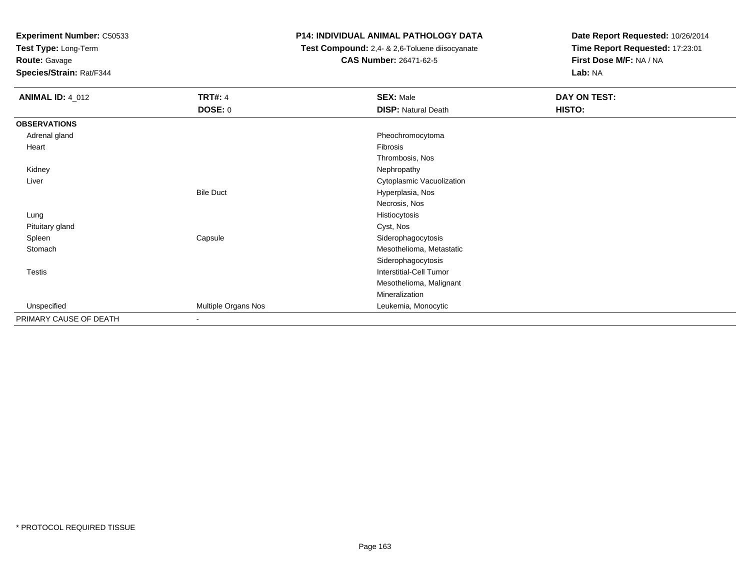**Test Type:** Long-Term

**Route:** Gavage

**Species/Strain:** Rat/F344

#### **P14: INDIVIDUAL ANIMAL PATHOLOGY DATA**

 **Test Compound:** 2,4- & 2,6-Toluene diisocyanate**CAS Number:** 26471-62-5

| <b>ANIMAL ID: 4_012</b> | <b>TRT#: 4</b><br><b>DOSE: 0</b> | <b>SEX: Male</b><br><b>DISP: Natural Death</b> | DAY ON TEST:<br>HISTO: |
|-------------------------|----------------------------------|------------------------------------------------|------------------------|
| <b>OBSERVATIONS</b>     |                                  |                                                |                        |
| Adrenal gland           |                                  | Pheochromocytoma                               |                        |
| Heart                   |                                  | Fibrosis                                       |                        |
|                         |                                  | Thrombosis, Nos                                |                        |
| Kidney                  |                                  | Nephropathy                                    |                        |
| Liver                   |                                  | Cytoplasmic Vacuolization                      |                        |
|                         | <b>Bile Duct</b>                 | Hyperplasia, Nos                               |                        |
|                         |                                  | Necrosis, Nos                                  |                        |
| Lung                    |                                  | Histiocytosis                                  |                        |
| Pituitary gland         |                                  | Cyst, Nos                                      |                        |
| Spleen                  | Capsule                          | Siderophagocytosis                             |                        |
| Stomach                 |                                  | Mesothelioma, Metastatic                       |                        |
|                         |                                  | Siderophagocytosis                             |                        |
| Testis                  |                                  | <b>Interstitial-Cell Tumor</b>                 |                        |
|                         |                                  | Mesothelioma, Malignant                        |                        |
|                         |                                  | Mineralization                                 |                        |
| Unspecified             | Multiple Organs Nos              | Leukemia, Monocytic                            |                        |
| PRIMARY CAUSE OF DEATH  | $\overline{\phantom{a}}$         |                                                |                        |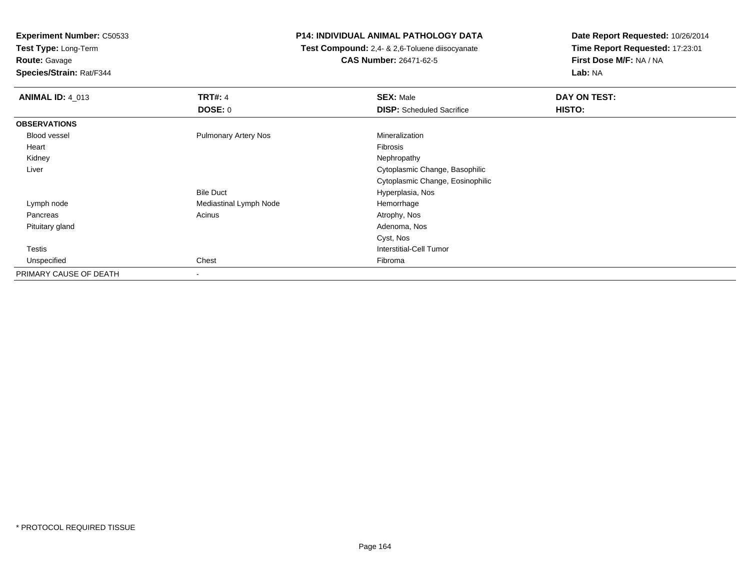**Test Type:** Long-Term

**Route:** Gavage

**Species/Strain:** Rat/F344

### **P14: INDIVIDUAL ANIMAL PATHOLOGY DATA**

 **Test Compound:** 2,4- & 2,6-Toluene diisocyanate**CAS Number:** 26471-62-5

| <b>ANIMAL ID: 4 013</b> | <b>TRT#: 4</b>              | <b>SEX: Male</b>                 | DAY ON TEST: |
|-------------------------|-----------------------------|----------------------------------|--------------|
|                         | DOSE: 0                     | <b>DISP:</b> Scheduled Sacrifice | HISTO:       |
| <b>OBSERVATIONS</b>     |                             |                                  |              |
| Blood vessel            | <b>Pulmonary Artery Nos</b> | Mineralization                   |              |
| Heart                   |                             | Fibrosis                         |              |
| Kidney                  |                             | Nephropathy                      |              |
| Liver                   |                             | Cytoplasmic Change, Basophilic   |              |
|                         |                             | Cytoplasmic Change, Eosinophilic |              |
|                         | <b>Bile Duct</b>            | Hyperplasia, Nos                 |              |
| Lymph node              | Mediastinal Lymph Node      | Hemorrhage                       |              |
| Pancreas                | Acinus                      | Atrophy, Nos                     |              |
| Pituitary gland         |                             | Adenoma, Nos                     |              |
|                         |                             | Cyst, Nos                        |              |
| <b>Testis</b>           |                             | Interstitial-Cell Tumor          |              |
| Unspecified             | Chest                       | Fibroma                          |              |
| PRIMARY CAUSE OF DEATH  | $\overline{\phantom{a}}$    |                                  |              |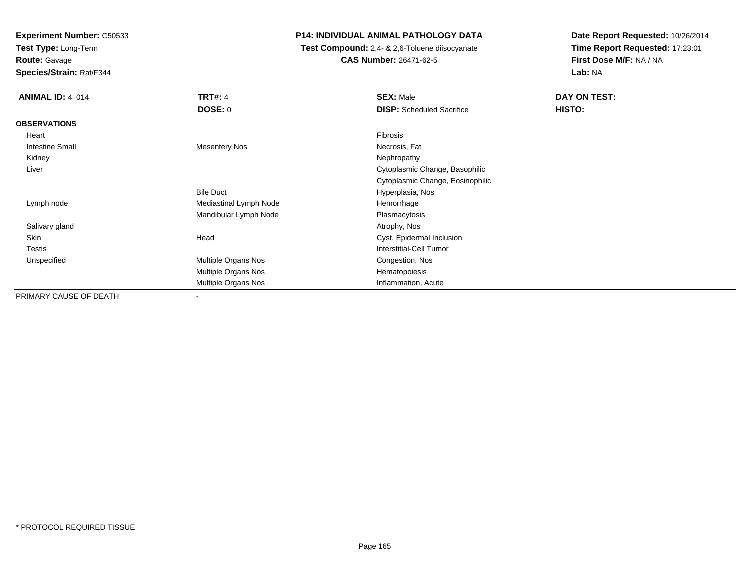**Test Type:** Long-Term

**Route:** Gavage

**Species/Strain:** Rat/F344

## **P14: INDIVIDUAL ANIMAL PATHOLOGY DATA**

 **Test Compound:** 2,4- & 2,6-Toluene diisocyanate**CAS Number:** 26471-62-5

| <b>ANIMAL ID: 4 014</b> | <b>TRT#: 4</b>           | <b>SEX: Male</b>                 | DAY ON TEST: |
|-------------------------|--------------------------|----------------------------------|--------------|
|                         | DOSE: 0                  | <b>DISP:</b> Scheduled Sacrifice | HISTO:       |
| <b>OBSERVATIONS</b>     |                          |                                  |              |
| Heart                   |                          | Fibrosis                         |              |
| <b>Intestine Small</b>  | <b>Mesentery Nos</b>     | Necrosis, Fat                    |              |
| Kidney                  |                          | Nephropathy                      |              |
| Liver                   |                          | Cytoplasmic Change, Basophilic   |              |
|                         |                          | Cytoplasmic Change, Eosinophilic |              |
|                         | <b>Bile Duct</b>         | Hyperplasia, Nos                 |              |
| Lymph node              | Mediastinal Lymph Node   | Hemorrhage                       |              |
|                         | Mandibular Lymph Node    | Plasmacytosis                    |              |
| Salivary gland          |                          | Atrophy, Nos                     |              |
| <b>Skin</b>             | Head                     | Cyst, Epidermal Inclusion        |              |
| <b>Testis</b>           |                          | Interstitial-Cell Tumor          |              |
| Unspecified             | Multiple Organs Nos      | Congestion, Nos                  |              |
|                         | Multiple Organs Nos      | Hematopoiesis                    |              |
|                         | Multiple Organs Nos      | Inflammation, Acute              |              |
| PRIMARY CAUSE OF DEATH  | $\overline{\phantom{a}}$ |                                  |              |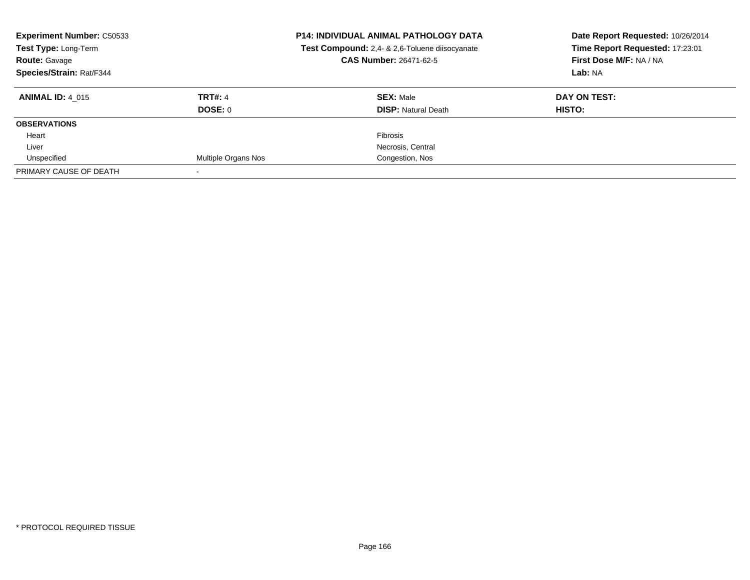| <b>Experiment Number: C50533</b><br>Test Type: Long-Term<br><b>Route: Gavage</b><br>Species/Strain: Rat/F344 |                            | <b>P14: INDIVIDUAL ANIMAL PATHOLOGY DATA</b><br>Test Compound: 2,4- & 2,6-Toluene diisocyanate<br>CAS Number: 26471-62-5 | Date Report Requested: 10/26/2014<br>Time Report Requested: 17:23:01<br>First Dose M/F: NA / NA<br>Lab: NA |
|--------------------------------------------------------------------------------------------------------------|----------------------------|--------------------------------------------------------------------------------------------------------------------------|------------------------------------------------------------------------------------------------------------|
| <b>ANIMAL ID: 4 015</b>                                                                                      | <b>TRT#: 4</b><br>DOSE: 0  | <b>SEX: Male</b><br><b>DISP: Natural Death</b>                                                                           | DAY ON TEST:<br><b>HISTO:</b>                                                                              |
| <b>OBSERVATIONS</b>                                                                                          |                            |                                                                                                                          |                                                                                                            |
| Heart                                                                                                        |                            | <b>Fibrosis</b>                                                                                                          |                                                                                                            |
| Liver                                                                                                        |                            | Necrosis, Central                                                                                                        |                                                                                                            |
| Unspecified                                                                                                  | <b>Multiple Organs Nos</b> | Congestion, Nos                                                                                                          |                                                                                                            |
| PRIMARY CAUSE OF DEATH                                                                                       |                            |                                                                                                                          |                                                                                                            |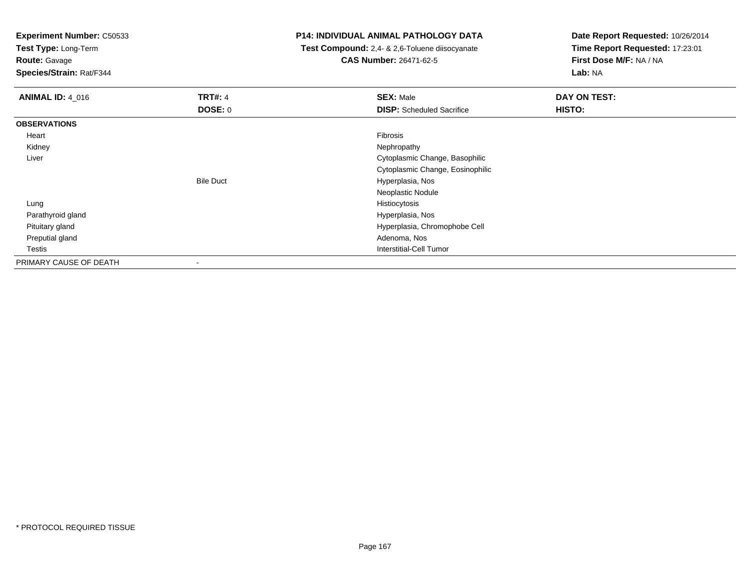**Test Type:** Long-Term

**Route:** Gavage

**Species/Strain:** Rat/F344

#### **P14: INDIVIDUAL ANIMAL PATHOLOGY DATA**

 **Test Compound:** 2,4- & 2,6-Toluene diisocyanate**CAS Number:** 26471-62-5

| <b>ANIMAL ID: 4_016</b> | <b>TRT#: 4</b>   | <b>SEX: Male</b>                 | DAY ON TEST: |
|-------------------------|------------------|----------------------------------|--------------|
|                         | <b>DOSE: 0</b>   | <b>DISP:</b> Scheduled Sacrifice | HISTO:       |
| <b>OBSERVATIONS</b>     |                  |                                  |              |
| Heart                   |                  | Fibrosis                         |              |
| Kidney                  |                  | Nephropathy                      |              |
| Liver                   |                  | Cytoplasmic Change, Basophilic   |              |
|                         |                  | Cytoplasmic Change, Eosinophilic |              |
|                         | <b>Bile Duct</b> | Hyperplasia, Nos                 |              |
|                         |                  | Neoplastic Nodule                |              |
| Lung                    |                  | Histiocytosis                    |              |
| Parathyroid gland       |                  | Hyperplasia, Nos                 |              |
| Pituitary gland         |                  | Hyperplasia, Chromophobe Cell    |              |
| Preputial gland         |                  | Adenoma, Nos                     |              |
| Testis                  |                  | <b>Interstitial-Cell Tumor</b>   |              |
| PRIMARY CAUSE OF DEATH  | $\blacksquare$   |                                  |              |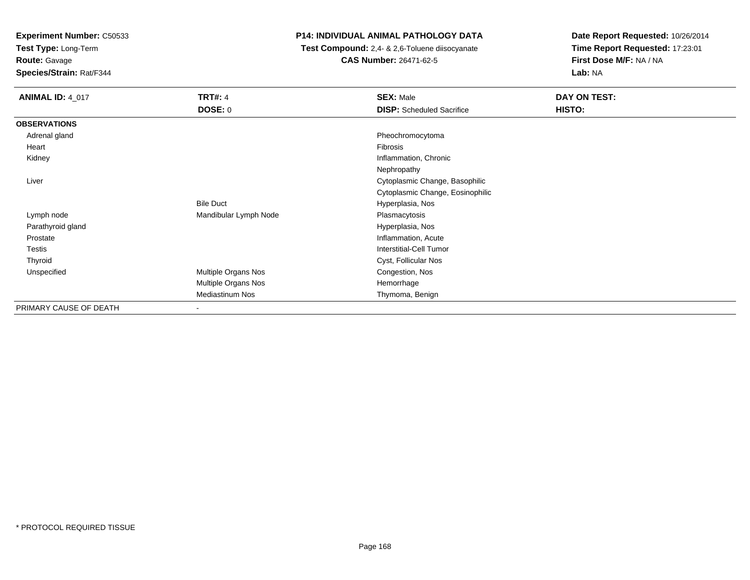**Test Type:** Long-Term

**Route:** Gavage

**Species/Strain:** Rat/F344

#### **P14: INDIVIDUAL ANIMAL PATHOLOGY DATA**

 **Test Compound:** 2,4- & 2,6-Toluene diisocyanate**CAS Number:** 26471-62-5

| <b>ANIMAL ID: 4_017</b> | <b>TRT#: 4</b>        | <b>SEX: Male</b>                 | DAY ON TEST: |  |
|-------------------------|-----------------------|----------------------------------|--------------|--|
|                         | <b>DOSE: 0</b>        | <b>DISP:</b> Scheduled Sacrifice | HISTO:       |  |
| <b>OBSERVATIONS</b>     |                       |                                  |              |  |
| Adrenal gland           |                       | Pheochromocytoma                 |              |  |
| Heart                   |                       | Fibrosis                         |              |  |
| Kidney                  |                       | Inflammation, Chronic            |              |  |
|                         |                       | Nephropathy                      |              |  |
| Liver                   |                       | Cytoplasmic Change, Basophilic   |              |  |
|                         |                       | Cytoplasmic Change, Eosinophilic |              |  |
|                         | <b>Bile Duct</b>      | Hyperplasia, Nos                 |              |  |
| Lymph node              | Mandibular Lymph Node | Plasmacytosis                    |              |  |
| Parathyroid gland       |                       | Hyperplasia, Nos                 |              |  |
| Prostate                |                       | Inflammation, Acute              |              |  |
| Testis                  |                       | Interstitial-Cell Tumor          |              |  |
| Thyroid                 |                       | Cyst, Follicular Nos             |              |  |
| Unspecified             | Multiple Organs Nos   | Congestion, Nos                  |              |  |
|                         | Multiple Organs Nos   | Hemorrhage                       |              |  |
|                         | Mediastinum Nos       | Thymoma, Benign                  |              |  |
| PRIMARY CAUSE OF DEATH  | ۰                     |                                  |              |  |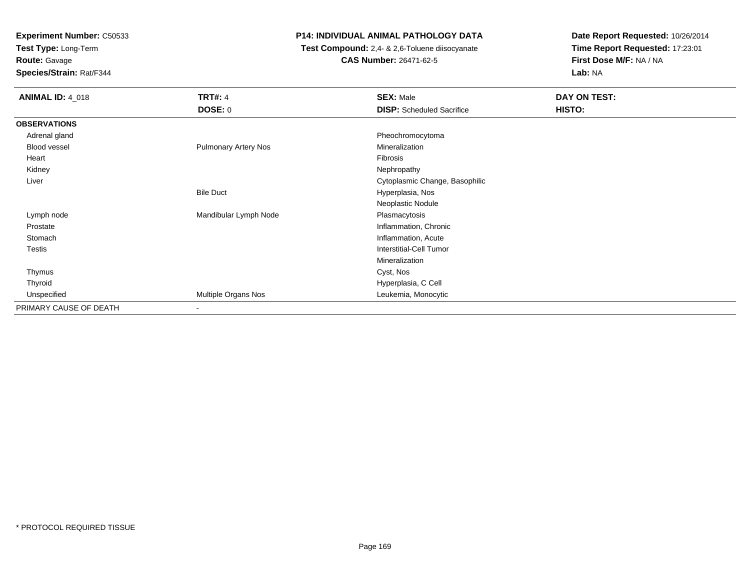**Test Type:** Long-Term

# **Route:** Gavage

**Species/Strain:** Rat/F344

## **P14: INDIVIDUAL ANIMAL PATHOLOGY DATA**

 **Test Compound:** 2,4- & 2,6-Toluene diisocyanate**CAS Number:** 26471-62-5

| <b>ANIMAL ID: 4_018</b> | <b>TRT#: 4</b>              | <b>SEX: Male</b>                 | DAY ON TEST: |
|-------------------------|-----------------------------|----------------------------------|--------------|
|                         | <b>DOSE: 0</b>              | <b>DISP:</b> Scheduled Sacrifice | HISTO:       |
| <b>OBSERVATIONS</b>     |                             |                                  |              |
| Adrenal gland           |                             | Pheochromocytoma                 |              |
| Blood vessel            | <b>Pulmonary Artery Nos</b> | Mineralization                   |              |
| Heart                   |                             | Fibrosis                         |              |
| Kidney                  |                             | Nephropathy                      |              |
| Liver                   |                             | Cytoplasmic Change, Basophilic   |              |
|                         | <b>Bile Duct</b>            | Hyperplasia, Nos                 |              |
|                         |                             | Neoplastic Nodule                |              |
| Lymph node              | Mandibular Lymph Node       | Plasmacytosis                    |              |
| Prostate                |                             | Inflammation, Chronic            |              |
| Stomach                 |                             | Inflammation, Acute              |              |
| <b>Testis</b>           |                             | <b>Interstitial-Cell Tumor</b>   |              |
|                         |                             | Mineralization                   |              |
| Thymus                  |                             | Cyst, Nos                        |              |
| Thyroid                 |                             | Hyperplasia, C Cell              |              |
| Unspecified             | Multiple Organs Nos         | Leukemia, Monocytic              |              |
| PRIMARY CAUSE OF DEATH  | $\overline{\phantom{a}}$    |                                  |              |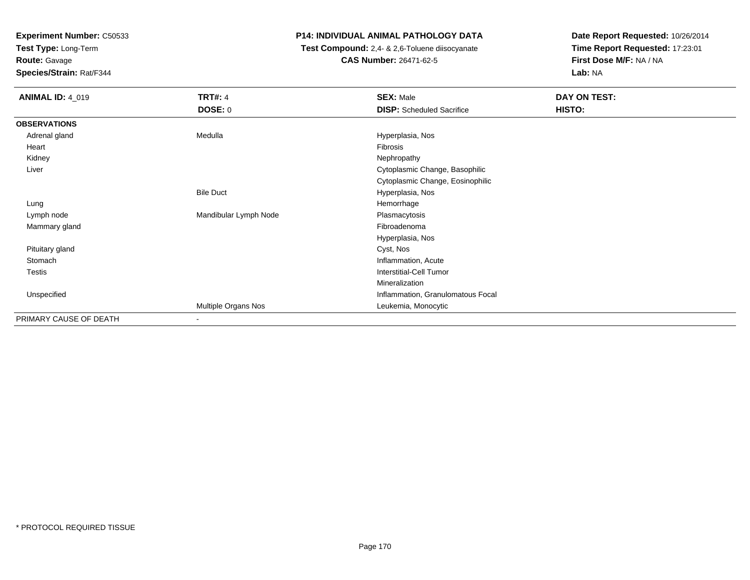**Test Type:** Long-Term

**Route:** Gavage

**Species/Strain:** Rat/F344

#### **P14: INDIVIDUAL ANIMAL PATHOLOGY DATA**

 **Test Compound:** 2,4- & 2,6-Toluene diisocyanate**CAS Number:** 26471-62-5

| <b>ANIMAL ID: 4_019</b> | <b>TRT#: 4</b><br><b>DOSE: 0</b> | <b>SEX: Male</b><br><b>DISP:</b> Scheduled Sacrifice | DAY ON TEST:<br>HISTO: |
|-------------------------|----------------------------------|------------------------------------------------------|------------------------|
| <b>OBSERVATIONS</b>     |                                  |                                                      |                        |
| Adrenal gland           | Medulla                          | Hyperplasia, Nos                                     |                        |
| Heart                   |                                  | Fibrosis                                             |                        |
| Kidney                  |                                  | Nephropathy                                          |                        |
| Liver                   |                                  | Cytoplasmic Change, Basophilic                       |                        |
|                         |                                  | Cytoplasmic Change, Eosinophilic                     |                        |
|                         | <b>Bile Duct</b>                 | Hyperplasia, Nos                                     |                        |
| Lung                    |                                  | Hemorrhage                                           |                        |
| Lymph node              | Mandibular Lymph Node            | Plasmacytosis                                        |                        |
| Mammary gland           |                                  | Fibroadenoma                                         |                        |
|                         |                                  | Hyperplasia, Nos                                     |                        |
| Pituitary gland         |                                  | Cyst, Nos                                            |                        |
| Stomach                 |                                  | Inflammation, Acute                                  |                        |
| Testis                  |                                  | Interstitial-Cell Tumor                              |                        |
|                         |                                  | Mineralization                                       |                        |
| Unspecified             |                                  | Inflammation, Granulomatous Focal                    |                        |
|                         | Multiple Organs Nos              | Leukemia, Monocytic                                  |                        |
| PRIMARY CAUSE OF DEATH  | $\sim$                           |                                                      |                        |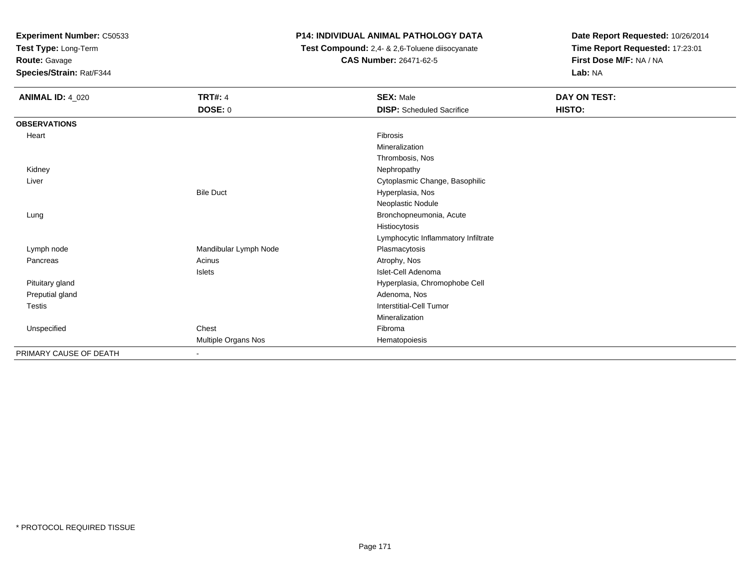**Test Type:** Long-Term

**Route:** Gavage

**Species/Strain:** Rat/F344

## **P14: INDIVIDUAL ANIMAL PATHOLOGY DATA**

 **Test Compound:** 2,4- & 2,6-Toluene diisocyanate**CAS Number:** 26471-62-5

| <b>ANIMAL ID: 4_020</b> | <b>TRT#: 4</b>        | <b>SEX: Male</b>                    | DAY ON TEST: |  |
|-------------------------|-----------------------|-------------------------------------|--------------|--|
|                         | DOSE: 0               | <b>DISP:</b> Scheduled Sacrifice    | HISTO:       |  |
| <b>OBSERVATIONS</b>     |                       |                                     |              |  |
| Heart                   |                       | Fibrosis                            |              |  |
|                         |                       | Mineralization                      |              |  |
|                         |                       | Thrombosis, Nos                     |              |  |
| Kidney                  |                       | Nephropathy                         |              |  |
| Liver                   |                       | Cytoplasmic Change, Basophilic      |              |  |
|                         | <b>Bile Duct</b>      | Hyperplasia, Nos                    |              |  |
|                         |                       | Neoplastic Nodule                   |              |  |
| Lung                    |                       | Bronchopneumonia, Acute             |              |  |
|                         |                       | Histiocytosis                       |              |  |
|                         |                       | Lymphocytic Inflammatory Infiltrate |              |  |
| Lymph node              | Mandibular Lymph Node | Plasmacytosis                       |              |  |
| Pancreas                | Acinus                | Atrophy, Nos                        |              |  |
|                         | Islets                | Islet-Cell Adenoma                  |              |  |
| Pituitary gland         |                       | Hyperplasia, Chromophobe Cell       |              |  |
| Preputial gland         |                       | Adenoma, Nos                        |              |  |
| Testis                  |                       | Interstitial-Cell Tumor             |              |  |
|                         |                       | Mineralization                      |              |  |
| Unspecified             | Chest                 | Fibroma                             |              |  |
|                         | Multiple Organs Nos   | Hematopoiesis                       |              |  |
| PRIMARY CAUSE OF DEATH  |                       |                                     |              |  |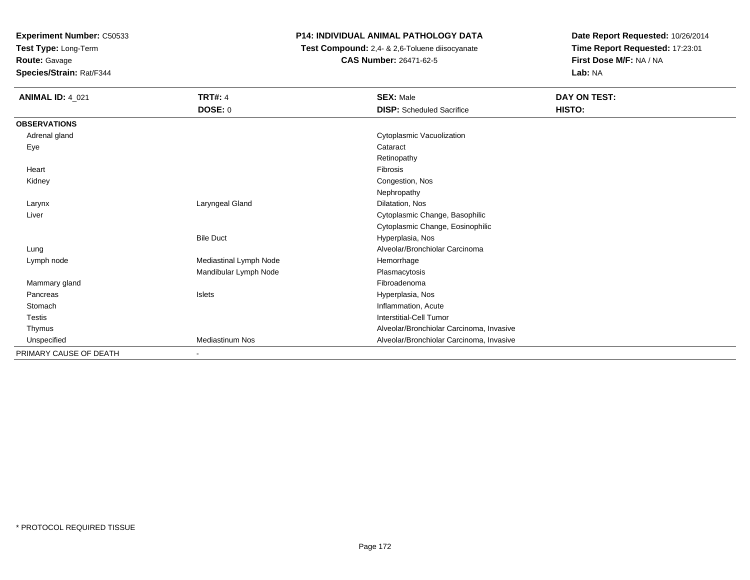**Test Type:** Long-Term

**Route:** Gavage

**Species/Strain:** Rat/F344

## **P14: INDIVIDUAL ANIMAL PATHOLOGY DATA**

 **Test Compound:** 2,4- & 2,6-Toluene diisocyanate**CAS Number:** 26471-62-5

| <b>ANIMAL ID: 4_021</b> | <b>TRT#: 4</b>         | <b>SEX: Male</b>                         | DAY ON TEST: |  |
|-------------------------|------------------------|------------------------------------------|--------------|--|
|                         | <b>DOSE: 0</b>         | <b>DISP:</b> Scheduled Sacrifice         | HISTO:       |  |
| <b>OBSERVATIONS</b>     |                        |                                          |              |  |
| Adrenal gland           |                        | Cytoplasmic Vacuolization                |              |  |
| Eye                     |                        | Cataract                                 |              |  |
|                         |                        | Retinopathy                              |              |  |
| Heart                   |                        | Fibrosis                                 |              |  |
| Kidney                  |                        | Congestion, Nos                          |              |  |
|                         |                        | Nephropathy                              |              |  |
| Larynx                  | Laryngeal Gland        | Dilatation, Nos                          |              |  |
| Liver                   |                        | Cytoplasmic Change, Basophilic           |              |  |
|                         |                        | Cytoplasmic Change, Eosinophilic         |              |  |
|                         | <b>Bile Duct</b>       | Hyperplasia, Nos                         |              |  |
| Lung                    |                        | Alveolar/Bronchiolar Carcinoma           |              |  |
| Lymph node              | Mediastinal Lymph Node | Hemorrhage                               |              |  |
|                         | Mandibular Lymph Node  | Plasmacytosis                            |              |  |
| Mammary gland           |                        | Fibroadenoma                             |              |  |
| Pancreas                | <b>Islets</b>          | Hyperplasia, Nos                         |              |  |
| Stomach                 |                        | Inflammation, Acute                      |              |  |
| <b>Testis</b>           |                        | <b>Interstitial-Cell Tumor</b>           |              |  |
| Thymus                  |                        | Alveolar/Bronchiolar Carcinoma, Invasive |              |  |
| Unspecified             | <b>Mediastinum Nos</b> | Alveolar/Bronchiolar Carcinoma, Invasive |              |  |
| PRIMARY CAUSE OF DEATH  | $\blacksquare$         |                                          |              |  |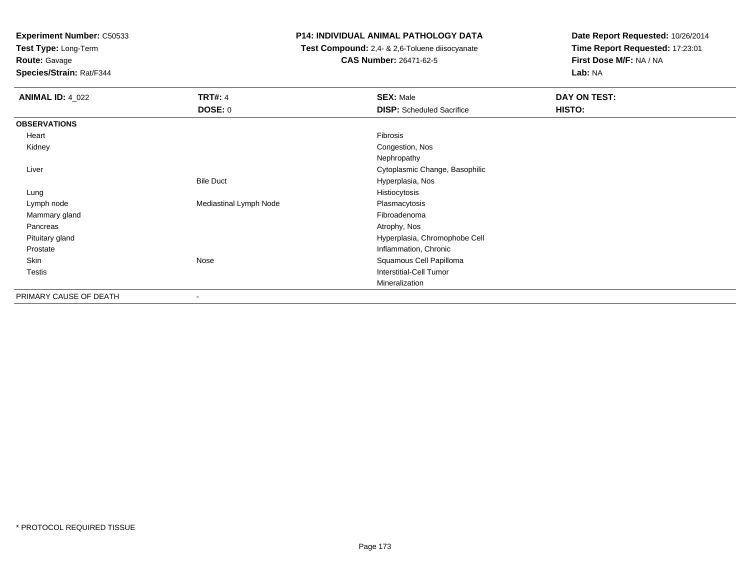**Test Type:** Long-Term

**Route:** Gavage

**Species/Strain:** Rat/F344

#### **P14: INDIVIDUAL ANIMAL PATHOLOGY DATA**

 **Test Compound:** 2,4- & 2,6-Toluene diisocyanate**CAS Number:** 26471-62-5

| <b>ANIMAL ID: 4_022</b> | <b>TRT#: 4</b>         | <b>SEX: Male</b>                 | DAY ON TEST: |
|-------------------------|------------------------|----------------------------------|--------------|
|                         | <b>DOSE: 0</b>         | <b>DISP:</b> Scheduled Sacrifice | HISTO:       |
| <b>OBSERVATIONS</b>     |                        |                                  |              |
| Heart                   |                        | Fibrosis                         |              |
| Kidney                  |                        | Congestion, Nos                  |              |
|                         |                        | Nephropathy                      |              |
| Liver                   |                        | Cytoplasmic Change, Basophilic   |              |
|                         | <b>Bile Duct</b>       | Hyperplasia, Nos                 |              |
| Lung                    |                        | Histiocytosis                    |              |
| Lymph node              | Mediastinal Lymph Node | Plasmacytosis                    |              |
| Mammary gland           |                        | Fibroadenoma                     |              |
| Pancreas                |                        | Atrophy, Nos                     |              |
| Pituitary gland         |                        | Hyperplasia, Chromophobe Cell    |              |
| Prostate                |                        | Inflammation, Chronic            |              |
| Skin                    | Nose                   | Squamous Cell Papilloma          |              |
| Testis                  |                        | <b>Interstitial-Cell Tumor</b>   |              |
|                         |                        | Mineralization                   |              |
| PRIMARY CAUSE OF DEATH  | ۰                      |                                  |              |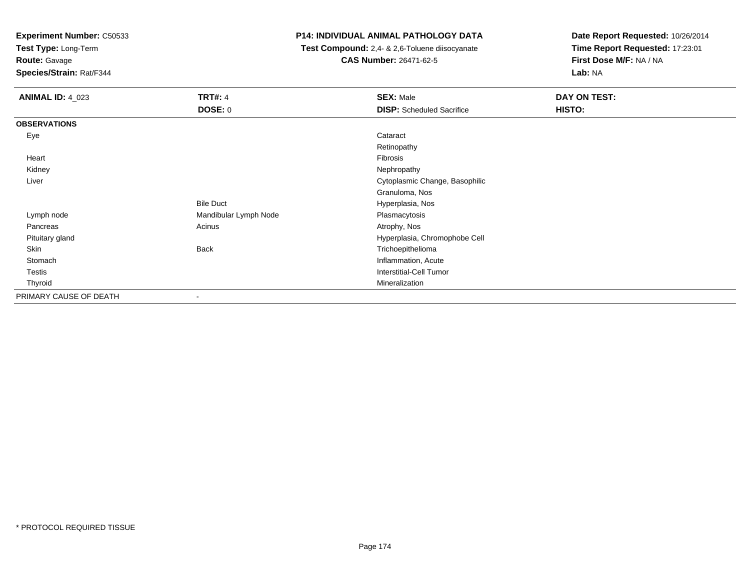**Test Type:** Long-Term

**Route:** Gavage

**Species/Strain:** Rat/F344

#### **P14: INDIVIDUAL ANIMAL PATHOLOGY DATA**

 **Test Compound:** 2,4- & 2,6-Toluene diisocyanate**CAS Number:** 26471-62-5

| <b>ANIMAL ID: 4_023</b> | <b>TRT#: 4</b>           | <b>SEX: Male</b>                 | <b>DAY ON TEST:</b> |
|-------------------------|--------------------------|----------------------------------|---------------------|
|                         | DOSE: 0                  | <b>DISP:</b> Scheduled Sacrifice | HISTO:              |
| <b>OBSERVATIONS</b>     |                          |                                  |                     |
| Eye                     |                          | Cataract                         |                     |
|                         |                          | Retinopathy                      |                     |
| Heart                   |                          | Fibrosis                         |                     |
| Kidney                  |                          | Nephropathy                      |                     |
| Liver                   |                          | Cytoplasmic Change, Basophilic   |                     |
|                         |                          | Granuloma, Nos                   |                     |
|                         | <b>Bile Duct</b>         | Hyperplasia, Nos                 |                     |
| Lymph node              | Mandibular Lymph Node    | Plasmacytosis                    |                     |
| Pancreas                | Acinus                   | Atrophy, Nos                     |                     |
| Pituitary gland         |                          | Hyperplasia, Chromophobe Cell    |                     |
| Skin                    | Back                     | Trichoepithelioma                |                     |
| Stomach                 |                          | Inflammation, Acute              |                     |
| Testis                  |                          | <b>Interstitial-Cell Tumor</b>   |                     |
| Thyroid                 |                          | Mineralization                   |                     |
| PRIMARY CAUSE OF DEATH  | $\overline{\phantom{a}}$ |                                  |                     |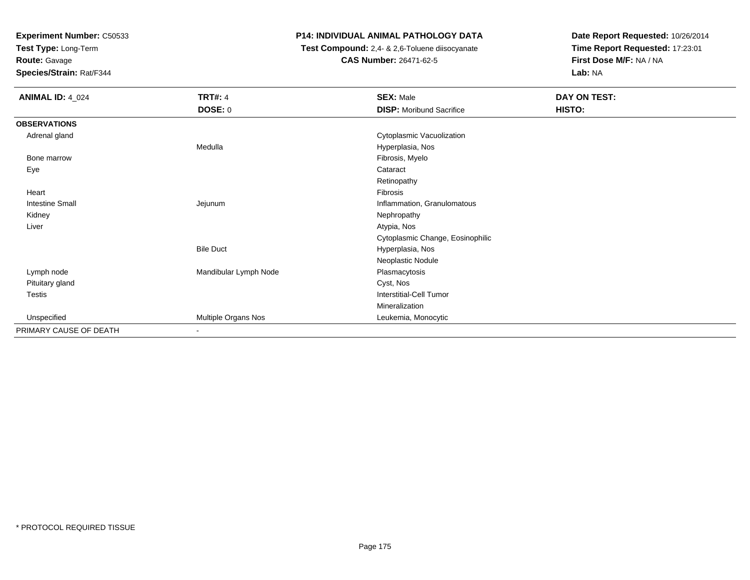**Test Type:** Long-Term

**Route:** Gavage

**Species/Strain:** Rat/F344

### **P14: INDIVIDUAL ANIMAL PATHOLOGY DATA**

 **Test Compound:** 2,4- & 2,6-Toluene diisocyanate**CAS Number:** 26471-62-5

| <b>ANIMAL ID: 4_024</b> | <b>TRT#: 4</b>        | <b>SEX: Male</b>                 | DAY ON TEST: |
|-------------------------|-----------------------|----------------------------------|--------------|
|                         | <b>DOSE: 0</b>        | <b>DISP:</b> Moribund Sacrifice  | HISTO:       |
| <b>OBSERVATIONS</b>     |                       |                                  |              |
| Adrenal gland           |                       | Cytoplasmic Vacuolization        |              |
|                         | Medulla               | Hyperplasia, Nos                 |              |
| Bone marrow             |                       | Fibrosis, Myelo                  |              |
| Eye                     |                       | Cataract                         |              |
|                         |                       | Retinopathy                      |              |
| Heart                   |                       | Fibrosis                         |              |
| <b>Intestine Small</b>  | Jejunum               | Inflammation, Granulomatous      |              |
| Kidney                  |                       | Nephropathy                      |              |
| Liver                   |                       | Atypia, Nos                      |              |
|                         |                       | Cytoplasmic Change, Eosinophilic |              |
|                         | <b>Bile Duct</b>      | Hyperplasia, Nos                 |              |
|                         |                       | Neoplastic Nodule                |              |
| Lymph node              | Mandibular Lymph Node | Plasmacytosis                    |              |
| Pituitary gland         |                       | Cyst, Nos                        |              |
| Testis                  |                       | <b>Interstitial-Cell Tumor</b>   |              |
|                         |                       | Mineralization                   |              |
| Unspecified             | Multiple Organs Nos   | Leukemia, Monocytic              |              |
| PRIMARY CAUSE OF DEATH  | $\blacksquare$        |                                  |              |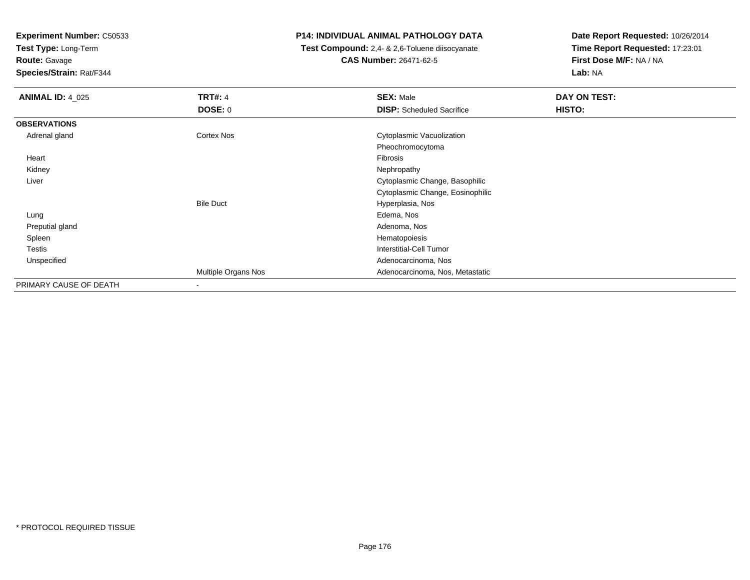**Test Type:** Long-Term

**Route:** Gavage

**Species/Strain:** Rat/F344

#### **P14: INDIVIDUAL ANIMAL PATHOLOGY DATA**

 **Test Compound:** 2,4- & 2,6-Toluene diisocyanate**CAS Number:** 26471-62-5

| <b>ANIMAL ID: 4_025</b> | <b>TRT#: 4</b>      | <b>SEX: Male</b>                 | DAY ON TEST: |
|-------------------------|---------------------|----------------------------------|--------------|
|                         | DOSE: 0             | <b>DISP:</b> Scheduled Sacrifice | HISTO:       |
| <b>OBSERVATIONS</b>     |                     |                                  |              |
| Adrenal gland           | Cortex Nos          | Cytoplasmic Vacuolization        |              |
|                         |                     | Pheochromocytoma                 |              |
| Heart                   |                     | Fibrosis                         |              |
| Kidney                  |                     | Nephropathy                      |              |
| Liver                   |                     | Cytoplasmic Change, Basophilic   |              |
|                         |                     | Cytoplasmic Change, Eosinophilic |              |
|                         | <b>Bile Duct</b>    | Hyperplasia, Nos                 |              |
| Lung                    |                     | Edema, Nos                       |              |
| Preputial gland         |                     | Adenoma, Nos                     |              |
| Spleen                  |                     | Hematopoiesis                    |              |
| <b>Testis</b>           |                     | <b>Interstitial-Cell Tumor</b>   |              |
| Unspecified             |                     | Adenocarcinoma, Nos              |              |
|                         | Multiple Organs Nos | Adenocarcinoma, Nos, Metastatic  |              |
| PRIMARY CAUSE OF DEATH  |                     |                                  |              |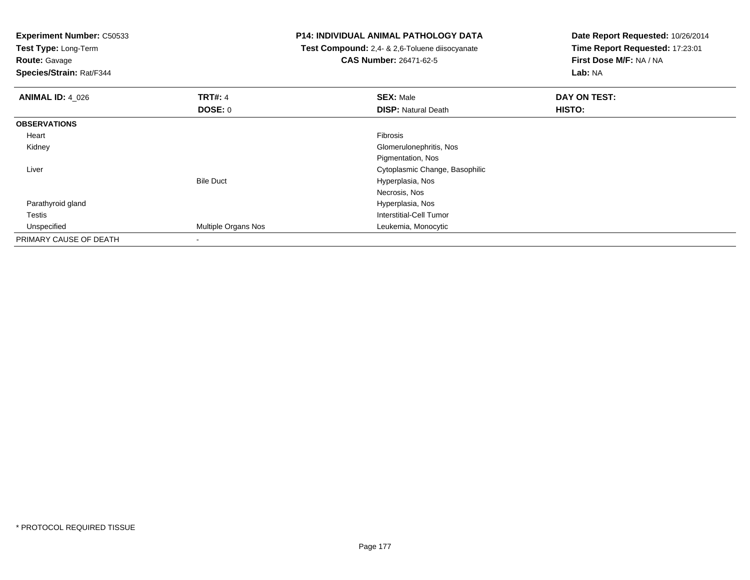**Test Type:** Long-Term

**Route:** Gavage

**Species/Strain:** Rat/F344

#### **P14: INDIVIDUAL ANIMAL PATHOLOGY DATA**

 **Test Compound:** 2,4- & 2,6-Toluene diisocyanate**CAS Number:** 26471-62-5

| <b>ANIMAL ID: 4 026</b> | <b>TRT#: 4</b>             | <b>SEX: Male</b>               | DAY ON TEST: |  |
|-------------------------|----------------------------|--------------------------------|--------------|--|
|                         | <b>DOSE: 0</b>             | <b>DISP: Natural Death</b>     | HISTO:       |  |
| <b>OBSERVATIONS</b>     |                            |                                |              |  |
| Heart                   |                            | Fibrosis                       |              |  |
| Kidney                  |                            | Glomerulonephritis, Nos        |              |  |
|                         |                            | Pigmentation, Nos              |              |  |
| Liver                   |                            | Cytoplasmic Change, Basophilic |              |  |
|                         | <b>Bile Duct</b>           | Hyperplasia, Nos               |              |  |
|                         |                            | Necrosis, Nos                  |              |  |
| Parathyroid gland       |                            | Hyperplasia, Nos               |              |  |
| Testis                  |                            | Interstitial-Cell Tumor        |              |  |
| Unspecified             | <b>Multiple Organs Nos</b> | Leukemia, Monocytic            |              |  |
| PRIMARY CAUSE OF DEATH  |                            |                                |              |  |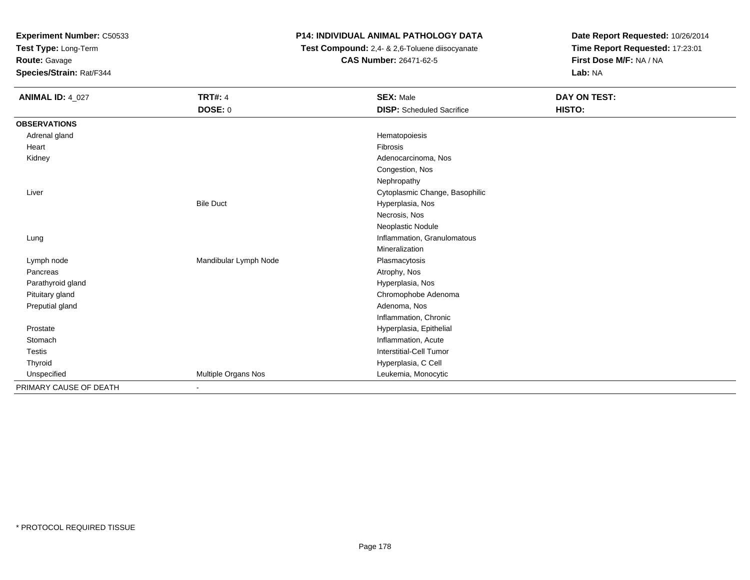**Test Type:** Long-Term

**Route:** Gavage

**Species/Strain:** Rat/F344

### **P14: INDIVIDUAL ANIMAL PATHOLOGY DATA**

 **Test Compound:** 2,4- & 2,6-Toluene diisocyanate**CAS Number:** 26471-62-5

| <b>ANIMAL ID: 4_027</b> | <b>TRT#: 4</b>        | <b>SEX: Male</b>                 | DAY ON TEST: |
|-------------------------|-----------------------|----------------------------------|--------------|
|                         | DOSE: 0               | <b>DISP:</b> Scheduled Sacrifice | HISTO:       |
| <b>OBSERVATIONS</b>     |                       |                                  |              |
| Adrenal gland           |                       | Hematopoiesis                    |              |
| Heart                   |                       | Fibrosis                         |              |
| Kidney                  |                       | Adenocarcinoma, Nos              |              |
|                         |                       | Congestion, Nos                  |              |
|                         |                       | Nephropathy                      |              |
| Liver                   |                       | Cytoplasmic Change, Basophilic   |              |
|                         | <b>Bile Duct</b>      | Hyperplasia, Nos                 |              |
|                         |                       | Necrosis, Nos                    |              |
|                         |                       | Neoplastic Nodule                |              |
| Lung                    |                       | Inflammation, Granulomatous      |              |
|                         |                       | Mineralization                   |              |
| Lymph node              | Mandibular Lymph Node | Plasmacytosis                    |              |
| Pancreas                |                       | Atrophy, Nos                     |              |
| Parathyroid gland       |                       | Hyperplasia, Nos                 |              |
| Pituitary gland         |                       | Chromophobe Adenoma              |              |
| Preputial gland         |                       | Adenoma, Nos                     |              |
|                         |                       | Inflammation, Chronic            |              |
| Prostate                |                       | Hyperplasia, Epithelial          |              |
| Stomach                 |                       | Inflammation, Acute              |              |
| <b>Testis</b>           |                       | Interstitial-Cell Tumor          |              |
| Thyroid                 |                       | Hyperplasia, C Cell              |              |
| Unspecified             | Multiple Organs Nos   | Leukemia, Monocytic              |              |
| PRIMARY CAUSE OF DEATH  | $\blacksquare$        |                                  |              |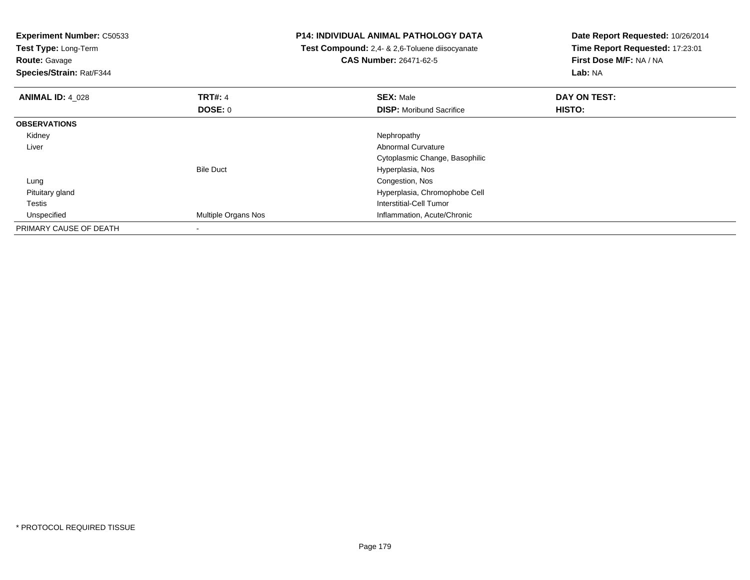| <b>Experiment Number: C50533</b><br>Test Type: Long-Term<br><b>Route:</b> Gavage<br>Species/Strain: Rat/F344 |                     | P14: INDIVIDUAL ANIMAL PATHOLOGY DATA<br><b>Test Compound:</b> 2,4- & 2,6-Toluene diisocyanate<br><b>CAS Number: 26471-62-5</b> | Date Report Requested: 10/26/2014<br>Time Report Requested: 17:23:01<br>First Dose M/F: NA / NA<br>Lab: NA |
|--------------------------------------------------------------------------------------------------------------|---------------------|---------------------------------------------------------------------------------------------------------------------------------|------------------------------------------------------------------------------------------------------------|
| <b>ANIMAL ID: 4 028</b>                                                                                      | <b>TRT#: 4</b>      | <b>SEX: Male</b>                                                                                                                | DAY ON TEST:                                                                                               |
|                                                                                                              | DOSE: 0             | <b>DISP:</b> Moribund Sacrifice                                                                                                 | HISTO:                                                                                                     |
| <b>OBSERVATIONS</b>                                                                                          |                     |                                                                                                                                 |                                                                                                            |
| Kidney                                                                                                       |                     | Nephropathy                                                                                                                     |                                                                                                            |
| Liver                                                                                                        |                     | <b>Abnormal Curvature</b>                                                                                                       |                                                                                                            |
|                                                                                                              |                     | Cytoplasmic Change, Basophilic                                                                                                  |                                                                                                            |
|                                                                                                              | <b>Bile Duct</b>    | Hyperplasia, Nos                                                                                                                |                                                                                                            |
| Lung                                                                                                         |                     | Congestion, Nos                                                                                                                 |                                                                                                            |
| Pituitary gland                                                                                              |                     | Hyperplasia, Chromophobe Cell                                                                                                   |                                                                                                            |
| Testis                                                                                                       |                     | Interstitial-Cell Tumor                                                                                                         |                                                                                                            |
| Unspecified                                                                                                  | Multiple Organs Nos | Inflammation, Acute/Chronic                                                                                                     |                                                                                                            |
| PRIMARY CAUSE OF DEATH                                                                                       |                     |                                                                                                                                 |                                                                                                            |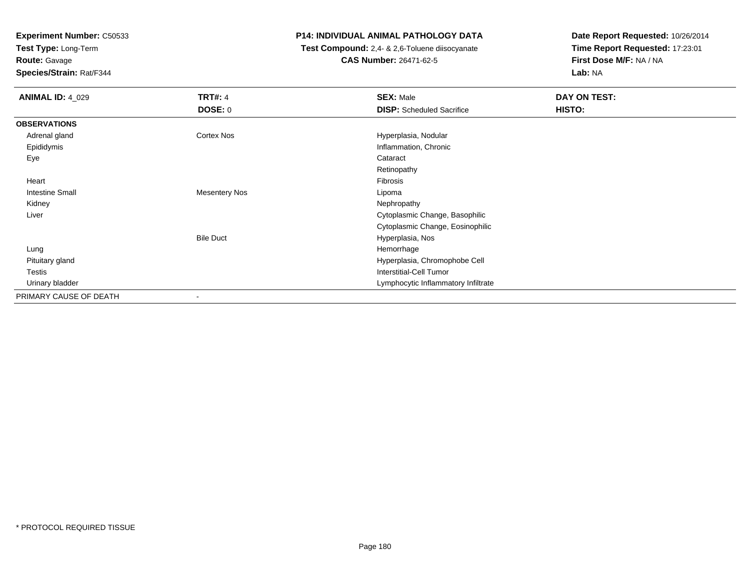**Test Type:** Long-Term

**Route:** Gavage

**Species/Strain:** Rat/F344

#### **P14: INDIVIDUAL ANIMAL PATHOLOGY DATA**

 **Test Compound:** 2,4- & 2,6-Toluene diisocyanate**CAS Number:** 26471-62-5

| <b>ANIMAL ID: 4 029</b> | <b>TRT#: 4</b>           | <b>SEX: Male</b>                    | DAY ON TEST: |
|-------------------------|--------------------------|-------------------------------------|--------------|
|                         | <b>DOSE: 0</b>           | <b>DISP:</b> Scheduled Sacrifice    | HISTO:       |
| <b>OBSERVATIONS</b>     |                          |                                     |              |
| Adrenal gland           | Cortex Nos               | Hyperplasia, Nodular                |              |
| Epididymis              |                          | Inflammation, Chronic               |              |
| Eye                     |                          | Cataract                            |              |
|                         |                          | Retinopathy                         |              |
| Heart                   |                          | Fibrosis                            |              |
| <b>Intestine Small</b>  | <b>Mesentery Nos</b>     | Lipoma                              |              |
| Kidney                  |                          | Nephropathy                         |              |
| Liver                   |                          | Cytoplasmic Change, Basophilic      |              |
|                         |                          | Cytoplasmic Change, Eosinophilic    |              |
|                         | <b>Bile Duct</b>         | Hyperplasia, Nos                    |              |
| Lung                    |                          | Hemorrhage                          |              |
| Pituitary gland         |                          | Hyperplasia, Chromophobe Cell       |              |
| Testis                  |                          | <b>Interstitial-Cell Tumor</b>      |              |
| Urinary bladder         |                          | Lymphocytic Inflammatory Infiltrate |              |
| PRIMARY CAUSE OF DEATH  | $\overline{\phantom{a}}$ |                                     |              |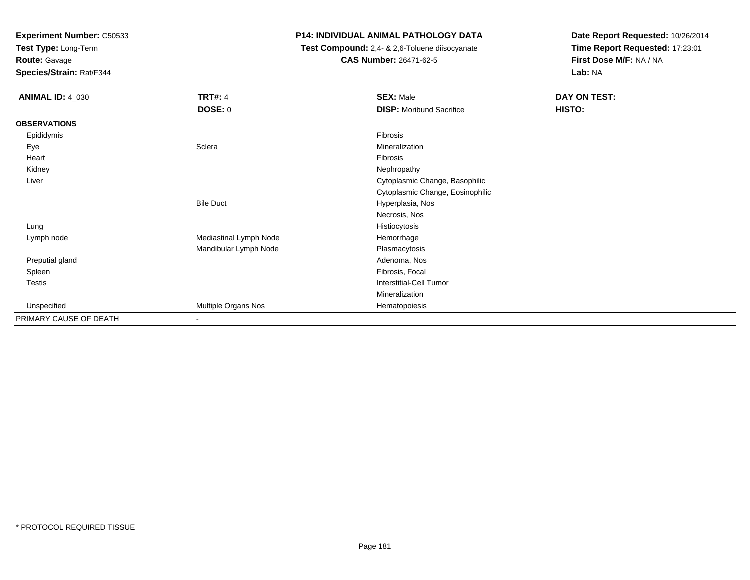**Test Type:** Long-Term

**Route:** Gavage

**Species/Strain:** Rat/F344

### **P14: INDIVIDUAL ANIMAL PATHOLOGY DATA**

 **Test Compound:** 2,4- & 2,6-Toluene diisocyanate**CAS Number:** 26471-62-5

| <b>ANIMAL ID: 4_030</b> | <b>TRT#: 4</b>           | <b>SEX: Male</b>                 | DAY ON TEST: |  |
|-------------------------|--------------------------|----------------------------------|--------------|--|
|                         | <b>DOSE: 0</b>           | <b>DISP:</b> Moribund Sacrifice  | HISTO:       |  |
| <b>OBSERVATIONS</b>     |                          |                                  |              |  |
| Epididymis              |                          | Fibrosis                         |              |  |
| Eye                     | Sclera                   | Mineralization                   |              |  |
| Heart                   |                          | Fibrosis                         |              |  |
| Kidney                  |                          | Nephropathy                      |              |  |
| Liver                   |                          | Cytoplasmic Change, Basophilic   |              |  |
|                         |                          | Cytoplasmic Change, Eosinophilic |              |  |
|                         | <b>Bile Duct</b>         | Hyperplasia, Nos                 |              |  |
|                         |                          | Necrosis, Nos                    |              |  |
| Lung                    |                          | Histiocytosis                    |              |  |
| Lymph node              | Mediastinal Lymph Node   | Hemorrhage                       |              |  |
|                         | Mandibular Lymph Node    | Plasmacytosis                    |              |  |
| Preputial gland         |                          | Adenoma, Nos                     |              |  |
| Spleen                  |                          | Fibrosis, Focal                  |              |  |
| <b>Testis</b>           |                          | Interstitial-Cell Tumor          |              |  |
|                         |                          | Mineralization                   |              |  |
| Unspecified             | Multiple Organs Nos      | Hematopoiesis                    |              |  |
| PRIMARY CAUSE OF DEATH  | $\overline{\phantom{a}}$ |                                  |              |  |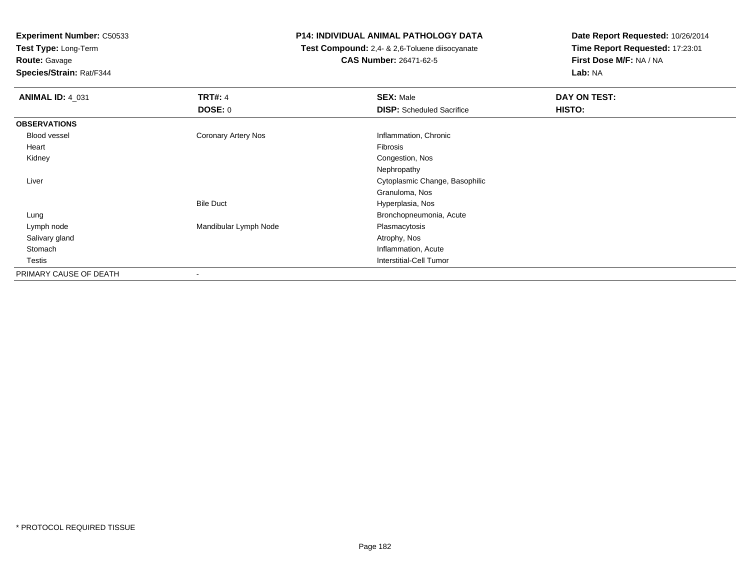**Test Type:** Long-Term

**Route:** Gavage

**Species/Strain:** Rat/F344

### **P14: INDIVIDUAL ANIMAL PATHOLOGY DATA**

 **Test Compound:** 2,4- & 2,6-Toluene diisocyanate**CAS Number:** 26471-62-5

| <b>ANIMAL ID: 4_031</b> | <b>TRT#: 4</b>        | <b>SEX: Male</b>                 | DAY ON TEST: |
|-------------------------|-----------------------|----------------------------------|--------------|
|                         | DOSE: 0               | <b>DISP:</b> Scheduled Sacrifice | HISTO:       |
| <b>OBSERVATIONS</b>     |                       |                                  |              |
| Blood vessel            | Coronary Artery Nos   | Inflammation, Chronic            |              |
| Heart                   |                       | Fibrosis                         |              |
| Kidney                  |                       | Congestion, Nos                  |              |
|                         |                       | Nephropathy                      |              |
| Liver                   |                       | Cytoplasmic Change, Basophilic   |              |
|                         |                       | Granuloma, Nos                   |              |
|                         | <b>Bile Duct</b>      | Hyperplasia, Nos                 |              |
| Lung                    |                       | Bronchopneumonia, Acute          |              |
| Lymph node              | Mandibular Lymph Node | Plasmacytosis                    |              |
| Salivary gland          |                       | Atrophy, Nos                     |              |
| Stomach                 |                       | Inflammation, Acute              |              |
| Testis                  |                       | <b>Interstitial-Cell Tumor</b>   |              |
| PRIMARY CAUSE OF DEATH  |                       |                                  |              |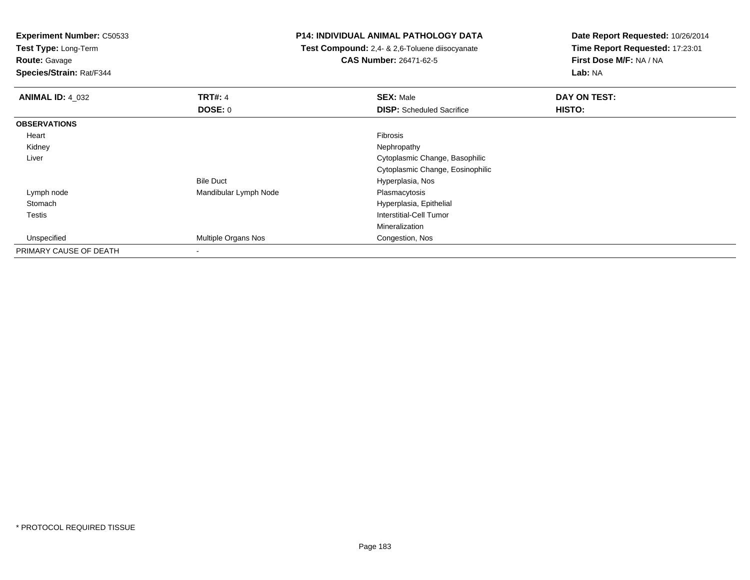**Test Type:** Long-Term

**Route:** Gavage

**Species/Strain:** Rat/F344

### **P14: INDIVIDUAL ANIMAL PATHOLOGY DATA**

 **Test Compound:** 2,4- & 2,6-Toluene diisocyanate**CAS Number:** 26471-62-5

| <b>ANIMAL ID: 4_032</b> | <b>TRT#: 4</b>           | <b>SEX: Male</b>                 | DAY ON TEST:  |  |
|-------------------------|--------------------------|----------------------------------|---------------|--|
|                         | DOSE: 0                  | <b>DISP:</b> Scheduled Sacrifice | <b>HISTO:</b> |  |
| <b>OBSERVATIONS</b>     |                          |                                  |               |  |
| Heart                   |                          | Fibrosis                         |               |  |
| Kidney                  |                          | Nephropathy                      |               |  |
| Liver                   |                          | Cytoplasmic Change, Basophilic   |               |  |
|                         |                          | Cytoplasmic Change, Eosinophilic |               |  |
|                         | <b>Bile Duct</b>         | Hyperplasia, Nos                 |               |  |
| Lymph node              | Mandibular Lymph Node    | Plasmacytosis                    |               |  |
| Stomach                 |                          | Hyperplasia, Epithelial          |               |  |
| Testis                  |                          | Interstitial-Cell Tumor          |               |  |
|                         |                          | Mineralization                   |               |  |
| Unspecified             | Multiple Organs Nos      | Congestion, Nos                  |               |  |
| PRIMARY CAUSE OF DEATH  | $\overline{\phantom{a}}$ |                                  |               |  |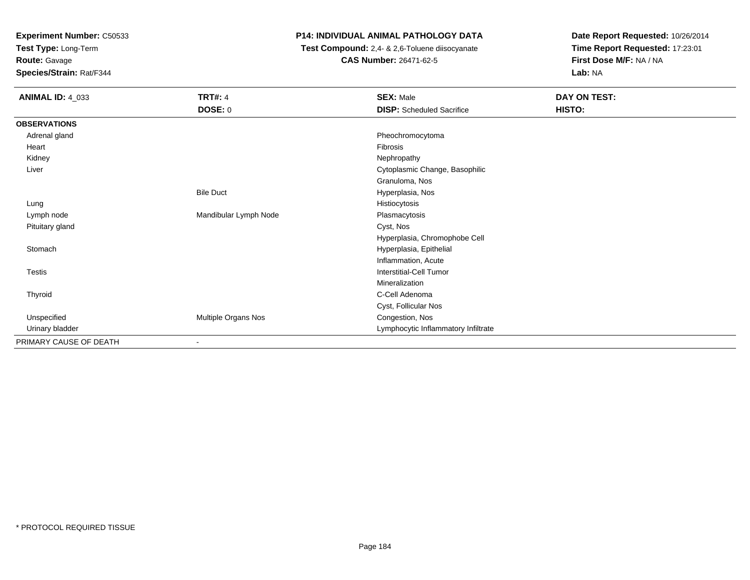**Test Type:** Long-Term

**Route:** Gavage

**Species/Strain:** Rat/F344

### **P14: INDIVIDUAL ANIMAL PATHOLOGY DATA**

 **Test Compound:** 2,4- & 2,6-Toluene diisocyanate**CAS Number:** 26471-62-5

| <b>ANIMAL ID: 4_033</b> | <b>TRT#: 4</b>        | <b>SEX: Male</b>                    | DAY ON TEST: |
|-------------------------|-----------------------|-------------------------------------|--------------|
|                         | DOSE: 0               | <b>DISP:</b> Scheduled Sacrifice    | HISTO:       |
| <b>OBSERVATIONS</b>     |                       |                                     |              |
| Adrenal gland           |                       | Pheochromocytoma                    |              |
| Heart                   |                       | Fibrosis                            |              |
| Kidney                  |                       | Nephropathy                         |              |
| Liver                   |                       | Cytoplasmic Change, Basophilic      |              |
|                         |                       | Granuloma, Nos                      |              |
|                         | <b>Bile Duct</b>      | Hyperplasia, Nos                    |              |
| Lung                    |                       | Histiocytosis                       |              |
| Lymph node              | Mandibular Lymph Node | Plasmacytosis                       |              |
| Pituitary gland         |                       | Cyst, Nos                           |              |
|                         |                       | Hyperplasia, Chromophobe Cell       |              |
| Stomach                 |                       | Hyperplasia, Epithelial             |              |
|                         |                       | Inflammation, Acute                 |              |
| Testis                  |                       | Interstitial-Cell Tumor             |              |
|                         |                       | Mineralization                      |              |
| Thyroid                 |                       | C-Cell Adenoma                      |              |
|                         |                       | Cyst, Follicular Nos                |              |
| Unspecified             | Multiple Organs Nos   | Congestion, Nos                     |              |
| Urinary bladder         |                       | Lymphocytic Inflammatory Infiltrate |              |
| PRIMARY CAUSE OF DEATH  |                       |                                     |              |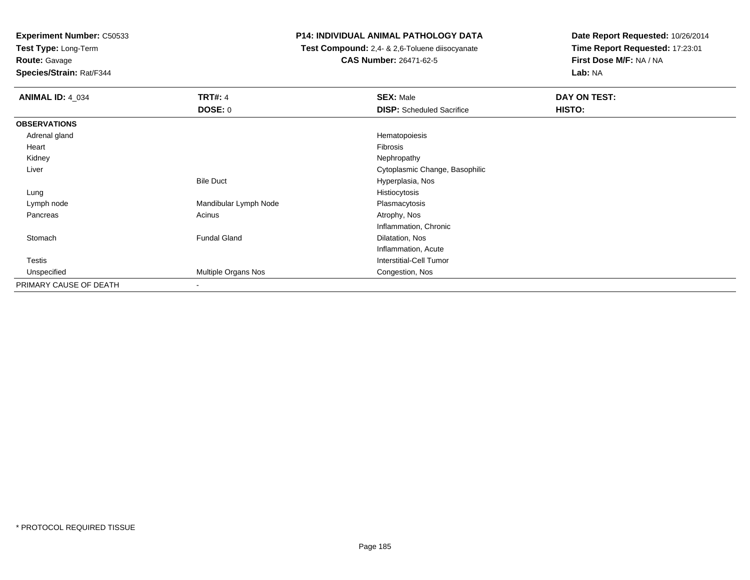**Test Type:** Long-Term

**Route:** Gavage

**Species/Strain:** Rat/F344

### **P14: INDIVIDUAL ANIMAL PATHOLOGY DATA**

 **Test Compound:** 2,4- & 2,6-Toluene diisocyanate**CAS Number:** 26471-62-5

| <b>ANIMAL ID: 4_034</b> | <b>TRT#: 4</b>        | <b>SEX: Male</b>                 | DAY ON TEST: |  |
|-------------------------|-----------------------|----------------------------------|--------------|--|
|                         | <b>DOSE: 0</b>        | <b>DISP:</b> Scheduled Sacrifice | HISTO:       |  |
| <b>OBSERVATIONS</b>     |                       |                                  |              |  |
| Adrenal gland           |                       | Hematopoiesis                    |              |  |
| Heart                   |                       | Fibrosis                         |              |  |
| Kidney                  |                       | Nephropathy                      |              |  |
| Liver                   |                       | Cytoplasmic Change, Basophilic   |              |  |
|                         | <b>Bile Duct</b>      | Hyperplasia, Nos                 |              |  |
| Lung                    |                       | Histiocytosis                    |              |  |
| Lymph node              | Mandibular Lymph Node | Plasmacytosis                    |              |  |
| Pancreas                | Acinus                | Atrophy, Nos                     |              |  |
|                         |                       | Inflammation, Chronic            |              |  |
| Stomach                 | <b>Fundal Gland</b>   | Dilatation, Nos                  |              |  |
|                         |                       | Inflammation, Acute              |              |  |
| <b>Testis</b>           |                       | <b>Interstitial-Cell Tumor</b>   |              |  |
| Unspecified             | Multiple Organs Nos   | Congestion, Nos                  |              |  |
| PRIMARY CAUSE OF DEATH  | ۰                     |                                  |              |  |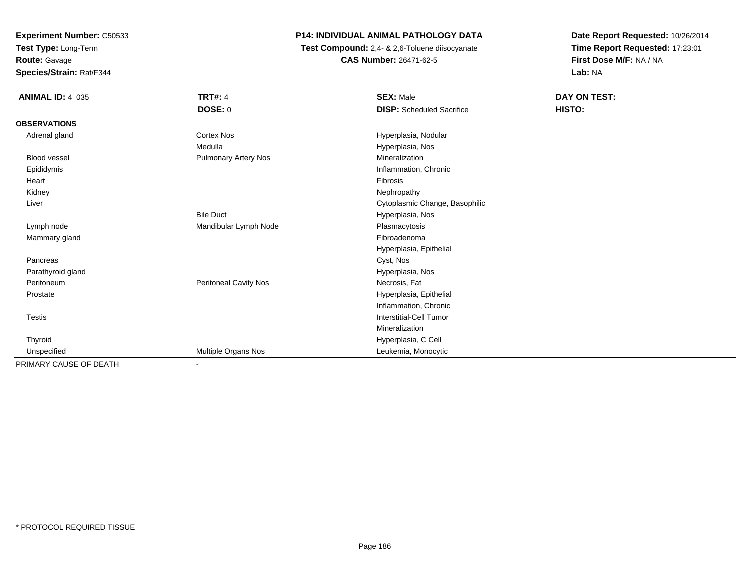**Test Type:** Long-Term

**Route:** Gavage

**Species/Strain:** Rat/F344

# **P14: INDIVIDUAL ANIMAL PATHOLOGY DATA**

 **Test Compound:** 2,4- & 2,6-Toluene diisocyanate**CAS Number:** 26471-62-5

| <b>ANIMAL ID: 4_035</b> | <b>TRT#: 4</b>               | <b>SEX: Male</b>                 | DAY ON TEST: |
|-------------------------|------------------------------|----------------------------------|--------------|
|                         | DOSE: 0                      | <b>DISP:</b> Scheduled Sacrifice | HISTO:       |
| <b>OBSERVATIONS</b>     |                              |                                  |              |
| Adrenal gland           | <b>Cortex Nos</b>            | Hyperplasia, Nodular             |              |
|                         | Medulla                      | Hyperplasia, Nos                 |              |
| <b>Blood vessel</b>     | <b>Pulmonary Artery Nos</b>  | Mineralization                   |              |
| Epididymis              |                              | Inflammation, Chronic            |              |
| Heart                   |                              | Fibrosis                         |              |
| Kidney                  |                              | Nephropathy                      |              |
| Liver                   |                              | Cytoplasmic Change, Basophilic   |              |
|                         | <b>Bile Duct</b>             | Hyperplasia, Nos                 |              |
| Lymph node              | Mandibular Lymph Node        | Plasmacytosis                    |              |
| Mammary gland           |                              | Fibroadenoma                     |              |
|                         |                              | Hyperplasia, Epithelial          |              |
| Pancreas                |                              | Cyst, Nos                        |              |
| Parathyroid gland       |                              | Hyperplasia, Nos                 |              |
| Peritoneum              | <b>Peritoneal Cavity Nos</b> | Necrosis, Fat                    |              |
| Prostate                |                              | Hyperplasia, Epithelial          |              |
|                         |                              | Inflammation, Chronic            |              |
| Testis                  |                              | Interstitial-Cell Tumor          |              |
|                         |                              | Mineralization                   |              |
| Thyroid                 |                              | Hyperplasia, C Cell              |              |
| Unspecified             | Multiple Organs Nos          | Leukemia, Monocytic              |              |
| PRIMARY CAUSE OF DEATH  | ٠                            |                                  |              |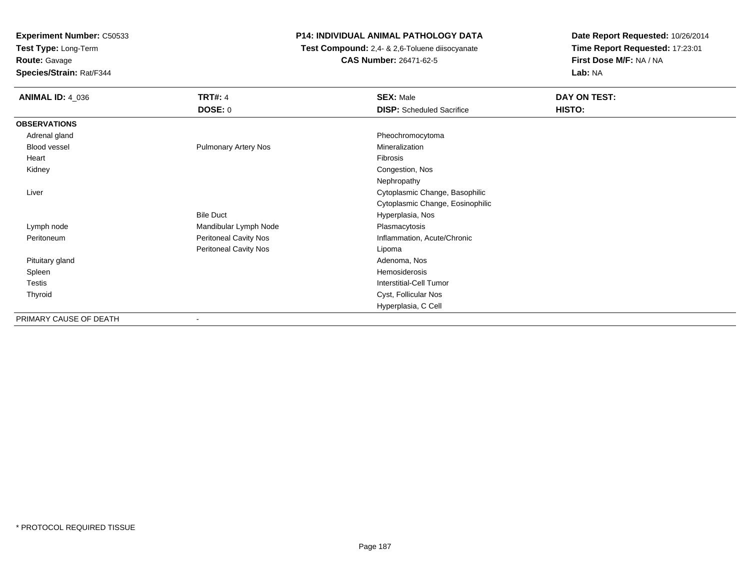**Test Type:** Long-Term

**Route:** Gavage

**Species/Strain:** Rat/F344

# **P14: INDIVIDUAL ANIMAL PATHOLOGY DATA**

 **Test Compound:** 2,4- & 2,6-Toluene diisocyanate**CAS Number:** 26471-62-5

| <b>ANIMAL ID: 4_036</b> | <b>TRT#: 4</b><br><b>DOSE: 0</b> | <b>SEX: Male</b><br><b>DISP:</b> Scheduled Sacrifice | DAY ON TEST:<br>HISTO: |
|-------------------------|----------------------------------|------------------------------------------------------|------------------------|
| <b>OBSERVATIONS</b>     |                                  |                                                      |                        |
| Adrenal gland           |                                  | Pheochromocytoma                                     |                        |
| Blood vessel            | <b>Pulmonary Artery Nos</b>      | Mineralization                                       |                        |
| Heart                   |                                  | Fibrosis                                             |                        |
| Kidney                  |                                  | Congestion, Nos                                      |                        |
|                         |                                  | Nephropathy                                          |                        |
| Liver                   |                                  | Cytoplasmic Change, Basophilic                       |                        |
|                         |                                  | Cytoplasmic Change, Eosinophilic                     |                        |
|                         | <b>Bile Duct</b>                 | Hyperplasia, Nos                                     |                        |
| Lymph node              | Mandibular Lymph Node            | Plasmacytosis                                        |                        |
| Peritoneum              | Peritoneal Cavity Nos            | Inflammation, Acute/Chronic                          |                        |
|                         | Peritoneal Cavity Nos            | Lipoma                                               |                        |
| Pituitary gland         |                                  | Adenoma, Nos                                         |                        |
| Spleen                  |                                  | Hemosiderosis                                        |                        |
| Testis                  |                                  | Interstitial-Cell Tumor                              |                        |
| Thyroid                 |                                  | Cyst, Follicular Nos                                 |                        |
|                         |                                  | Hyperplasia, C Cell                                  |                        |
| PRIMARY CAUSE OF DEATH  | $\overline{\phantom{a}}$         |                                                      |                        |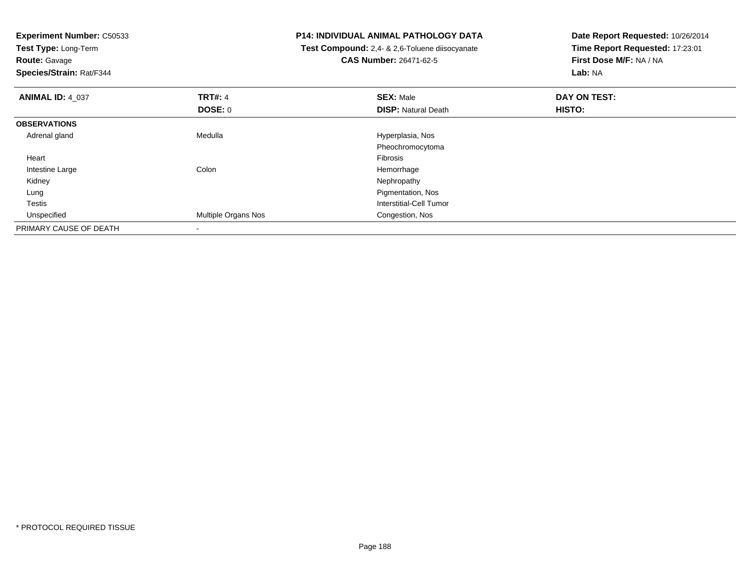| <b>Experiment Number: C50533</b><br>Test Type: Long-Term |                     | P14: INDIVIDUAL ANIMAL PATHOLOGY DATA          | Date Report Requested: 10/26/2014 |
|----------------------------------------------------------|---------------------|------------------------------------------------|-----------------------------------|
|                                                          |                     | Test Compound: 2,4- & 2,6-Toluene diisocyanate | Time Report Requested: 17:23:01   |
| <b>Route: Gavage</b>                                     |                     | <b>CAS Number: 26471-62-5</b>                  | First Dose M/F: NA / NA           |
| Species/Strain: Rat/F344                                 |                     |                                                | Lab: NA                           |
| <b>ANIMAL ID: 4 037</b>                                  | <b>TRT#: 4</b>      | <b>SEX: Male</b>                               | DAY ON TEST:                      |
|                                                          | <b>DOSE: 0</b>      | <b>DISP: Natural Death</b>                     | <b>HISTO:</b>                     |
| <b>OBSERVATIONS</b>                                      |                     |                                                |                                   |
| Adrenal gland                                            | Medulla             | Hyperplasia, Nos                               |                                   |
|                                                          |                     | Pheochromocytoma                               |                                   |
| Heart                                                    |                     | <b>Fibrosis</b>                                |                                   |
| Intestine Large                                          | Colon               | Hemorrhage                                     |                                   |
| Kidney                                                   |                     | Nephropathy                                    |                                   |
| Lung                                                     |                     | Pigmentation, Nos                              |                                   |
| Testis                                                   |                     | <b>Interstitial-Cell Tumor</b>                 |                                   |
| Unspecified                                              | Multiple Organs Nos | Congestion, Nos                                |                                   |
| PRIMARY CAUSE OF DEATH                                   |                     |                                                |                                   |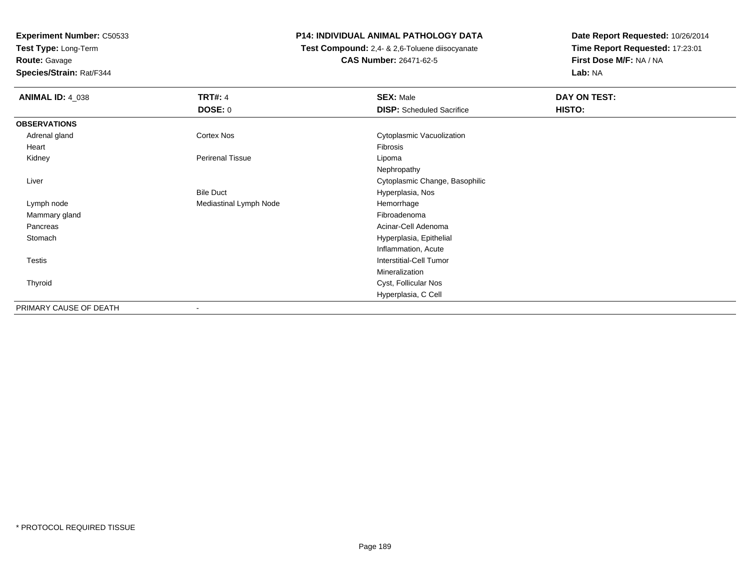**Test Type:** Long-Term

**Route:** Gavage

**Species/Strain:** Rat/F344

# **P14: INDIVIDUAL ANIMAL PATHOLOGY DATA**

 **Test Compound:** 2,4- & 2,6-Toluene diisocyanate**CAS Number:** 26471-62-5

| <b>ANIMAL ID: 4_038</b> | <b>TRT#: 4</b>          | <b>SEX: Male</b>                 | DAY ON TEST:  |  |
|-------------------------|-------------------------|----------------------------------|---------------|--|
|                         | <b>DOSE: 0</b>          | <b>DISP:</b> Scheduled Sacrifice | <b>HISTO:</b> |  |
| <b>OBSERVATIONS</b>     |                         |                                  |               |  |
| Adrenal gland           | Cortex Nos              | Cytoplasmic Vacuolization        |               |  |
| Heart                   |                         | Fibrosis                         |               |  |
| Kidney                  | <b>Perirenal Tissue</b> | Lipoma                           |               |  |
|                         |                         | Nephropathy                      |               |  |
| Liver                   |                         | Cytoplasmic Change, Basophilic   |               |  |
|                         | <b>Bile Duct</b>        | Hyperplasia, Nos                 |               |  |
| Lymph node              | Mediastinal Lymph Node  | Hemorrhage                       |               |  |
| Mammary gland           |                         | Fibroadenoma                     |               |  |
| Pancreas                |                         | Acinar-Cell Adenoma              |               |  |
| Stomach                 |                         | Hyperplasia, Epithelial          |               |  |
|                         |                         | Inflammation, Acute              |               |  |
| <b>Testis</b>           |                         | <b>Interstitial-Cell Tumor</b>   |               |  |
|                         |                         | Mineralization                   |               |  |
| Thyroid                 |                         | Cyst, Follicular Nos             |               |  |
|                         |                         | Hyperplasia, C Cell              |               |  |
| PRIMARY CAUSE OF DEATH  |                         |                                  |               |  |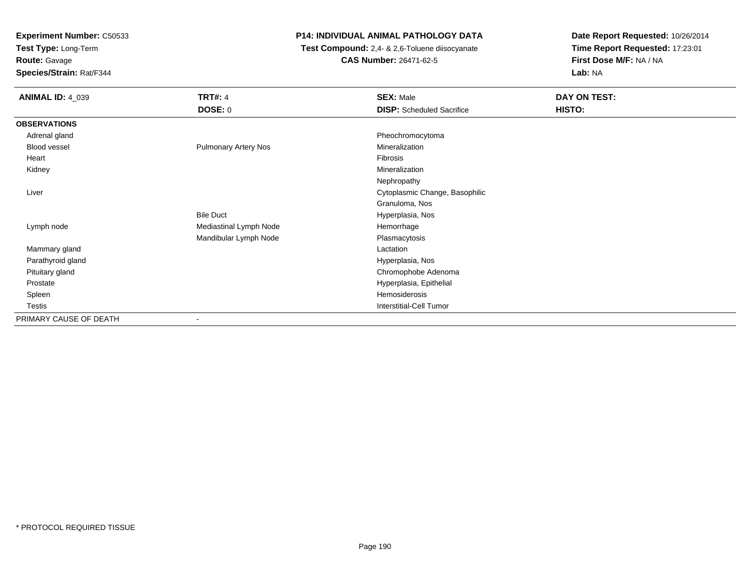**Test Type:** Long-Term

# **Route:** Gavage

**Species/Strain:** Rat/F344

# **P14: INDIVIDUAL ANIMAL PATHOLOGY DATA**

 **Test Compound:** 2,4- & 2,6-Toluene diisocyanate**CAS Number:** 26471-62-5

| <b>ANIMAL ID: 4_039</b> | <b>TRT#: 4</b><br><b>DOSE: 0</b> | <b>SEX: Male</b><br><b>DISP:</b> Scheduled Sacrifice | DAY ON TEST:<br>HISTO: |
|-------------------------|----------------------------------|------------------------------------------------------|------------------------|
|                         |                                  |                                                      |                        |
| <b>OBSERVATIONS</b>     |                                  |                                                      |                        |
| Adrenal gland           |                                  | Pheochromocytoma                                     |                        |
| <b>Blood vessel</b>     | <b>Pulmonary Artery Nos</b>      | Mineralization                                       |                        |
| Heart                   |                                  | Fibrosis                                             |                        |
| Kidney                  |                                  | Mineralization                                       |                        |
|                         |                                  | Nephropathy                                          |                        |
| Liver                   |                                  | Cytoplasmic Change, Basophilic                       |                        |
|                         |                                  | Granuloma, Nos                                       |                        |
|                         | <b>Bile Duct</b>                 | Hyperplasia, Nos                                     |                        |
| Lymph node              | Mediastinal Lymph Node           | Hemorrhage                                           |                        |
|                         | Mandibular Lymph Node            | Plasmacytosis                                        |                        |
| Mammary gland           |                                  | Lactation                                            |                        |
| Parathyroid gland       |                                  | Hyperplasia, Nos                                     |                        |
| Pituitary gland         |                                  | Chromophobe Adenoma                                  |                        |
| Prostate                |                                  | Hyperplasia, Epithelial                              |                        |
| Spleen                  |                                  | Hemosiderosis                                        |                        |
| Testis                  |                                  | <b>Interstitial-Cell Tumor</b>                       |                        |
| PRIMARY CAUSE OF DEATH  | $\overline{\phantom{a}}$         |                                                      |                        |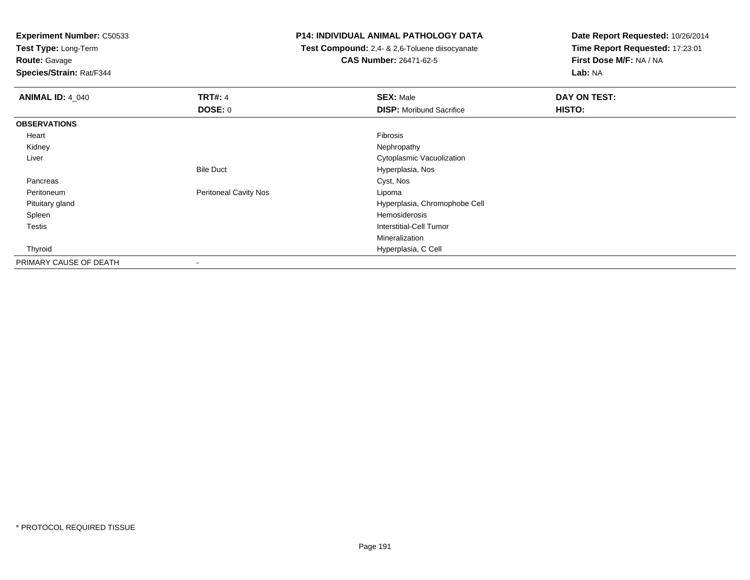**Test Type:** Long-Term

# **Route:** Gavage

**Species/Strain:** Rat/F344

### **P14: INDIVIDUAL ANIMAL PATHOLOGY DATA**

 **Test Compound:** 2,4- & 2,6-Toluene diisocyanate**CAS Number:** 26471-62-5

| <b>ANIMAL ID: 4 040</b> | <b>TRT#: 4</b>               | <b>SEX: Male</b>                | DAY ON TEST: |  |
|-------------------------|------------------------------|---------------------------------|--------------|--|
|                         | <b>DOSE: 0</b>               | <b>DISP:</b> Moribund Sacrifice | HISTO:       |  |
| <b>OBSERVATIONS</b>     |                              |                                 |              |  |
| Heart                   |                              | Fibrosis                        |              |  |
| Kidney                  |                              | Nephropathy                     |              |  |
| Liver                   |                              | Cytoplasmic Vacuolization       |              |  |
|                         | <b>Bile Duct</b>             | Hyperplasia, Nos                |              |  |
| Pancreas                |                              | Cyst, Nos                       |              |  |
| Peritoneum              | <b>Peritoneal Cavity Nos</b> | Lipoma                          |              |  |
| Pituitary gland         |                              | Hyperplasia, Chromophobe Cell   |              |  |
| Spleen                  |                              | Hemosiderosis                   |              |  |
| Testis                  |                              | Interstitial-Cell Tumor         |              |  |
|                         |                              | Mineralization                  |              |  |
| Thyroid                 |                              | Hyperplasia, C Cell             |              |  |
| PRIMARY CAUSE OF DEATH  | $\,$                         |                                 |              |  |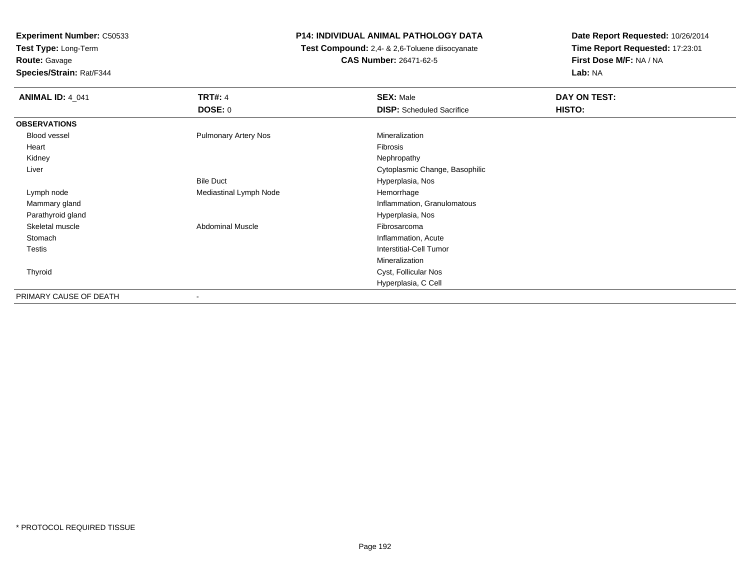**Test Type:** Long-Term

**Route:** Gavage

**Species/Strain:** Rat/F344

# **P14: INDIVIDUAL ANIMAL PATHOLOGY DATA**

 **Test Compound:** 2,4- & 2,6-Toluene diisocyanate**CAS Number:** 26471-62-5

| <b>ANIMAL ID: 4_041</b> | <b>TRT#: 4</b>              | <b>SEX: Male</b>                 | DAY ON TEST: |  |
|-------------------------|-----------------------------|----------------------------------|--------------|--|
|                         | <b>DOSE: 0</b>              | <b>DISP:</b> Scheduled Sacrifice | HISTO:       |  |
| <b>OBSERVATIONS</b>     |                             |                                  |              |  |
| <b>Blood vessel</b>     | <b>Pulmonary Artery Nos</b> | Mineralization                   |              |  |
| Heart                   |                             | Fibrosis                         |              |  |
| Kidney                  |                             | Nephropathy                      |              |  |
| Liver                   |                             | Cytoplasmic Change, Basophilic   |              |  |
|                         | <b>Bile Duct</b>            | Hyperplasia, Nos                 |              |  |
| Lymph node              | Mediastinal Lymph Node      | Hemorrhage                       |              |  |
| Mammary gland           |                             | Inflammation, Granulomatous      |              |  |
| Parathyroid gland       |                             | Hyperplasia, Nos                 |              |  |
| Skeletal muscle         | <b>Abdominal Muscle</b>     | Fibrosarcoma                     |              |  |
| Stomach                 |                             | Inflammation, Acute              |              |  |
| Testis                  |                             | <b>Interstitial-Cell Tumor</b>   |              |  |
|                         |                             | Mineralization                   |              |  |
| Thyroid                 |                             | Cyst, Follicular Nos             |              |  |
|                         |                             | Hyperplasia, C Cell              |              |  |
| PRIMARY CAUSE OF DEATH  | ٠                           |                                  |              |  |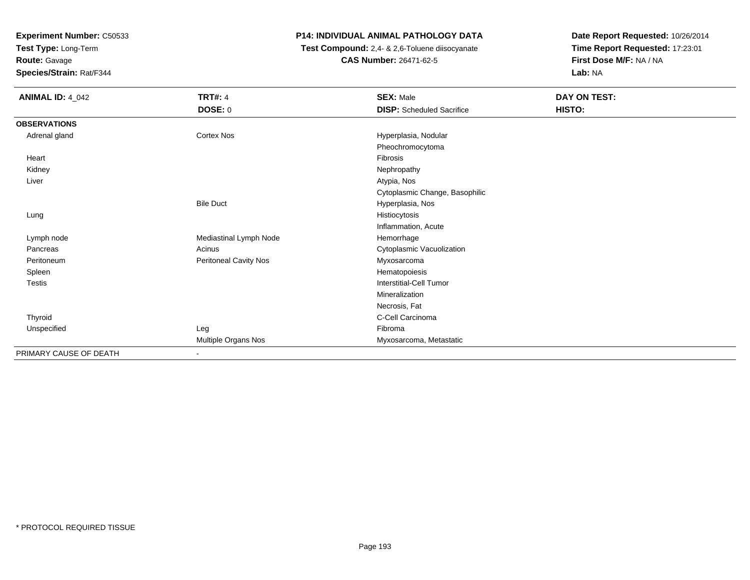**Test Type:** Long-Term

**Route:** Gavage

**Species/Strain:** Rat/F344

# **P14: INDIVIDUAL ANIMAL PATHOLOGY DATA**

 **Test Compound:** 2,4- & 2,6-Toluene diisocyanate**CAS Number:** 26471-62-5

| <b>ANIMAL ID: 4_042</b> | <b>TRT#: 4</b>               | <b>SEX: Male</b>                 | DAY ON TEST: |
|-------------------------|------------------------------|----------------------------------|--------------|
|                         | DOSE: 0                      | <b>DISP:</b> Scheduled Sacrifice | HISTO:       |
| <b>OBSERVATIONS</b>     |                              |                                  |              |
| Adrenal gland           | Cortex Nos                   | Hyperplasia, Nodular             |              |
|                         |                              | Pheochromocytoma                 |              |
| Heart                   |                              | Fibrosis                         |              |
| Kidney                  |                              | Nephropathy                      |              |
| Liver                   |                              | Atypia, Nos                      |              |
|                         |                              | Cytoplasmic Change, Basophilic   |              |
|                         | <b>Bile Duct</b>             | Hyperplasia, Nos                 |              |
| Lung                    |                              | Histiocytosis                    |              |
|                         |                              | Inflammation, Acute              |              |
| Lymph node              | Mediastinal Lymph Node       | Hemorrhage                       |              |
| Pancreas                | Acinus                       | Cytoplasmic Vacuolization        |              |
| Peritoneum              | <b>Peritoneal Cavity Nos</b> | Myxosarcoma                      |              |
| Spleen                  |                              | Hematopoiesis                    |              |
| Testis                  |                              | <b>Interstitial-Cell Tumor</b>   |              |
|                         |                              | Mineralization                   |              |
|                         |                              | Necrosis, Fat                    |              |
| Thyroid                 |                              | C-Cell Carcinoma                 |              |
| Unspecified             | Leg                          | Fibroma                          |              |
|                         | Multiple Organs Nos          | Myxosarcoma, Metastatic          |              |
| PRIMARY CAUSE OF DEATH  | $\blacksquare$               |                                  |              |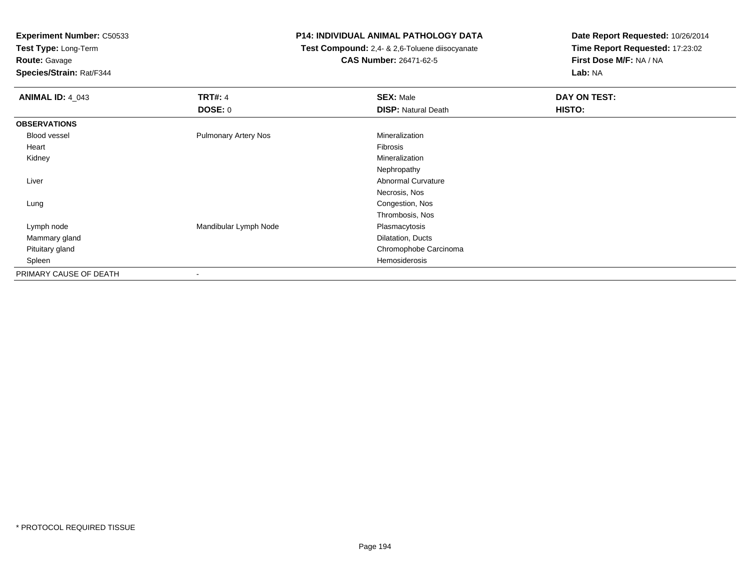**Test Type:** Long-Term

# **Route:** Gavage

**Species/Strain:** Rat/F344

### **P14: INDIVIDUAL ANIMAL PATHOLOGY DATA**

 **Test Compound:** 2,4- & 2,6-Toluene diisocyanate**CAS Number:** 26471-62-5

| <b>ANIMAL ID: 4_043</b> | <b>TRT#: 4</b><br><b>DOSE: 0</b> | <b>SEX: Male</b><br><b>DISP: Natural Death</b> | DAY ON TEST:<br>HISTO: |
|-------------------------|----------------------------------|------------------------------------------------|------------------------|
|                         |                                  |                                                |                        |
| <b>OBSERVATIONS</b>     |                                  |                                                |                        |
| <b>Blood vessel</b>     | <b>Pulmonary Artery Nos</b>      | Mineralization                                 |                        |
| Heart                   |                                  | Fibrosis                                       |                        |
| Kidney                  |                                  | Mineralization                                 |                        |
|                         |                                  | Nephropathy                                    |                        |
| Liver                   |                                  | Abnormal Curvature                             |                        |
|                         |                                  | Necrosis, Nos                                  |                        |
| Lung                    |                                  | Congestion, Nos                                |                        |
|                         |                                  | Thrombosis, Nos                                |                        |
| Lymph node              | Mandibular Lymph Node            | Plasmacytosis                                  |                        |
| Mammary gland           |                                  | Dilatation, Ducts                              |                        |
| Pituitary gland         |                                  | Chromophobe Carcinoma                          |                        |
| Spleen                  |                                  | Hemosiderosis                                  |                        |
| PRIMARY CAUSE OF DEATH  | $\blacksquare$                   |                                                |                        |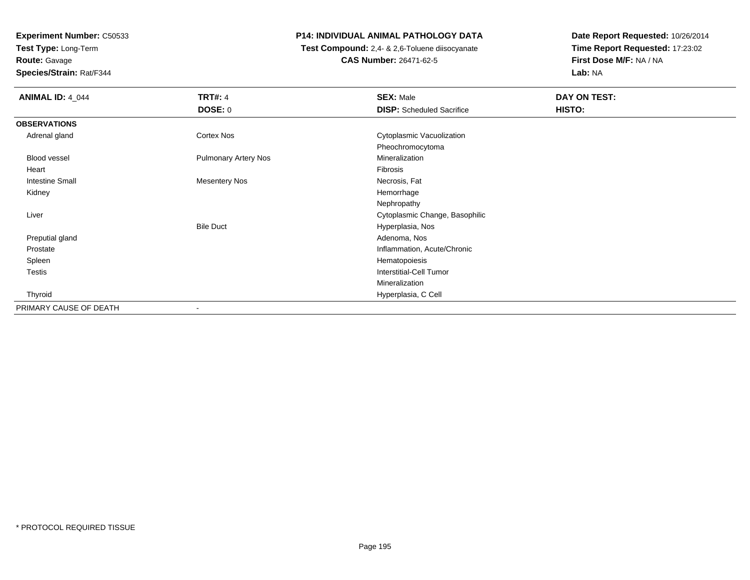**Test Type:** Long-Term**Route:** Gavage

**Species/Strain:** Rat/F344

# **P14: INDIVIDUAL ANIMAL PATHOLOGY DATA**

 **Test Compound:** 2,4- & 2,6-Toluene diisocyanate**CAS Number:** 26471-62-5

| <b>ANIMAL ID: 4_044</b> | <b>TRT#: 4</b>              | <b>SEX: Male</b>                 | DAY ON TEST: |  |
|-------------------------|-----------------------------|----------------------------------|--------------|--|
|                         | <b>DOSE: 0</b>              | <b>DISP:</b> Scheduled Sacrifice | HISTO:       |  |
| <b>OBSERVATIONS</b>     |                             |                                  |              |  |
| Adrenal gland           | <b>Cortex Nos</b>           | Cytoplasmic Vacuolization        |              |  |
|                         |                             | Pheochromocytoma                 |              |  |
| <b>Blood vessel</b>     | <b>Pulmonary Artery Nos</b> | Mineralization                   |              |  |
| Heart                   |                             | Fibrosis                         |              |  |
| <b>Intestine Small</b>  | <b>Mesentery Nos</b>        | Necrosis, Fat                    |              |  |
| Kidney                  |                             | Hemorrhage                       |              |  |
|                         |                             | Nephropathy                      |              |  |
| Liver                   |                             | Cytoplasmic Change, Basophilic   |              |  |
|                         | <b>Bile Duct</b>            | Hyperplasia, Nos                 |              |  |
| Preputial gland         |                             | Adenoma, Nos                     |              |  |
| Prostate                |                             | Inflammation, Acute/Chronic      |              |  |
| Spleen                  |                             | Hematopoiesis                    |              |  |
| Testis                  |                             | Interstitial-Cell Tumor          |              |  |
|                         |                             | Mineralization                   |              |  |
| Thyroid                 |                             | Hyperplasia, C Cell              |              |  |
| PRIMARY CAUSE OF DEATH  | $\blacksquare$              |                                  |              |  |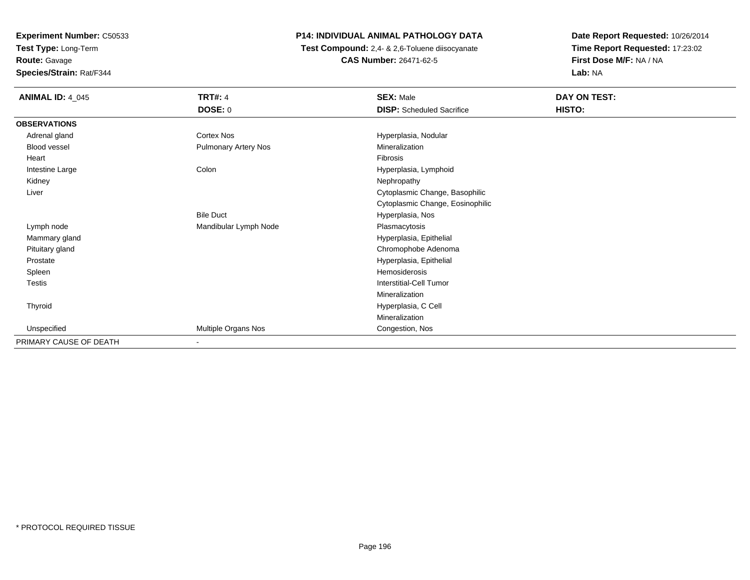**Test Type:** Long-Term**Route:** Gavage

**Species/Strain:** Rat/F344

# **P14: INDIVIDUAL ANIMAL PATHOLOGY DATA**

 **Test Compound:** 2,4- & 2,6-Toluene diisocyanate**CAS Number:** 26471-62-5

| <b>ANIMAL ID: 4_045</b> | <b>TRT#: 4</b><br>DOSE: 0 | <b>SEX: Male</b><br><b>DISP:</b> Scheduled Sacrifice | DAY ON TEST:<br>HISTO: |
|-------------------------|---------------------------|------------------------------------------------------|------------------------|
| <b>OBSERVATIONS</b>     |                           |                                                      |                        |
| Adrenal gland           | Cortex Nos                | Hyperplasia, Nodular                                 |                        |
| Blood vessel            | Pulmonary Artery Nos      | Mineralization                                       |                        |
| Heart                   |                           | Fibrosis                                             |                        |
| Intestine Large         | Colon                     | Hyperplasia, Lymphoid                                |                        |
| Kidney                  |                           | Nephropathy                                          |                        |
| Liver                   |                           | Cytoplasmic Change, Basophilic                       |                        |
|                         |                           | Cytoplasmic Change, Eosinophilic                     |                        |
|                         | <b>Bile Duct</b>          | Hyperplasia, Nos                                     |                        |
| Lymph node              | Mandibular Lymph Node     | Plasmacytosis                                        |                        |
| Mammary gland           |                           | Hyperplasia, Epithelial                              |                        |
| Pituitary gland         |                           | Chromophobe Adenoma                                  |                        |
| Prostate                |                           | Hyperplasia, Epithelial                              |                        |
| Spleen                  |                           | Hemosiderosis                                        |                        |
| Testis                  |                           | <b>Interstitial-Cell Tumor</b>                       |                        |
|                         |                           | Mineralization                                       |                        |
| Thyroid                 |                           | Hyperplasia, C Cell                                  |                        |
|                         |                           | Mineralization                                       |                        |
| Unspecified             | Multiple Organs Nos       | Congestion, Nos                                      |                        |
| PRIMARY CAUSE OF DEATH  | $\overline{\phantom{a}}$  |                                                      |                        |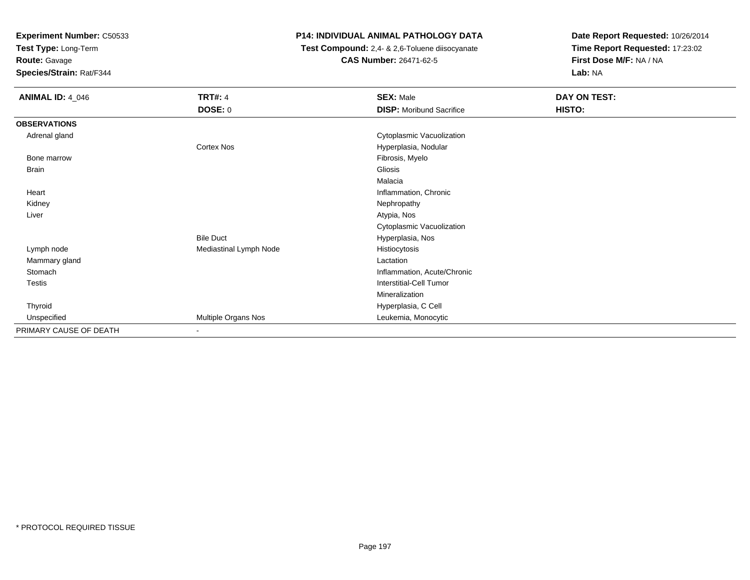**Test Type:** Long-Term

**Route:** Gavage

**Species/Strain:** Rat/F344

# **P14: INDIVIDUAL ANIMAL PATHOLOGY DATA**

 **Test Compound:** 2,4- & 2,6-Toluene diisocyanate**CAS Number:** 26471-62-5

| <b>ANIMAL ID: 4_046</b> | <b>TRT#: 4</b>         | <b>SEX: Male</b>                | DAY ON TEST: |
|-------------------------|------------------------|---------------------------------|--------------|
|                         | <b>DOSE: 0</b>         | <b>DISP:</b> Moribund Sacrifice | HISTO:       |
| <b>OBSERVATIONS</b>     |                        |                                 |              |
| Adrenal gland           |                        | Cytoplasmic Vacuolization       |              |
|                         | Cortex Nos             | Hyperplasia, Nodular            |              |
| Bone marrow             |                        | Fibrosis, Myelo                 |              |
| Brain                   |                        | Gliosis                         |              |
|                         |                        | Malacia                         |              |
| Heart                   |                        | Inflammation, Chronic           |              |
| Kidney                  |                        | Nephropathy                     |              |
| Liver                   |                        | Atypia, Nos                     |              |
|                         |                        | Cytoplasmic Vacuolization       |              |
|                         | <b>Bile Duct</b>       | Hyperplasia, Nos                |              |
| Lymph node              | Mediastinal Lymph Node | Histiocytosis                   |              |
| Mammary gland           |                        | Lactation                       |              |
| Stomach                 |                        | Inflammation, Acute/Chronic     |              |
| Testis                  |                        | <b>Interstitial-Cell Tumor</b>  |              |
|                         |                        | Mineralization                  |              |
| Thyroid                 |                        | Hyperplasia, C Cell             |              |
| Unspecified             | Multiple Organs Nos    | Leukemia, Monocytic             |              |
| PRIMARY CAUSE OF DEATH  | $\sim$                 |                                 |              |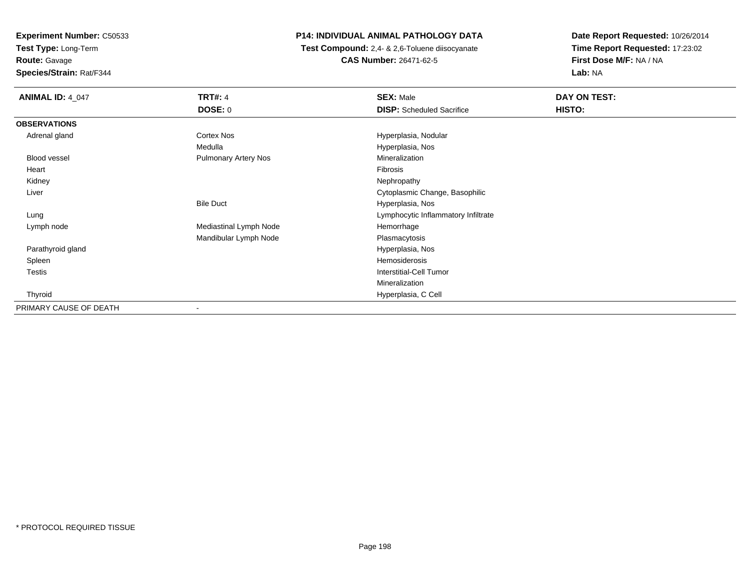**Test Type:** Long-Term

**Route:** Gavage

**Species/Strain:** Rat/F344

# **P14: INDIVIDUAL ANIMAL PATHOLOGY DATA**

 **Test Compound:** 2,4- & 2,6-Toluene diisocyanate**CAS Number:** 26471-62-5

| <b>ANIMAL ID: 4_047</b> | <b>TRT#: 4</b>              | <b>SEX: Male</b>                    | DAY ON TEST: |  |
|-------------------------|-----------------------------|-------------------------------------|--------------|--|
|                         | <b>DOSE: 0</b>              | <b>DISP:</b> Scheduled Sacrifice    | HISTO:       |  |
| <b>OBSERVATIONS</b>     |                             |                                     |              |  |
| Adrenal gland           | Cortex Nos                  | Hyperplasia, Nodular                |              |  |
|                         | Medulla                     | Hyperplasia, Nos                    |              |  |
| Blood vessel            | <b>Pulmonary Artery Nos</b> | Mineralization                      |              |  |
| Heart                   |                             | Fibrosis                            |              |  |
| Kidney                  |                             | Nephropathy                         |              |  |
| Liver                   |                             | Cytoplasmic Change, Basophilic      |              |  |
|                         | <b>Bile Duct</b>            | Hyperplasia, Nos                    |              |  |
| Lung                    |                             | Lymphocytic Inflammatory Infiltrate |              |  |
| Lymph node              | Mediastinal Lymph Node      | Hemorrhage                          |              |  |
|                         | Mandibular Lymph Node       | Plasmacytosis                       |              |  |
| Parathyroid gland       |                             | Hyperplasia, Nos                    |              |  |
| Spleen                  |                             | Hemosiderosis                       |              |  |
| Testis                  |                             | <b>Interstitial-Cell Tumor</b>      |              |  |
|                         |                             | Mineralization                      |              |  |
| Thyroid                 |                             | Hyperplasia, C Cell                 |              |  |
| PRIMARY CAUSE OF DEATH  |                             |                                     |              |  |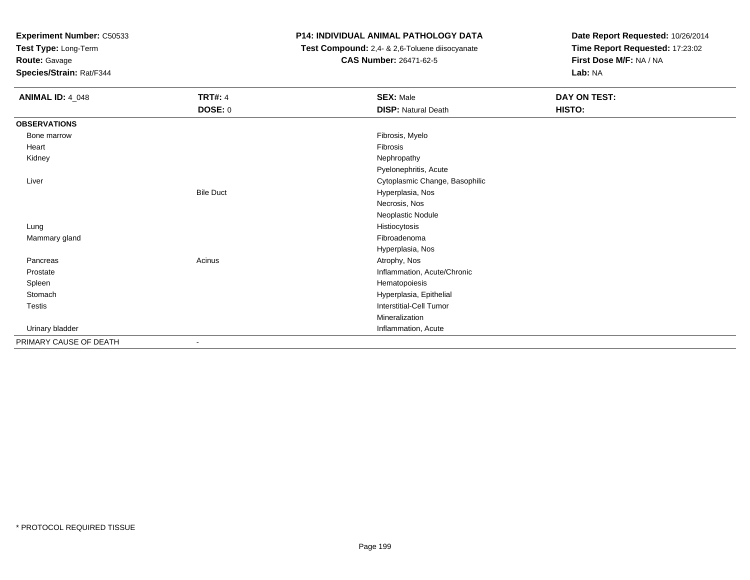**Test Type:** Long-Term

**Route:** Gavage

**Species/Strain:** Rat/F344

# **P14: INDIVIDUAL ANIMAL PATHOLOGY DATA**

 **Test Compound:** 2,4- & 2,6-Toluene diisocyanate**CAS Number:** 26471-62-5

| <b>ANIMAL ID: 4_048</b> | <b>TRT#: 4</b>   | <b>SEX: Male</b>               | <b>DAY ON TEST:</b> |  |
|-------------------------|------------------|--------------------------------|---------------------|--|
|                         | <b>DOSE: 0</b>   | <b>DISP: Natural Death</b>     | HISTO:              |  |
| <b>OBSERVATIONS</b>     |                  |                                |                     |  |
| Bone marrow             |                  | Fibrosis, Myelo                |                     |  |
| Heart                   |                  | Fibrosis                       |                     |  |
| Kidney                  |                  | Nephropathy                    |                     |  |
|                         |                  | Pyelonephritis, Acute          |                     |  |
| Liver                   |                  | Cytoplasmic Change, Basophilic |                     |  |
|                         | <b>Bile Duct</b> | Hyperplasia, Nos               |                     |  |
|                         |                  | Necrosis, Nos                  |                     |  |
|                         |                  | Neoplastic Nodule              |                     |  |
| Lung                    |                  | Histiocytosis                  |                     |  |
| Mammary gland           |                  | Fibroadenoma                   |                     |  |
|                         |                  | Hyperplasia, Nos               |                     |  |
| Pancreas                | Acinus           | Atrophy, Nos                   |                     |  |
| Prostate                |                  | Inflammation, Acute/Chronic    |                     |  |
| Spleen                  |                  | Hematopoiesis                  |                     |  |
| Stomach                 |                  | Hyperplasia, Epithelial        |                     |  |
| Testis                  |                  | Interstitial-Cell Tumor        |                     |  |
|                         |                  | Mineralization                 |                     |  |
| Urinary bladder         |                  | Inflammation, Acute            |                     |  |
| PRIMARY CAUSE OF DEATH  | $\blacksquare$   |                                |                     |  |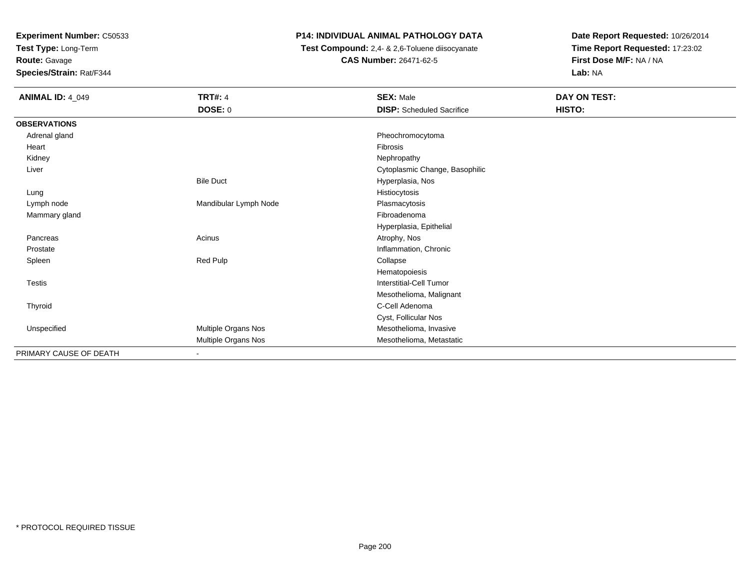**Test Type:** Long-Term

**Route:** Gavage

**Species/Strain:** Rat/F344

# **P14: INDIVIDUAL ANIMAL PATHOLOGY DATA**

 **Test Compound:** 2,4- & 2,6-Toluene diisocyanate**CAS Number:** 26471-62-5

| <b>ANIMAL ID: 4_049</b> | <b>TRT#: 4</b>        | <b>SEX: Male</b>                 | DAY ON TEST: |  |
|-------------------------|-----------------------|----------------------------------|--------------|--|
|                         | DOSE: 0               | <b>DISP:</b> Scheduled Sacrifice | HISTO:       |  |
| <b>OBSERVATIONS</b>     |                       |                                  |              |  |
| Adrenal gland           |                       | Pheochromocytoma                 |              |  |
| Heart                   |                       | Fibrosis                         |              |  |
| Kidney                  |                       | Nephropathy                      |              |  |
| Liver                   |                       | Cytoplasmic Change, Basophilic   |              |  |
|                         | <b>Bile Duct</b>      | Hyperplasia, Nos                 |              |  |
| Lung                    |                       | Histiocytosis                    |              |  |
| Lymph node              | Mandibular Lymph Node | Plasmacytosis                    |              |  |
| Mammary gland           |                       | Fibroadenoma                     |              |  |
|                         |                       | Hyperplasia, Epithelial          |              |  |
| Pancreas                | Acinus                | Atrophy, Nos                     |              |  |
| Prostate                |                       | Inflammation, Chronic            |              |  |
| Spleen                  | Red Pulp              | Collapse                         |              |  |
|                         |                       | Hematopoiesis                    |              |  |
| <b>Testis</b>           |                       | Interstitial-Cell Tumor          |              |  |
|                         |                       | Mesothelioma, Malignant          |              |  |
| Thyroid                 |                       | C-Cell Adenoma                   |              |  |
|                         |                       | Cyst, Follicular Nos             |              |  |
| Unspecified             | Multiple Organs Nos   | Mesothelioma, Invasive           |              |  |
|                         | Multiple Organs Nos   | Mesothelioma, Metastatic         |              |  |
| PRIMARY CAUSE OF DEATH  |                       |                                  |              |  |